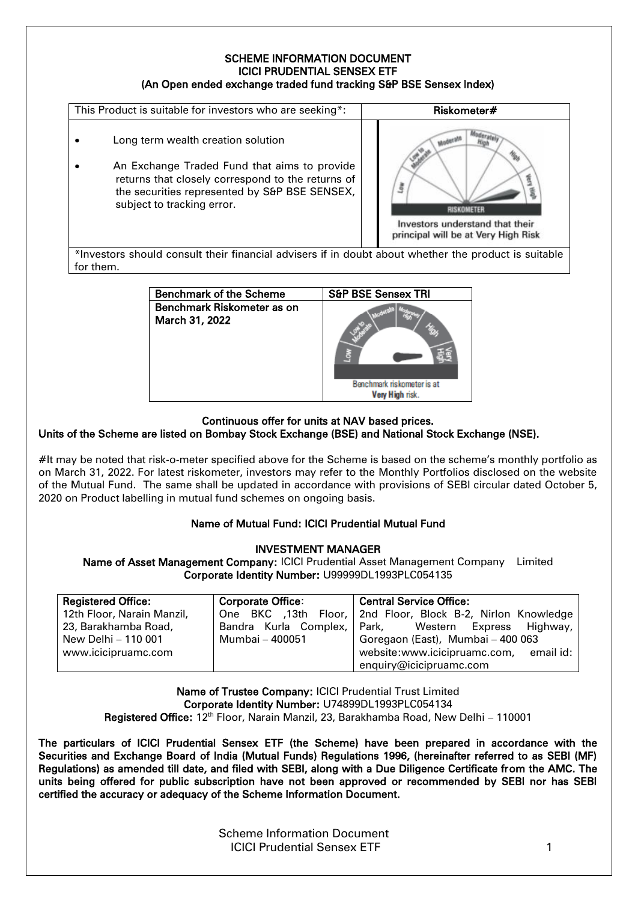### SCHEME INFORMATION DOCUMENT ICICI PRUDENTIAL SENSEX ETF (An Open ended exchange traded fund tracking S&P BSE Sensex Index)



Benchmark of the Scheme Sapple S&P BSE Sensex TRI Benchmark Riskometer as on March 31, 2022 Benchmark riskometer is at Very High risk.  $\overline{a}$ 

## Continuous offer for units at NAV based prices.

## Units of the Scheme are listed on Bombay Stock Exchange (BSE) and National Stock Exchange (NSE).

#It may be noted that risk-o-meter specified above for the Scheme is based on the scheme's monthly portfolio as on March 31, 2022. For latest riskometer, investors may refer to the Monthly Portfolios disclosed on the website of the Mutual Fund. The same shall be updated in accordance with provisions of SEBI circular dated October 5, 2020 on Product labelling in mutual fund schemes on ongoing basis.

## Name of Mutual Fund: ICICI Prudential Mutual Fund

#### INVESTMENT MANAGER

Name of Asset Management Company: ICICI Prudential Asset Management Company Limited Corporate Identity Number: U99999DL1993PLC054135

| <b>Registered Office:</b>  | <b>Corporate Office:</b> | Central Service Office:                                       |
|----------------------------|--------------------------|---------------------------------------------------------------|
| 12th Floor, Narain Manzil, |                          | One BKC ,13th Floor,   2nd Floor, Block B-2, Nirlon Knowledge |
| 23, Barakhamba Road,       |                          | Bandra Kurla Complex, Park, Western Express Highway,          |
| New Delhi - 110 001        | Mumbai - 400051          | Goregaon (East), Mumbai - 400 063                             |
| www.icicipruamc.com        |                          | website:www.icicipruamc.com, email id:                        |
|                            |                          | enquiry@icicipruamc.com                                       |

Name of Trustee Company: ICICI Prudential Trust Limited Corporate Identity Number: U74899DL1993PLC054134 Registered Office: 12<sup>th</sup> Floor, Narain Manzil, 23, Barakhamba Road, New Delhi – 110001

The particulars of ICICI Prudential Sensex ETF (the Scheme) have been prepared in accordance with the Securities and Exchange Board of India (Mutual Funds) Regulations 1996, (hereinafter referred to as SEBI (MF) Regulations) as amended till date, and filed with SEBI, along with a Due Diligence Certificate from the AMC. The units being offered for public subscription have not been approved or recommended by SEBI nor has SEBI certified the accuracy or adequacy of the Scheme Information Document.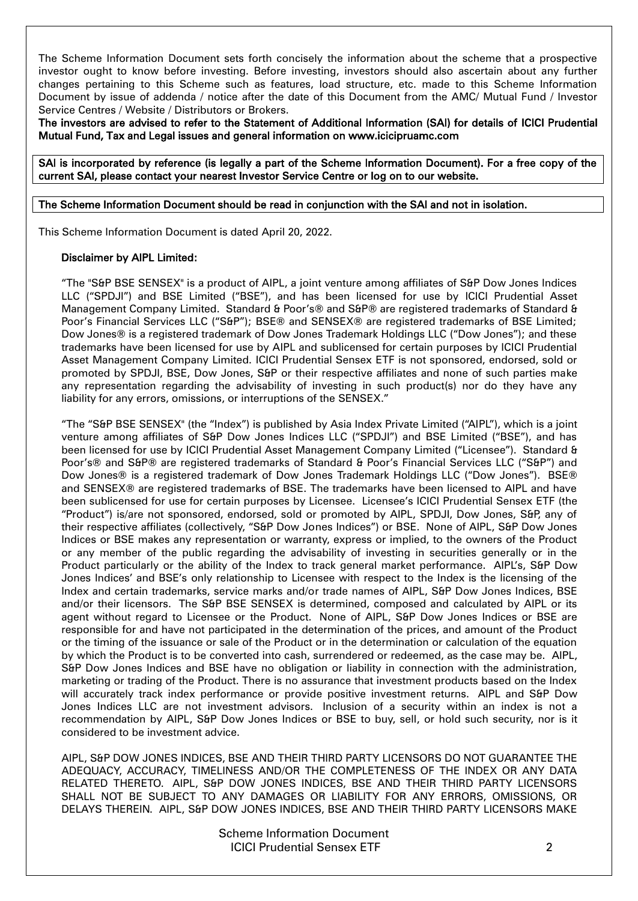The Scheme Information Document sets forth concisely the information about the scheme that a prospective investor ought to know before investing. Before investing, investors should also ascertain about any further changes pertaining to this Scheme such as features, load structure, etc. made to this Scheme Information Document by issue of addenda / notice after the date of this Document from the AMC/ Mutual Fund / Investor Service Centres / Website / Distributors or Brokers.

The investors are advised to refer to the Statement of Additional Information (SAI) for details of ICICI Prudential Mutual Fund, Tax and Legal issues and general information on www.icicipruamc.com

SAI is incorporated by reference (is legally a part of the Scheme Information Document). For a free copy of the current SAI, please contact your nearest Investor Service Centre or log on to our website.

### The Scheme Information Document should be read in conjunction with the SAI and not in isolation.

This Scheme Information Document is dated April 20, 2022.

### Disclaimer by AIPL Limited:

"The "S&P BSE SENSEX" is a product of AIPL, a joint venture among affiliates of S&P Dow Jones Indices LLC ("SPDJI") and BSE Limited ("BSE"), and has been licensed for use by ICICI Prudential Asset Management Company Limited. Standard & Poor's® and S&P® are registered trademarks of Standard & Poor's Financial Services LLC ("S&P"); BSE® and SENSEX® are registered trademarks of BSE Limited; Dow Jones® is a registered trademark of Dow Jones Trademark Holdings LLC ("Dow Jones"); and these trademarks have been licensed for use by AIPL and sublicensed for certain purposes by ICICI Prudential Asset Management Company Limited. ICICI Prudential Sensex ETF is not sponsored, endorsed, sold or promoted by SPDJI, BSE, Dow Jones, S&P or their respective affiliates and none of such parties make any representation regarding the advisability of investing in such product(s) nor do they have any liability for any errors, omissions, or interruptions of the SENSEX."

"The "S&P BSE SENSEX" (the "Index") is published by Asia Index Private Limited ("AIPL"), which is a joint venture among affiliates of S&P Dow Jones Indices LLC ("SPDJI") and BSE Limited ("BSE"), and has been licensed for use by ICICI Prudential Asset Management Company Limited ("Licensee"). Standard & Poor's® and S&P® are registered trademarks of Standard & Poor's Financial Services LLC ("S&P") and Dow Jones® is a registered trademark of Dow Jones Trademark Holdings LLC ("Dow Jones"). BSE® and SENSEX® are registered trademarks of BSE. The trademarks have been licensed to AIPL and have been sublicensed for use for certain purposes by Licensee. Licensee's ICICI Prudential Sensex ETF (the "Product") is/are not sponsored, endorsed, sold or promoted by AIPL, SPDJI, Dow Jones, S&P, any of their respective affiliates (collectively, "S&P Dow Jones Indices") or BSE. None of AIPL, S&P Dow Jones Indices or BSE makes any representation or warranty, express or implied, to the owners of the Product or any member of the public regarding the advisability of investing in securities generally or in the Product particularly or the ability of the Index to track general market performance. AIPL's, S&P Dow Jones Indices' and BSE's only relationship to Licensee with respect to the Index is the licensing of the Index and certain trademarks, service marks and/or trade names of AIPL, S&P Dow Jones Indices, BSE and/or their licensors. The S&P BSE SENSEX is determined, composed and calculated by AIPL or its agent without regard to Licensee or the Product. None of AIPL, S&P Dow Jones Indices or BSE are responsible for and have not participated in the determination of the prices, and amount of the Product or the timing of the issuance or sale of the Product or in the determination or calculation of the equation by which the Product is to be converted into cash, surrendered or redeemed, as the case may be. AIPL, S&P Dow Jones Indices and BSE have no obligation or liability in connection with the administration, marketing or trading of the Product. There is no assurance that investment products based on the Index will accurately track index performance or provide positive investment returns. AIPL and S&P Dow Jones Indices LLC are not investment advisors. Inclusion of a security within an index is not a recommendation by AIPL, S&P Dow Jones Indices or BSE to buy, sell, or hold such security, nor is it considered to be investment advice.

AIPL, S&P DOW JONES INDICES, BSE AND THEIR THIRD PARTY LICENSORS DO NOT GUARANTEE THE ADEQUACY, ACCURACY, TIMELINESS AND/OR THE COMPLETENESS OF THE INDEX OR ANY DATA RELATED THERETO. AIPL, S&P DOW JONES INDICES, BSE AND THEIR THIRD PARTY LICENSORS SHALL NOT BE SUBJECT TO ANY DAMAGES OR LIABILITY FOR ANY ERRORS, OMISSIONS, OR DELAYS THEREIN. AIPL, S&P DOW JONES INDICES, BSE AND THEIR THIRD PARTY LICENSORS MAKE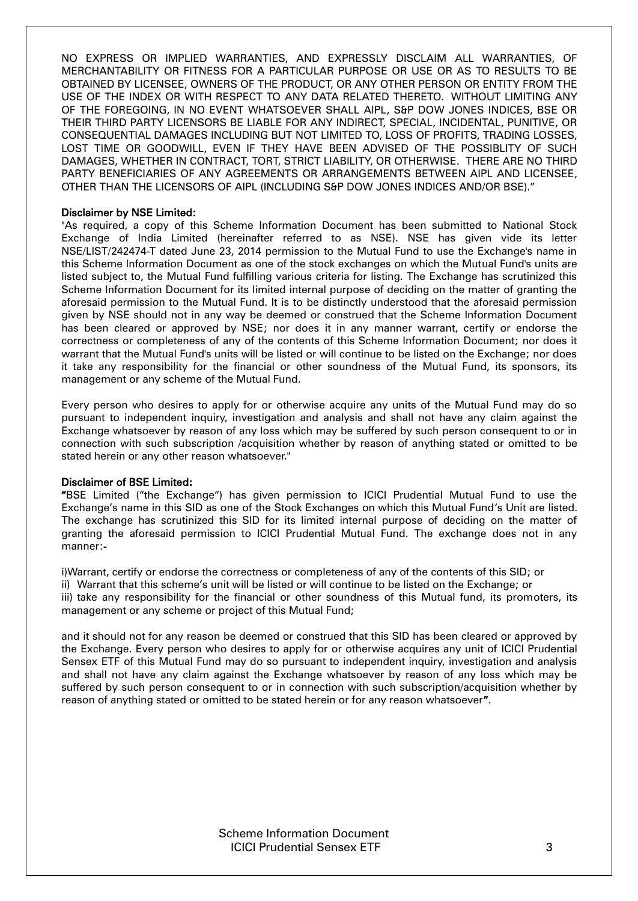NO EXPRESS OR IMPLIED WARRANTIES, AND EXPRESSLY DISCLAIM ALL WARRANTIES, OF MERCHANTABILITY OR FITNESS FOR A PARTICULAR PURPOSE OR USE OR AS TO RESULTS TO BE OBTAINED BY LICENSEE, OWNERS OF THE PRODUCT, OR ANY OTHER PERSON OR ENTITY FROM THE USE OF THE INDEX OR WITH RESPECT TO ANY DATA RELATED THERETO. WITHOUT LIMITING ANY OF THE FOREGOING, IN NO EVENT WHATSOEVER SHALL AIPL, S&P DOW JONES INDICES, BSE OR THEIR THIRD PARTY LICENSORS BE LIABLE FOR ANY INDIRECT, SPECIAL, INCIDENTAL, PUNITIVE, OR CONSEQUENTIAL DAMAGES INCLUDING BUT NOT LIMITED TO, LOSS OF PROFITS, TRADING LOSSES, LOST TIME OR GOODWILL, EVEN IF THEY HAVE BEEN ADVISED OF THE POSSIBLITY OF SUCH DAMAGES, WHETHER IN CONTRACT, TORT, STRICT LIABILITY, OR OTHERWISE. THERE ARE NO THIRD PARTY BENEFICIARIES OF ANY AGREEMENTS OR ARRANGEMENTS BETWEEN AIPL AND LICENSEE, OTHER THAN THE LICENSORS OF AIPL (INCLUDING S&P DOW JONES INDICES AND/OR BSE)."

## Disclaimer by NSE Limited:

"As required, a copy of this Scheme Information Document has been submitted to National Stock Exchange of India Limited (hereinafter referred to as NSE). NSE has given vide its letter NSE/LIST/242474-T dated June 23, 2014 permission to the Mutual Fund to use the Exchange's name in this Scheme Information Document as one of the stock exchanges on which the Mutual Fund's units are listed subject to, the Mutual Fund fulfilling various criteria for listing. The Exchange has scrutinized this Scheme Information Document for its limited internal purpose of deciding on the matter of granting the aforesaid permission to the Mutual Fund. It is to be distinctly understood that the aforesaid permission given by NSE should not in any way be deemed or construed that the Scheme Information Document has been cleared or approved by NSE; nor does it in any manner warrant, certify or endorse the correctness or completeness of any of the contents of this Scheme Information Document; nor does it warrant that the Mutual Fund's units will be listed or will continue to be listed on the Exchange; nor does it take any responsibility for the financial or other soundness of the Mutual Fund, its sponsors, its management or any scheme of the Mutual Fund.

Every person who desires to apply for or otherwise acquire any units of the Mutual Fund may do so pursuant to independent inquiry, investigation and analysis and shall not have any claim against the Exchange whatsoever by reason of any loss which may be suffered by such person consequent to or in connection with such subscription /acquisition whether by reason of anything stated or omitted to be stated herein or any other reason whatsoever."

#### Disclaimer of BSE Limited:

"BSE Limited ("the Exchange") has given permission to ICICI Prudential Mutual Fund to use the Exchange's name in this SID as one of the Stock Exchanges on which this Mutual Fund's Unit are listed. The exchange has scrutinized this SID for its limited internal purpose of deciding on the matter of granting the aforesaid permission to ICICI Prudential Mutual Fund. The exchange does not in any manner:-

i)Warrant, certify or endorse the correctness or completeness of any of the contents of this SID; or

ii) Warrant that this scheme's unit will be listed or will continue to be listed on the Exchange; or

iii) take any responsibility for the financial or other soundness of this Mutual fund, its promoters, its management or any scheme or project of this Mutual Fund;

and it should not for any reason be deemed or construed that this SID has been cleared or approved by the Exchange. Every person who desires to apply for or otherwise acquires any unit of ICICI Prudential Sensex ETF of this Mutual Fund may do so pursuant to independent inquiry, investigation and analysis and shall not have any claim against the Exchange whatsoever by reason of any loss which may be suffered by such person consequent to or in connection with such subscription/acquisition whether by reason of anything stated or omitted to be stated herein or for any reason whatsoever".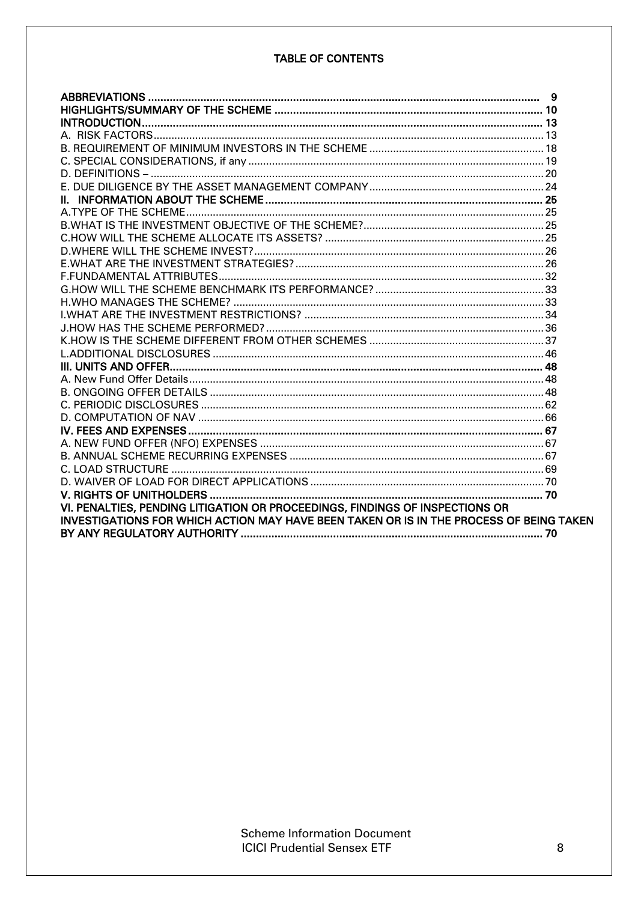## **TABLE OF CONTENTS**

| VI. PENALTIES, PENDING LITIGATION OR PROCEEDINGS, FINDINGS OF INSPECTIONS OR            |  |
|-----------------------------------------------------------------------------------------|--|
| INVESTIGATIONS FOR WHICH ACTION MAY HAVE BEEN TAKEN OR IS IN THE PROCESS OF BEING TAKEN |  |
|                                                                                         |  |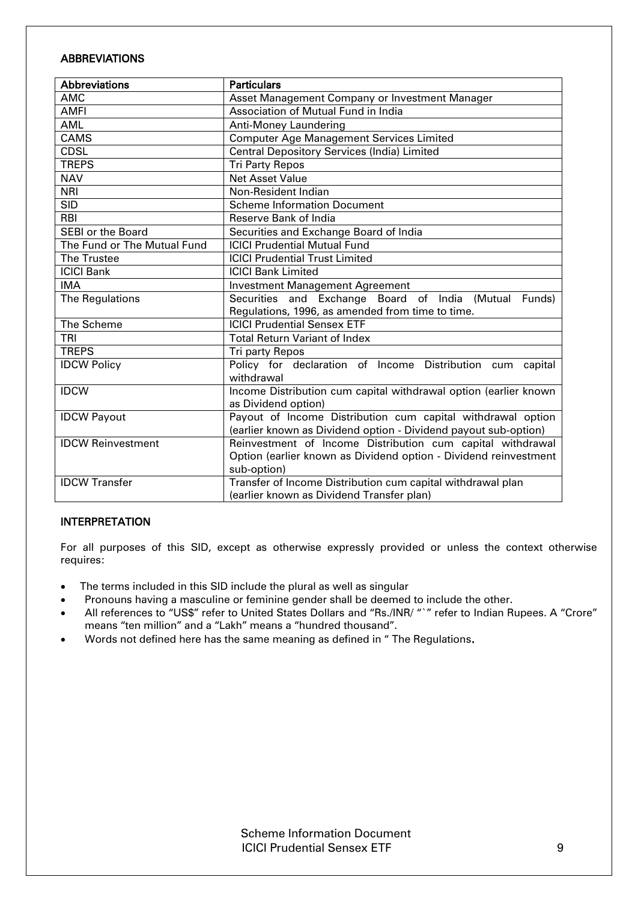## <span id="page-4-0"></span>**ABBREVIATIONS**

| <b>Abbreviations</b>        | <b>Particulars</b>                                               |
|-----------------------------|------------------------------------------------------------------|
| <b>AMC</b>                  | Asset Management Company or Investment Manager                   |
| <b>AMFI</b>                 | Association of Mutual Fund in India                              |
| <b>AML</b>                  | Anti-Money Laundering                                            |
| <b>CAMS</b>                 | <b>Computer Age Management Services Limited</b>                  |
| <b>CDSL</b>                 | Central Depository Services (India) Limited                      |
| <b>TREPS</b>                | <b>Tri Party Repos</b>                                           |
| <b>NAV</b>                  | <b>Net Asset Value</b>                                           |
| <b>NRI</b>                  | Non-Resident Indian                                              |
| <b>SID</b>                  | <b>Scheme Information Document</b>                               |
| <b>RBI</b>                  | Reserve Bank of India                                            |
| <b>SEBI or the Board</b>    | Securities and Exchange Board of India                           |
| The Fund or The Mutual Fund | <b>ICICI Prudential Mutual Fund</b>                              |
| The Trustee                 | <b>ICICI Prudential Trust Limited</b>                            |
| <b>ICICI Bank</b>           | <b>ICICI Bank Limited</b>                                        |
| <b>IMA</b>                  | <b>Investment Management Agreement</b>                           |
| The Regulations             | Securities and Exchange Board of India (Mutual Funds)            |
|                             | Regulations, 1996, as amended from time to time.                 |
| The Scheme                  | <b>ICICI Prudential Sensex ETF</b>                               |
| <b>TRI</b>                  | <b>Total Return Variant of Index</b>                             |
| <b>TREPS</b>                | Tri party Repos                                                  |
| <b>IDCW Policy</b>          | Policy for declaration of Income Distribution cum capital        |
|                             | withdrawal                                                       |
| <b>IDCW</b>                 | Income Distribution cum capital withdrawal option (earlier known |
|                             | as Dividend option)                                              |
| <b>IDCW Payout</b>          | Payout of Income Distribution cum capital withdrawal option      |
|                             | (earlier known as Dividend option - Dividend payout sub-option)  |
| <b>IDCW Reinvestment</b>    | Reinvestment of Income Distribution cum capital withdrawal       |
|                             | Option (earlier known as Dividend option - Dividend reinvestment |
|                             | sub-option)                                                      |
| <b>IDCW Transfer</b>        | Transfer of Income Distribution cum capital withdrawal plan      |
|                             | (earlier known as Dividend Transfer plan)                        |

## INTERPRETATION

For all purposes of this SID, except as otherwise expressly provided or unless the context otherwise requires:

- The terms included in this SID include the plural as well as singular
- Pronouns having a masculine or feminine gender shall be deemed to include the other.
- All references to "US\$" refer to United States Dollars and "Rs./INR/ "`" refer to Indian Rupees. A "Crore" means "ten million" and a "Lakh" means a "hundred thousand".
- Words not defined here has the same meaning as defined in " The Regulations.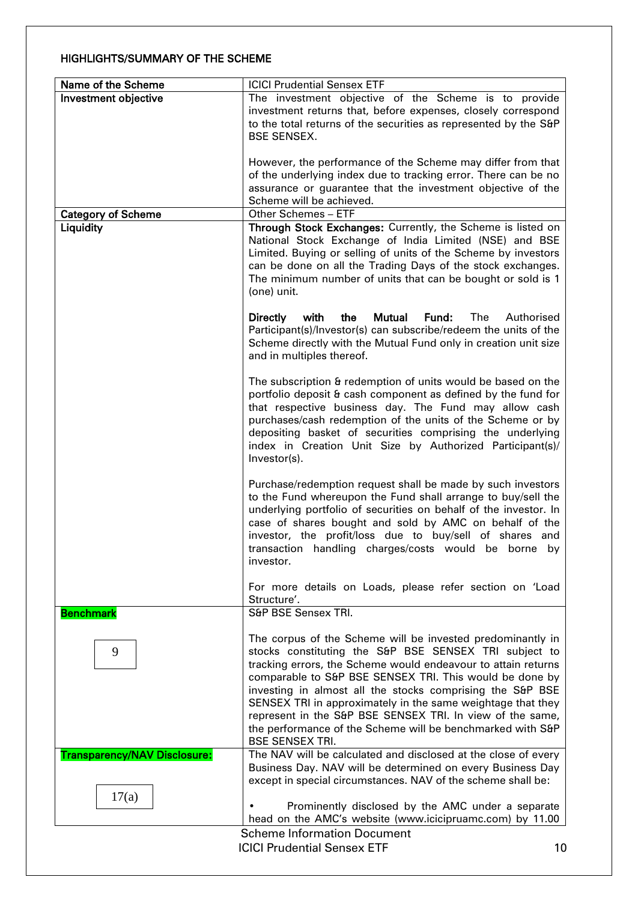## <span id="page-5-0"></span>HIGHLIGHTS/SUMMARY OF THE SCHEME

| Name of the Scheme                  | <b>ICICI Prudential Sensex ETF</b>                                                                                            |
|-------------------------------------|-------------------------------------------------------------------------------------------------------------------------------|
| Investment objective                | The investment objective of the Scheme is to provide                                                                          |
|                                     | investment returns that, before expenses, closely correspond                                                                  |
|                                     | to the total returns of the securities as represented by the S&P                                                              |
|                                     | <b>BSE SENSEX.</b>                                                                                                            |
|                                     |                                                                                                                               |
|                                     | However, the performance of the Scheme may differ from that                                                                   |
|                                     | of the underlying index due to tracking error. There can be no<br>assurance or guarantee that the investment objective of the |
|                                     | Scheme will be achieved.                                                                                                      |
| <b>Category of Scheme</b>           | Other Schemes - ETF                                                                                                           |
| Liquidity                           | Through Stock Exchanges: Currently, the Scheme is listed on                                                                   |
|                                     | National Stock Exchange of India Limited (NSE) and BSE                                                                        |
|                                     | Limited. Buying or selling of units of the Scheme by investors                                                                |
|                                     | can be done on all the Trading Days of the stock exchanges.                                                                   |
|                                     | The minimum number of units that can be bought or sold is 1                                                                   |
|                                     | (one) unit.                                                                                                                   |
|                                     |                                                                                                                               |
|                                     | with<br>the<br>Mutual<br>Fund:<br><b>The</b><br>Authorised<br><b>Directly</b>                                                 |
|                                     | Participant(s)/Investor(s) can subscribe/redeem the units of the                                                              |
|                                     | Scheme directly with the Mutual Fund only in creation unit size                                                               |
|                                     | and in multiples thereof.                                                                                                     |
|                                     |                                                                                                                               |
|                                     | The subscription & redemption of units would be based on the<br>portfolio deposit & cash component as defined by the fund for |
|                                     | that respective business day. The Fund may allow cash                                                                         |
|                                     | purchases/cash redemption of the units of the Scheme or by                                                                    |
|                                     | depositing basket of securities comprising the underlying                                                                     |
|                                     | index in Creation Unit Size by Authorized Participant(s)/                                                                     |
|                                     | Investor(s).                                                                                                                  |
|                                     |                                                                                                                               |
|                                     | Purchase/redemption request shall be made by such investors                                                                   |
|                                     | to the Fund whereupon the Fund shall arrange to buy/sell the                                                                  |
|                                     | underlying portfolio of securities on behalf of the investor. In                                                              |
|                                     | case of shares bought and sold by AMC on behalf of the                                                                        |
|                                     | investor, the profit/loss due to buy/sell of shares and                                                                       |
|                                     | transaction handling charges/costs would be borne by                                                                          |
|                                     | investor.                                                                                                                     |
|                                     | For more details on Loads, please refer section on 'Load                                                                      |
|                                     | Structure'.                                                                                                                   |
| <b>Benchmark</b>                    | S&P BSE Sensex TRI.                                                                                                           |
|                                     |                                                                                                                               |
|                                     | The corpus of the Scheme will be invested predominantly in                                                                    |
| 9                                   | stocks constituting the S&P BSE SENSEX TRI subject to                                                                         |
|                                     | tracking errors, the Scheme would endeavour to attain returns                                                                 |
|                                     | comparable to S&P BSE SENSEX TRI. This would be done by                                                                       |
|                                     | investing in almost all the stocks comprising the S&P BSE                                                                     |
|                                     | SENSEX TRI in approximately in the same weightage that they                                                                   |
|                                     | represent in the S&P BSE SENSEX TRI. In view of the same,                                                                     |
|                                     | the performance of the Scheme will be benchmarked with S&P<br><b>BSE SENSEX TRI.</b>                                          |
| <b>Transparency/NAV Disclosure:</b> | The NAV will be calculated and disclosed at the close of every                                                                |
|                                     | Business Day. NAV will be determined on every Business Day                                                                    |
|                                     | except in special circumstances. NAV of the scheme shall be:                                                                  |
| 17(a)                               |                                                                                                                               |
|                                     | Prominently disclosed by the AMC under a separate                                                                             |
|                                     | head on the AMC's website (www.icicipruamc.com) by 11.00                                                                      |
|                                     | <b>Scheme Information Document</b>                                                                                            |
|                                     | <b>ICICI Prudential Sensex ETF</b><br>10                                                                                      |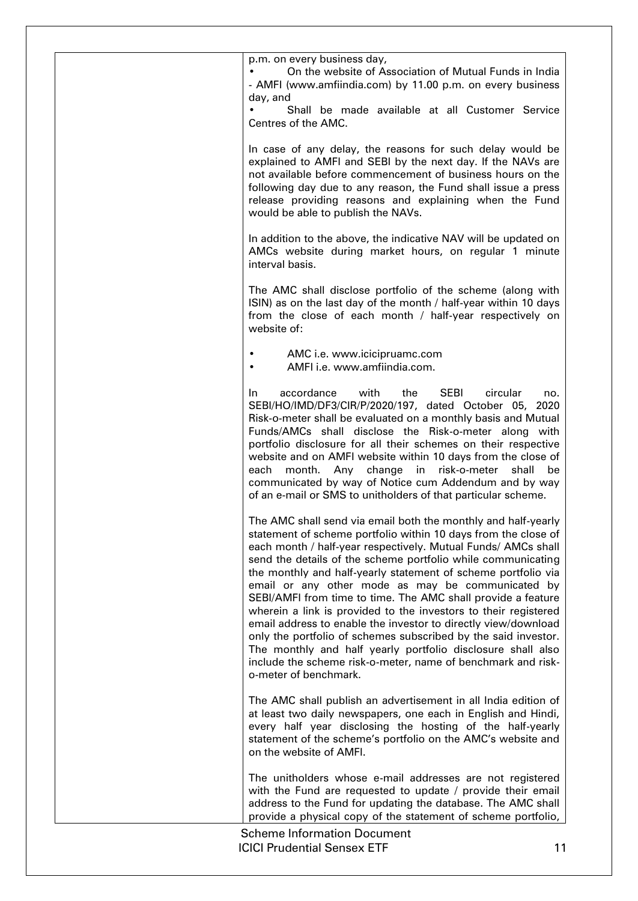p.m. on every business day,

• On the website of Association of Mutual Funds in India - AMFI (www.amfiindia.com) by 11.00 p.m. on every business day, and

Shall be made available at all Customer Service Centres of the AMC.

In case of any delay, the reasons for such delay would be explained to AMFI and SEBI by the next day. If the NAVs are not available before commencement of business hours on the following day due to any reason, the Fund shall issue a press release providing reasons and explaining when the Fund would be able to publish the NAVs.

In addition to the above, the indicative NAV will be updated on AMCs website during market hours, on regular 1 minute interval basis.

The AMC shall disclose portfolio of the scheme (along with ISIN) as on the last day of the month / half-year within 10 days from the close of each month / half-year respectively on website of:

- AMC i.e. www.icicipruamc.com
	- AMFI i.e. www.amfiindia.com.

In accordance with the SEBI circular no. SEBI/HO/IMD/DF3/CIR/P/2020/197, dated October 05, 2020 Risk-o-meter shall be evaluated on a monthly basis and Mutual Funds/AMCs shall disclose the Risk-o-meter along with portfolio disclosure for all their schemes on their respective website and on AMFI website within 10 days from the close of each month. Any change in risk-o-meter shall be communicated by way of Notice cum Addendum and by way of an e-mail or SMS to unitholders of that particular scheme.

The AMC shall send via email both the monthly and half-yearly statement of scheme portfolio within 10 days from the close of each month / half-year respectively. Mutual Funds/ AMCs shall send the details of the scheme portfolio while communicating the monthly and half-yearly statement of scheme portfolio via email or any other mode as may be communicated by SEBI/AMFI from time to time. The AMC shall provide a feature wherein a link is provided to the investors to their registered email address to enable the investor to directly view/download only the portfolio of schemes subscribed by the said investor. The monthly and half yearly portfolio disclosure shall also include the scheme risk-o-meter, name of benchmark and risko-meter of benchmark.

The AMC shall publish an advertisement in all India edition of at least two daily newspapers, one each in English and Hindi, every half year disclosing the hosting of the half-yearly statement of the scheme's portfolio on the AMC's website and on the website of AMFI.

The unitholders whose e-mail addresses are not registered with the Fund are requested to update / provide their email address to the Fund for updating the database. The AMC shall provide a physical copy of the statement of scheme portfolio,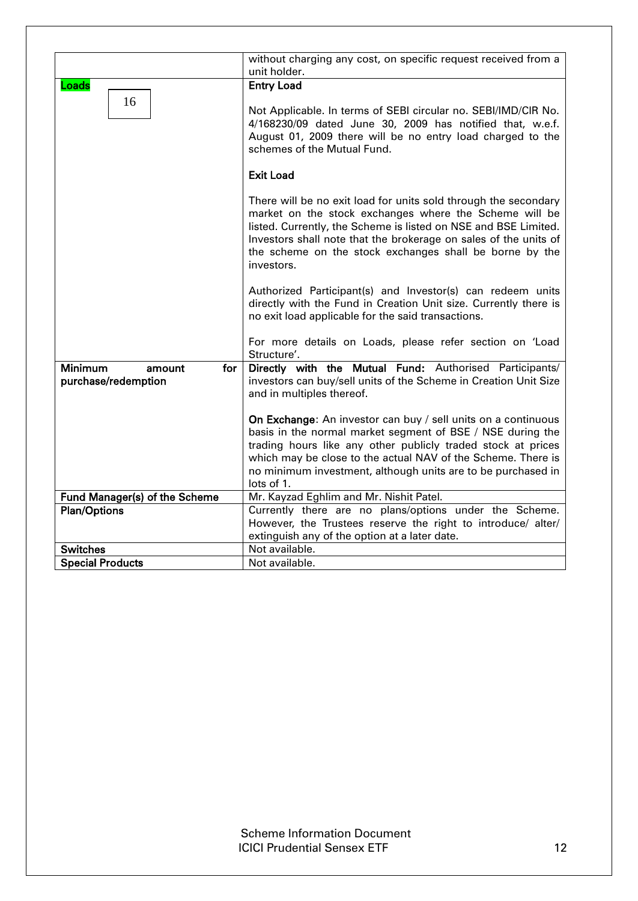|                               | without charging any cost, on specific request received from a<br>unit holder.                                                                                                                                                                                                                                                            |
|-------------------------------|-------------------------------------------------------------------------------------------------------------------------------------------------------------------------------------------------------------------------------------------------------------------------------------------------------------------------------------------|
| Loads                         | <b>Entry Load</b>                                                                                                                                                                                                                                                                                                                         |
| 16                            | Not Applicable. In terms of SEBI circular no. SEBI/IMD/CIR No.                                                                                                                                                                                                                                                                            |
|                               | 4/168230/09 dated June 30, 2009 has notified that, w.e.f.<br>August 01, 2009 there will be no entry load charged to the<br>schemes of the Mutual Fund.                                                                                                                                                                                    |
|                               | <b>Exit Load</b>                                                                                                                                                                                                                                                                                                                          |
|                               | There will be no exit load for units sold through the secondary<br>market on the stock exchanges where the Scheme will be<br>listed. Currently, the Scheme is listed on NSE and BSE Limited.<br>Investors shall note that the brokerage on sales of the units of<br>the scheme on the stock exchanges shall be borne by the<br>investors. |
|                               | Authorized Participant(s) and Investor(s) can redeem units<br>directly with the Fund in Creation Unit size. Currently there is<br>no exit load applicable for the said transactions.                                                                                                                                                      |
|                               | For more details on Loads, please refer section on 'Load<br>Structure'.                                                                                                                                                                                                                                                                   |
| Minimum<br>for<br>amount      | Directly with the Mutual Fund: Authorised Participants/                                                                                                                                                                                                                                                                                   |
| purchase/redemption           | investors can buy/sell units of the Scheme in Creation Unit Size<br>and in multiples thereof.                                                                                                                                                                                                                                             |
|                               | On Exchange: An investor can buy / sell units on a continuous<br>basis in the normal market segment of BSE / NSE during the<br>trading hours like any other publicly traded stock at prices<br>which may be close to the actual NAV of the Scheme. There is<br>no minimum investment, although units are to be purchased in<br>lots of 1. |
| Fund Manager(s) of the Scheme | Mr. Kayzad Eghlim and Mr. Nishit Patel.                                                                                                                                                                                                                                                                                                   |
| <b>Plan/Options</b>           | Currently there are no plans/options under the Scheme.                                                                                                                                                                                                                                                                                    |
|                               | However, the Trustees reserve the right to introduce/ alter/                                                                                                                                                                                                                                                                              |
|                               | extinguish any of the option at a later date.                                                                                                                                                                                                                                                                                             |
| <b>Switches</b>               | Not available.                                                                                                                                                                                                                                                                                                                            |
| <b>Special Products</b>       | Not available.                                                                                                                                                                                                                                                                                                                            |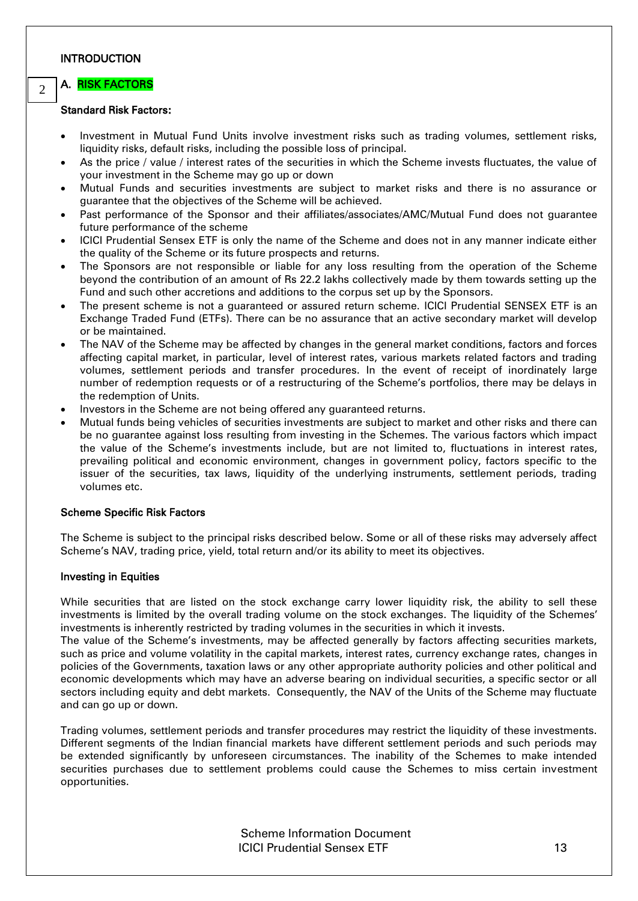### <span id="page-8-0"></span>INTRODUCTION

#### <span id="page-8-1"></span>A. RISK FACTORS  $\overline{2}$

## Standard Risk Factors:

- Investment in Mutual Fund Units involve investment risks such as trading volumes, settlement risks, liquidity risks, default risks, including the possible loss of principal.
- As the price / value / interest rates of the securities in which the Scheme invests fluctuates, the value of your investment in the Scheme may go up or down
- Mutual Funds and securities investments are subject to market risks and there is no assurance or guarantee that the objectives of the Scheme will be achieved.
- Past performance of the Sponsor and their affiliates/associates/AMC/Mutual Fund does not guarantee future performance of the scheme
- ICICI Prudential Sensex ETF is only the name of the Scheme and does not in any manner indicate either the quality of the Scheme or its future prospects and returns.
- The Sponsors are not responsible or liable for any loss resulting from the operation of the Scheme beyond the contribution of an amount of Rs 22.2 lakhs collectively made by them towards setting up the Fund and such other accretions and additions to the corpus set up by the Sponsors.
- The present scheme is not a guaranteed or assured return scheme. ICICI Prudential SENSEX ETF is an Exchange Traded Fund (ETFs). There can be no assurance that an active secondary market will develop or be maintained.
- The NAV of the Scheme may be affected by changes in the general market conditions, factors and forces affecting capital market, in particular, level of interest rates, various markets related factors and trading volumes, settlement periods and transfer procedures. In the event of receipt of inordinately large number of redemption requests or of a restructuring of the Scheme's portfolios, there may be delays in the redemption of Units.
- Investors in the Scheme are not being offered any guaranteed returns.
- Mutual funds being vehicles of securities investments are subject to market and other risks and there can be no guarantee against loss resulting from investing in the Schemes. The various factors which impact the value of the Scheme's investments include, but are not limited to, fluctuations in interest rates, prevailing political and economic environment, changes in government policy, factors specific to the issuer of the securities, tax laws, liquidity of the underlying instruments, settlement periods, trading volumes etc.

## Scheme Specific Risk Factors

The Scheme is subject to the principal risks described below. Some or all of these risks may adversely affect Scheme's NAV, trading price, yield, total return and/or its ability to meet its objectives.

## Investing in Equities

While securities that are listed on the stock exchange carry lower liquidity risk, the ability to sell these investments is limited by the overall trading volume on the stock exchanges. The liquidity of the Schemes' investments is inherently restricted by trading volumes in the securities in which it invests.

The value of the Scheme's investments, may be affected generally by factors affecting securities markets, such as price and volume volatility in the capital markets, interest rates, currency exchange rates, changes in policies of the Governments, taxation laws or any other appropriate authority policies and other political and economic developments which may have an adverse bearing on individual securities, a specific sector or all sectors including equity and debt markets. Consequently, the NAV of the Units of the Scheme may fluctuate and can go up or down.

Trading volumes, settlement periods and transfer procedures may restrict the liquidity of these investments. Different segments of the Indian financial markets have different settlement periods and such periods may be extended significantly by unforeseen circumstances. The inability of the Schemes to make intended securities purchases due to settlement problems could cause the Schemes to miss certain investment opportunities.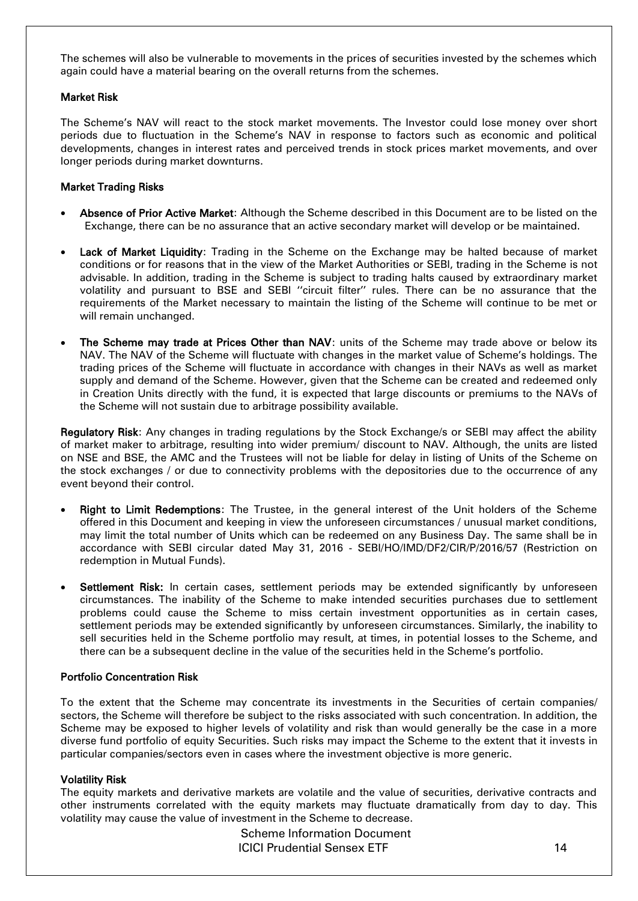The schemes will also be vulnerable to movements in the prices of securities invested by the schemes which again could have a material bearing on the overall returns from the schemes.

## Market Risk

The Scheme's NAV will react to the stock market movements. The Investor could lose money over short periods due to fluctuation in the Scheme's NAV in response to factors such as economic and political developments, changes in interest rates and perceived trends in stock prices market movements, and over longer periods during market downturns.

## Market Trading Risks

- Absence of Prior Active Market: Although the Scheme described in this Document are to be listed on the Exchange, there can be no assurance that an active secondary market will develop or be maintained.
- Lack of Market Liquidity: Trading in the Scheme on the Exchange may be halted because of market conditions or for reasons that in the view of the Market Authorities or SEBI, trading in the Scheme is not advisable. In addition, trading in the Scheme is subject to trading halts caused by extraordinary market volatility and pursuant to BSE and SEBI ''circuit filter'' rules. There can be no assurance that the requirements of the Market necessary to maintain the listing of the Scheme will continue to be met or will remain unchanged.
- The Scheme may trade at Prices Other than NAV: units of the Scheme may trade above or below its NAV. The NAV of the Scheme will fluctuate with changes in the market value of Scheme's holdings. The trading prices of the Scheme will fluctuate in accordance with changes in their NAVs as well as market supply and demand of the Scheme. However, given that the Scheme can be created and redeemed only in Creation Units directly with the fund, it is expected that large discounts or premiums to the NAVs of the Scheme will not sustain due to arbitrage possibility available.

Regulatory Risk: Any changes in trading regulations by the Stock Exchange/s or SEBI may affect the ability of market maker to arbitrage, resulting into wider premium/ discount to NAV. Although, the units are listed on NSE and BSE, the AMC and the Trustees will not be liable for delay in listing of Units of the Scheme on the stock exchanges / or due to connectivity problems with the depositories due to the occurrence of any event beyond their control.

- Right to Limit Redemptions: The Trustee, in the general interest of the Unit holders of the Scheme offered in this Document and keeping in view the unforeseen circumstances / unusual market conditions, may limit the total number of Units which can be redeemed on any Business Day. The same shall be in accordance with SEBI circular dated May 31, 2016 - SEBI/HO/IMD/DF2/CIR/P/2016/57 (Restriction on redemption in Mutual Funds).
- Settlement Risk: In certain cases, settlement periods may be extended significantly by unforeseen circumstances. The inability of the Scheme to make intended securities purchases due to settlement problems could cause the Scheme to miss certain investment opportunities as in certain cases, settlement periods may be extended significantly by unforeseen circumstances. Similarly, the inability to sell securities held in the Scheme portfolio may result, at times, in potential losses to the Scheme, and there can be a subsequent decline in the value of the securities held in the Scheme's portfolio.

## Portfolio Concentration Risk

To the extent that the Scheme may concentrate its investments in the Securities of certain companies/ sectors, the Scheme will therefore be subject to the risks associated with such concentration. In addition, the Scheme may be exposed to higher levels of volatility and risk than would generally be the case in a more diverse fund portfolio of equity Securities. Such risks may impact the Scheme to the extent that it invests in particular companies/sectors even in cases where the investment objective is more generic.

## Volatility Risk

The equity markets and derivative markets are volatile and the value of securities, derivative contracts and other instruments correlated with the equity markets may fluctuate dramatically from day to day. This volatility may cause the value of investment in the Scheme to decrease.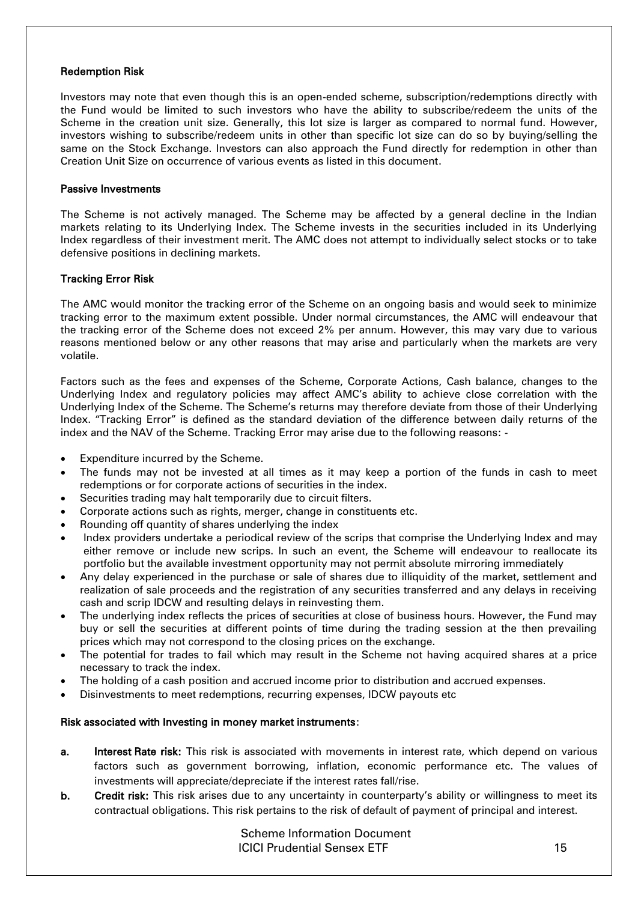### Redemption Risk

Investors may note that even though this is an open-ended scheme, subscription/redemptions directly with the Fund would be limited to such investors who have the ability to subscribe/redeem the units of the Scheme in the creation unit size. Generally, this lot size is larger as compared to normal fund. However, investors wishing to subscribe/redeem units in other than specific lot size can do so by buying/selling the same on the Stock Exchange. Investors can also approach the Fund directly for redemption in other than Creation Unit Size on occurrence of various events as listed in this document.

### Passive Investments

The Scheme is not actively managed. The Scheme may be affected by a general decline in the Indian markets relating to its Underlying Index. The Scheme invests in the securities included in its Underlying Index regardless of their investment merit. The AMC does not attempt to individually select stocks or to take defensive positions in declining markets.

## Tracking Error Risk

The AMC would monitor the tracking error of the Scheme on an ongoing basis and would seek to minimize tracking error to the maximum extent possible. Under normal circumstances, the AMC will endeavour that the tracking error of the Scheme does not exceed 2% per annum. However, this may vary due to various reasons mentioned below or any other reasons that may arise and particularly when the markets are very volatile.

Factors such as the fees and expenses of the Scheme, Corporate Actions, Cash balance, changes to the Underlying Index and regulatory policies may affect AMC's ability to achieve close correlation with the Underlying Index of the Scheme. The Scheme's returns may therefore deviate from those of their Underlying Index. "Tracking Error" is defined as the standard deviation of the difference between daily returns of the index and the NAV of the Scheme. Tracking Error may arise due to the following reasons: -

- Expenditure incurred by the Scheme.
- The funds may not be invested at all times as it may keep a portion of the funds in cash to meet redemptions or for corporate actions of securities in the index.
- Securities trading may halt temporarily due to circuit filters.
- Corporate actions such as rights, merger, change in constituents etc.
- Rounding off quantity of shares underlying the index
- Index providers undertake a periodical review of the scrips that comprise the Underlying Index and may either remove or include new scrips. In such an event, the Scheme will endeavour to reallocate its portfolio but the available investment opportunity may not permit absolute mirroring immediately
- Any delay experienced in the purchase or sale of shares due to illiquidity of the market, settlement and realization of sale proceeds and the registration of any securities transferred and any delays in receiving cash and scrip IDCW and resulting delays in reinvesting them.
- The underlying index reflects the prices of securities at close of business hours. However, the Fund may buy or sell the securities at different points of time during the trading session at the then prevailing prices which may not correspond to the closing prices on the exchange.
- The potential for trades to fail which may result in the Scheme not having acquired shares at a price necessary to track the index.
- The holding of a cash position and accrued income prior to distribution and accrued expenses.
- Disinvestments to meet redemptions, recurring expenses, IDCW payouts etc

## Risk associated with Investing in money market instruments:

- a. Interest Rate risk: This risk is associated with movements in interest rate, which depend on various factors such as government borrowing, inflation, economic performance etc. The values of investments will appreciate/depreciate if the interest rates fall/rise.
- b. Credit risk: This risk arises due to any uncertainty in counterparty's ability or willingness to meet its contractual obligations. This risk pertains to the risk of default of payment of principal and interest.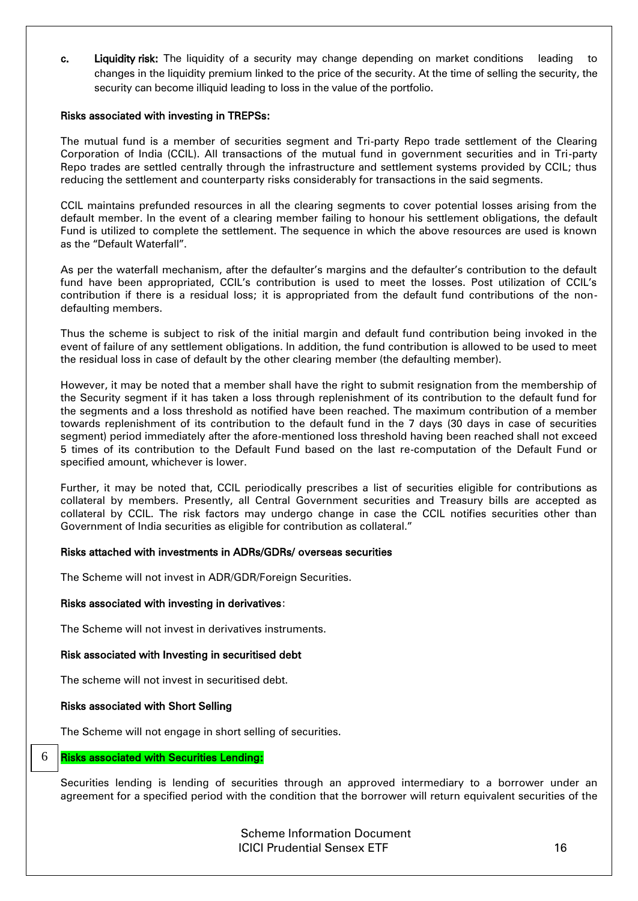c. Liquidity risk: The liquidity of a security may change depending on market conditions leading to changes in the liquidity premium linked to the price of the security. At the time of selling the security, the security can become illiquid leading to loss in the value of the portfolio.

#### Risks associated with investing in TREPSs:

The mutual fund is a member of securities segment and Tri-party Repo trade settlement of the Clearing Corporation of India (CCIL). All transactions of the mutual fund in government securities and in Tri-party Repo trades are settled centrally through the infrastructure and settlement systems provided by CCIL; thus reducing the settlement and counterparty risks considerably for transactions in the said segments.

CCIL maintains prefunded resources in all the clearing segments to cover potential losses arising from the default member. In the event of a clearing member failing to honour his settlement obligations, the default Fund is utilized to complete the settlement. The sequence in which the above resources are used is known as the "Default Waterfall".

As per the waterfall mechanism, after the defaulter's margins and the defaulter's contribution to the default fund have been appropriated, CCIL's contribution is used to meet the losses. Post utilization of CCIL's contribution if there is a residual loss; it is appropriated from the default fund contributions of the nondefaulting members.

Thus the scheme is subject to risk of the initial margin and default fund contribution being invoked in the event of failure of any settlement obligations. In addition, the fund contribution is allowed to be used to meet the residual loss in case of default by the other clearing member (the defaulting member).

However, it may be noted that a member shall have the right to submit resignation from the membership of the Security segment if it has taken a loss through replenishment of its contribution to the default fund for the segments and a loss threshold as notified have been reached. The maximum contribution of a member towards replenishment of its contribution to the default fund in the 7 days (30 days in case of securities segment) period immediately after the afore-mentioned loss threshold having been reached shall not exceed 5 times of its contribution to the Default Fund based on the last re-computation of the Default Fund or specified amount, whichever is lower.

Further, it may be noted that, CCIL periodically prescribes a list of securities eligible for contributions as collateral by members. Presently, all Central Government securities and Treasury bills are accepted as collateral by CCIL. The risk factors may undergo change in case the CCIL notifies securities other than Government of India securities as eligible for contribution as collateral."

## Risks attached with investments in ADRs/GDRs/ overseas securities

The Scheme will not invest in ADR/GDR/Foreign Securities.

#### Risks associated with investing in derivatives:

The Scheme will not invest in derivatives instruments.

## Risk associated with Investing in securitised debt

The scheme will not invest in securitised debt.

#### Risks associated with Short Selling

The Scheme will not engage in short selling of securities.

#### Risks associated with Securities Lending: 6

Securities lending is lending of securities through an approved intermediary to a borrower under an agreement for a specified period with the condition that the borrower will return equivalent securities of the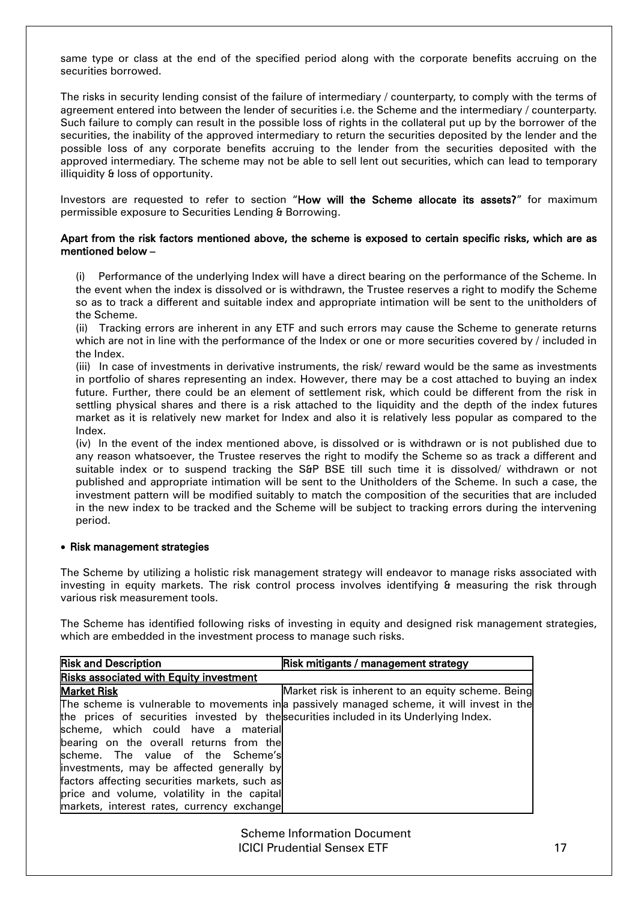same type or class at the end of the specified period along with the corporate benefits accruing on the securities borrowed.

The risks in security lending consist of the failure of intermediary / counterparty, to comply with the terms of agreement entered into between the lender of securities i.e. the Scheme and the intermediary / counterparty. Such failure to comply can result in the possible loss of rights in the collateral put up by the borrower of the securities, the inability of the approved intermediary to return the securities deposited by the lender and the possible loss of any corporate benefits accruing to the lender from the securities deposited with the approved intermediary. The scheme may not be able to sell lent out securities, which can lead to temporary illiquidity & loss of opportunity.

Investors are requested to refer to section "How will the Scheme allocate its assets?" for maximum permissible exposure to Securities Lending & Borrowing.

### Apart from the risk factors mentioned above, the scheme is exposed to certain specific risks, which are as mentioned below –

(i) Performance of the underlying Index will have a direct bearing on the performance of the Scheme. In the event when the index is dissolved or is withdrawn, the Trustee reserves a right to modify the Scheme so as to track a different and suitable index and appropriate intimation will be sent to the unitholders of the Scheme.

(ii) Tracking errors are inherent in any ETF and such errors may cause the Scheme to generate returns which are not in line with the performance of the Index or one or more securities covered by / included in the Index.

(iii) In case of investments in derivative instruments, the risk/ reward would be the same as investments in portfolio of shares representing an index. However, there may be a cost attached to buying an index future. Further, there could be an element of settlement risk, which could be different from the risk in settling physical shares and there is a risk attached to the liquidity and the depth of the index futures market as it is relatively new market for Index and also it is relatively less popular as compared to the Index.

(iv) In the event of the index mentioned above, is dissolved or is withdrawn or is not published due to any reason whatsoever, the Trustee reserves the right to modify the Scheme so as track a different and suitable index or to suspend tracking the S&P BSE till such time it is dissolved/ withdrawn or not published and appropriate intimation will be sent to the Unitholders of the Scheme. In such a case, the investment pattern will be modified suitably to match the composition of the securities that are included in the new index to be tracked and the Scheme will be subject to tracking errors during the intervening period.

## • Risk management strategies

The Scheme by utilizing a holistic risk management strategy will endeavor to manage risks associated with investing in equity markets. The risk control process involves identifying & measuring the risk through various risk measurement tools.

The Scheme has identified following risks of investing in equity and designed risk management strategies, which are embedded in the investment process to manage such risks.

| <b>Risk and Description</b>                                                           | Risk mitigants / management strategy                                                       |
|---------------------------------------------------------------------------------------|--------------------------------------------------------------------------------------------|
| <b>Risks associated with Equity investment</b>                                        |                                                                                            |
| <b>Market Risk</b>                                                                    | Market risk is inherent to an equity scheme. Being                                         |
|                                                                                       | The scheme is vulnerable to movements in a passively managed scheme, it will invest in the |
| the prices of securities invested by the securities included in its Underlying Index. |                                                                                            |
| scheme, which could have a material                                                   |                                                                                            |
| bearing on the overall returns from the                                               |                                                                                            |
| scheme. The value of the Scheme's                                                     |                                                                                            |
| investments, may be affected generally by                                             |                                                                                            |
| factors affecting securities markets, such as                                         |                                                                                            |
| price and volume, volatility in the capital                                           |                                                                                            |
| markets, interest rates, currency exchange                                            |                                                                                            |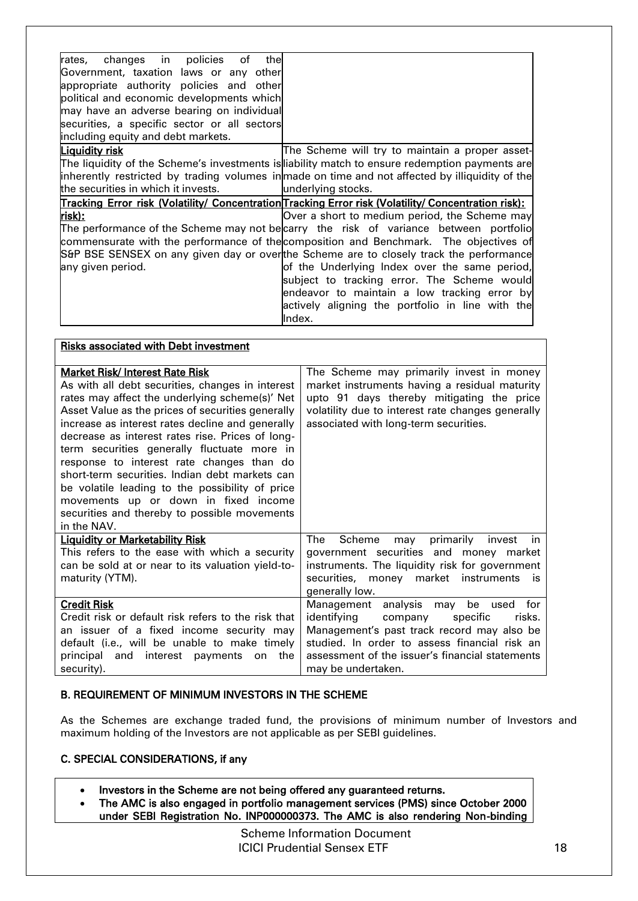| changes in policies<br>rates,<br>of<br>thel  |                                                                                                      |
|----------------------------------------------|------------------------------------------------------------------------------------------------------|
| Government, taxation laws or any other       |                                                                                                      |
| appropriate authority policies and other     |                                                                                                      |
| political and economic developments which    |                                                                                                      |
| may have an adverse bearing on individual    |                                                                                                      |
| securities, a specific sector or all sectors |                                                                                                      |
| including equity and debt markets.           |                                                                                                      |
| Liquidity risk                               | The Scheme will try to maintain a proper asset-                                                      |
|                                              | The liquidity of the Scheme's investments is liability match to ensure redemption payments are       |
|                                              | inherently restricted by trading volumes in made on time and not affected by illiquidity of the      |
| the securities in which it invests.          | underlying stocks.                                                                                   |
|                                              | Tracking Error risk (Volatility/ Concentration Tracking Error risk (Volatility/ Concentration risk): |
| <u>risk):</u>                                | Over a short to medium period, the Scheme may                                                        |
|                                              | The performance of the Scheme may not becarry the risk of variance between portfolio                 |
|                                              | commensurate with the performance of the composition and Benchmark. The objectives of                |
|                                              | S&P BSE SENSEX on any given day or overthe Scheme are to closely track the performance               |
| any given period.                            | of the Underlying Index over the same period,                                                        |
|                                              | subject to tracking error. The Scheme would                                                          |
|                                              | endeavor to maintain a low tracking error by                                                         |
|                                              | actively aligning the portfolio in line with the                                                     |
|                                              | Index.                                                                                               |

| <b>Risks associated with Debt investment</b>        |                                                   |
|-----------------------------------------------------|---------------------------------------------------|
|                                                     |                                                   |
| Market Risk/ Interest Rate Risk                     | The Scheme may primarily invest in money          |
| As with all debt securities, changes in interest    | market instruments having a residual maturity     |
| rates may affect the underlying scheme(s)' Net      | upto 91 days thereby mitigating the price         |
| Asset Value as the prices of securities generally   | volatility due to interest rate changes generally |
| increase as interest rates decline and generally    | associated with long-term securities.             |
| decrease as interest rates rise. Prices of long-    |                                                   |
| term securities generally fluctuate more in         |                                                   |
| response to interest rate changes than do           |                                                   |
| short-term securities. Indian debt markets can      |                                                   |
| be volatile leading to the possibility of price     |                                                   |
| movements up or down in fixed income                |                                                   |
| securities and thereby to possible movements        |                                                   |
| in the NAV.                                         |                                                   |
| <b>Liquidity or Marketability Risk</b>              | The<br>Scheme<br>primarily<br>invest<br>in<br>may |
| This refers to the ease with which a security       | government securities and money market            |
| can be sold at or near to its valuation yield-to-   | instruments. The liquidity risk for government    |
| maturity (YTM).                                     | securities, money market instruments<br>is.       |
|                                                     | generally low.                                    |
| <b>Credit Risk</b>                                  | for<br>Management<br>analysis<br>be used<br>may   |
| Credit risk or default risk refers to the risk that | identifying<br>company<br>specific<br>risks.      |
| an issuer of a fixed income security may            | Management's past track record may also be        |
| default (i.e., will be unable to make timely        | studied. In order to assess financial risk an     |
| principal and interest payments<br>the<br>on        | assessment of the issuer's financial statements   |
| security).                                          | may be undertaken.                                |

## <span id="page-13-0"></span>B. REQUIREMENT OF MINIMUM INVESTORS IN THE SCHEME

As the Schemes are exchange traded fund, the provisions of minimum number of Investors and maximum holding of the Investors are not applicable as per SEBI guidelines.

## <span id="page-13-1"></span>C. SPECIAL CONSIDERATIONS, if any

- Investors in the Scheme are not being offered any guaranteed returns.
- The AMC is also engaged in portfolio management services (PMS) since October 2000 under SEBI Registration No. INP000000373. The AMC is also rendering Non-binding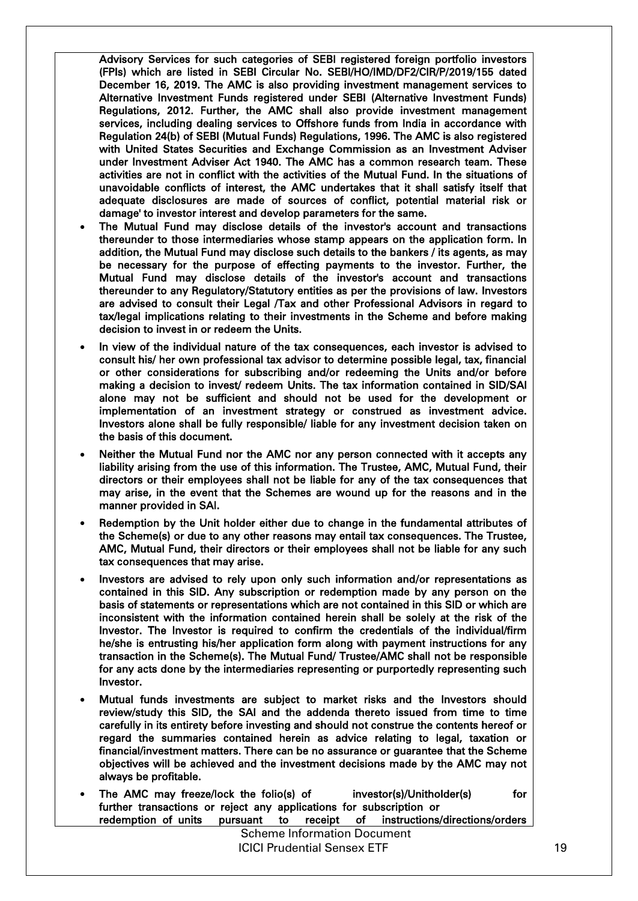Advisory Services for such categories of SEBI registered foreign portfolio investors (FPIs) which are listed in SEBI Circular No. SEBI/HO/IMD/DF2/CIR/P/2019/155 dated December 16, 2019. The AMC is also providing investment management services to Alternative Investment Funds registered under SEBI (Alternative Investment Funds) Regulations, 2012. Further, the AMC shall also provide investment management services, including dealing services to Offshore funds from India in accordance with Regulation 24(b) of SEBI (Mutual Funds) Regulations, 1996. The AMC is also registered with United States Securities and Exchange Commission as an Investment Adviser under Investment Adviser Act 1940. The AMC has a common research team. These activities are not in conflict with the activities of the Mutual Fund. In the situations of unavoidable conflicts of interest, the AMC undertakes that it shall satisfy itself that adequate disclosures are made of sources of conflict, potential material risk or damage' to investor interest and develop parameters for the same.

- The Mutual Fund may disclose details of the investor's account and transactions thereunder to those intermediaries whose stamp appears on the application form. In addition, the Mutual Fund may disclose such details to the bankers / its agents, as may be necessary for the purpose of effecting payments to the investor. Further, the Mutual Fund may disclose details of the investor's account and transactions thereunder to any Regulatory/Statutory entities as per the provisions of law. Investors are advised to consult their Legal /Tax and other Professional Advisors in regard to tax/legal implications relating to their investments in the Scheme and before making decision to invest in or redeem the Units.
- In view of the individual nature of the tax consequences, each investor is advised to consult his/ her own professional tax advisor to determine possible legal, tax, financial or other considerations for subscribing and/or redeeming the Units and/or before making a decision to invest/ redeem Units. The tax information contained in SID/SAI alone may not be sufficient and should not be used for the development or implementation of an investment strategy or construed as investment advice. Investors alone shall be fully responsible/ liable for any investment decision taken on the basis of this document.
- Neither the Mutual Fund nor the AMC nor any person connected with it accepts any liability arising from the use of this information. The Trustee, AMC, Mutual Fund, their directors or their employees shall not be liable for any of the tax consequences that may arise, in the event that the Schemes are wound up for the reasons and in the manner provided in SAI.
- Redemption by the Unit holder either due to change in the fundamental attributes of the Scheme(s) or due to any other reasons may entail tax consequences. The Trustee, AMC, Mutual Fund, their directors or their employees shall not be liable for any such tax consequences that may arise.
- Investors are advised to rely upon only such information and/or representations as contained in this SID. Any subscription or redemption made by any person on the basis of statements or representations which are not contained in this SID or which are inconsistent with the information contained herein shall be solely at the risk of the Investor. The Investor is required to confirm the credentials of the individual/firm he/she is entrusting his/her application form along with payment instructions for any transaction in the Scheme(s). The Mutual Fund/ Trustee/AMC shall not be responsible for any acts done by the intermediaries representing or purportedly representing such Investor.
- Mutual funds investments are subject to market risks and the Investors should review/study this SID, the SAI and the addenda thereto issued from time to time carefully in its entirety before investing and should not construe the contents hereof or regard the summaries contained herein as advice relating to legal, taxation or financial/investment matters. There can be no assurance or guarantee that the Scheme objectives will be achieved and the investment decisions made by the AMC may not always be profitable.
- The AMC may freeze/lock the folio(s) of investor(s)/Unitholder(s) for further transactions or reject any applications for subscription or redemption of units pursuant to receipt of instructions/directions/orders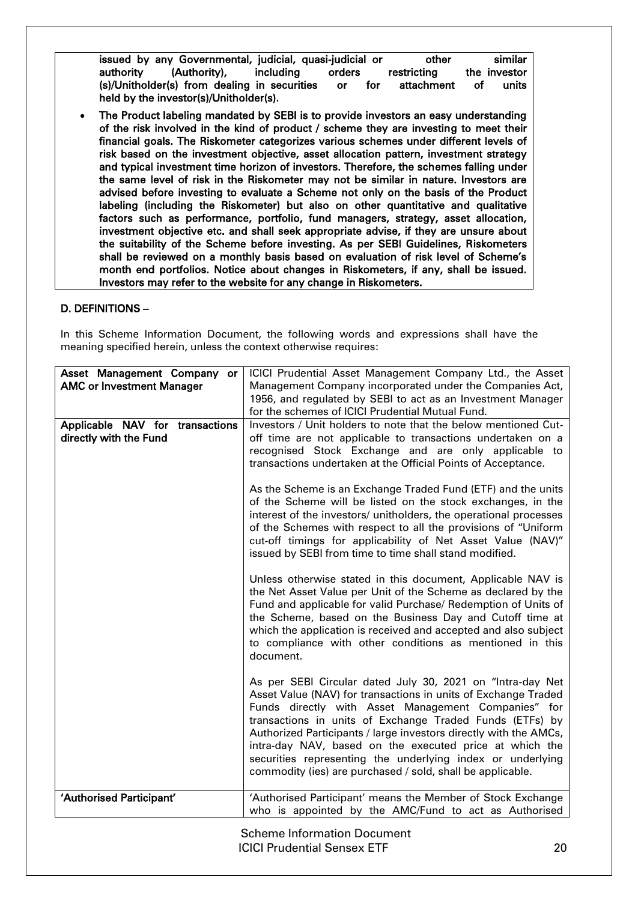issued by any Governmental, judicial, quasi-judicial or other similar authority (Authority), including orders restricting the investor (s)/Unitholder(s) from dealing in securities or for attachment of units held by the investor(s)/Unitholder(s).

 The Product labeling mandated by SEBI is to provide investors an easy understanding of the risk involved in the kind of product / scheme they are investing to meet their financial goals. The Riskometer categorizes various schemes under different levels of risk based on the investment objective, asset allocation pattern, investment strategy and typical investment time horizon of investors. Therefore, the schemes falling under the same level of risk in the Riskometer may not be similar in nature. Investors are advised before investing to evaluate a Scheme not only on the basis of the Product labeling (including the Riskometer) but also on other quantitative and qualitative factors such as performance, portfolio, fund managers, strategy, asset allocation, investment objective etc. and shall seek appropriate advise, if they are unsure about the suitability of the Scheme before investing. As per SEBI Guidelines, Riskometers shall be reviewed on a monthly basis based on evaluation of risk level of Scheme's month end portfolios. Notice about changes in Riskometers, if any, shall be issued. Investors may refer to the website for any change in Riskometers.

## <span id="page-15-0"></span>D. DEFINITIONS –

In this Scheme Information Document, the following words and expressions shall have the meaning specified herein, unless the context otherwise requires:

| Asset Management Company or<br><b>AMC or Investment Manager</b> | ICICI Prudential Asset Management Company Ltd., the Asset<br>Management Company incorporated under the Companies Act,<br>1956, and regulated by SEBI to act as an Investment Manager<br>for the schemes of ICICI Prudential Mutual Fund.                                                                                                                                                                                                                                                                    |
|-----------------------------------------------------------------|-------------------------------------------------------------------------------------------------------------------------------------------------------------------------------------------------------------------------------------------------------------------------------------------------------------------------------------------------------------------------------------------------------------------------------------------------------------------------------------------------------------|
| Applicable NAV for transactions<br>directly with the Fund       | Investors / Unit holders to note that the below mentioned Cut-<br>off time are not applicable to transactions undertaken on a<br>recognised Stock Exchange and are only applicable to<br>transactions undertaken at the Official Points of Acceptance.                                                                                                                                                                                                                                                      |
|                                                                 | As the Scheme is an Exchange Traded Fund (ETF) and the units<br>of the Scheme will be listed on the stock exchanges, in the<br>interest of the investors/ unitholders, the operational processes<br>of the Schemes with respect to all the provisions of "Uniform<br>cut-off timings for applicability of Net Asset Value (NAV)"<br>issued by SEBI from time to time shall stand modified.                                                                                                                  |
|                                                                 | Unless otherwise stated in this document, Applicable NAV is<br>the Net Asset Value per Unit of the Scheme as declared by the<br>Fund and applicable for valid Purchase/ Redemption of Units of<br>the Scheme, based on the Business Day and Cutoff time at<br>which the application is received and accepted and also subject<br>to compliance with other conditions as mentioned in this<br>document.                                                                                                      |
|                                                                 | As per SEBI Circular dated July 30, 2021 on "Intra-day Net<br>Asset Value (NAV) for transactions in units of Exchange Traded<br>Funds directly with Asset Management Companies" for<br>transactions in units of Exchange Traded Funds (ETFs) by<br>Authorized Participants / large investors directly with the AMCs,<br>intra-day NAV, based on the executed price at which the<br>securities representing the underlying index or underlying<br>commodity (ies) are purchased / sold, shall be applicable. |
| 'Authorised Participant'                                        | 'Authorised Participant' means the Member of Stock Exchange<br>who is appointed by the AMC/Fund to act as Authorised                                                                                                                                                                                                                                                                                                                                                                                        |
|                                                                 | <b>Scheme Information Document</b><br><b>ICICI Prudential Sensex ETF</b><br>20                                                                                                                                                                                                                                                                                                                                                                                                                              |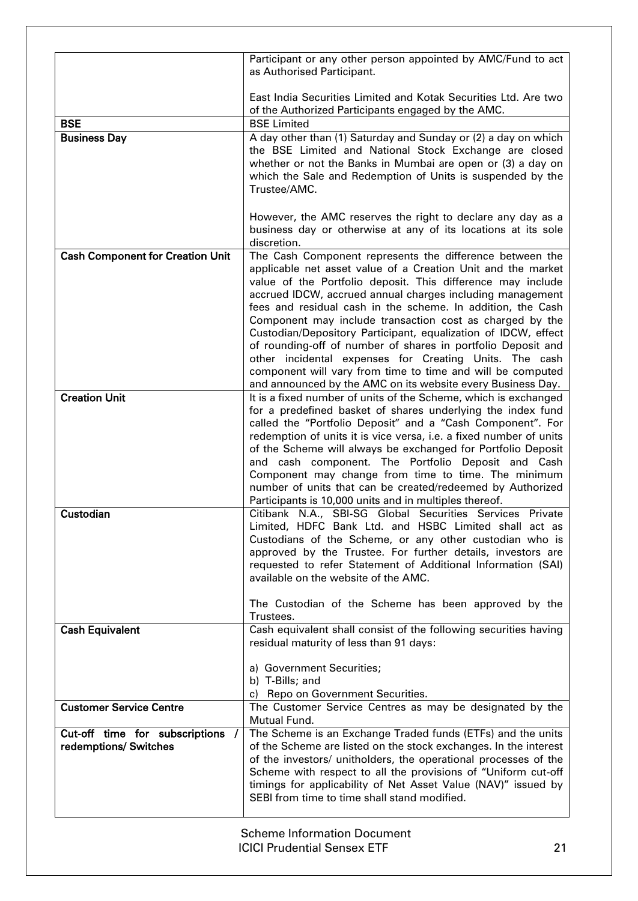|                                                           | Participant or any other person appointed by AMC/Fund to act<br>as Authorised Participant.                                                                                                                                                                                                                                                                                                                                                                                                                                                                                                                                                                                                               |
|-----------------------------------------------------------|----------------------------------------------------------------------------------------------------------------------------------------------------------------------------------------------------------------------------------------------------------------------------------------------------------------------------------------------------------------------------------------------------------------------------------------------------------------------------------------------------------------------------------------------------------------------------------------------------------------------------------------------------------------------------------------------------------|
|                                                           | East India Securities Limited and Kotak Securities Ltd. Are two<br>of the Authorized Participants engaged by the AMC.                                                                                                                                                                                                                                                                                                                                                                                                                                                                                                                                                                                    |
| <b>BSE</b>                                                | <b>BSE Limited</b>                                                                                                                                                                                                                                                                                                                                                                                                                                                                                                                                                                                                                                                                                       |
| <b>Business Day</b>                                       | A day other than (1) Saturday and Sunday or (2) a day on which<br>the BSE Limited and National Stock Exchange are closed<br>whether or not the Banks in Mumbai are open or (3) a day on<br>which the Sale and Redemption of Units is suspended by the<br>Trustee/AMC.                                                                                                                                                                                                                                                                                                                                                                                                                                    |
|                                                           | However, the AMC reserves the right to declare any day as a<br>business day or otherwise at any of its locations at its sole<br>discretion.                                                                                                                                                                                                                                                                                                                                                                                                                                                                                                                                                              |
| <b>Cash Component for Creation Unit</b>                   | The Cash Component represents the difference between the<br>applicable net asset value of a Creation Unit and the market<br>value of the Portfolio deposit. This difference may include<br>accrued IDCW, accrued annual charges including management<br>fees and residual cash in the scheme. In addition, the Cash<br>Component may include transaction cost as charged by the<br>Custodian/Depository Participant, equalization of IDCW, effect<br>of rounding-off of number of shares in portfolio Deposit and<br>other incidental expenses for Creating Units. The cash<br>component will vary from time to time and will be computed<br>and announced by the AMC on its website every Business Day. |
| <b>Creation Unit</b>                                      | It is a fixed number of units of the Scheme, which is exchanged<br>for a predefined basket of shares underlying the index fund<br>called the "Portfolio Deposit" and a "Cash Component". For<br>redemption of units it is vice versa, i.e. a fixed number of units<br>of the Scheme will always be exchanged for Portfolio Deposit<br>and cash component. The Portfolio Deposit and Cash<br>Component may change from time to time. The minimum<br>number of units that can be created/redeemed by Authorized<br>Participants is 10,000 units and in multiples thereof.                                                                                                                                  |
| Custodian                                                 | Citibank N.A., SBI-SG Global Securities Services Private<br>Limited, HDFC Bank Ltd. and HSBC Limited shall act as<br>Custodians of the Scheme, or any other custodian who is<br>approved by the Trustee. For further details, investors are<br>requested to refer Statement of Additional Information (SAI)<br>available on the website of the AMC.<br>The Custodian of the Scheme has been approved by the<br>Trustees.                                                                                                                                                                                                                                                                                 |
| <b>Cash Equivalent</b>                                    | Cash equivalent shall consist of the following securities having<br>residual maturity of less than 91 days:<br>a) Government Securities;<br>b) T-Bills; and<br>c) Repo on Government Securities.                                                                                                                                                                                                                                                                                                                                                                                                                                                                                                         |
| <b>Customer Service Centre</b>                            | The Customer Service Centres as may be designated by the<br>Mutual Fund.                                                                                                                                                                                                                                                                                                                                                                                                                                                                                                                                                                                                                                 |
| Cut-off time for subscriptions /<br>redemptions/ Switches | The Scheme is an Exchange Traded funds (ETFs) and the units<br>of the Scheme are listed on the stock exchanges. In the interest<br>of the investors/ unitholders, the operational processes of the<br>Scheme with respect to all the provisions of "Uniform cut-off<br>timings for applicability of Net Asset Value (NAV)" issued by<br>SEBI from time to time shall stand modified.                                                                                                                                                                                                                                                                                                                     |
|                                                           | <b>Scheme Information Document</b>                                                                                                                                                                                                                                                                                                                                                                                                                                                                                                                                                                                                                                                                       |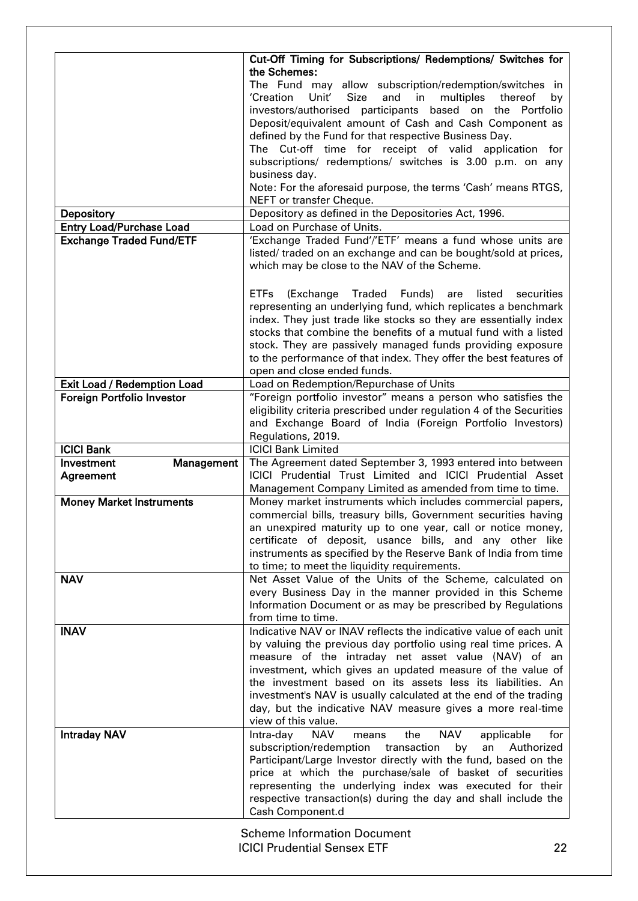|                                    | Cut-Off Timing for Subscriptions/ Redemptions/ Switches for                                                                           |
|------------------------------------|---------------------------------------------------------------------------------------------------------------------------------------|
|                                    | the Schemes:                                                                                                                          |
|                                    | The Fund may allow subscription/redemption/switches in                                                                                |
|                                    | Size<br>'Creation<br>Unit'<br>and<br>in<br>multiples<br>thereof<br>by                                                                 |
|                                    | investors/authorised participants based on the Portfolio                                                                              |
|                                    | Deposit/equivalent amount of Cash and Cash Component as                                                                               |
|                                    | defined by the Fund for that respective Business Day.                                                                                 |
|                                    | The Cut-off time for receipt of valid application for                                                                                 |
|                                    | subscriptions/ redemptions/ switches is 3.00 p.m. on any                                                                              |
|                                    | business day.<br>Note: For the aforesaid purpose, the terms 'Cash' means RTGS,                                                        |
|                                    | NEFT or transfer Cheque.                                                                                                              |
| <b>Depository</b>                  | Depository as defined in the Depositories Act, 1996.                                                                                  |
| <b>Entry Load/Purchase Load</b>    | Load on Purchase of Units.                                                                                                            |
| <b>Exchange Traded Fund/ETF</b>    | 'Exchange Traded Fund'/'ETF' means a fund whose units are                                                                             |
|                                    | listed/ traded on an exchange and can be bought/sold at prices,                                                                       |
|                                    | which may be close to the NAV of the Scheme.                                                                                          |
|                                    |                                                                                                                                       |
|                                    | <b>ETFs</b><br>Traded Funds)<br>(Exchange<br>listed<br>securities<br>are                                                              |
|                                    | representing an underlying fund, which replicates a benchmark                                                                         |
|                                    | index. They just trade like stocks so they are essentially index                                                                      |
|                                    | stocks that combine the benefits of a mutual fund with a listed                                                                       |
|                                    | stock. They are passively managed funds providing exposure                                                                            |
|                                    | to the performance of that index. They offer the best features of                                                                     |
|                                    | open and close ended funds.                                                                                                           |
| <b>Exit Load / Redemption Load</b> | Load on Redemption/Repurchase of Units                                                                                                |
| <b>Foreign Portfolio Investor</b>  | "Foreign portfolio investor" means a person who satisfies the<br>eligibility criteria prescribed under regulation 4 of the Securities |
|                                    | and Exchange Board of India (Foreign Portfolio Investors)                                                                             |
|                                    | Regulations, 2019.                                                                                                                    |
|                                    |                                                                                                                                       |
|                                    |                                                                                                                                       |
| <b>ICICI Bank</b><br>Investment    | <b>ICICI Bank Limited</b><br>The Agreement dated September 3, 1993 entered into between                                               |
| Management<br>Agreement            | ICICI Prudential Trust Limited and ICICI Prudential Asset                                                                             |
|                                    | Management Company Limited as amended from time to time.                                                                              |
| <b>Money Market Instruments</b>    | Money market instruments which includes commercial papers,                                                                            |
|                                    | commercial bills, treasury bills, Government securities having                                                                        |
|                                    | an unexpired maturity up to one year, call or notice money,                                                                           |
|                                    | certificate of deposit, usance bills, and any other like                                                                              |
|                                    | instruments as specified by the Reserve Bank of India from time                                                                       |
|                                    | to time; to meet the liquidity requirements.                                                                                          |
| <b>NAV</b>                         | Net Asset Value of the Units of the Scheme, calculated on                                                                             |
|                                    | every Business Day in the manner provided in this Scheme                                                                              |
|                                    | Information Document or as may be prescribed by Regulations<br>from time to time.                                                     |
| <b>INAV</b>                        | Indicative NAV or INAV reflects the indicative value of each unit                                                                     |
|                                    | by valuing the previous day portfolio using real time prices. A                                                                       |
|                                    | measure of the intraday net asset value (NAV) of an                                                                                   |
|                                    | investment, which gives an updated measure of the value of                                                                            |
|                                    | the investment based on its assets less its liabilities. An                                                                           |
|                                    | investment's NAV is usually calculated at the end of the trading                                                                      |
|                                    | day, but the indicative NAV measure gives a more real-time                                                                            |
|                                    | view of this value.                                                                                                                   |
| <b>Intraday NAV</b>                | <b>NAV</b><br>Intra-day<br><b>NAV</b><br>the<br>applicable<br>for<br>means                                                            |
|                                    | subscription/redemption transaction<br>by<br>an<br>Authorized                                                                         |
|                                    | Participant/Large Investor directly with the fund, based on the                                                                       |
|                                    | price at which the purchase/sale of basket of securities                                                                              |
|                                    | representing the underlying index was executed for their<br>respective transaction(s) during the day and shall include the            |
|                                    | Cash Component.d                                                                                                                      |

ICICI Prudential Sensex ETF 22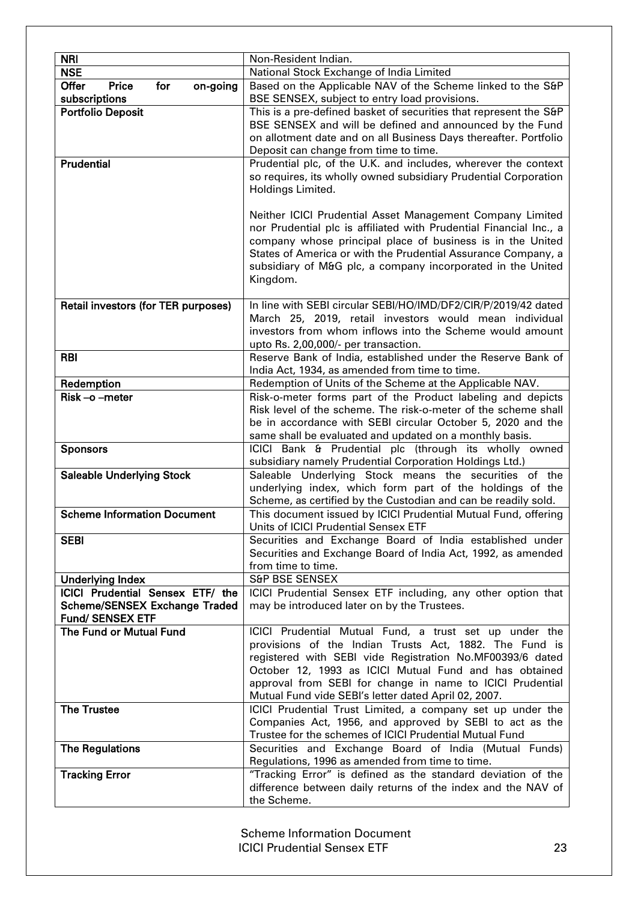| <b>NRI</b>                                                      | Non-Resident Indian.                                                                                       |
|-----------------------------------------------------------------|------------------------------------------------------------------------------------------------------------|
| <b>NSE</b>                                                      | National Stock Exchange of India Limited                                                                   |
| <b>Offer</b><br><b>Price</b><br>for<br>on-going                 | Based on the Applicable NAV of the Scheme linked to the S&P                                                |
| subscriptions                                                   | BSE SENSEX, subject to entry load provisions.                                                              |
| <b>Portfolio Deposit</b>                                        | This is a pre-defined basket of securities that represent the S&P                                          |
|                                                                 | BSE SENSEX and will be defined and announced by the Fund                                                   |
|                                                                 | on allotment date and on all Business Days thereafter. Portfolio                                           |
|                                                                 | Deposit can change from time to time.                                                                      |
| <b>Prudential</b>                                               | Prudential plc, of the U.K. and includes, wherever the context                                             |
|                                                                 | so requires, its wholly owned subsidiary Prudential Corporation                                            |
|                                                                 | Holdings Limited.                                                                                          |
|                                                                 |                                                                                                            |
|                                                                 | Neither ICICI Prudential Asset Management Company Limited                                                  |
|                                                                 | nor Prudential plc is affiliated with Prudential Financial Inc., a                                         |
|                                                                 | company whose principal place of business is in the United                                                 |
|                                                                 | States of America or with the Prudential Assurance Company, a                                              |
|                                                                 | subsidiary of M&G plc, a company incorporated in the United                                                |
|                                                                 | Kingdom.                                                                                                   |
|                                                                 |                                                                                                            |
| Retail investors (for TER purposes)                             | In line with SEBI circular SEBI/HO/IMD/DF2/CIR/P/2019/42 dated                                             |
|                                                                 | March 25, 2019, retail investors would mean individual                                                     |
|                                                                 | investors from whom inflows into the Scheme would amount                                                   |
|                                                                 | upto Rs. 2,00,000/- per transaction.                                                                       |
| <b>RBI</b>                                                      | Reserve Bank of India, established under the Reserve Bank of                                               |
| Redemption                                                      | India Act, 1934, as amended from time to time.<br>Redemption of Units of the Scheme at the Applicable NAV. |
| Risk-o-meter                                                    | Risk-o-meter forms part of the Product labeling and depicts                                                |
|                                                                 | Risk level of the scheme. The risk-o-meter of the scheme shall                                             |
|                                                                 | be in accordance with SEBI circular October 5, 2020 and the                                                |
|                                                                 | same shall be evaluated and updated on a monthly basis.                                                    |
| <b>Sponsors</b>                                                 | ICICI Bank & Prudential plc (through its wholly owned                                                      |
|                                                                 | subsidiary namely Prudential Corporation Holdings Ltd.)                                                    |
| <b>Saleable Underlying Stock</b>                                | Saleable Underlying Stock means the securities of the                                                      |
|                                                                 | underlying index, which form part of the holdings of the                                                   |
|                                                                 | Scheme, as certified by the Custodian and can be readily sold.                                             |
| <b>Scheme Information Document</b>                              | This document issued by ICICI Prudential Mutual Fund, offering                                             |
|                                                                 | Units of ICICI Prudential Sensex ETF                                                                       |
| <b>SEBI</b>                                                     | Securities and Exchange Board of India established under                                                   |
|                                                                 | Securities and Exchange Board of India Act, 1992, as amended                                               |
|                                                                 | from time to time.                                                                                         |
| <b>Underlying Index</b>                                         | <b>S&amp;P BSE SENSEX</b>                                                                                  |
| ICICI Prudential Sensex ETF/ the                                | ICICI Prudential Sensex ETF including, any other option that                                               |
| <b>Scheme/SENSEX Exchange Traded</b><br><b>Fund/ SENSEX ETF</b> | may be introduced later on by the Trustees.                                                                |
| The Fund or Mutual Fund                                         | ICICI Prudential Mutual Fund, a trust set up under the                                                     |
|                                                                 | provisions of the Indian Trusts Act, 1882. The Fund is                                                     |
|                                                                 | registered with SEBI vide Registration No.MF00393/6 dated                                                  |
|                                                                 | October 12, 1993 as ICICI Mutual Fund and has obtained                                                     |
|                                                                 | approval from SEBI for change in name to ICICI Prudential                                                  |
|                                                                 | Mutual Fund vide SEBI's letter dated April 02, 2007.                                                       |
| <b>The Trustee</b>                                              | ICICI Prudential Trust Limited, a company set up under the                                                 |
|                                                                 | Companies Act, 1956, and approved by SEBI to act as the                                                    |
|                                                                 | Trustee for the schemes of ICICI Prudential Mutual Fund                                                    |
| <b>The Regulations</b>                                          | Securities and Exchange Board of India (Mutual Funds)                                                      |
|                                                                 | Regulations, 1996 as amended from time to time.                                                            |
| <b>Tracking Error</b>                                           | "Tracking Error" is defined as the standard deviation of the                                               |
|                                                                 | difference between daily returns of the index and the NAV of                                               |
|                                                                 | the Scheme.                                                                                                |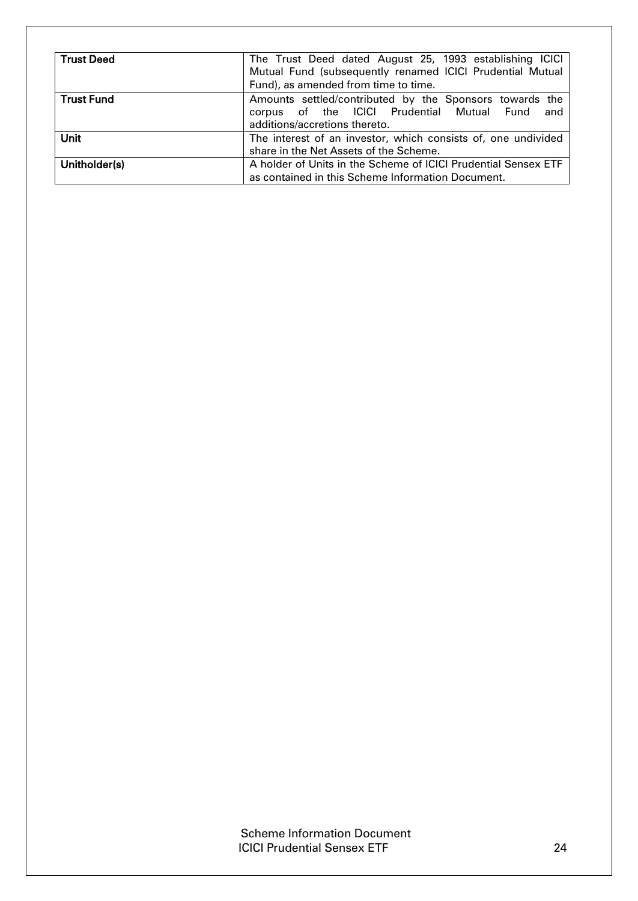| <b>Trust Deed</b> | The Trust Deed dated August 25, 1993 establishing ICICI<br>Mutual Fund (subsequently renamed ICICI Prudential Mutual<br>Fund), as amended from time to time. |  |  |  |
|-------------------|--------------------------------------------------------------------------------------------------------------------------------------------------------------|--|--|--|
| <b>Trust Fund</b> | Amounts settled/contributed by the Sponsors towards the<br>corpus of the ICICI Prudential Mutual Fund<br>and<br>additions/accretions thereto.                |  |  |  |
| <b>Unit</b>       | The interest of an investor, which consists of, one undivided<br>share in the Net Assets of the Scheme.                                                      |  |  |  |
| Unitholder(s)     | A holder of Units in the Scheme of ICICI Prudential Sensex ETF<br>as contained in this Scheme Information Document.                                          |  |  |  |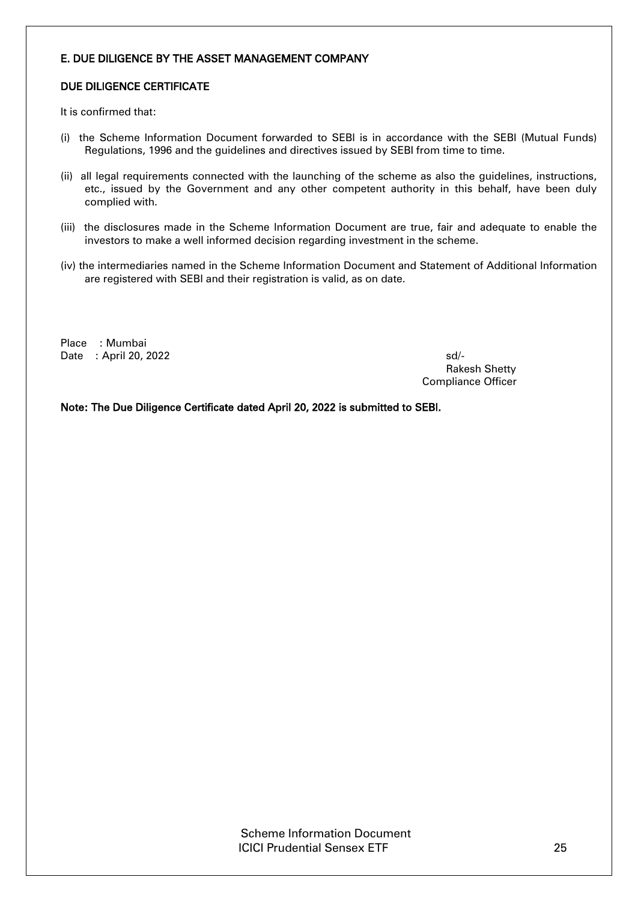## <span id="page-20-0"></span>E. DUE DILIGENCE BY THE ASSET MANAGEMENT COMPANY

## DUE DILIGENCE CERTIFICATE

It is confirmed that:

- (i) the Scheme Information Document forwarded to SEBI is in accordance with the SEBI (Mutual Funds) Regulations, 1996 and the guidelines and directives issued by SEBI from time to time.
- (ii) all legal requirements connected with the launching of the scheme as also the guidelines, instructions, etc., issued by the Government and any other competent authority in this behalf, have been duly complied with.
- (iii) the disclosures made in the Scheme Information Document are true, fair and adequate to enable the investors to make a well informed decision regarding investment in the scheme.
- (iv) the intermediaries named in the Scheme Information Document and Statement of Additional Information are registered with SEBI and their registration is valid, as on date.

Place : Mumbai Date : April 20, 2022 sd/-

Rakesh Shetty Compliance Officer

Note: The Due Diligence Certificate dated April 20, 2022 is submitted to SEBI.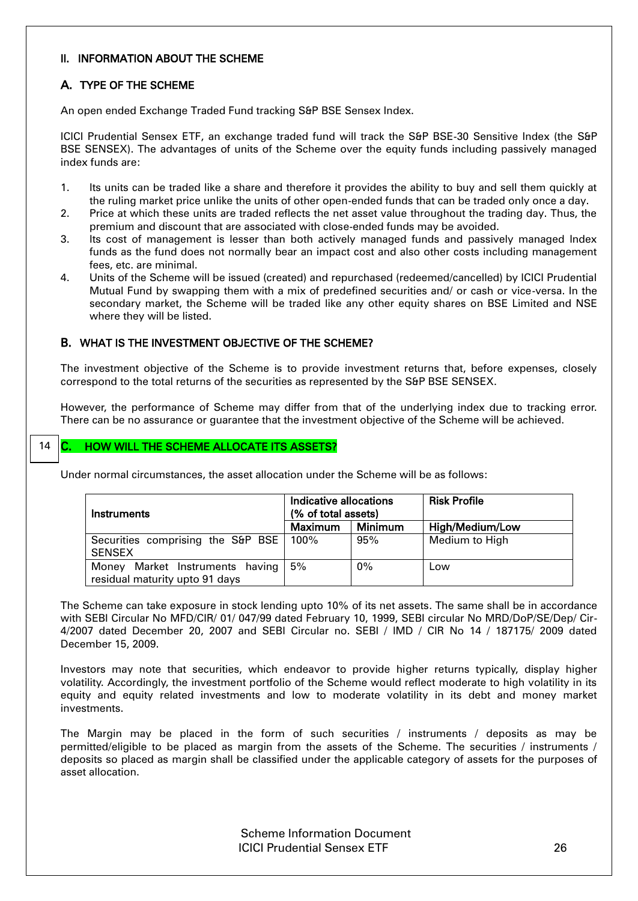## <span id="page-21-0"></span>II. INFORMATION ABOUT THE SCHEME

## <span id="page-21-1"></span>A. TYPE OF THE SCHEME

An open ended Exchange Traded Fund tracking S&P BSE Sensex Index.

ICICI Prudential Sensex ETF, an exchange traded fund will track the S&P BSE-30 Sensitive Index (the S&P BSE SENSEX). The advantages of units of the Scheme over the equity funds including passively managed index funds are:

- 1. Its units can be traded like a share and therefore it provides the ability to buy and sell them quickly at the ruling market price unlike the units of other open-ended funds that can be traded only once a day.
- 2. Price at which these units are traded reflects the net asset value throughout the trading day. Thus, the premium and discount that are associated with close-ended funds may be avoided.
- 3. Its cost of management is lesser than both actively managed funds and passively managed Index funds as the fund does not normally bear an impact cost and also other costs including management fees, etc. are minimal.
- 4. Units of the Scheme will be issued (created) and repurchased (redeemed/cancelled) by ICICI Prudential Mutual Fund by swapping them with a mix of predefined securities and/ or cash or vice-versa. In the secondary market, the Scheme will be traded like any other equity shares on BSE Limited and NSE where they will be listed.

## <span id="page-21-2"></span>B. WHAT IS THE INVESTMENT OBJECTIVE OF THE SCHEME?

The investment objective of the Scheme is to provide investment returns that, before expenses, closely correspond to the total returns of the securities as represented by the S&P BSE SENSEX.

However, the performance of Scheme may differ from that of the underlying index due to tracking error. There can be no assurance or guarantee that the investment objective of the Scheme will be achieved.

#### <span id="page-21-3"></span>C. HOW WILL THE SCHEME ALLOCATE ITS ASSETS? 14

Under normal circumstances, the asset allocation under the Scheme will be as follows:

| Instruments                              | Indicative allocations<br>(% of total assets) |         | <b>Risk Profile</b> |
|------------------------------------------|-----------------------------------------------|---------|---------------------|
|                                          | <b>Maximum</b>                                | Minimum | High/Medium/Low     |
| Securities comprising the S&P BSE   100% |                                               | 95%     | Medium to High      |
| <b>SENSEX</b>                            |                                               |         |                     |
| Market Instruments having<br>Monev       | 5%                                            | 0%      | Low                 |
| residual maturity upto 91 days           |                                               |         |                     |

The Scheme can take exposure in stock lending upto 10% of its net assets. The same shall be in accordance with SEBI Circular No MFD/CIR/ 01/ 047/99 dated February 10, 1999, SEBI circular No MRD/DoP/SE/Dep/ Cir-4/2007 dated December 20, 2007 and SEBI Circular no. SEBI / IMD / CIR No 14 / 187175/ 2009 dated December 15, 2009.

Investors may note that securities, which endeavor to provide higher returns typically, display higher volatility. Accordingly, the investment portfolio of the Scheme would reflect moderate to high volatility in its equity and equity related investments and low to moderate volatility in its debt and money market investments.

The Margin may be placed in the form of such securities / instruments / deposits as may be permitted/eligible to be placed as margin from the assets of the Scheme. The securities / instruments / deposits so placed as margin shall be classified under the applicable category of assets for the purposes of asset allocation.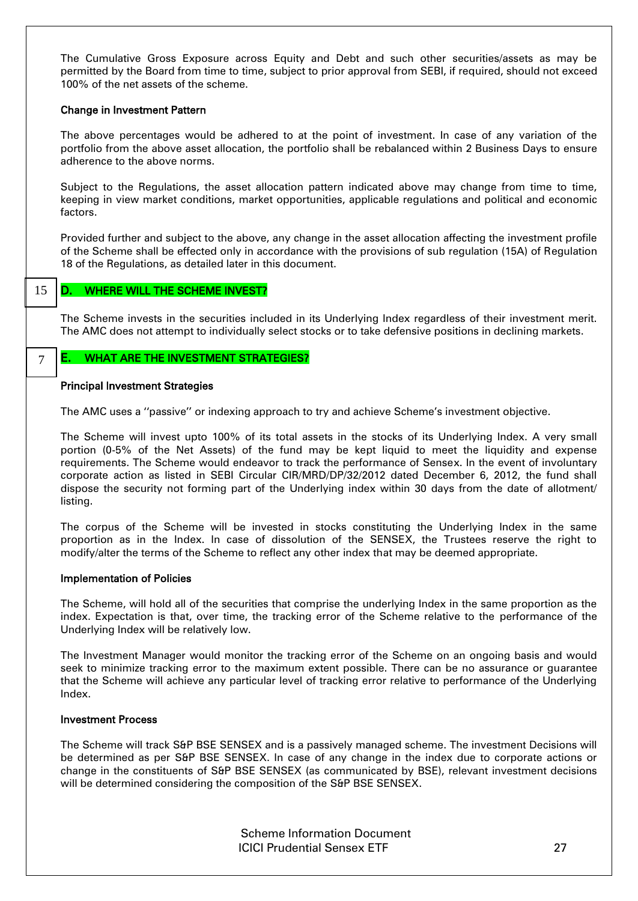The Cumulative Gross Exposure across Equity and Debt and such other securities/assets as may be permitted by the Board from time to time, subject to prior approval from SEBI, if required, should not exceed 100% of the net assets of the scheme.

### Change in Investment Pattern

The above percentages would be adhered to at the point of investment. In case of any variation of the portfolio from the above asset allocation, the portfolio shall be rebalanced within 2 Business Days to ensure adherence to the above norms.

Subject to the Regulations, the asset allocation pattern indicated above may change from time to time, keeping in view market conditions, market opportunities, applicable regulations and political and economic factors.

Provided further and subject to the above, any change in the asset allocation affecting the investment profile of the Scheme shall be effected only in accordance with the provisions of sub regulation (15A) of Regulation 18 of the Regulations, as detailed later in this document.

15

### <span id="page-22-0"></span>D. WHERE WILL THE SCHEME INVEST?

The Scheme invests in the securities included in its Underlying Index regardless of their investment merit. The AMC does not attempt to individually select stocks or to take defensive positions in declining markets.

7

#### <span id="page-22-1"></span>E. WHAT ARE THE INVESTMENT STRATEGIES?

#### Principal Investment Strategies

The AMC uses a ''passive'' or indexing approach to try and achieve Scheme's investment objective.

The Scheme will invest upto 100% of its total assets in the stocks of its Underlying Index. A very small portion (0-5% of the Net Assets) of the fund may be kept liquid to meet the liquidity and expense requirements. The Scheme would endeavor to track the performance of Sensex. In the event of involuntary corporate action as listed in SEBI Circular CIR/MRD/DP/32/2012 dated December 6, 2012, the fund shall dispose the security not forming part of the Underlying index within 30 days from the date of allotment/ listing.

The corpus of the Scheme will be invested in stocks constituting the Underlying Index in the same proportion as in the Index. In case of dissolution of the SENSEX, the Trustees reserve the right to modify/alter the terms of the Scheme to reflect any other index that may be deemed appropriate.

#### Implementation of Policies

The Scheme, will hold all of the securities that comprise the underlying Index in the same proportion as the index. Expectation is that, over time, the tracking error of the Scheme relative to the performance of the Underlying Index will be relatively low.

The Investment Manager would monitor the tracking error of the Scheme on an ongoing basis and would seek to minimize tracking error to the maximum extent possible. There can be no assurance or guarantee that the Scheme will achieve any particular level of tracking error relative to performance of the Underlying Index.

## Investment Process

The Scheme will track S&P BSE SENSEX and is a passively managed scheme. The investment Decisions will be determined as per S&P BSE SENSEX. In case of any change in the index due to corporate actions or change in the constituents of S&P BSE SENSEX (as communicated by BSE), relevant investment decisions will be determined considering the composition of the S&P BSE SENSEX.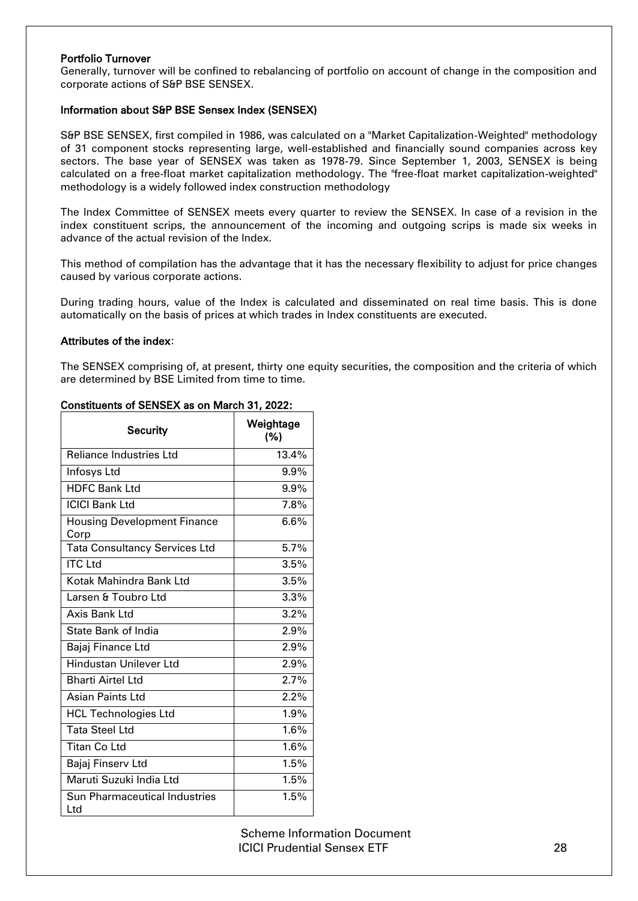## Portfolio Turnover

Generally, turnover will be confined to rebalancing of portfolio on account of change in the composition and corporate actions of S&P BSE SENSEX.

## Information about S&P BSE Sensex Index (SENSEX)

S&P BSE SENSEX, first compiled in 1986, was calculated on a "Market Capitalization-Weighted" methodology of 31 component stocks representing large, well-established and financially sound companies across key sectors. The base year of SENSEX was taken as 1978-79. Since September 1, 2003, SENSEX is being calculated on a free-float market capitalization methodology. The "free-float market capitalization-weighted" methodology is a widely followed index construction methodology

The Index Committee of SENSEX meets every quarter to review the SENSEX. In case of a revision in the index constituent scrips, the announcement of the incoming and outgoing scrips is made six weeks in advance of the actual revision of the Index.

This method of compilation has the advantage that it has the necessary flexibility to adjust for price changes caused by various corporate actions.

During trading hours, value of the Index is calculated and disseminated on real time basis. This is done automatically on the basis of prices at which trades in Index constituents are executed.

### Attributes of the index:

The SENSEX comprising of, at present, thirty one equity securities, the composition and the criteria of which are determined by BSE Limited from time to time.

| Security                                   | Weightage<br>(%) |
|--------------------------------------------|------------------|
| <b>Reliance Industries Ltd</b>             | 13.4%            |
| Infosys Ltd                                | 9.9%             |
| <b>HDFC Bank Ltd</b>                       | 9.9%             |
| <b>ICICI Bank Ltd</b>                      | 7.8%             |
| <b>Housing Development Finance</b><br>Corp | 6.6%             |
| <b>Tata Consultancy Services Ltd</b>       | 5.7%             |
| <b>ITC Ltd</b>                             | 3.5%             |
| Kotak Mahindra Bank Ltd                    | 3.5%             |
| Larsen & Toubro Ltd                        | 3.3%             |
| Axis Bank Ltd                              | 3.2%             |
| <b>State Bank of India</b>                 | 2.9%             |
| Bajaj Finance Ltd                          | 2.9%             |
| <b>Hindustan Unilever Ltd</b>              | 2.9%             |
| <b>Bharti Airtel Ltd</b>                   | 2.7%             |
| <b>Asian Paints Ltd</b>                    | 2.2%             |
| <b>HCL Technologies Ltd</b>                | 1.9%             |
| <b>Tata Steel Ltd</b>                      | 1.6%             |
| <b>Titan Co Ltd</b>                        | 1.6%             |
| Bajaj Finserv Ltd                          | 1.5%             |
| Maruti Suzuki India Ltd                    | 1.5%             |
| Sun Pharmaceutical Industries<br>Ltd       | 1.5%             |

## Constituents of SENSEX as on March 31, 2022: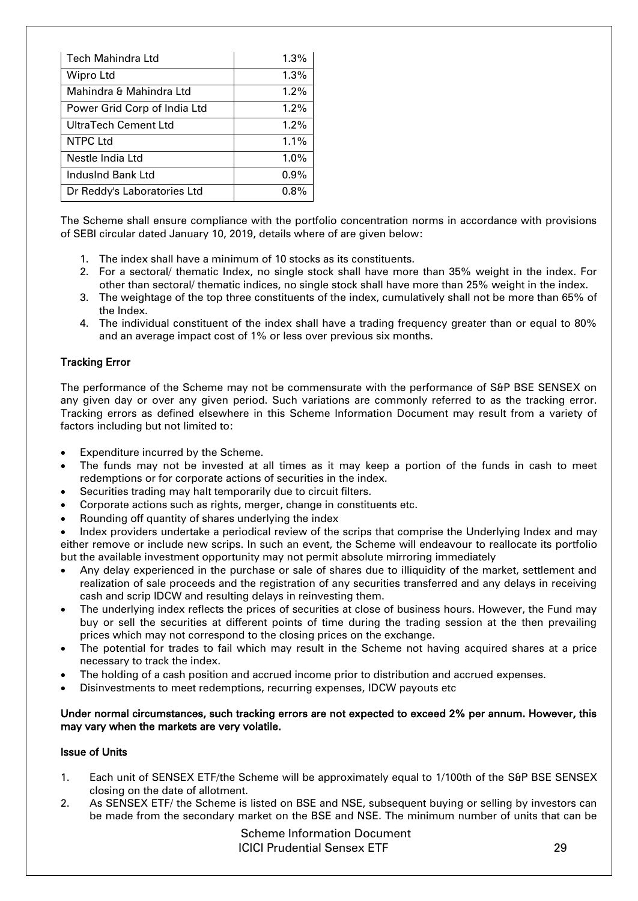| Tech Mahindra Ltd            | 1.3%    |
|------------------------------|---------|
| Wipro Ltd                    | 1.3%    |
| Mahindra & Mahindra Ltd      | 1.2%    |
| Power Grid Corp of India Ltd | $1.2\%$ |
| UltraTech Cement Ltd         | 1.2%    |
| <b>NTPC Ltd</b>              | 1.1%    |
| Nestle India Ltd             | 1.0%    |
| IndusInd Bank Ltd            | 0.9%    |
| Dr Reddy's Laboratories Ltd  | $0.8\%$ |

The Scheme shall ensure compliance with the portfolio concentration norms in accordance with provisions of SEBI circular dated January 10, 2019, details where of are given below:

- 1. The index shall have a minimum of 10 stocks as its constituents.
- 2. For a sectoral/ thematic Index, no single stock shall have more than 35% weight in the index. For other than sectoral/ thematic indices, no single stock shall have more than 25% weight in the index.
- 3. The weightage of the top three constituents of the index, cumulatively shall not be more than 65% of the Index.
- 4. The individual constituent of the index shall have a trading frequency greater than or equal to 80% and an average impact cost of 1% or less over previous six months.

## Tracking Error

The performance of the Scheme may not be commensurate with the performance of S&P BSE SENSEX on any given day or over any given period. Such variations are commonly referred to as the tracking error. Tracking errors as defined elsewhere in this Scheme Information Document may result from a variety of factors including but not limited to:

- Expenditure incurred by the Scheme.
- The funds may not be invested at all times as it may keep a portion of the funds in cash to meet redemptions or for corporate actions of securities in the index.
- Securities trading may halt temporarily due to circuit filters.
- Corporate actions such as rights, merger, change in constituents etc.
- Rounding off quantity of shares underlying the index

 Index providers undertake a periodical review of the scrips that comprise the Underlying Index and may either remove or include new scrips. In such an event, the Scheme will endeavour to reallocate its portfolio but the available investment opportunity may not permit absolute mirroring immediately

- Any delay experienced in the purchase or sale of shares due to illiquidity of the market, settlement and realization of sale proceeds and the registration of any securities transferred and any delays in receiving cash and scrip IDCW and resulting delays in reinvesting them.
- The underlying index reflects the prices of securities at close of business hours. However, the Fund may buy or sell the securities at different points of time during the trading session at the then prevailing prices which may not correspond to the closing prices on the exchange.
- The potential for trades to fail which may result in the Scheme not having acquired shares at a price necessary to track the index.
- The holding of a cash position and accrued income prior to distribution and accrued expenses.
- Disinvestments to meet redemptions, recurring expenses, IDCW payouts etc

## Under normal circumstances, such tracking errors are not expected to exceed 2% per annum. However, this may vary when the markets are very volatile.

## Issue of Units

- 1. Each unit of SENSEX ETF/the Scheme will be approximately equal to 1/100th of the S&P BSE SENSEX closing on the date of allotment.
- 2. As SENSEX ETF/ the Scheme is listed on BSE and NSE, subsequent buying or selling by investors can be made from the secondary market on the BSE and NSE. The minimum number of units that can be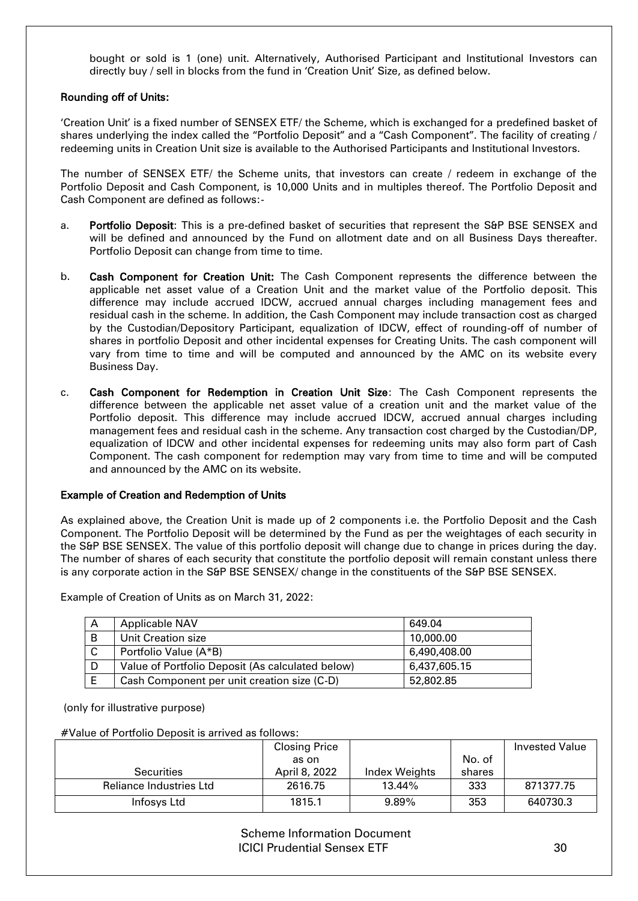bought or sold is 1 (one) unit. Alternatively, Authorised Participant and Institutional Investors can directly buy / sell in blocks from the fund in 'Creation Unit' Size, as defined below.

## Rounding off of Units:

'Creation Unit' is a fixed number of SENSEX ETF/ the Scheme, which is exchanged for a predefined basket of shares underlying the index called the "Portfolio Deposit" and a "Cash Component". The facility of creating / redeeming units in Creation Unit size is available to the Authorised Participants and Institutional Investors.

The number of SENSEX ETF/ the Scheme units, that investors can create / redeem in exchange of the Portfolio Deposit and Cash Component, is 10,000 Units and in multiples thereof. The Portfolio Deposit and Cash Component are defined as follows:-

- a. Portfolio Deposit: This is a pre-defined basket of securities that represent the S&P BSE SENSEX and will be defined and announced by the Fund on allotment date and on all Business Days thereafter. Portfolio Deposit can change from time to time.
- b. Cash Component for Creation Unit: The Cash Component represents the difference between the applicable net asset value of a Creation Unit and the market value of the Portfolio deposit. This difference may include accrued IDCW, accrued annual charges including management fees and residual cash in the scheme. In addition, the Cash Component may include transaction cost as charged by the Custodian/Depository Participant, equalization of IDCW, effect of rounding-off of number of shares in portfolio Deposit and other incidental expenses for Creating Units. The cash component will vary from time to time and will be computed and announced by the AMC on its website every Business Day.
- c. Cash Component for Redemption in Creation Unit Size: The Cash Component represents the difference between the applicable net asset value of a creation unit and the market value of the Portfolio deposit. This difference may include accrued IDCW, accrued annual charges including management fees and residual cash in the scheme. Any transaction cost charged by the Custodian/DP, equalization of IDCW and other incidental expenses for redeeming units may also form part of Cash Component. The cash component for redemption may vary from time to time and will be computed and announced by the AMC on its website.

## Example of Creation and Redemption of Units

As explained above, the Creation Unit is made up of 2 components i.e. the Portfolio Deposit and the Cash Component. The Portfolio Deposit will be determined by the Fund as per the weightages of each security in the S&P BSE SENSEX. The value of this portfolio deposit will change due to change in prices during the day. The number of shares of each security that constitute the portfolio deposit will remain constant unless there is any corporate action in the S&P BSE SENSEX/ change in the constituents of the S&P BSE SENSEX.

| A | <b>Applicable NAV</b>                            | 649.04       |
|---|--------------------------------------------------|--------------|
| B | Unit Creation size                               | 10,000.00    |
| C | Portfolio Value (A*B)                            | 6,490,408.00 |
| D | Value of Portfolio Deposit (As calculated below) | 6,437,605.15 |
|   | Cash Component per unit creation size (C-D)      | 52,802.85    |

Example of Creation of Units as on March 31, 2022:

(only for illustrative purpose)

#Value of Portfolio Deposit is arrived as follows:

|                         | <b>Closing Price</b> |               |        | <b>Invested Value</b> |
|-------------------------|----------------------|---------------|--------|-----------------------|
|                         | as on                |               | No. of |                       |
| <b>Securities</b>       | April 8, 2022        | Index Weights | shares |                       |
| Reliance Industries Ltd | 2616.75              | 13.44%        | 333    | 871377.75             |
| Infosys Ltd             | 1815.1               | $9.89\%$      | 353    | 640730.3              |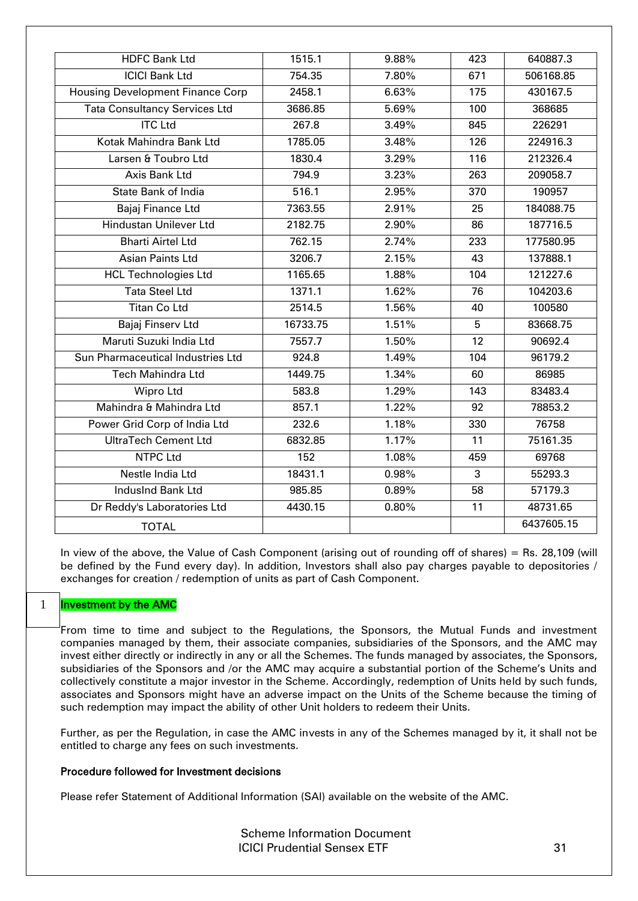| <b>HDFC Bank Ltd</b>                    | 1515.1   | 9.88% | 423 | 640887.3   |
|-----------------------------------------|----------|-------|-----|------------|
| <b>ICICI Bank Ltd</b>                   | 754.35   | 7.80% | 671 | 506168.85  |
| <b>Housing Development Finance Corp</b> | 2458.1   | 6.63% | 175 | 430167.5   |
| <b>Tata Consultancy Services Ltd</b>    | 3686.85  | 5.69% | 100 | 368685     |
| <b>ITC</b> Ltd                          |          |       |     |            |
|                                         | 267.8    | 3.49% | 845 | 226291     |
| Kotak Mahindra Bank Ltd                 | 1785.05  | 3.48% | 126 | 224916.3   |
| Larsen & Toubro Ltd                     | 1830.4   | 3.29% | 116 | 212326.4   |
| Axis Bank Ltd                           | 794.9    | 3.23% | 263 | 209058.7   |
| <b>State Bank of India</b>              | 516.1    | 2.95% | 370 | 190957     |
| Bajaj Finance Ltd                       | 7363.55  | 2.91% | 25  | 184088.75  |
| <b>Hindustan Unilever Ltd</b>           | 2182.75  | 2.90% | 86  | 187716.5   |
| <b>Bharti Airtel Ltd</b>                | 762.15   | 2.74% | 233 | 177580.95  |
| <b>Asian Paints Ltd</b>                 | 3206.7   | 2.15% | 43  | 137888.1   |
| <b>HCL Technologies Ltd</b>             | 1165.65  | 1.88% | 104 | 121227.6   |
| <b>Tata Steel Ltd</b>                   | 1371.1   | 1.62% | 76  | 104203.6   |
| Titan Co Ltd                            | 2514.5   | 1.56% | 40  | 100580     |
| Bajaj Finserv Ltd                       | 16733.75 | 1.51% | 5   | 83668.75   |
| Maruti Suzuki India Ltd                 | 7557.7   | 1.50% | 12  | 90692.4    |
| Sun Pharmaceutical Industries Ltd       | 924.8    | 1.49% | 104 | 96179.2    |
| <b>Tech Mahindra Ltd</b>                | 1449.75  | 1.34% | 60  | 86985      |
| Wipro Ltd                               | 583.8    | 1.29% | 143 | 83483.4    |
| Mahindra & Mahindra Ltd                 | 857.1    | 1.22% | 92  | 78853.2    |
| Power Grid Corp of India Ltd            | 232.6    | 1.18% | 330 | 76758      |
| UltraTech Cement Ltd                    | 6832.85  | 1.17% | 11  | 75161.35   |
| <b>NTPC Ltd</b>                         | 152      | 1.08% | 459 | 69768      |
| Nestle India Ltd                        | 18431.1  | 0.98% | 3   | 55293.3    |
| IndusInd Bank Ltd                       | 985.85   | 0.89% | 58  | 57179.3    |
| Dr Reddy's Laboratories Ltd             | 4430.15  | 0.80% | 11  | 48731.65   |
| <b>TOTAL</b>                            |          |       |     | 6437605.15 |

In view of the above, the Value of Cash Component (arising out of rounding off of shares) = Rs. 28,109 (will be defined by the Fund every day). In addition, Investors shall also pay charges payable to depositories / exchanges for creation / redemption of units as part of Cash Component.

#### Investment by the AMC 1

From time to time and subject to the Regulations, the Sponsors, the Mutual Funds and investment companies managed by them, their associate companies, subsidiaries of the Sponsors, and the AMC may invest either directly or indirectly in any or all the Schemes. The funds managed by associates, the Sponsors, subsidiaries of the Sponsors and /or the AMC may acquire a substantial portion of the Scheme's Units and collectively constitute a major investor in the Scheme. Accordingly, redemption of Units held by such funds, associates and Sponsors might have an adverse impact on the Units of the Scheme because the timing of such redemption may impact the ability of other Unit holders to redeem their Units.

Further, as per the Regulation, in case the AMC invests in any of the Schemes managed by it, it shall not be entitled to charge any fees on such investments.

## Procedure followed for Investment decisions

Please refer Statement of Additional Information (SAI) available on the website of the AMC.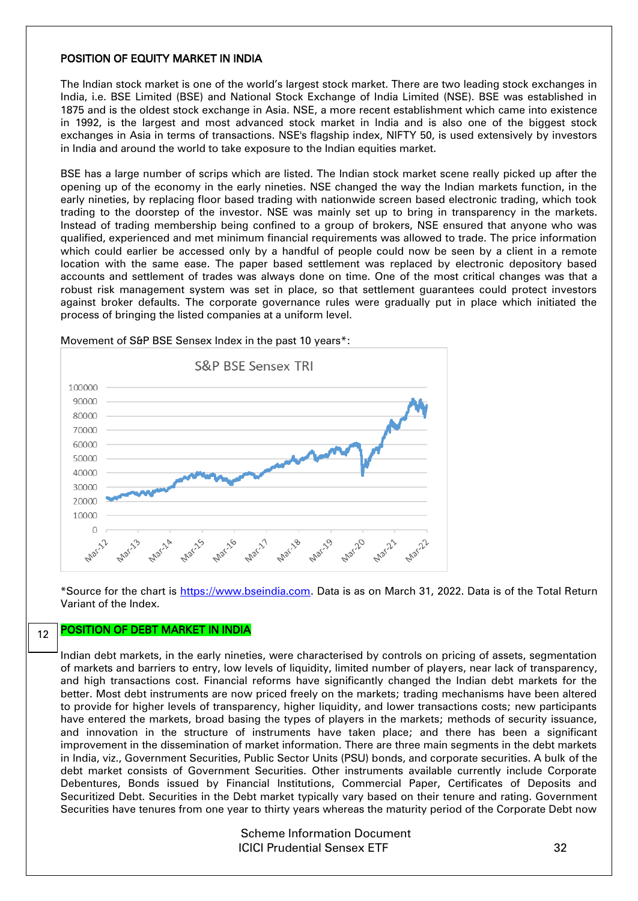#### POSITION OF EQUITY MARKET IN INDIA

The Indian stock market is one of the world's largest stock market. There are two leading stock exchanges in India, i.e. BSE Limited (BSE) and National Stock Exchange of India Limited (NSE). BSE was established in 1875 and is the oldest stock exchange in Asia. NSE, a more recent establishment which came into existence in 1992, is the largest and most advanced stock market in India and is also one of the biggest stock exchanges in Asia in terms of transactions. NSE's flagship index, NIFTY 50, is used extensively by investors in India and around the world to take exposure to the Indian equities market.

BSE has a large number of scrips which are listed. The Indian stock market scene really picked up after the opening up of the economy in the early nineties. NSE changed the way the Indian markets function, in the early nineties, by replacing floor based trading with nationwide screen based electronic trading, which took trading to the doorstep of the investor. NSE was mainly set up to bring in transparency in the markets. Instead of trading membership being confined to a group of brokers, NSE ensured that anyone who was qualified, experienced and met minimum financial requirements was allowed to trade. The price information which could earlier be accessed only by a handful of people could now be seen by a client in a remote location with the same ease. The paper based settlement was replaced by electronic depository based accounts and settlement of trades was always done on time. One of the most critical changes was that a robust risk management system was set in place, so that settlement guarantees could protect investors against broker defaults. The corporate governance rules were gradually put in place which initiated the process of bringing the listed companies at a uniform level.



Movement of S&P BSE Sensex Index in the past 10 years\*:

\*Source for the chart is [https://www.bseindia.com.](https://www.bseindia.com/) Data is as on March 31, 2022. Data is of the Total Return Variant of the Index.

#### POSITION OF DEBT MARKET IN INDIA 12

Indian debt markets, in the early nineties, were characterised by controls on pricing of assets, segmentation of markets and barriers to entry, low levels of liquidity, limited number of players, near lack of transparency, and high transactions cost. Financial reforms have significantly changed the Indian debt markets for the better. Most debt instruments are now priced freely on the markets; trading mechanisms have been altered to provide for higher levels of transparency, higher liquidity, and lower transactions costs; new participants have entered the markets, broad basing the types of players in the markets; methods of security issuance, and innovation in the structure of instruments have taken place; and there has been a significant improvement in the dissemination of market information. There are three main segments in the debt markets in India, viz., Government Securities, Public Sector Units (PSU) bonds, and corporate securities. A bulk of the debt market consists of Government Securities. Other instruments available currently include Corporate Debentures, Bonds issued by Financial Institutions, Commercial Paper, Certificates of Deposits and Securitized Debt. Securities in the Debt market typically vary based on their tenure and rating. Government Securities have tenures from one year to thirty years whereas the maturity period of the Corporate Debt now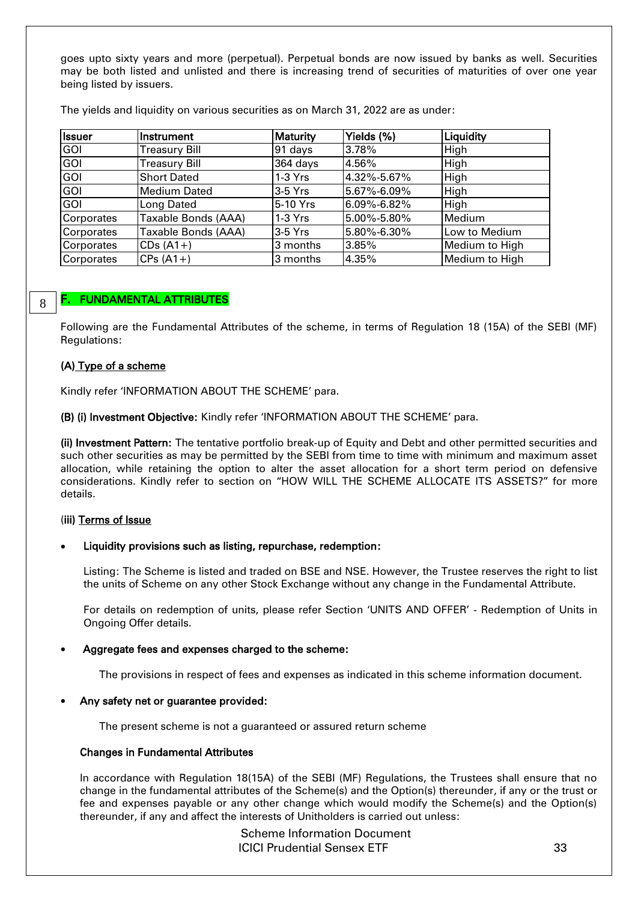goes upto sixty years and more (perpetual). Perpetual bonds are now issued by banks as well. Securities may be both listed and unlisted and there is increasing trend of securities of maturities of over one year being listed by issuers.

The yields and liquidity on various securities as on March 31, 2022 are as under:

| <b>Issuer</b> | Instrument           | <b>Maturity</b> | Yields (%)        | Liquidity      |
|---------------|----------------------|-----------------|-------------------|----------------|
| <b>GOI</b>    | <b>Treasury Bill</b> | 91 days         | 3.78%             | High           |
| <b>GOI</b>    | <b>Treasury Bill</b> | 364 days        | 4.56%             | High           |
| <b>GOI</b>    | <b>Short Dated</b>   | $1-3$ Yrs       | 4.32%-5.67%       | High           |
| <b>GOI</b>    | <b>Medium Dated</b>  | $3-5$ Yrs       | $5.67\% - 6.09\%$ | High           |
| GOI           | Long Dated           | 5-10 Yrs        | $6.09\% - 6.82\%$ | High           |
| Corporates    | Taxable Bonds (AAA)  | $1-3$ Yrs       | $5.00\% - 5.80\%$ | Medium         |
| Corporates    | Taxable Bonds (AAA)  | $3-5$ Yrs       | $5.80\% - 6.30\%$ | Low to Medium  |
| Corporates    | $CDs(A1+)$           | 3 months        | 3.85%             | Medium to High |
| Corporates    | $CPs(A1+)$           | 3 months        | 4.35%             | Medium to High |

#### 8

## <span id="page-28-0"></span>F. FUNDAMENTAL ATTRIBUTES

Following are the Fundamental Attributes of the scheme, in terms of Regulation 18 (15A) of the SEBI (MF) Regulations:

### (A) Type of a scheme

Kindly refer 'INFORMATION ABOUT THE SCHEME' para.

(B) (i) Investment Objective: Kindly refer 'INFORMATION ABOUT THE SCHEME' para.

(ii) Investment Pattern: The tentative portfolio break-up of Equity and Debt and other permitted securities and such other securities as may be permitted by the SEBI from time to time with minimum and maximum asset allocation, while retaining the option to alter the asset allocation for a short term period on defensive considerations. Kindly refer to section on "HOW WILL THE SCHEME ALLOCATE ITS ASSETS?" for more details.

## (iii) Terms of Issue

#### Liquidity provisions such as listing, repurchase, redemption:

Listing: The Scheme is listed and traded on BSE and NSE. However, the Trustee reserves the right to list the units of Scheme on any other Stock Exchange without any change in the Fundamental Attribute.

For details on redemption of units, please refer Section 'UNITS AND OFFER' - Redemption of Units in Ongoing Offer details.

## Aggregate fees and expenses charged to the scheme:

The provisions in respect of fees and expenses as indicated in this scheme information document.

#### Any safety net or guarantee provided:

The present scheme is not a guaranteed or assured return scheme

#### Changes in Fundamental Attributes

In accordance with Regulation 18(15A) of the SEBI (MF) Regulations, the Trustees shall ensure that no change in the fundamental attributes of the Scheme(s) and the Option(s) thereunder, if any or the trust or fee and expenses payable or any other change which would modify the Scheme(s) and the Option(s) thereunder, if any and affect the interests of Unitholders is carried out unless: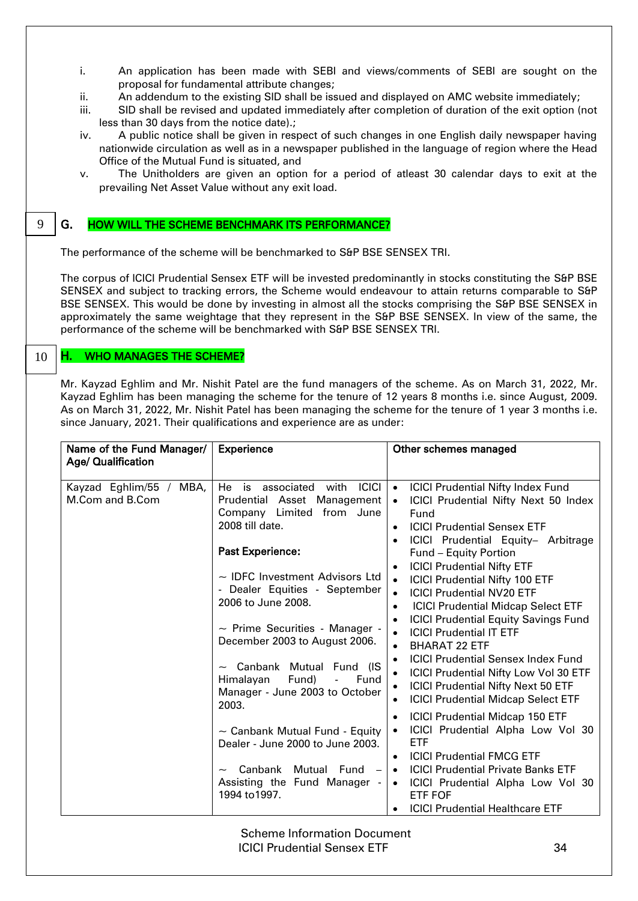- i. An application has been made with SEBI and views/comments of SEBI are sought on the proposal for fundamental attribute changes;
- ii. An addendum to the existing SID shall be issued and displayed on AMC website immediately;
- iii. SID shall be revised and updated immediately after completion of duration of the exit option (not less than 30 days from the notice date).;
- iv. A public notice shall be given in respect of such changes in one English daily newspaper having nationwide circulation as well as in a newspaper published in the language of region where the Head Office of the Mutual Fund is situated, and
- v. The Unitholders are given an option for a period of atleast 30 calendar days to exit at the prevailing Net Asset Value without any exit load.

#### G. HOW WILL THE SCHEME BENCHMARK ITS PERFORMANCE? 9

<span id="page-29-0"></span>The performance of the scheme will be benchmarked to S&P BSE SENSEX TRI.

The corpus of ICICI Prudential Sensex ETF will be invested predominantly in stocks constituting the S&P BSE SENSEX and subject to tracking errors, the Scheme would endeavour to attain returns comparable to S&P BSE SENSEX. This would be done by investing in almost all the stocks comprising the S&P BSE SENSEX in approximately the same weightage that they represent in the S&P BSE SENSEX. In view of the same, the performance of the scheme will be benchmarked with S&P BSE SENSEX TRI.

#### <span id="page-29-1"></span>H. WHO MANAGES THE SCHEME? 10

Mr. Kayzad Eghlim and Mr. Nishit Patel are the fund managers of the scheme. As on March 31, 2022, Mr. Kayzad Eghlim has been managing the scheme for the tenure of 12 years 8 months i.e. since August, 2009. As on March 31, 2022, Mr. Nishit Patel has been managing the scheme for the tenure of 1 year 3 months i.e. since January, 2021. Their qualifications and experience are as under:

| Name of the Fund Manager/<br><b>Age/ Qualification</b> | <b>Experience</b>                                                                                                                                                                                                                                                                                                        | Other schemes managed                                                                                                                                                                                                                                                                                                                                                                                                                                                                                                                                                                                                |
|--------------------------------------------------------|--------------------------------------------------------------------------------------------------------------------------------------------------------------------------------------------------------------------------------------------------------------------------------------------------------------------------|----------------------------------------------------------------------------------------------------------------------------------------------------------------------------------------------------------------------------------------------------------------------------------------------------------------------------------------------------------------------------------------------------------------------------------------------------------------------------------------------------------------------------------------------------------------------------------------------------------------------|
| Kayzad Eghlim/55 /<br>MBA,<br>M.Com and B.Com          | He is associated<br><b>ICICI</b><br>with<br>Prudential Asset Management<br>Company Limited from June<br>2008 till date.<br><b>Past Experience:</b><br>$\sim$ IDFC Investment Advisors Ltd<br>- Dealer Equities - September<br>2006 to June 2008.<br>$\sim$ Prime Securities - Manager -<br>December 2003 to August 2006. | <b>ICICI Prudential Nifty Index Fund</b><br>$\bullet$<br>ICICI Prudential Nifty Next 50 Index<br>$\bullet$<br>Fund<br><b>ICICI Prudential Sensex ETF</b><br>$\bullet$<br>ICICI Prudential Equity- Arbitrage<br>$\bullet$<br>Fund - Equity Portion<br><b>ICICI Prudential Nifty ETF</b><br>$\bullet$<br><b>ICICI Prudential Nifty 100 ETF</b><br>$\bullet$<br><b>ICICI Prudential NV20 ETF</b><br>$\bullet$<br><b>ICICI Prudential Midcap Select ETF</b><br>$\bullet$<br><b>ICICI Prudential Equity Savings Fund</b><br>$\bullet$<br><b>ICICI Prudential IT ETF</b><br>$\bullet$<br><b>BHARAT 22 ETF</b><br>$\bullet$ |
|                                                        | Canbank Mutual Fund (IS<br>Fund)<br>Himalayan<br>$\mathbb{L}$<br>Fund<br>Manager - June 2003 to October<br>2003.                                                                                                                                                                                                         | <b>ICICI Prudential Sensex Index Fund</b><br>$\bullet$<br><b>ICICI Prudential Nifty Low Vol 30 ETF</b><br>$\bullet$<br><b>ICICI Prudential Nifty Next 50 ETF</b><br>$\bullet$<br><b>ICICI Prudential Midcap Select ETF</b><br>$\bullet$                                                                                                                                                                                                                                                                                                                                                                              |
|                                                        | $\sim$ Canbank Mutual Fund - Equity<br>Dealer - June 2000 to June 2003.<br>Canbank<br>Mutual Fund -                                                                                                                                                                                                                      | <b>ICICI Prudential Midcap 150 ETF</b><br>$\bullet$<br>ICICI Prudential Alpha Low Vol 30<br>$\bullet$<br><b>ETF</b><br><b>ICICI Prudential FMCG ETF</b><br>$\bullet$<br><b>ICICI Prudential Private Banks ETF</b><br>$\bullet$                                                                                                                                                                                                                                                                                                                                                                                       |
|                                                        | Assisting the Fund Manager -<br>1994 to 1997.                                                                                                                                                                                                                                                                            | ICICI Prudential Alpha Low Vol 30<br>$\bullet$<br><b>ETF FOF</b><br><b>ICICI Prudential Healthcare ETF</b><br>$\bullet$                                                                                                                                                                                                                                                                                                                                                                                                                                                                                              |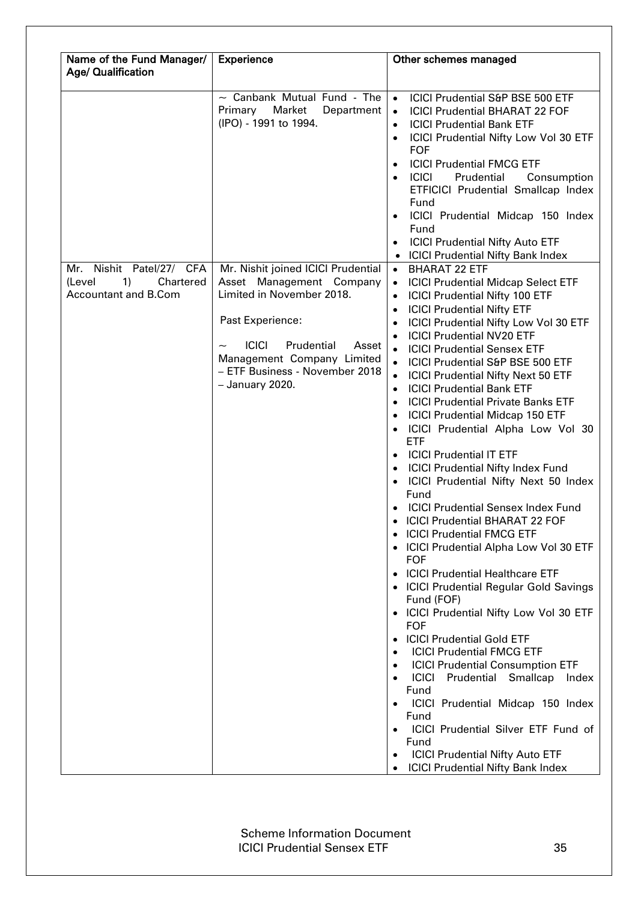| Name of the Fund Manager/                                                     | Experience                                                                                                                                                                                                                                | Other schemes managed                                                                                                                                                                                                                                                                                                                                                                                                                                                                                                                                                                                                                                                                                                                                                                                                                                                                                                                                                                                                                                                                                                                                                                                                                                                                                                                                                                                                                                                                                                                                                                         |
|-------------------------------------------------------------------------------|-------------------------------------------------------------------------------------------------------------------------------------------------------------------------------------------------------------------------------------------|-----------------------------------------------------------------------------------------------------------------------------------------------------------------------------------------------------------------------------------------------------------------------------------------------------------------------------------------------------------------------------------------------------------------------------------------------------------------------------------------------------------------------------------------------------------------------------------------------------------------------------------------------------------------------------------------------------------------------------------------------------------------------------------------------------------------------------------------------------------------------------------------------------------------------------------------------------------------------------------------------------------------------------------------------------------------------------------------------------------------------------------------------------------------------------------------------------------------------------------------------------------------------------------------------------------------------------------------------------------------------------------------------------------------------------------------------------------------------------------------------------------------------------------------------------------------------------------------------|
| Age/ Qualification                                                            |                                                                                                                                                                                                                                           |                                                                                                                                                                                                                                                                                                                                                                                                                                                                                                                                                                                                                                                                                                                                                                                                                                                                                                                                                                                                                                                                                                                                                                                                                                                                                                                                                                                                                                                                                                                                                                                               |
|                                                                               | $\sim$ Canbank Mutual Fund - The<br>Market<br>Primary<br>Department<br>(IPO) - 1991 to 1994.                                                                                                                                              | ICICI Prudential S&P BSE 500 ETF<br>$\bullet$<br><b>ICICI Prudential BHARAT 22 FOF</b><br>$\bullet$<br><b>ICICI Prudential Bank ETF</b><br>$\bullet$<br><b>ICICI Prudential Nifty Low Vol 30 ETF</b><br>$\bullet$<br><b>FOF</b><br><b>ICICI Prudential FMCG ETF</b><br>$\bullet$<br><b>ICICI</b><br>Prudential<br>Consumption<br>ETFICICI Prudential Smallcap Index<br>Fund<br>ICICI Prudential Midcap 150 Index<br>Fund<br><b>ICICI Prudential Nifty Auto ETF</b><br>$\bullet$<br><b>ICICI Prudential Nifty Bank Index</b>                                                                                                                                                                                                                                                                                                                                                                                                                                                                                                                                                                                                                                                                                                                                                                                                                                                                                                                                                                                                                                                                   |
| Mr. Nishit Patel/27/ CFA<br>1)<br>Chartered<br>(Level<br>Accountant and B.Com | Mr. Nishit joined ICICI Prudential<br>Asset Management Company<br>Limited in November 2018.<br>Past Experience:<br><b>ICICI</b><br>Prudential<br>Asset<br>Management Company Limited<br>- ETF Business - November 2018<br>- January 2020. | <b>BHARAT 22 ETF</b><br>$\bullet$<br><b>ICICI Prudential Midcap Select ETF</b><br>$\bullet$<br><b>ICICI Prudential Nifty 100 ETF</b><br>$\bullet$<br><b>ICICI Prudential Nifty ETF</b><br>$\bullet$<br><b>ICICI Prudential Nifty Low Vol 30 ETF</b><br>$\bullet$<br><b>ICICI Prudential NV20 ETF</b><br>$\bullet$<br><b>ICICI Prudential Sensex ETF</b><br>$\bullet$<br>ICICI Prudential S&P BSE 500 ETF<br>$\bullet$<br><b>ICICI Prudential Nifty Next 50 ETF</b><br>$\bullet$<br><b>ICICI Prudential Bank ETF</b><br>$\bullet$<br><b>ICICI Prudential Private Banks ETF</b><br>$\bullet$<br><b>ICICI Prudential Midcap 150 ETF</b><br>$\bullet$<br>ICICI Prudential Alpha Low Vol 30<br>$\bullet$<br><b>ETF</b><br><b>ICICI Prudential IT ETF</b><br>$\bullet$<br><b>ICICI Prudential Nifty Index Fund</b><br>$\bullet$<br>ICICI Prudential Nifty Next 50 Index<br>$\bullet$<br>Fund<br><b>ICICI Prudential Sensex Index Fund</b><br>• ICICI Prudential BHARAT 22 FOF<br><b>ICICI Prudential FMCG ETF</b><br><b>ICICI Prudential Alpha Low Vol 30 ETF</b><br><b>FOF</b><br>• ICICI Prudential Healthcare ETF<br>• ICICI Prudential Regular Gold Savings<br>Fund (FOF)<br>• ICICI Prudential Nifty Low Vol 30 ETF<br><b>FOF</b><br><b>ICICI Prudential Gold ETF</b><br><b>ICICI Prudential FMCG ETF</b><br><b>ICICI Prudential Consumption ETF</b><br><b>ICICI</b><br>Prudential Smallcap<br>Index<br>Fund<br>ICICI Prudential Midcap 150 Index<br>Fund<br>ICICI Prudential Silver ETF Fund of<br>Fund<br><b>ICICI Prudential Nifty Auto ETF</b><br><b>ICICI Prudential Nifty Bank Index</b> |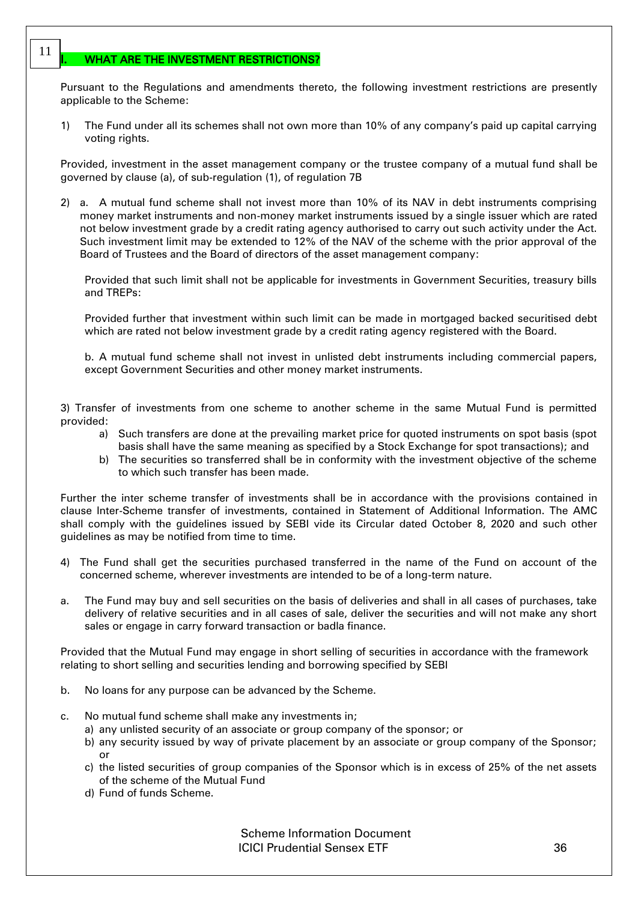## <span id="page-31-0"></span>WHAT ARE THE INVESTMENT RESTRICTIONS?

11

Pursuant to the Regulations and amendments thereto, the following investment restrictions are presently applicable to the Scheme:

1) The Fund under all its schemes shall not own more than 10% of any company's paid up capital carrying voting rights.

Provided, investment in the asset management company or the trustee company of a mutual fund shall be governed by clause (a), of sub-regulation (1), of regulation 7B

2) a. A mutual fund scheme shall not invest more than 10% of its NAV in debt instruments comprising money market instruments and non-money market instruments issued by a single issuer which are rated not below investment grade by a credit rating agency authorised to carry out such activity under the Act. Such investment limit may be extended to 12% of the NAV of the scheme with the prior approval of the Board of Trustees and the Board of directors of the asset management company:

Provided that such limit shall not be applicable for investments in Government Securities, treasury bills and TREPs:

Provided further that investment within such limit can be made in mortgaged backed securitised debt which are rated not below investment grade by a credit rating agency registered with the Board.

b. A mutual fund scheme shall not invest in unlisted debt instruments including commercial papers, except Government Securities and other money market instruments.

3) Transfer of investments from one scheme to another scheme in the same Mutual Fund is permitted provided:

- a) Such transfers are done at the prevailing market price for quoted instruments on spot basis (spot basis shall have the same meaning as specified by a Stock Exchange for spot transactions); and
- b) The securities so transferred shall be in conformity with the investment objective of the scheme to which such transfer has been made.

Further the inter scheme transfer of investments shall be in accordance with the provisions contained in clause Inter-Scheme transfer of investments, contained in Statement of Additional Information. The AMC shall comply with the guidelines issued by SEBI vide its Circular dated October 8, 2020 and such other guidelines as may be notified from time to time.

- 4) The Fund shall get the securities purchased transferred in the name of the Fund on account of the concerned scheme, wherever investments are intended to be of a long-term nature.
- a. The Fund may buy and sell securities on the basis of deliveries and shall in all cases of purchases, take delivery of relative securities and in all cases of sale, deliver the securities and will not make any short sales or engage in carry forward transaction or badla finance.

Provided that the Mutual Fund may engage in short selling of securities in accordance with the framework relating to short selling and securities lending and borrowing specified by SEBI

- b. No loans for any purpose can be advanced by the Scheme.
- c. No mutual fund scheme shall make any investments in;
	- a) any unlisted security of an associate or group company of the sponsor; or
	- b) any security issued by way of private placement by an associate or group company of the Sponsor; or
	- c) the listed securities of group companies of the Sponsor which is in excess of 25% of the net assets of the scheme of the Mutual Fund
	- d) Fund of funds Scheme.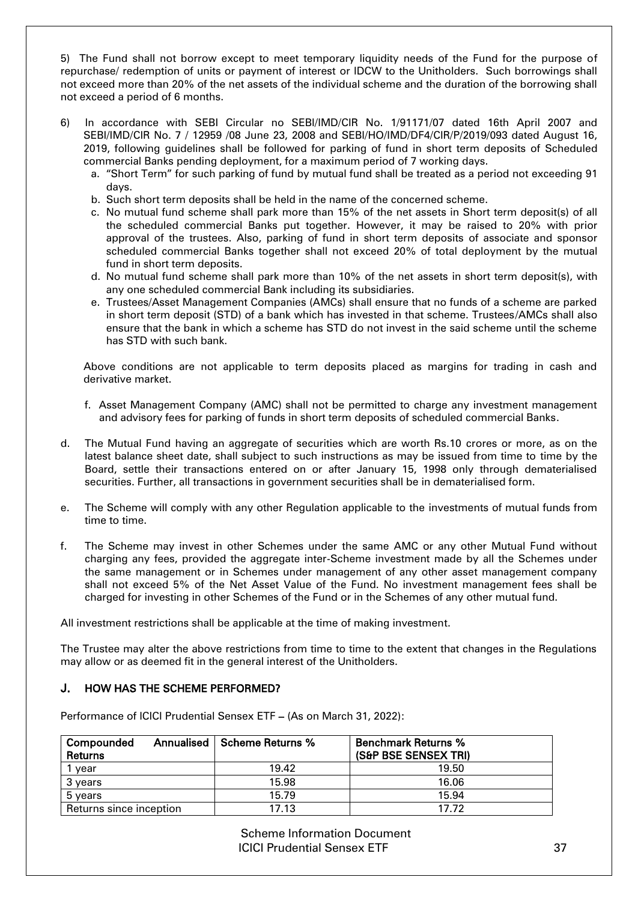5) The Fund shall not borrow except to meet temporary liquidity needs of the Fund for the purpose of repurchase/ redemption of units or payment of interest or IDCW to the Unitholders. Such borrowings shall not exceed more than 20% of the net assets of the individual scheme and the duration of the borrowing shall not exceed a period of 6 months.

- 6) In accordance with SEBI Circular no SEBI/IMD/CIR No. 1/91171/07 dated 16th April 2007 and SEBI/IMD/CIR No. 7 / 12959 /08 June 23, 2008 and SEBI/HO/IMD/DF4/CIR/P/2019/093 dated August 16, 2019, following guidelines shall be followed for parking of fund in short term deposits of Scheduled commercial Banks pending deployment, for a maximum period of 7 working days.
	- a. "Short Term" for such parking of fund by mutual fund shall be treated as a period not exceeding 91 days.
	- b. Such short term deposits shall be held in the name of the concerned scheme.
	- c. No mutual fund scheme shall park more than 15% of the net assets in Short term deposit(s) of all the scheduled commercial Banks put together. However, it may be raised to 20% with prior approval of the trustees. Also, parking of fund in short term deposits of associate and sponsor scheduled commercial Banks together shall not exceed 20% of total deployment by the mutual fund in short term deposits.
	- d. No mutual fund scheme shall park more than 10% of the net assets in short term deposit(s), with any one scheduled commercial Bank including its subsidiaries.
	- e. Trustees/Asset Management Companies (AMCs) shall ensure that no funds of a scheme are parked in short term deposit (STD) of a bank which has invested in that scheme. Trustees/AMCs shall also ensure that the bank in which a scheme has STD do not invest in the said scheme until the scheme has STD with such bank.

Above conditions are not applicable to term deposits placed as margins for trading in cash and derivative market.

- f. Asset Management Company (AMC) shall not be permitted to charge any investment management and advisory fees for parking of funds in short term deposits of scheduled commercial Banks.
- d. The Mutual Fund having an aggregate of securities which are worth Rs.10 crores or more, as on the latest balance sheet date, shall subject to such instructions as may be issued from time to time by the Board, settle their transactions entered on or after January 15, 1998 only through dematerialised securities. Further, all transactions in government securities shall be in dematerialised form.
- e. The Scheme will comply with any other Regulation applicable to the investments of mutual funds from time to time.
- f. The Scheme may invest in other Schemes under the same AMC or any other Mutual Fund without charging any fees, provided the aggregate inter-Scheme investment made by all the Schemes under the same management or in Schemes under management of any other asset management company shall not exceed 5% of the Net Asset Value of the Fund. No investment management fees shall be charged for investing in other Schemes of the Fund or in the Schemes of any other mutual fund.

All investment restrictions shall be applicable at the time of making investment.

The Trustee may alter the above restrictions from time to time to the extent that changes in the Regulations may allow or as deemed fit in the general interest of the Unitholders.

## <span id="page-32-0"></span>HOW HAS THE SCHEME PERFORMED?

Performance of ICICI Prudential Sensex ETF – (As on March 31, 2022):

| Compounded<br>Returns   | <b>Annualised   Scheme Returns %</b> | <b>Benchmark Returns %</b><br>(S&P BSE SENSEX TRI) |
|-------------------------|--------------------------------------|----------------------------------------------------|
| vear                    | 19.42                                | 19.50                                              |
| 3 vears                 | 15.98                                | 16.06                                              |
| 5 years                 | 15.79                                | 15.94                                              |
| Returns since inception | 17.13                                | 17.72                                              |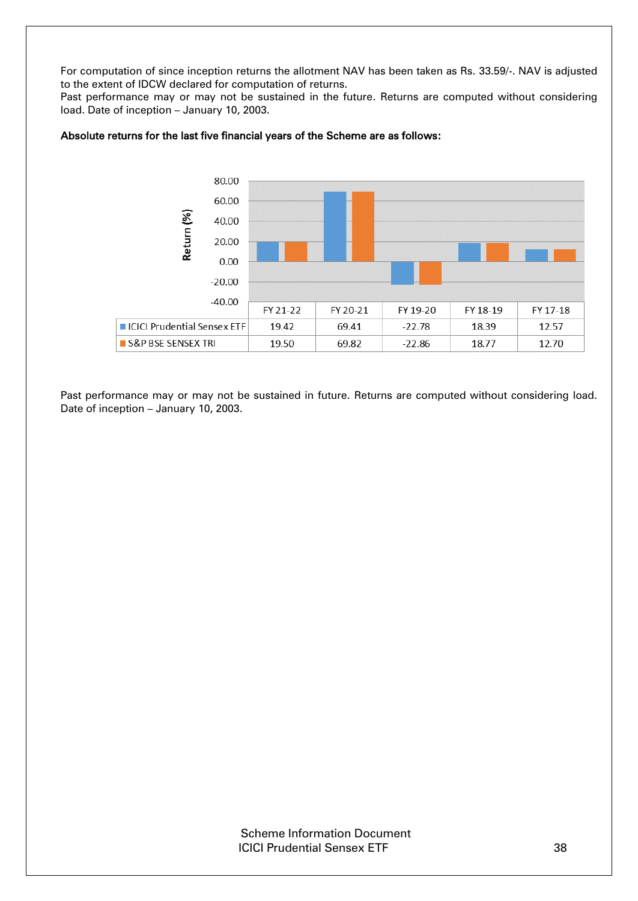For computation of since inception returns the allotment NAV has been taken as Rs. 33.59/-. NAV is adjusted to the extent of IDCW declared for computation of returns.

Past performance may or may not be sustained in the future. Returns are computed without considering load. Date of inception – January 10, 2003.



## Absolute returns for the last five financial years of the Scheme are as follows:

Past performance may or may not be sustained in future. Returns are computed without considering load. Date of inception – January 10, 2003.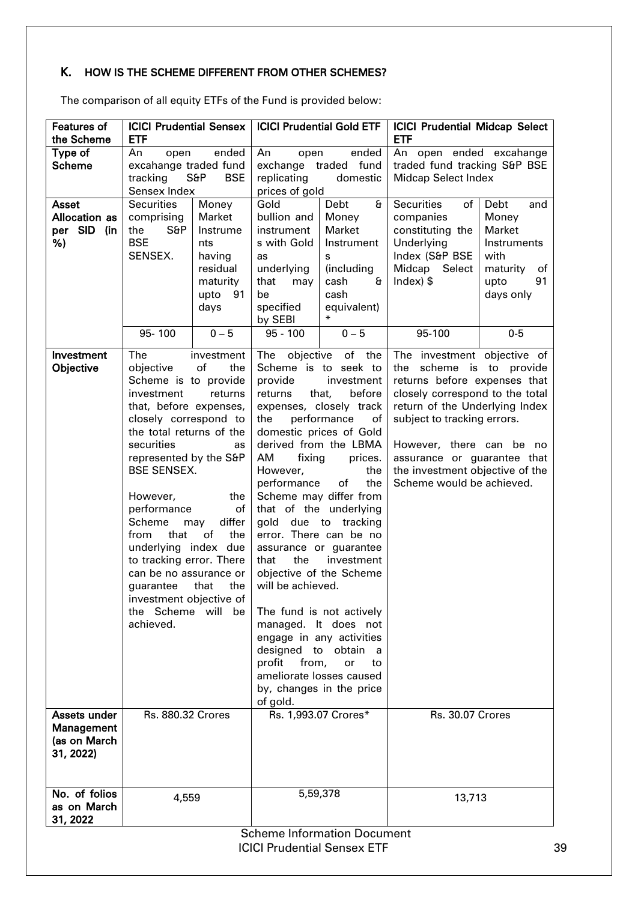# <span id="page-34-0"></span>K. HOW IS THE SCHEME DIFFERENT FROM OTHER SCHEMES?

The comparison of all equity ETFs of the Fund is provided below:

| <b>Features of</b><br>the Scheme                             | <b>ETF</b>                                                                                                                                                                                                                                                                                                                                                                                                             |                                                                                            | <b>ICICI Prudential Sensex   ICICI Prudential Gold ETF</b>                                                                                                                                                                                                                                                                                                                                                                                                                                                                                                                                                                                                                                                                                  |                                                                                                                   | <b>ICICI Prudential Midcap Select</b><br><b>ETF</b>                                                                                                                                                                                                                                                                    |                                                                                                    |
|--------------------------------------------------------------|------------------------------------------------------------------------------------------------------------------------------------------------------------------------------------------------------------------------------------------------------------------------------------------------------------------------------------------------------------------------------------------------------------------------|--------------------------------------------------------------------------------------------|---------------------------------------------------------------------------------------------------------------------------------------------------------------------------------------------------------------------------------------------------------------------------------------------------------------------------------------------------------------------------------------------------------------------------------------------------------------------------------------------------------------------------------------------------------------------------------------------------------------------------------------------------------------------------------------------------------------------------------------------|-------------------------------------------------------------------------------------------------------------------|------------------------------------------------------------------------------------------------------------------------------------------------------------------------------------------------------------------------------------------------------------------------------------------------------------------------|----------------------------------------------------------------------------------------------------|
| Type of<br><b>Scheme</b>                                     | An<br>ended<br>An open ended excahange<br>ended<br>An<br>open<br>open<br>excahange traded fund<br>traded fund tracking S&P BSE<br>exchange traded fund<br>S6P<br><b>BSE</b><br>tracking<br>replicating<br>domestic<br><b>Midcap Select Index</b><br>Sensex Index<br>prices of gold                                                                                                                                     |                                                                                            |                                                                                                                                                                                                                                                                                                                                                                                                                                                                                                                                                                                                                                                                                                                                             |                                                                                                                   |                                                                                                                                                                                                                                                                                                                        |                                                                                                    |
| <b>Asset</b><br><b>Allocation as</b><br>per SID<br>(in<br>%) | <b>Securities</b><br>comprising<br>S6P<br>the<br><b>BSE</b><br>SENSEX.                                                                                                                                                                                                                                                                                                                                                 | Money<br>Market<br>Instrume<br>nts<br>having<br>residual<br>maturity<br>upto<br>91<br>days | Gold<br>bullion and<br>instrument<br>s with Gold<br>as<br>underlying<br>that<br>may<br>be<br>specified<br>by SEBI                                                                                                                                                                                                                                                                                                                                                                                                                                                                                                                                                                                                                           | £<br>Debt<br>Money<br>Market<br>Instrument<br>s<br>(including<br>cash<br>$\mathbf{a}$<br>cash<br>equivalent)<br>∗ | Securities<br>of<br>companies<br>constituting the<br>Underlying<br>Index (S&P BSE<br>Midcap Select<br>Index $\frac{1}{2}$                                                                                                                                                                                              | Debt<br>and<br>Money<br>Market<br>Instruments<br>with<br>maturity<br>of<br>91<br>upto<br>days only |
|                                                              | 95-100                                                                                                                                                                                                                                                                                                                                                                                                                 | $0 - 5$                                                                                    |                                                                                                                                                                                                                                                                                                                                                                                                                                                                                                                                                                                                                                                                                                                                             |                                                                                                                   | 95-100                                                                                                                                                                                                                                                                                                                 | $0-5$                                                                                              |
| Investment<br>Objective                                      | The<br>objective<br>Scheme is to provide<br>investment<br>that, before expenses,<br>closely correspond to<br>the total returns of the<br>securities<br>represented by the S&P<br><b>BSE SENSEX.</b><br>However,<br>performance<br>Scheme<br>that<br>from<br>underlying index due<br>to tracking error. There<br>can be no assurance or<br>guarantee that<br>investment objective of<br>the Scheme will be<br>achieved. | investment<br>of<br>the<br>returns<br>as<br>the<br>of<br>differ<br>may<br>of<br>the<br>the | $0 - 5$<br>$95 - 100$<br>objective<br>of the<br>The<br>Scheme is to seek to<br>provide<br>investment<br>before<br>returns<br>that,<br>expenses, closely track<br>performance<br>the<br>of<br>domestic prices of Gold<br>derived from the LBMA<br>AM<br>fixing<br>prices.<br>However,<br>the<br>performance<br>the<br>of<br>Scheme may differ from<br>that of the underlying<br>gold<br>due to tracking<br>error. There can be no<br>assurance or guarantee<br>the<br>investment<br>that<br>objective of the Scheme<br>will be achieved.<br>The fund is not actively<br>managed. It does not<br>engage in any activities<br>designed to obtain<br>a a<br>from,<br>profit<br>or<br>to<br>ameliorate losses caused<br>by, changes in the price |                                                                                                                   | The investment objective of<br>the scheme is to provide<br>returns before expenses that<br>closely correspond to the total<br>return of the Underlying Index<br>subject to tracking errors.<br>However, there can be no<br>assurance or guarantee that<br>the investment objective of the<br>Scheme would be achieved. |                                                                                                    |
| Assets under<br>Management<br>(as on March<br>31, 2022)      | <b>Rs. 880.32 Crores</b>                                                                                                                                                                                                                                                                                                                                                                                               |                                                                                            | of gold.<br>Rs. 1,993.07 Crores*                                                                                                                                                                                                                                                                                                                                                                                                                                                                                                                                                                                                                                                                                                            |                                                                                                                   | <b>Rs. 30.07 Crores</b>                                                                                                                                                                                                                                                                                                |                                                                                                    |
| No. of folios<br>as on March<br>31, 2022                     | 4,559                                                                                                                                                                                                                                                                                                                                                                                                                  |                                                                                            | 5,59,378                                                                                                                                                                                                                                                                                                                                                                                                                                                                                                                                                                                                                                                                                                                                    |                                                                                                                   | 13,713                                                                                                                                                                                                                                                                                                                 |                                                                                                    |
|                                                              | <b>Scheme Information Document</b><br><b>ICICI Prudential Sensex ETF</b><br>39                                                                                                                                                                                                                                                                                                                                         |                                                                                            |                                                                                                                                                                                                                                                                                                                                                                                                                                                                                                                                                                                                                                                                                                                                             |                                                                                                                   |                                                                                                                                                                                                                                                                                                                        |                                                                                                    |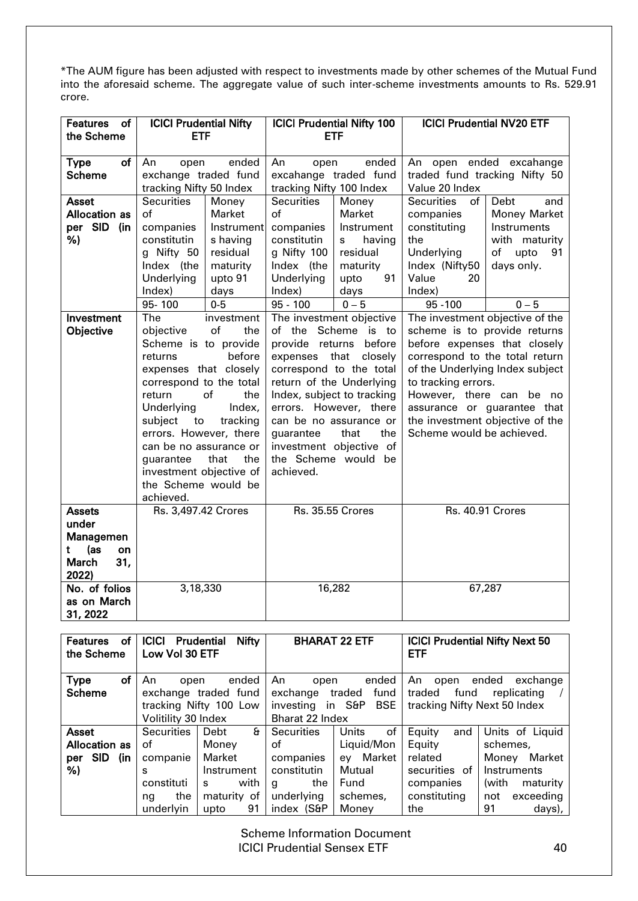\*The AUM figure has been adjusted with respect to investments made by other schemes of the Mutual Fund into the aforesaid scheme. The aggregate value of such inter-scheme investments amounts to Rs. 529.91 crore.

| <b>ICICI Prudential Nifty</b><br><b>Features</b><br>of |                                                  | <b>ICICI Prudential Nifty 100</b> |                                                     | <b>ICICI Prudential NV20 ETF</b> |                                                                   |                  |
|--------------------------------------------------------|--------------------------------------------------|-----------------------------------|-----------------------------------------------------|----------------------------------|-------------------------------------------------------------------|------------------|
| <b>ETF</b><br>the Scheme                               |                                                  | <b>ETF</b>                        |                                                     |                                  |                                                                   |                  |
| <b>Type</b><br>of                                      | ended<br>An<br>open                              |                                   | ended<br>An<br>open                                 |                                  | An open ended excahange                                           |                  |
| <b>Scheme</b>                                          | exchange traded fund                             |                                   | excahange traded fund                               |                                  | traded fund tracking Nifty 50                                     |                  |
|                                                        | tracking Nifty 50 Index                          |                                   | tracking Nifty 100 Index                            |                                  | Value 20 Index                                                    |                  |
| <b>Asset</b>                                           | <b>Securities</b>                                | Money                             | <b>Securities</b>                                   | Money                            | <b>Securities</b><br>of                                           | Debt<br>and      |
| <b>Allocation as</b>                                   | of                                               | Market                            | οf                                                  | Market                           | companies                                                         | Money Market     |
| per SID (in                                            | companies                                        | Instrument                        | companies                                           | Instrument                       | constituting                                                      | Instruments      |
| %)                                                     | constitutin                                      | s having                          | constitutin                                         | having<br>s                      | the                                                               | with maturity    |
|                                                        | g Nifty 50                                       | residual                          | g Nifty 100                                         | residual                         | Underlying                                                        | of<br>upto<br>91 |
|                                                        | Index (the                                       | maturity                          | Index (the                                          | maturity                         | Index (Nifty50                                                    | days only.       |
|                                                        | Underlying                                       | upto 91                           | Underlying                                          | upto<br>91                       | Value<br>20                                                       |                  |
|                                                        | Index)                                           | days                              | Index)                                              | days                             | Index)                                                            |                  |
|                                                        | $95 - 100$                                       | $0-5$                             | $95 - 100$                                          | $0 - 5$                          | 95 - 100                                                          | $0 - 5$          |
| Investment                                             | The<br>investment                                |                                   | The investment objective                            |                                  | The investment objective of the                                   |                  |
| Objective                                              | of<br>objective<br>the                           |                                   | of the Scheme is to                                 |                                  | scheme is to provide returns                                      |                  |
|                                                        | Scheme is to provide                             |                                   | provide returns before                              |                                  | before expenses that closely                                      |                  |
|                                                        | before<br>returns                                |                                   | expenses that<br>closely<br>correspond to the total |                                  | correspond to the total return<br>of the Underlying Index subject |                  |
|                                                        | expenses that closely<br>correspond to the total |                                   | return of the Underlying                            |                                  | to tracking errors.                                               |                  |
|                                                        | return<br>of<br>the                              |                                   | Index, subject to tracking                          |                                  | However, there can be no                                          |                  |
|                                                        | Underlying<br>Index,                             |                                   | errors. However, there                              |                                  | assurance or guarantee that                                       |                  |
|                                                        | subject<br>to<br>tracking                        |                                   | can be no assurance or                              |                                  | the investment objective of the                                   |                  |
|                                                        | errors. However, there                           |                                   | the<br>that<br>guarantee                            |                                  | Scheme would be achieved.                                         |                  |
|                                                        | can be no assurance or                           |                                   | investment objective of                             |                                  |                                                                   |                  |
|                                                        | that<br>the<br>guarantee                         |                                   | the Scheme would be                                 |                                  |                                                                   |                  |
|                                                        | investment objective of                          |                                   | achieved.                                           |                                  |                                                                   |                  |
|                                                        | the Scheme would be                              |                                   |                                                     |                                  |                                                                   |                  |
|                                                        | achieved.                                        |                                   |                                                     |                                  |                                                                   |                  |
| <b>Assets</b>                                          | Rs. 3,497.42 Crores                              |                                   | <b>Rs. 35.55 Crores</b>                             |                                  | <b>Rs. 40.91 Crores</b>                                           |                  |
| under                                                  |                                                  |                                   |                                                     |                                  |                                                                   |                  |
| Managemen                                              |                                                  |                                   |                                                     |                                  |                                                                   |                  |
| (as<br>t<br>on                                         |                                                  |                                   |                                                     |                                  |                                                                   |                  |
| <b>March</b><br>31,                                    |                                                  |                                   |                                                     |                                  |                                                                   |                  |
| 2022)                                                  |                                                  |                                   |                                                     |                                  |                                                                   |                  |
| No. of folios                                          | 3,18,330                                         |                                   | 16,282                                              |                                  | 67,287                                                            |                  |
| as on March                                            |                                                  |                                   |                                                     |                                  |                                                                   |                  |
| 31, 2022                                               |                                                  |                                   |                                                     |                                  |                                                                   |                  |

| οf<br><b>Features</b><br>the Scheme | <b>Nifty</b><br><b>ICICI</b><br><b>Prudential</b><br>Low Vol 30 ETF |             | <b>BHARAT 22 ETF</b>       |                      | <b>ICICI Prudential Nifty Next 50</b><br><b>ETF</b> |                   |
|-------------------------------------|---------------------------------------------------------------------|-------------|----------------------------|----------------------|-----------------------------------------------------|-------------------|
| οf<br><b>Type</b>                   | An<br>open                                                          | ended       | An<br>open                 | ended                | An<br>open                                          | ended<br>exchange |
| <b>Scheme</b>                       | exchange traded fund                                                |             | fund<br>traded<br>exchange |                      | fund<br>replicating<br>traded                       |                   |
|                                     | tracking Nifty 100 Low                                              |             | investing                  | in S&P<br><b>BSE</b> | tracking Nifty Next 50 Index                        |                   |
|                                     | Volitility 30 Index                                                 |             | Bharat 22 Index            |                      |                                                     |                   |
| Asset                               | <b>Securities</b>                                                   | £<br>Debt   | <b>Securities</b>          | of<br>Units          | Equity<br>and                                       | Units of Liquid   |
| <b>Allocation as</b>                | οf                                                                  | Monev       | of                         | Liquid/Mon           | Equity                                              | schemes,          |
| <b>SID</b><br>(in<br>per            | companie                                                            | Market      | companies                  | Market<br>ev         | related                                             | Market<br>Money   |
| %)                                  | s                                                                   | Instrument  | constitutin                | Mutual               | securities of                                       | Instruments       |
|                                     | constituti                                                          | with<br>S.  | the<br>q                   | Fund                 | companies                                           | (with<br>maturity |
|                                     | the<br>ng                                                           | maturity of | underlying                 | schemes,             | constituting                                        | exceeding<br>not  |
|                                     | underlyin                                                           | 91<br>upto  | index (S&P                 | Money                | the                                                 | 91<br>days),      |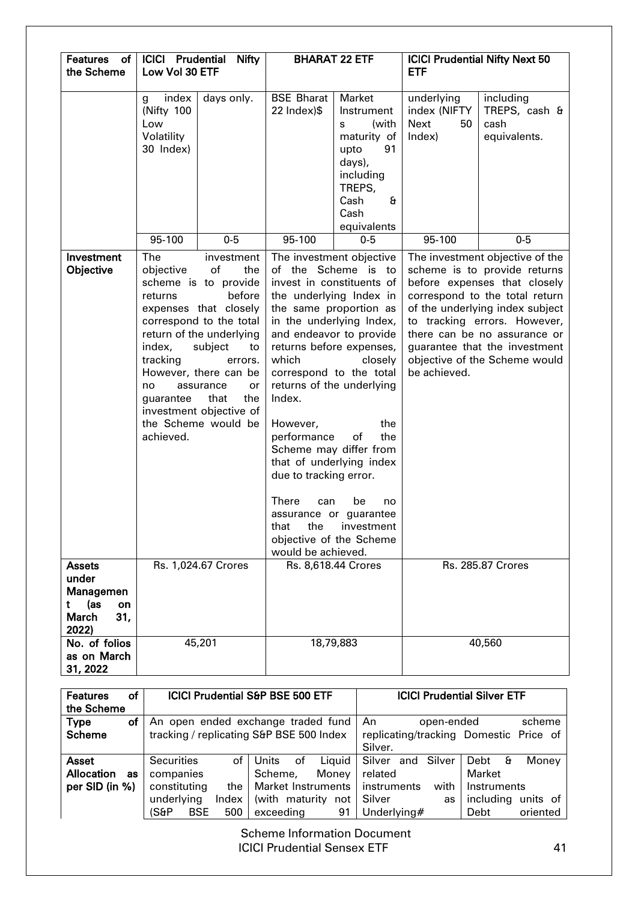| <b>Features</b><br>of<br>the Scheme                                                   | <b>ICICI Prudential</b><br>Low Vol 30 ETF                                          | <b>Nifty</b>                                                                                                                                                                                                                                                                       |                                                                                                                                                                                                                                                                                                                                                                                                                                                                                                                                                                                      | <b>BHARAT 22 ETF</b>                                                                                                                 | <b>ETF</b>                                         | <b>ICICI Prudential Nifty Next 50</b>                                                                                                                                                                                                                                                                  |
|---------------------------------------------------------------------------------------|------------------------------------------------------------------------------------|------------------------------------------------------------------------------------------------------------------------------------------------------------------------------------------------------------------------------------------------------------------------------------|--------------------------------------------------------------------------------------------------------------------------------------------------------------------------------------------------------------------------------------------------------------------------------------------------------------------------------------------------------------------------------------------------------------------------------------------------------------------------------------------------------------------------------------------------------------------------------------|--------------------------------------------------------------------------------------------------------------------------------------|----------------------------------------------------|--------------------------------------------------------------------------------------------------------------------------------------------------------------------------------------------------------------------------------------------------------------------------------------------------------|
|                                                                                       | index<br>g<br>(Nifty 100<br>Low<br>Volatility<br>30 Index)                         | days only.                                                                                                                                                                                                                                                                         | <b>BSE Bharat</b><br>22 Index)\$                                                                                                                                                                                                                                                                                                                                                                                                                                                                                                                                                     | Market<br>Instrument<br>(with<br>s<br>maturity of<br>91<br>upto<br>days),<br>including<br>TREPS,<br>£<br>Cash<br>Cash<br>equivalents | underlying<br>index (NIFTY<br>Next<br>50<br>Index) | including<br>TREPS, cash &<br>cash<br>equivalents.                                                                                                                                                                                                                                                     |
|                                                                                       | 95-100                                                                             | $0-5$                                                                                                                                                                                                                                                                              | 95-100                                                                                                                                                                                                                                                                                                                                                                                                                                                                                                                                                                               | $0 - 5$                                                                                                                              | 95-100                                             | $0-5$                                                                                                                                                                                                                                                                                                  |
| Investment<br>Objective                                                               | The<br>objective<br>returns<br>index,<br>tracking<br>no.<br>guarantee<br>achieved. | investment<br>of<br>the<br>scheme is to provide<br>before<br>expenses that closely<br>correspond to the total<br>return of the underlying<br>subject<br>to<br>errors.<br>However, there can be<br>assurance<br>or<br>that<br>the<br>investment objective of<br>the Scheme would be | The investment objective<br>of the Scheme is to<br>invest in constituents of<br>the underlying Index in<br>the same proportion as<br>in the underlying Index,<br>and endeavor to provide<br>returns before expenses,<br>which<br>closely<br>correspond to the total<br>returns of the underlying<br>Index.<br>However,<br>the<br>performance<br>the<br>of<br>Scheme may differ from<br>that of underlying index<br>due to tracking error.<br><b>There</b><br>can<br>be<br>no<br>assurance or guarantee<br>that<br>the<br>investment<br>objective of the Scheme<br>would be achieved. |                                                                                                                                      | be achieved.                                       | The investment objective of the<br>scheme is to provide returns<br>before expenses that closely<br>correspond to the total return<br>of the underlying index subject<br>to tracking errors. However,<br>there can be no assurance or<br>guarantee that the investment<br>objective of the Scheme would |
| <b>Assets</b><br>under<br>Managemen<br>(as<br>t<br>on<br><b>March</b><br>31,<br>2022) |                                                                                    | Rs. 1,024.67 Crores                                                                                                                                                                                                                                                                |                                                                                                                                                                                                                                                                                                                                                                                                                                                                                                                                                                                      | Rs. 8,618.44 Crores                                                                                                                  |                                                    | <b>Rs. 285.87 Crores</b>                                                                                                                                                                                                                                                                               |
| No. of folios<br>as on March<br>31, 2022                                              |                                                                                    | 45,201                                                                                                                                                                                                                                                                             |                                                                                                                                                                                                                                                                                                                                                                                                                                                                                                                                                                                      | 18,79,883                                                                                                                            |                                                    | 40,560                                                                                                                                                                                                                                                                                                 |

| of<br><b>Features</b><br>the Scheme |                           | <b>ICICI Prudential S&amp;P BSE 500 ETF</b> |                      | <b>ICICI Prudential Silver ETF</b>     |
|-------------------------------------|---------------------------|---------------------------------------------|----------------------|----------------------------------------|
| Type<br>оf                          |                           | An open ended exchange traded fund          | An<br>open-ended     | scheme                                 |
| <b>Scheme</b>                       |                           | tracking / replicating S&P BSE 500 Index    |                      | replicating/tracking Domestic Price of |
|                                     |                           |                                             | Silver.              |                                        |
| Asset                               | <b>Securities</b><br>οf   | Liquid<br>Units<br>of                       | Silver and<br>Silver | Debt $\theta$<br>Money                 |
| <b>Allocation</b><br>as             | companies                 | Money<br>Scheme,                            | related              | Market                                 |
| per SID (in %)                      | constituting<br>the       | Market Instruments                          | instruments<br>with  | Instruments                            |
|                                     | underlying<br>Index       | (with maturity not                          | Silver<br>as         | including<br>units of                  |
|                                     | (S&P<br><b>BSE</b><br>500 | exceeding<br>91                             | Underlying#          | oriented<br>Debt                       |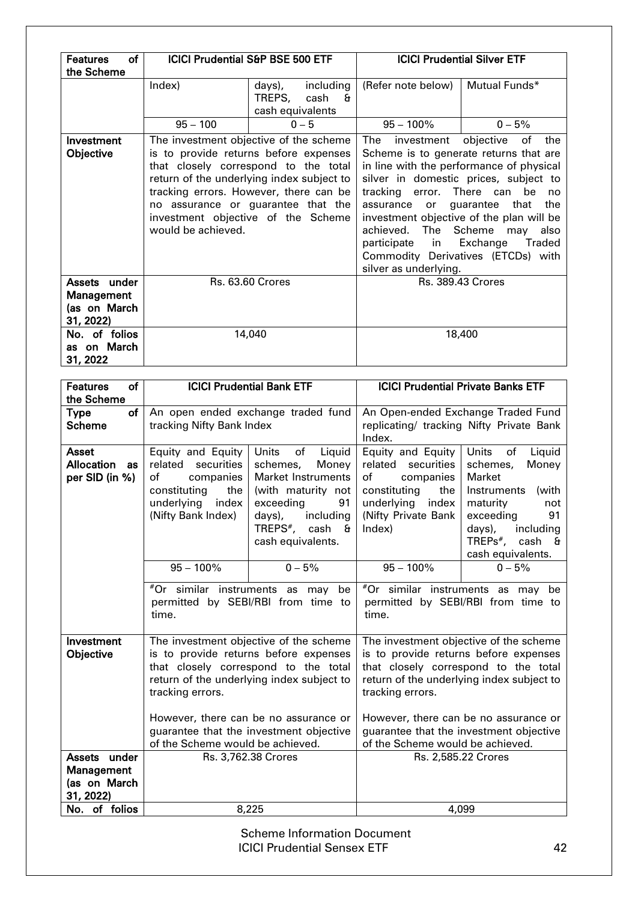| of<br><b>Features</b>                    |                    | <b>ICICI Prudential S&amp;P BSE 500 ETF</b>                                                                                                                                                                                                                                                |                                                                                                                                                                                                                                                                                                                                                                                                                                                                       | <b>ICICI Prudential Silver ETF</b> |  |
|------------------------------------------|--------------------|--------------------------------------------------------------------------------------------------------------------------------------------------------------------------------------------------------------------------------------------------------------------------------------------|-----------------------------------------------------------------------------------------------------------------------------------------------------------------------------------------------------------------------------------------------------------------------------------------------------------------------------------------------------------------------------------------------------------------------------------------------------------------------|------------------------------------|--|
| the Scheme                               |                    |                                                                                                                                                                                                                                                                                            |                                                                                                                                                                                                                                                                                                                                                                                                                                                                       |                                    |  |
|                                          | Index)             | including<br>days),<br>TREPS,<br>cash<br>$\mathbf{a}$<br>cash equivalents                                                                                                                                                                                                                  | (Refer note below)                                                                                                                                                                                                                                                                                                                                                                                                                                                    | Mutual Funds*                      |  |
|                                          | $95 - 100$         | $0 - 5$                                                                                                                                                                                                                                                                                    | $95 - 100\%$                                                                                                                                                                                                                                                                                                                                                                                                                                                          | $0 - 5%$                           |  |
| Investment<br>Objective                  | would be achieved. | The investment objective of the scheme<br>is to provide returns before expenses<br>that closely correspond to the total<br>return of the underlying index subject to<br>tracking errors. However, there can be<br>no assurance or guarantee that the<br>investment objective of the Scheme | The<br>objective<br>of<br>investment<br>the<br>Scheme is to generate returns that are<br>in line with the performance of physical<br>silver in domestic prices, subject to<br>tracking error. There can<br>be<br>no<br>the<br>guarantee<br>that<br>assurance<br>or _<br>investment objective of the plan will be<br>achieved. The Scheme<br>also<br>may<br>participate in<br>Exchange<br><b>Traded</b><br>Commodity Derivatives (ETCDs) with<br>silver as underlying. |                                    |  |
| Assets under                             |                    | <b>Rs. 63.60 Crores</b>                                                                                                                                                                                                                                                                    |                                                                                                                                                                                                                                                                                                                                                                                                                                                                       | <b>Rs. 389.43 Crores</b>           |  |
| Management<br>(as on March<br>31, 2022)  |                    |                                                                                                                                                                                                                                                                                            |                                                                                                                                                                                                                                                                                                                                                                                                                                                                       |                                    |  |
| No. of folios<br>as on March<br>31, 2022 |                    | 14,040                                                                                                                                                                                                                                                                                     |                                                                                                                                                                                                                                                                                                                                                                                                                                                                       | 18,400                             |  |

| <b>Features</b><br><b>of</b>                              |                                                                                                                                                                                                                                                                                                                  | <b>ICICI Prudential Bank ETF</b>                                                                                                                                                                                  | <b>ICICI Prudential Private Banks ETF</b>                                                                                                                 |                                                                                                                                                                                                                                                          |  |
|-----------------------------------------------------------|------------------------------------------------------------------------------------------------------------------------------------------------------------------------------------------------------------------------------------------------------------------------------------------------------------------|-------------------------------------------------------------------------------------------------------------------------------------------------------------------------------------------------------------------|-----------------------------------------------------------------------------------------------------------------------------------------------------------|----------------------------------------------------------------------------------------------------------------------------------------------------------------------------------------------------------------------------------------------------------|--|
| the Scheme                                                |                                                                                                                                                                                                                                                                                                                  |                                                                                                                                                                                                                   |                                                                                                                                                           |                                                                                                                                                                                                                                                          |  |
| of<br><b>Type</b><br><b>Scheme</b>                        | tracking Nifty Bank Index                                                                                                                                                                                                                                                                                        | An open ended exchange traded fund                                                                                                                                                                                | Index.                                                                                                                                                    | An Open-ended Exchange Traded Fund<br>replicating/ tracking Nifty Private Bank                                                                                                                                                                           |  |
| <b>Asset</b><br><b>Allocation</b><br>as<br>per SID (in %) | Equity and Equity<br>related securities<br>of<br>companies<br>constituting<br>the<br>underlying<br>index<br>(Nifty Bank Index)<br>$95 - 100\%$                                                                                                                                                                   | <b>Units</b><br>of<br>Liquid<br>schemes,<br>Money<br><b>Market Instruments</b><br>(with maturity not<br>exceeding<br>91<br>days),<br>including<br>TREPS <sup>#</sup> ,<br>cash &<br>cash equivalents.<br>$0 - 5%$ | Equity and Equity<br>related securities<br>of<br>companies<br>constituting<br>the<br>underlying<br>index<br>(Nifty Private Bank<br>Index)<br>$95 - 100\%$ | <b>Units</b><br>of<br>Liquid<br>schemes,<br>Money<br>Market<br>Instruments<br>(with<br>maturity<br>not<br>exceeding<br>91<br>days),<br>including<br>$TREPs^*$ ,<br>cash &<br>cash equivalents.<br>$0 - 5%$                                               |  |
|                                                           | time.                                                                                                                                                                                                                                                                                                            | #Or similar instruments as may be<br>permitted by SEBI/RBI from time to                                                                                                                                           | #Or similar instruments as may be<br>permitted by SEBI/RBI from time to<br>time.                                                                          |                                                                                                                                                                                                                                                          |  |
| Investment<br>Objective                                   | The investment objective of the scheme<br>is to provide returns before expenses<br>that closely correspond to the total<br>return of the underlying index subject to<br>tracking errors.<br>However, there can be no assurance or<br>guarantee that the investment objective<br>of the Scheme would be achieved. |                                                                                                                                                                                                                   | tracking errors.<br>of the Scheme would be achieved.                                                                                                      | The investment objective of the scheme<br>is to provide returns before expenses<br>that closely correspond to the total<br>return of the underlying index subject to<br>However, there can be no assurance or<br>guarantee that the investment objective |  |
| Assets under<br>Management<br>(as on March<br>31, 2022)   |                                                                                                                                                                                                                                                                                                                  | Rs. 3,762.38 Crores                                                                                                                                                                                               |                                                                                                                                                           | Rs. 2,585.22 Crores                                                                                                                                                                                                                                      |  |
| No. of folios                                             |                                                                                                                                                                                                                                                                                                                  | 8,225                                                                                                                                                                                                             |                                                                                                                                                           | 4,099                                                                                                                                                                                                                                                    |  |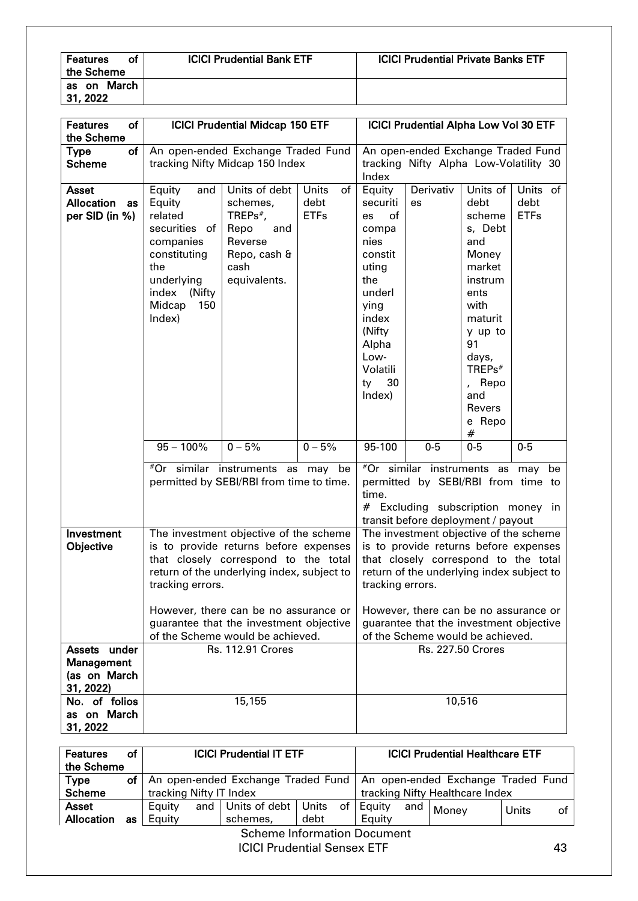| <b>Features</b><br>οf<br>the Scheme | <b>ICICI Prudential Bank ETF</b> | <b>ICICI Prudential Private Banks ETF</b> |
|-------------------------------------|----------------------------------|-------------------------------------------|
| March<br>as on<br>1,2022            |                                  |                                           |

| <b>Features</b><br>οf<br>the Scheme |                   | <b>ICICI Prudential Midcap 150 ETF</b>                                        |                     |                                                               | <b>ICICI Prudential Alpha Low Vol 30 ETF</b>                                  |                          |                     |
|-------------------------------------|-------------------|-------------------------------------------------------------------------------|---------------------|---------------------------------------------------------------|-------------------------------------------------------------------------------|--------------------------|---------------------|
| of<br><b>Type</b>                   |                   | An open-ended Exchange Traded Fund                                            |                     |                                                               | An open-ended Exchange Traded Fund                                            |                          |                     |
| <b>Scheme</b>                       |                   | tracking Nifty Midcap 150 Index                                               |                     | tracking Nifty Alpha Low-Volatility 30                        |                                                                               |                          |                     |
|                                     |                   |                                                                               |                     | Index                                                         |                                                                               |                          |                     |
| Asset                               | Equity<br>and     | Units of debt                                                                 | <b>Units</b><br>of  | Equity                                                        | Derivativ                                                                     | Units of                 | Units of            |
| <b>Allocation</b><br>as             | Equity<br>related | schemes,<br>TREPs $*$ ,                                                       | debt<br><b>ETFs</b> | securiti<br>of<br><b>es</b>                                   | es                                                                            | debt<br>scheme           | debt<br><b>ETFs</b> |
| per SID (in %)                      | securities of     | Repo<br>and                                                                   |                     | compa                                                         |                                                                               | s, Debt                  |                     |
|                                     | companies         | Reverse                                                                       |                     | nies                                                          |                                                                               | and                      |                     |
|                                     | constituting      | Repo, cash &                                                                  |                     | constit                                                       |                                                                               | Money                    |                     |
|                                     | the               | cash                                                                          |                     | uting                                                         |                                                                               | market                   |                     |
|                                     | underlying        | equivalents.                                                                  |                     | the                                                           |                                                                               | instrum                  |                     |
|                                     | index (Nifty      |                                                                               |                     | underl                                                        |                                                                               | ents                     |                     |
|                                     | Midcap<br>150     |                                                                               |                     | ying                                                          |                                                                               | with                     |                     |
|                                     | Index)            |                                                                               |                     | index                                                         |                                                                               | maturit                  |                     |
|                                     |                   |                                                                               |                     | (Nifty                                                        |                                                                               | y up to                  |                     |
|                                     |                   |                                                                               |                     | Alpha                                                         |                                                                               | 91                       |                     |
|                                     |                   |                                                                               |                     | Low-                                                          |                                                                               | days,                    |                     |
|                                     |                   |                                                                               |                     | Volatili                                                      |                                                                               | TREPs <sup>#</sup>       |                     |
|                                     |                   |                                                                               |                     | 30<br>ty<br>Index)                                            |                                                                               | , Repo<br>and            |                     |
|                                     |                   |                                                                               |                     |                                                               |                                                                               | Revers                   |                     |
|                                     |                   |                                                                               |                     |                                                               |                                                                               | e Repo                   |                     |
|                                     |                   |                                                                               |                     |                                                               |                                                                               | #                        |                     |
|                                     | $95 - 100\%$      | $0 - 5%$                                                                      | $0 - 5%$            | 95-100                                                        | $0-5$                                                                         | $0-5$                    | $0-5$               |
|                                     |                   | #Or similar instruments as may be                                             |                     |                                                               | $*$ Or similar instruments as may be                                          |                          |                     |
|                                     |                   | permitted by SEBI/RBI from time to time.                                      |                     |                                                               | permitted by SEBI/RBI from time to                                            |                          |                     |
|                                     |                   |                                                                               |                     | time.                                                         |                                                                               |                          |                     |
|                                     |                   |                                                                               |                     |                                                               | # Excluding subscription money in                                             |                          |                     |
|                                     |                   |                                                                               |                     |                                                               | transit before deployment / payout                                            |                          |                     |
| Investment                          |                   | The investment objective of the scheme                                        |                     |                                                               | The investment objective of the scheme                                        |                          |                     |
| Objective                           |                   | is to provide returns before expenses<br>that closely correspond to the total |                     |                                                               | is to provide returns before expenses<br>that closely correspond to the total |                          |                     |
|                                     |                   | return of the underlying index, subject to                                    |                     |                                                               |                                                                               |                          |                     |
|                                     | tracking errors.  |                                                                               |                     | return of the underlying index subject to<br>tracking errors. |                                                                               |                          |                     |
|                                     |                   |                                                                               |                     |                                                               |                                                                               |                          |                     |
|                                     |                   | However, there can be no assurance or                                         |                     |                                                               | However, there can be no assurance or                                         |                          |                     |
|                                     |                   | guarantee that the investment objective                                       |                     |                                                               | guarantee that the investment objective                                       |                          |                     |
|                                     |                   | of the Scheme would be achieved.                                              |                     |                                                               | of the Scheme would be achieved.                                              |                          |                     |
| Assets under                        |                   | <b>Rs. 112.91 Crores</b>                                                      |                     |                                                               |                                                                               | <b>Rs. 227.50 Crores</b> |                     |
| Management                          |                   |                                                                               |                     |                                                               |                                                                               |                          |                     |
| (as on March                        |                   |                                                                               |                     |                                                               |                                                                               |                          |                     |
| 31, 2022)<br>No. of folios          |                   |                                                                               |                     |                                                               |                                                                               |                          |                     |
| as on March                         |                   | 15,155                                                                        |                     |                                                               |                                                                               | 10,516                   |                     |
| 31, 2022                            |                   |                                                                               |                     |                                                               |                                                                               |                          |                     |

| <b>Features</b>                    | οf | <b>ICICI Prudential IT ETF</b>                                          |                         |                                |      |  | <b>ICICI Prudential Healthcare ETF</b> |                                 |       |       |    |
|------------------------------------|----|-------------------------------------------------------------------------|-------------------------|--------------------------------|------|--|----------------------------------------|---------------------------------|-------|-------|----|
| the Scheme                         |    |                                                                         |                         |                                |      |  |                                        |                                 |       |       |    |
| <b>Type</b>                        | оf | An open-ended Exchange Traded Fund   An open-ended Exchange Traded Fund |                         |                                |      |  |                                        |                                 |       |       |    |
| <b>Scheme</b>                      |    |                                                                         | tracking Nifty IT Index |                                |      |  |                                        | tracking Nifty Healthcare Index |       |       |    |
| <b>Asset</b>                       |    | Equity                                                                  |                         | and   Units of debt   Units of |      |  | Equity                                 | and                             | Money | Units | οf |
| <b>Allocation</b>                  | as | Equity                                                                  |                         | schemes,                       | debt |  | Eauity                                 |                                 |       |       |    |
| <b>Scheme Information Document</b> |    |                                                                         |                         |                                |      |  |                                        |                                 |       |       |    |

ICICI Prudential Sensex ETF 43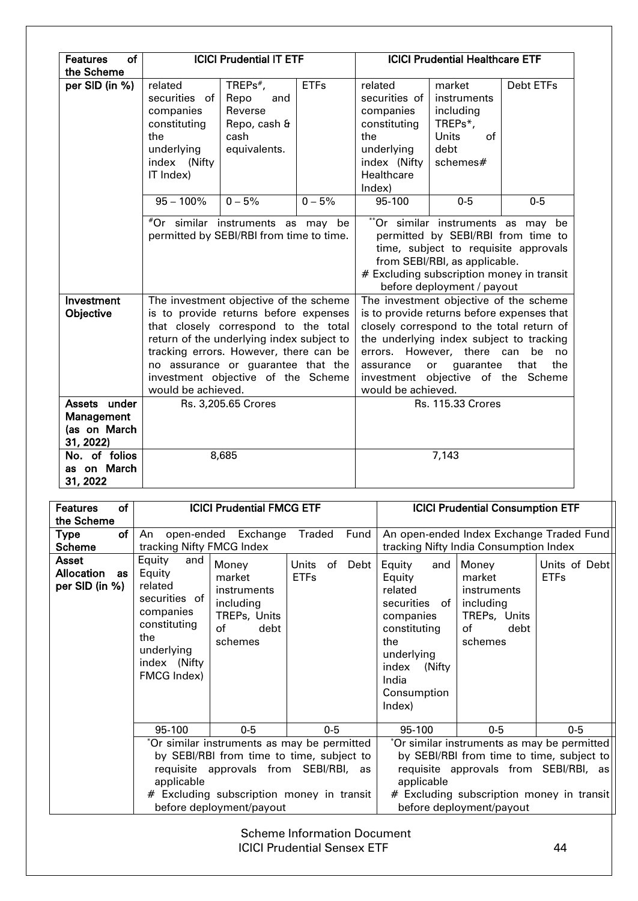| of<br><b>Features</b>                    |                                                                                                                                                                                                                                                                                                                  | <b>ICICI Prudential IT ETF</b>                                                |             |                                                                                                                                                                                                                               |                                                                                                                                                                                                                            |                      |
|------------------------------------------|------------------------------------------------------------------------------------------------------------------------------------------------------------------------------------------------------------------------------------------------------------------------------------------------------------------|-------------------------------------------------------------------------------|-------------|-------------------------------------------------------------------------------------------------------------------------------------------------------------------------------------------------------------------------------|----------------------------------------------------------------------------------------------------------------------------------------------------------------------------------------------------------------------------|----------------------|
| the Scheme                               |                                                                                                                                                                                                                                                                                                                  |                                                                               |             | <b>ICICI Prudential Healthcare ETF</b>                                                                                                                                                                                        |                                                                                                                                                                                                                            |                      |
| per SID (in %)                           | related<br>securities of<br>companies<br>constituting<br>the<br>underlying<br>index (Nifty<br>IT Index)                                                                                                                                                                                                          | TREPs $*$ ,<br>Repo<br>and<br>Reverse<br>Repo, cash &<br>cash<br>equivalents. | <b>ETFs</b> | related<br>securities of<br>companies<br>constituting<br>the<br>underlying<br>index (Nifty<br>Healthcare<br>Index)                                                                                                            | market<br>instruments<br>including<br>TREPs*,<br><b>Units</b><br>of<br>debt<br>schemes#                                                                                                                                    | Debt ETFs            |
|                                          | $95 - 100\%$                                                                                                                                                                                                                                                                                                     | $0 - 5%$                                                                      | $0 - 5%$    | 95-100                                                                                                                                                                                                                        | $0-5$                                                                                                                                                                                                                      | $0-5$                |
|                                          | #Or similar instruments as may be<br>permitted by SEBI/RBI from time to time.                                                                                                                                                                                                                                    |                                                                               |             | ** Or similar instruments as may be<br>permitted by SEBI/RBI from time to<br>time, subject to requisite approvals<br>from SEBI/RBI, as applicable.<br># Excluding subscription money in transit<br>before deployment / payout |                                                                                                                                                                                                                            |                      |
| Investment                               |                                                                                                                                                                                                                                                                                                                  |                                                                               |             | The investment objective of the scheme                                                                                                                                                                                        |                                                                                                                                                                                                                            |                      |
| Objective                                | The investment objective of the scheme<br>is to provide returns before expenses<br>that closely correspond to the total<br>return of the underlying index subject to<br>tracking errors. However, there can be<br>no assurance or guarantee that the<br>investment objective of the Scheme<br>would be achieved. |                                                                               |             | assurance<br>would be achieved.                                                                                                                                                                                               | is to provide returns before expenses that<br>closely correspond to the total return of<br>the underlying index subject to tracking<br>errors. However, there can<br>guarantee<br>or<br>investment objective of the Scheme | be no<br>that<br>the |
| Assets under                             |                                                                                                                                                                                                                                                                                                                  | Rs. 3,205.65 Crores                                                           |             |                                                                                                                                                                                                                               | <b>Rs. 115.33 Crores</b>                                                                                                                                                                                                   |                      |
| Management<br>(as on March<br>31, 2022)  |                                                                                                                                                                                                                                                                                                                  |                                                                               |             |                                                                                                                                                                                                                               |                                                                                                                                                                                                                            |                      |
| No. of folios<br>as on March<br>31, 2022 |                                                                                                                                                                                                                                                                                                                  | 8,685                                                                         |             |                                                                                                                                                                                                                               | 7,143                                                                                                                                                                                                                      |                      |

| of<br><b>Features</b>                    | <b>ICICI Prudential FMCG ETF</b>                                                                                                                                                                                                    |                                    | <b>ICICI Prudential Consumption ETF</b>                                                                                                                                                                                                                                             |  |  |
|------------------------------------------|-------------------------------------------------------------------------------------------------------------------------------------------------------------------------------------------------------------------------------------|------------------------------------|-------------------------------------------------------------------------------------------------------------------------------------------------------------------------------------------------------------------------------------------------------------------------------------|--|--|
| the Scheme                               |                                                                                                                                                                                                                                     |                                    |                                                                                                                                                                                                                                                                                     |  |  |
| of<br>Type                               | An<br>open-ended Exchange                                                                                                                                                                                                           | Fund<br><b>Traded</b>              | An open-ended Index Exchange Traded Fund                                                                                                                                                                                                                                            |  |  |
| <b>Scheme</b>                            | tracking Nifty FMCG Index                                                                                                                                                                                                           |                                    | tracking Nifty India Consumption Index                                                                                                                                                                                                                                              |  |  |
| Asset<br>Allocation as<br>per SID (in %) | Equity<br>and<br>Money<br>Equity<br>market<br>related<br>instruments<br>securities of<br>including<br>companies<br>TREPs, Units<br>constituting<br>of<br>debt<br>the<br>schemes<br>underlying<br>index (Nifty<br><b>FMCG Index)</b> | Units<br>of<br>Debt<br><b>ETFs</b> | Equity<br>Money<br>Units of Debt<br>and<br><b>ETFs</b><br>Equity<br>market<br>related<br>instruments<br>securities of<br>including<br>TREPs, Units<br>companies<br>constituting<br>of<br>debt<br>the<br>schemes<br>underlying<br>index<br>(Nifty)<br>India<br>Consumption<br>Index) |  |  |
|                                          | 95-100<br>$0-5$                                                                                                                                                                                                                     | $0-5$                              | 95-100<br>$0-5$<br>$0-5$                                                                                                                                                                                                                                                            |  |  |
|                                          | *Or similar instruments as may be permitted<br>by SEBI/RBI from time to time, subject to<br>requisite approvals from SEBI/RBI, as<br>applicable<br># Excluding subscription money in transit<br>before deployment/payout            |                                    | *Or similar instruments as may be permitted<br>by SEBI/RBI from time to time, subject to<br>requisite approvals from SEBI/RBI, as<br>applicable<br># Excluding subscription money in transit<br>before deployment/payout                                                            |  |  |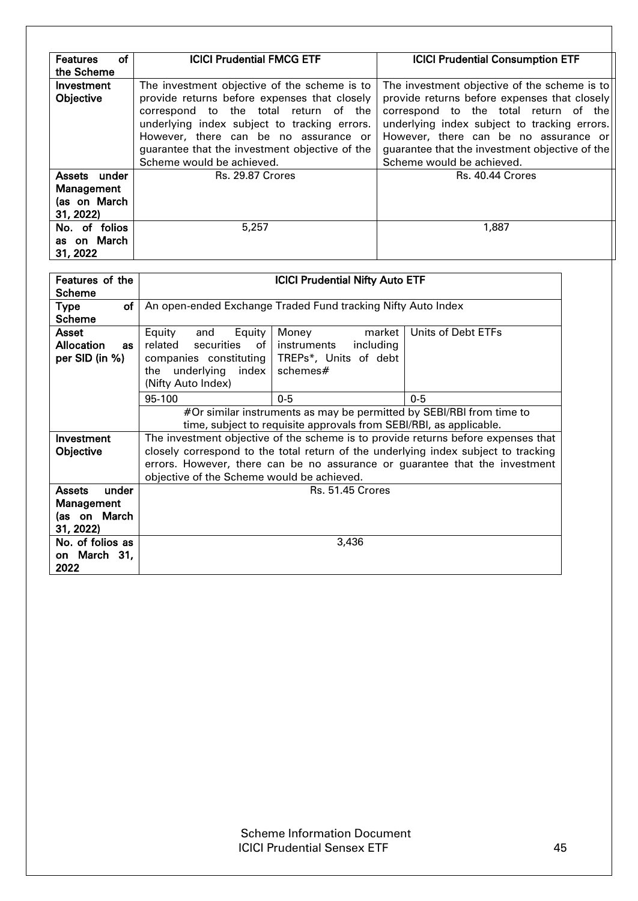| <b>Features</b><br>οf<br>the Scheme                     | <b>ICICI Prudential FMCG ETF</b>                                                                                                                                                                                                                                                                              | <b>ICICI Prudential Consumption ETF</b>                                                                                                                                                                                                                                                                       |
|---------------------------------------------------------|---------------------------------------------------------------------------------------------------------------------------------------------------------------------------------------------------------------------------------------------------------------------------------------------------------------|---------------------------------------------------------------------------------------------------------------------------------------------------------------------------------------------------------------------------------------------------------------------------------------------------------------|
| Investment<br>Objective                                 | The investment objective of the scheme is to<br>provide returns before expenses that closely<br>correspond to the total return of the<br>underlying index subject to tracking errors.<br>However, there can be no assurance or<br>guarantee that the investment objective of the<br>Scheme would be achieved. | The investment objective of the scheme is to<br>provide returns before expenses that closely<br>correspond to the total return of the<br>underlying index subject to tracking errors.<br>However, there can be no assurance or<br>guarantee that the investment objective of the<br>Scheme would be achieved. |
| Assets under<br>Management<br>(as on March<br>31, 2022) | <b>Rs. 29.87 Crores</b>                                                                                                                                                                                                                                                                                       | Rs. 40.44 Crores                                                                                                                                                                                                                                                                                              |
| No. of folios<br>as on March<br>31, 2022                | 5,257                                                                                                                                                                                                                                                                                                         | 1,887                                                                                                                                                                                                                                                                                                         |

| Features of the                |                                            | <b>ICICI Prudential Nifty Auto ETF</b>                               |                                                                                    |
|--------------------------------|--------------------------------------------|----------------------------------------------------------------------|------------------------------------------------------------------------------------|
| <b>Scheme</b>                  |                                            |                                                                      |                                                                                    |
| of <sub>1</sub><br><b>Type</b> |                                            | An open-ended Exchange Traded Fund tracking Nifty Auto Index         |                                                                                    |
| <b>Scheme</b>                  |                                            |                                                                      |                                                                                    |
| <b>Asset</b>                   | Equity<br>Equity<br>and                    | market<br>Money                                                      | Units of Debt ETFs                                                                 |
| <b>Allocation</b><br><b>as</b> | related<br>securities<br>of                | instruments<br>including                                             |                                                                                    |
| per SID (in %)                 | companies constituting                     | TREPs*, Units of debt                                                |                                                                                    |
|                                | underlying<br>index  <br>the               | schemes#                                                             |                                                                                    |
|                                | (Nifty Auto Index)                         |                                                                      |                                                                                    |
|                                | 95-100                                     | $0 - 5$                                                              | $0-5$                                                                              |
|                                |                                            | #Or similar instruments as may be permitted by SEBI/RBI from time to |                                                                                    |
|                                |                                            | time, subject to requisite approvals from SEBI/RBI, as applicable.   |                                                                                    |
| Investment                     |                                            |                                                                      | The investment objective of the scheme is to provide returns before expenses that  |
| Objective                      |                                            |                                                                      | closely correspond to the total return of the underlying index subject to tracking |
|                                |                                            |                                                                      | errors. However, there can be no assurance or guarantee that the investment        |
|                                | objective of the Scheme would be achieved. |                                                                      |                                                                                    |
| <b>Assets</b><br>under         |                                            | <b>Rs. 51.45 Crores</b>                                              |                                                                                    |
| Management                     |                                            |                                                                      |                                                                                    |
| (as on March                   |                                            |                                                                      |                                                                                    |
| 31, 2022)                      |                                            |                                                                      |                                                                                    |
| No. of folios as               |                                            | 3,436                                                                |                                                                                    |
| March 31,<br>on                |                                            |                                                                      |                                                                                    |
| 2022                           |                                            |                                                                      |                                                                                    |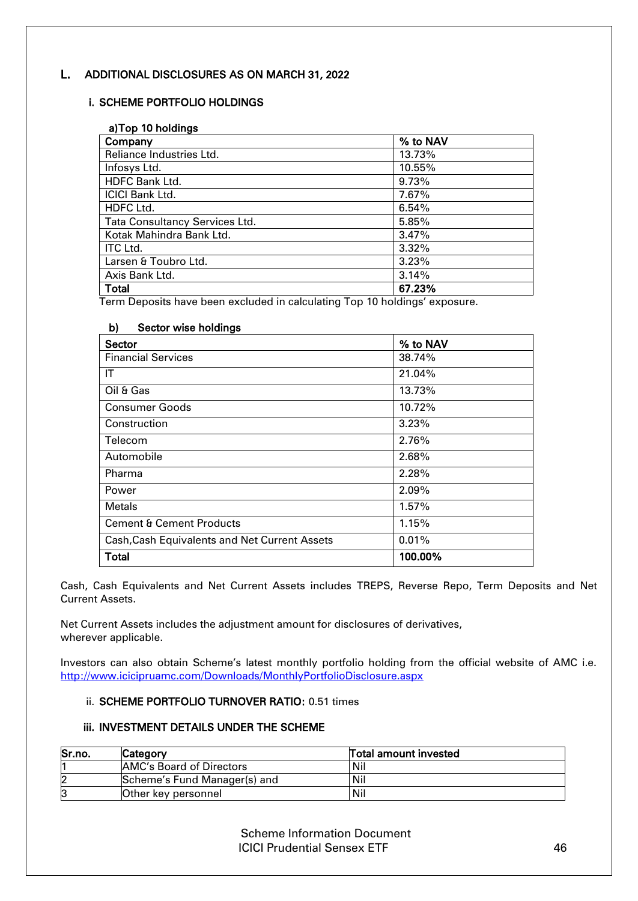# L. ADDITIONAL DISCLOSURES AS ON MARCH 31, 2022

# i. SCHEME PORTFOLIO HOLDINGS

| a) Top 10 holdings             |          |  |
|--------------------------------|----------|--|
| Company                        | % to NAV |  |
| Reliance Industries Ltd.       | 13.73%   |  |
| Infosys Ltd.                   | 10.55%   |  |
| <b>HDFC Bank Ltd.</b>          | 9.73%    |  |
| <b>ICICI Bank Ltd.</b>         | 7.67%    |  |
| HDFC Ltd.                      | 6.54%    |  |
| Tata Consultancy Services Ltd. | 5.85%    |  |
| Kotak Mahindra Bank Ltd.       | 3.47%    |  |
| ITC Ltd.                       | $3.32\%$ |  |
| Larsen & Toubro Ltd.           | 3.23%    |  |
| Axis Bank Ltd.                 | 3.14%    |  |
| Total                          | 67.23%   |  |

Term Deposits have been excluded in calculating Top 10 holdings' exposure.

# b) Sector wise holdings

| <b>Sector</b>                                 | % to NAV |
|-----------------------------------------------|----------|
| <b>Financial Services</b>                     | 38.74%   |
| IT                                            | 21.04%   |
| Oil & Gas                                     | 13.73%   |
| <b>Consumer Goods</b>                         | 10.72%   |
| Construction                                  | 3.23%    |
| Telecom                                       | 2.76%    |
| Automobile                                    | 2.68%    |
| Pharma                                        | 2.28%    |
| Power                                         | 2.09%    |
| <b>Metals</b>                                 | $1.57\%$ |
| <b>Cement &amp; Cement Products</b>           | 1.15%    |
| Cash, Cash Equivalents and Net Current Assets | 0.01%    |
| <b>Total</b>                                  | 100.00%  |

Cash, Cash Equivalents and Net Current Assets includes TREPS, Reverse Repo, Term Deposits and Net Current Assets.

Net Current Assets includes the adjustment amount for disclosures of derivatives, wherever applicable.

Investors can also obtain Scheme's latest monthly portfolio holding from the official website of AMC i.e. <http://www.icicipruamc.com/Downloads/MonthlyPortfolioDisclosure.aspx>

# ii. SCHEME PORTFOLIO TURNOVER RATIO: 0.51 times

#### iii. INVESTMENT DETAILS UNDER THE SCHEME

| Sr.no. | Category                        | <b>Total amount invested</b> |
|--------|---------------------------------|------------------------------|
|        | <b>AMC's Board of Directors</b> | Nil                          |
| 2      | Scheme's Fund Manager(s) and    | Nil                          |
| 3      | Other key personnel             | Nil                          |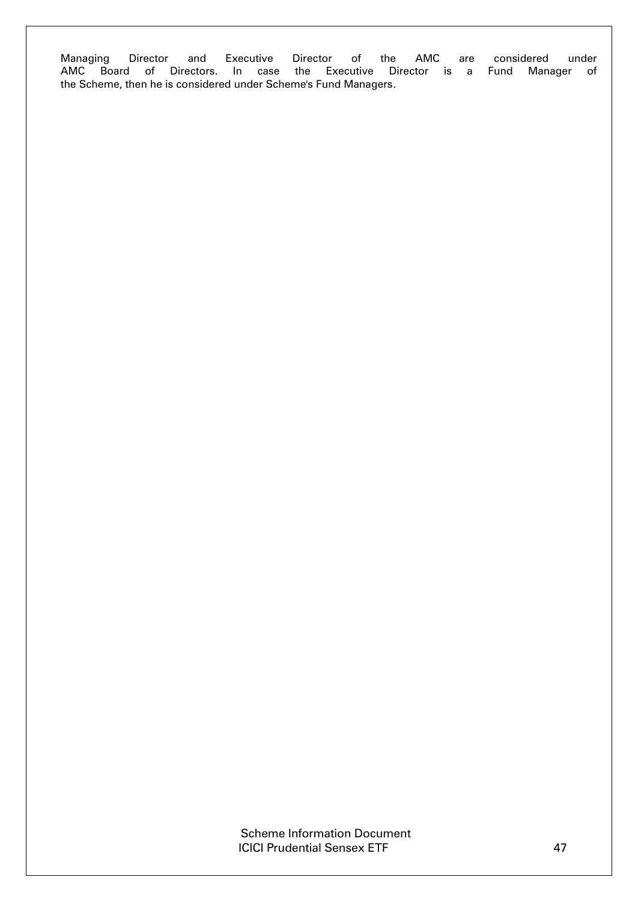Managing Director and Executive Director of the AMC are considered under<br>AMC Board of Directors. In case the Executive Director is a Fund Manager of Board of Directors. In case the Executive Director is a the Scheme, then he is considered under Scheme's Fund Managers.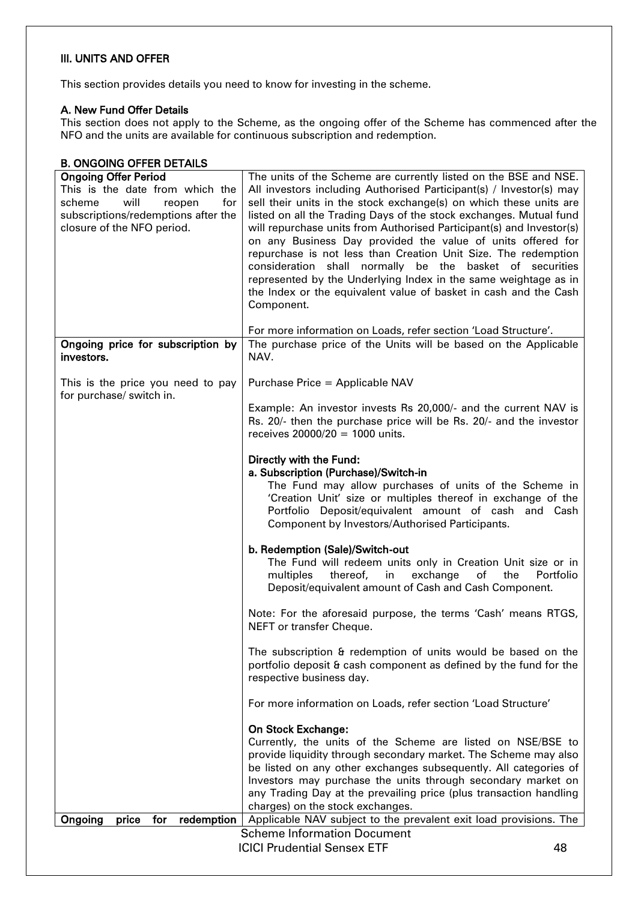### III. UNITS AND OFFER

This section provides details you need to know for investing in the scheme.

#### A. New Fund Offer Details

This section does not apply to the Scheme, as the ongoing offer of the Scheme has commenced after the NFO and the units are available for continuous subscription and redemption.

| <b>B. ONGOING OFFER DETAILS</b>                               |                                                                                                                                    |
|---------------------------------------------------------------|------------------------------------------------------------------------------------------------------------------------------------|
| <b>Ongoing Offer Period</b>                                   | The units of the Scheme are currently listed on the BSE and NSE.                                                                   |
| This is the date from which the                               | All investors including Authorised Participant(s) / Investor(s) may                                                                |
| will<br>scheme<br>for<br>reopen                               | sell their units in the stock exchange(s) on which these units are                                                                 |
| subscriptions/redemptions after the                           | listed on all the Trading Days of the stock exchanges. Mutual fund                                                                 |
| closure of the NFO period.                                    | will repurchase units from Authorised Participant(s) and Investor(s)                                                               |
|                                                               | on any Business Day provided the value of units offered for                                                                        |
|                                                               | repurchase is not less than Creation Unit Size. The redemption                                                                     |
|                                                               | consideration shall normally be the basket of securities<br>represented by the Underlying Index in the same weightage as in        |
|                                                               | the Index or the equivalent value of basket in cash and the Cash                                                                   |
|                                                               | Component.                                                                                                                         |
|                                                               |                                                                                                                                    |
|                                                               | For more information on Loads, refer section 'Load Structure'.                                                                     |
| Ongoing price for subscription by                             | The purchase price of the Units will be based on the Applicable                                                                    |
| investors.                                                    | NAV.                                                                                                                               |
|                                                               |                                                                                                                                    |
| This is the price you need to pay<br>for purchase/ switch in. | Purchase Price = Applicable NAV                                                                                                    |
|                                                               | Example: An investor invests Rs 20,000/- and the current NAV is                                                                    |
|                                                               | Rs. 20/- then the purchase price will be Rs. 20/- and the investor                                                                 |
|                                                               | receives $20000/20 = 1000$ units.                                                                                                  |
|                                                               |                                                                                                                                    |
|                                                               | Directly with the Fund:                                                                                                            |
|                                                               | a. Subscription (Purchase)/Switch-in<br>The Fund may allow purchases of units of the Scheme in                                     |
|                                                               | 'Creation Unit' size or multiples thereof in exchange of the                                                                       |
|                                                               | Portfolio Deposit/equivalent amount of cash and Cash                                                                               |
|                                                               | Component by Investors/Authorised Participants.                                                                                    |
|                                                               | b. Redemption (Sale)/Switch-out                                                                                                    |
|                                                               | The Fund will redeem units only in Creation Unit size or in                                                                        |
|                                                               | thereof,<br>exchange<br>the<br>Portfolio<br>multiples<br>in<br>of                                                                  |
|                                                               | Deposit/equivalent amount of Cash and Cash Component.                                                                              |
|                                                               |                                                                                                                                    |
|                                                               | Note: For the aforesaid purpose, the terms 'Cash' means RTGS,                                                                      |
|                                                               | NEFT or transfer Cheque.                                                                                                           |
|                                                               | The subscription & redemption of units would be based on the                                                                       |
|                                                               | portfolio deposit & cash component as defined by the fund for the                                                                  |
|                                                               | respective business day.                                                                                                           |
|                                                               |                                                                                                                                    |
|                                                               | For more information on Loads, refer section 'Load Structure'                                                                      |
|                                                               | On Stock Exchange:                                                                                                                 |
|                                                               | Currently, the units of the Scheme are listed on NSE/BSE to                                                                        |
|                                                               | provide liquidity through secondary market. The Scheme may also                                                                    |
|                                                               | be listed on any other exchanges subsequently. All categories of                                                                   |
|                                                               | Investors may purchase the units through secondary market on<br>any Trading Day at the prevailing price (plus transaction handling |
|                                                               | charges) on the stock exchanges.                                                                                                   |
| Ongoing<br>for<br>redemption<br>price                         | Applicable NAV subject to the prevalent exit load provisions. The                                                                  |
|                                                               | <b>Scheme Information Document</b>                                                                                                 |
|                                                               | <b>ICICI Prudential Sensex ETF</b><br>48                                                                                           |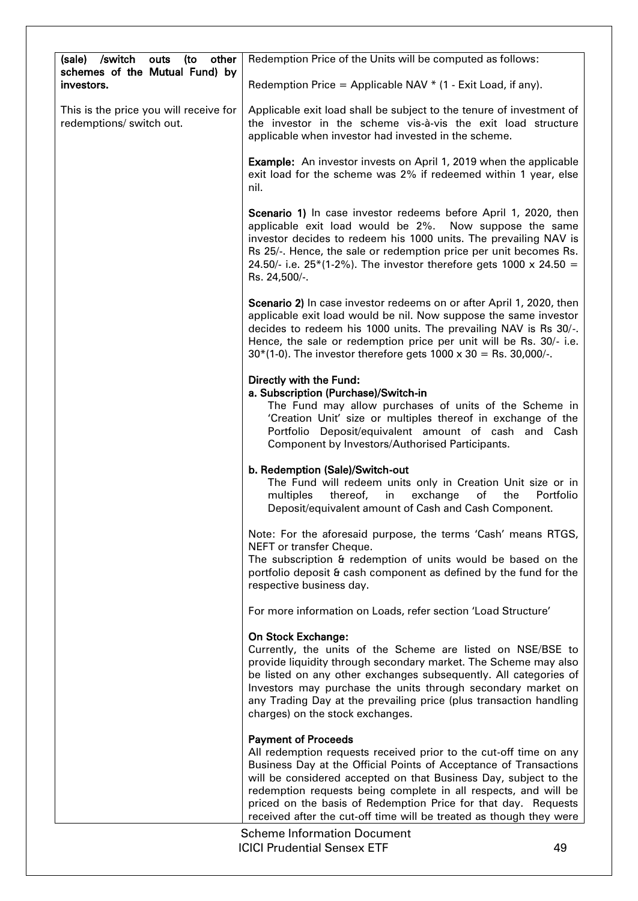| (sale)<br>/switch<br>other<br>outs<br>(to                          | Redemption Price of the Units will be computed as follows:                                                                                                                                                                                                                                                                                                                                                                                           |           |
|--------------------------------------------------------------------|------------------------------------------------------------------------------------------------------------------------------------------------------------------------------------------------------------------------------------------------------------------------------------------------------------------------------------------------------------------------------------------------------------------------------------------------------|-----------|
| schemes of the Mutual Fund) by<br>investors.                       | Redemption Price = Applicable NAV $*$ (1 - Exit Load, if any).                                                                                                                                                                                                                                                                                                                                                                                       |           |
| This is the price you will receive for<br>redemptions/ switch out. | Applicable exit load shall be subject to the tenure of investment of<br>the investor in the scheme vis-à-vis the exit load structure<br>applicable when investor had invested in the scheme.                                                                                                                                                                                                                                                         |           |
|                                                                    | <b>Example:</b> An investor invests on April 1, 2019 when the applicable<br>exit load for the scheme was 2% if redeemed within 1 year, else<br>nil.                                                                                                                                                                                                                                                                                                  |           |
|                                                                    | Scenario 1) In case investor redeems before April 1, 2020, then<br>applicable exit load would be 2%.<br>Now suppose the same<br>investor decides to redeem his 1000 units. The prevailing NAV is<br>Rs 25/-. Hence, the sale or redemption price per unit becomes Rs.<br>24.50/- i.e. 25*(1-2%). The investor therefore gets 1000 x 24.50 =<br>Rs. 24,500/-.                                                                                         |           |
|                                                                    | Scenario 2) In case investor redeems on or after April 1, 2020, then<br>applicable exit load would be nil. Now suppose the same investor<br>decides to redeem his 1000 units. The prevailing NAV is Rs 30/-.<br>Hence, the sale or redemption price per unit will be Rs. 30/- i.e.<br>$30*(1-0)$ . The investor therefore gets 1000 x 30 = Rs. 30,000/-.                                                                                             |           |
|                                                                    | Directly with the Fund:<br>a. Subscription (Purchase)/Switch-in<br>The Fund may allow purchases of units of the Scheme in<br>'Creation Unit' size or multiples thereof in exchange of the<br>Portfolio Deposit/equivalent amount of cash and Cash<br>Component by Investors/Authorised Participants.                                                                                                                                                 |           |
|                                                                    | b. Redemption (Sale)/Switch-out<br>The Fund will redeem units only in Creation Unit size or in<br>multiples<br>thereof,<br>exchange<br>the<br>in<br>of<br>Deposit/equivalent amount of Cash and Cash Component.                                                                                                                                                                                                                                      | Portfolio |
|                                                                    | Note: For the aforesaid purpose, the terms 'Cash' means RTGS,                                                                                                                                                                                                                                                                                                                                                                                        |           |
|                                                                    | NEFT or transfer Cheque.<br>The subscription & redemption of units would be based on the<br>portfolio deposit & cash component as defined by the fund for the<br>respective business day.                                                                                                                                                                                                                                                            |           |
|                                                                    | For more information on Loads, refer section 'Load Structure'                                                                                                                                                                                                                                                                                                                                                                                        |           |
|                                                                    | On Stock Exchange:<br>Currently, the units of the Scheme are listed on NSE/BSE to<br>provide liquidity through secondary market. The Scheme may also<br>be listed on any other exchanges subsequently. All categories of<br>Investors may purchase the units through secondary market on<br>any Trading Day at the prevailing price (plus transaction handling<br>charges) on the stock exchanges.                                                   |           |
|                                                                    | <b>Payment of Proceeds</b><br>All redemption requests received prior to the cut-off time on any<br>Business Day at the Official Points of Acceptance of Transactions<br>will be considered accepted on that Business Day, subject to the<br>redemption requests being complete in all respects, and will be<br>priced on the basis of Redemption Price for that day. Requests<br>received after the cut-off time will be treated as though they were |           |
|                                                                    | <b>Scheme Information Document</b><br><b>ICICI Prudential Sensex ETF</b>                                                                                                                                                                                                                                                                                                                                                                             | 49        |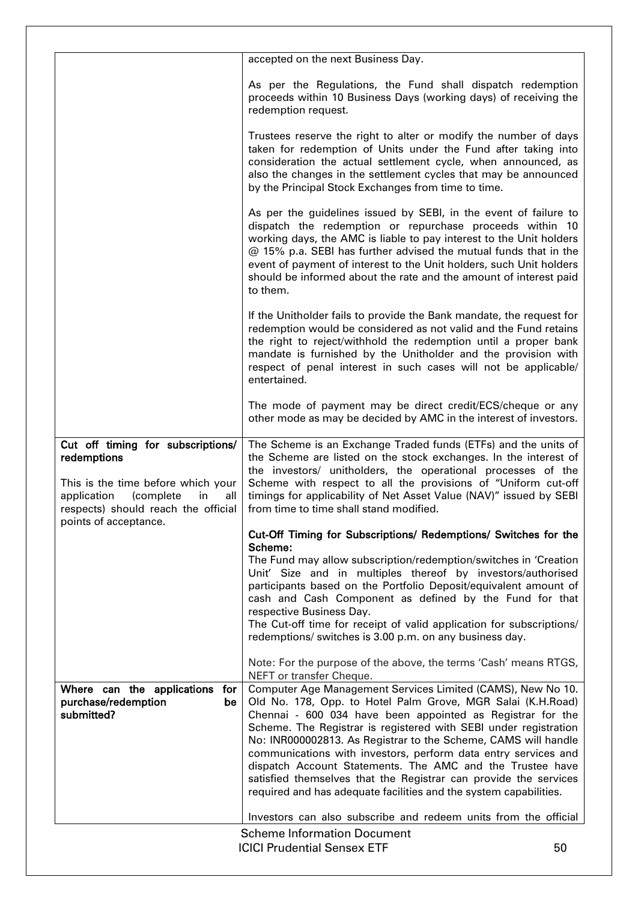|                                                                                                                                                                                                 | accepted on the next Business Day.                                                                                                                                                                                                                                                                                                                                                                                                                                                                                                                                                                     |    |
|-------------------------------------------------------------------------------------------------------------------------------------------------------------------------------------------------|--------------------------------------------------------------------------------------------------------------------------------------------------------------------------------------------------------------------------------------------------------------------------------------------------------------------------------------------------------------------------------------------------------------------------------------------------------------------------------------------------------------------------------------------------------------------------------------------------------|----|
|                                                                                                                                                                                                 | As per the Regulations, the Fund shall dispatch redemption<br>proceeds within 10 Business Days (working days) of receiving the<br>redemption request.                                                                                                                                                                                                                                                                                                                                                                                                                                                  |    |
|                                                                                                                                                                                                 | Trustees reserve the right to alter or modify the number of days<br>taken for redemption of Units under the Fund after taking into<br>consideration the actual settlement cycle, when announced, as<br>also the changes in the settlement cycles that may be announced<br>by the Principal Stock Exchanges from time to time.                                                                                                                                                                                                                                                                          |    |
|                                                                                                                                                                                                 | As per the guidelines issued by SEBI, in the event of failure to<br>dispatch the redemption or repurchase proceeds within 10<br>working days, the AMC is liable to pay interest to the Unit holders<br>@ 15% p.a. SEBI has further advised the mutual funds that in the<br>event of payment of interest to the Unit holders, such Unit holders<br>should be informed about the rate and the amount of interest paid<br>to them.                                                                                                                                                                        |    |
|                                                                                                                                                                                                 | If the Unitholder fails to provide the Bank mandate, the request for<br>redemption would be considered as not valid and the Fund retains<br>the right to reject/withhold the redemption until a proper bank<br>mandate is furnished by the Unitholder and the provision with<br>respect of penal interest in such cases will not be applicable/<br>entertained.                                                                                                                                                                                                                                        |    |
|                                                                                                                                                                                                 | The mode of payment may be direct credit/ECS/cheque or any<br>other mode as may be decided by AMC in the interest of investors.                                                                                                                                                                                                                                                                                                                                                                                                                                                                        |    |
| Cut off timing for subscriptions/<br>redemptions<br>This is the time before which your<br>application<br>(complete<br>in<br>all<br>respects) should reach the official<br>points of acceptance. | The Scheme is an Exchange Traded funds (ETFs) and the units of<br>the Scheme are listed on the stock exchanges. In the interest of<br>the investors/ unitholders, the operational processes of the<br>Scheme with respect to all the provisions of "Uniform cut-off<br>timings for applicability of Net Asset Value (NAV)" issued by SEBI<br>from time to time shall stand modified.                                                                                                                                                                                                                   |    |
|                                                                                                                                                                                                 | Cut-Off Timing for Subscriptions/ Redemptions/ Switches for the                                                                                                                                                                                                                                                                                                                                                                                                                                                                                                                                        |    |
|                                                                                                                                                                                                 | Scheme:<br>The Fund may allow subscription/redemption/switches in 'Creation<br>Unit' Size and in multiples thereof by investors/authorised<br>participants based on the Portfolio Deposit/equivalent amount of<br>cash and Cash Component as defined by the Fund for that<br>respective Business Day.<br>The Cut-off time for receipt of valid application for subscriptions/<br>redemptions/ switches is 3.00 p.m. on any business day.                                                                                                                                                               |    |
|                                                                                                                                                                                                 | Note: For the purpose of the above, the terms 'Cash' means RTGS,<br>NEFT or transfer Cheque.                                                                                                                                                                                                                                                                                                                                                                                                                                                                                                           |    |
| Where can the applications for<br>purchase/redemption<br>be<br>submitted?                                                                                                                       | Computer Age Management Services Limited (CAMS), New No 10.<br>Old No. 178, Opp. to Hotel Palm Grove, MGR Salai (K.H.Road)<br>Chennai - 600 034 have been appointed as Registrar for the<br>Scheme. The Registrar is registered with SEBI under registration<br>No: INR000002813. As Registrar to the Scheme, CAMS will handle<br>communications with investors, perform data entry services and<br>dispatch Account Statements. The AMC and the Trustee have<br>satisfied themselves that the Registrar can provide the services<br>required and has adequate facilities and the system capabilities. |    |
|                                                                                                                                                                                                 | Investors can also subscribe and redeem units from the official                                                                                                                                                                                                                                                                                                                                                                                                                                                                                                                                        |    |
|                                                                                                                                                                                                 | <b>Scheme Information Document</b><br><b>ICICI Prudential Sensex ETF</b>                                                                                                                                                                                                                                                                                                                                                                                                                                                                                                                               | 50 |
|                                                                                                                                                                                                 |                                                                                                                                                                                                                                                                                                                                                                                                                                                                                                                                                                                                        |    |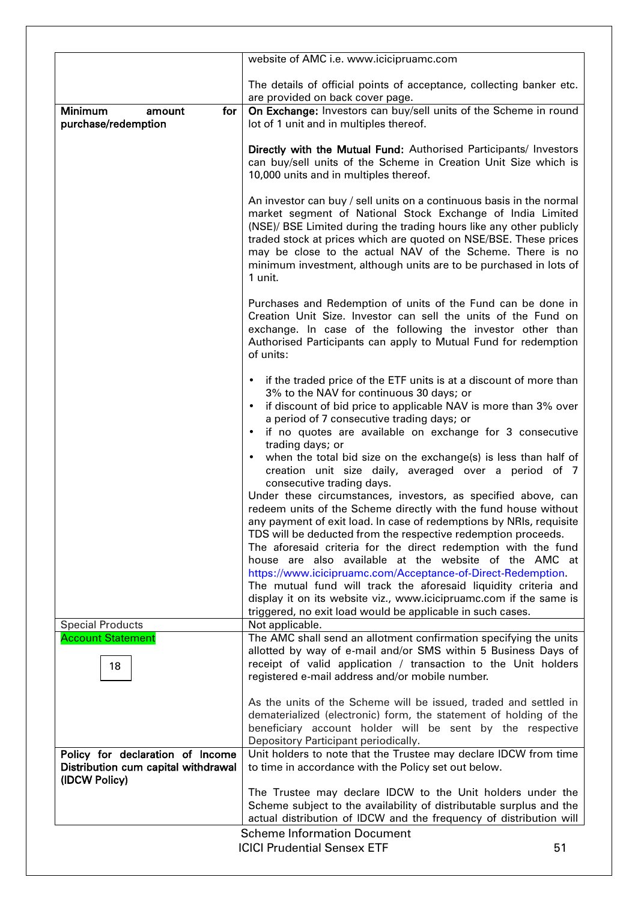|                                                                                          | website of AMC i.e. www.icicipruamc.com                                                                                                                                                                                                                                                                                                                                                                                                                                                                                                                                                                                                                                                                                                                                                                                                          |
|------------------------------------------------------------------------------------------|--------------------------------------------------------------------------------------------------------------------------------------------------------------------------------------------------------------------------------------------------------------------------------------------------------------------------------------------------------------------------------------------------------------------------------------------------------------------------------------------------------------------------------------------------------------------------------------------------------------------------------------------------------------------------------------------------------------------------------------------------------------------------------------------------------------------------------------------------|
|                                                                                          |                                                                                                                                                                                                                                                                                                                                                                                                                                                                                                                                                                                                                                                                                                                                                                                                                                                  |
|                                                                                          | The details of official points of acceptance, collecting banker etc.<br>are provided on back cover page.                                                                                                                                                                                                                                                                                                                                                                                                                                                                                                                                                                                                                                                                                                                                         |
| <b>Minimum</b><br>for<br>amount<br>purchase/redemption                                   | On Exchange: Investors can buy/sell units of the Scheme in round<br>lot of 1 unit and in multiples thereof.                                                                                                                                                                                                                                                                                                                                                                                                                                                                                                                                                                                                                                                                                                                                      |
|                                                                                          | Directly with the Mutual Fund: Authorised Participants/ Investors<br>can buy/sell units of the Scheme in Creation Unit Size which is<br>10,000 units and in multiples thereof.                                                                                                                                                                                                                                                                                                                                                                                                                                                                                                                                                                                                                                                                   |
|                                                                                          | An investor can buy / sell units on a continuous basis in the normal<br>market segment of National Stock Exchange of India Limited<br>(NSE)/ BSE Limited during the trading hours like any other publicly<br>traded stock at prices which are quoted on NSE/BSE. These prices<br>may be close to the actual NAV of the Scheme. There is no<br>minimum investment, although units are to be purchased in lots of<br>1 unit.                                                                                                                                                                                                                                                                                                                                                                                                                       |
|                                                                                          | Purchases and Redemption of units of the Fund can be done in<br>Creation Unit Size. Investor can sell the units of the Fund on<br>exchange. In case of the following the investor other than<br>Authorised Participants can apply to Mutual Fund for redemption<br>of units:                                                                                                                                                                                                                                                                                                                                                                                                                                                                                                                                                                     |
|                                                                                          | if the traded price of the ETF units is at a discount of more than<br>$\bullet$<br>3% to the NAV for continuous 30 days; or<br>if discount of bid price to applicable NAV is more than 3% over<br>$\bullet$<br>a period of 7 consecutive trading days; or<br>if no quotes are available on exchange for 3 consecutive<br>$\bullet$<br>trading days; or                                                                                                                                                                                                                                                                                                                                                                                                                                                                                           |
|                                                                                          | when the total bid size on the exchange(s) is less than half of<br>$\bullet$<br>creation unit size daily, averaged over a period of 7<br>consecutive trading days.<br>Under these circumstances, investors, as specified above, can<br>redeem units of the Scheme directly with the fund house without<br>any payment of exit load. In case of redemptions by NRIs, requisite<br>TDS will be deducted from the respective redemption proceeds.<br>The aforesaid criteria for the direct redemption with the fund<br>house are also available at the website of the AMC at<br>https://www.icicipruamc.com/Acceptance-of-Direct-Redemption.<br>The mutual fund will track the aforesaid liquidity criteria and<br>display it on its website viz., www.icicipruamc.com if the same is<br>triggered, no exit load would be applicable in such cases. |
| <b>Special Products</b><br><b>Account Statement</b>                                      | Not applicable.<br>The AMC shall send an allotment confirmation specifying the units                                                                                                                                                                                                                                                                                                                                                                                                                                                                                                                                                                                                                                                                                                                                                             |
| 18                                                                                       | allotted by way of e-mail and/or SMS within 5 Business Days of<br>receipt of valid application / transaction to the Unit holders<br>registered e-mail address and/or mobile number.                                                                                                                                                                                                                                                                                                                                                                                                                                                                                                                                                                                                                                                              |
|                                                                                          | As the units of the Scheme will be issued, traded and settled in<br>dematerialized (electronic) form, the statement of holding of the<br>beneficiary account holder will be sent by the respective<br>Depository Participant periodically.                                                                                                                                                                                                                                                                                                                                                                                                                                                                                                                                                                                                       |
| Policy for declaration of Income<br>Distribution cum capital withdrawal<br>(IDCW Policy) | Unit holders to note that the Trustee may declare IDCW from time<br>to time in accordance with the Policy set out below.                                                                                                                                                                                                                                                                                                                                                                                                                                                                                                                                                                                                                                                                                                                         |
|                                                                                          | The Trustee may declare IDCW to the Unit holders under the<br>Scheme subject to the availability of distributable surplus and the<br>actual distribution of IDCW and the frequency of distribution will                                                                                                                                                                                                                                                                                                                                                                                                                                                                                                                                                                                                                                          |
|                                                                                          | <b>Scheme Information Document</b>                                                                                                                                                                                                                                                                                                                                                                                                                                                                                                                                                                                                                                                                                                                                                                                                               |
|                                                                                          | <b>ICICI Prudential Sensex ETF</b><br>51                                                                                                                                                                                                                                                                                                                                                                                                                                                                                                                                                                                                                                                                                                                                                                                                         |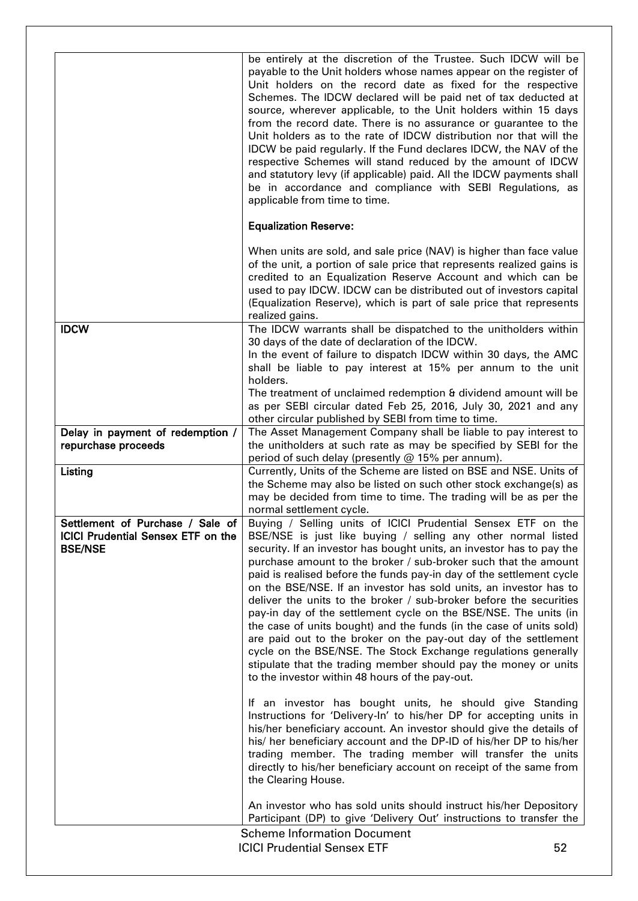|                                                                                                 | be entirely at the discretion of the Trustee. Such IDCW will be<br>payable to the Unit holders whose names appear on the register of<br>Unit holders on the record date as fixed for the respective<br>Schemes. The IDCW declared will be paid net of tax deducted at<br>source, wherever applicable, to the Unit holders within 15 days<br>from the record date. There is no assurance or guarantee to the<br>Unit holders as to the rate of IDCW distribution nor that will the<br>IDCW be paid regularly. If the Fund declares IDCW, the NAV of the<br>respective Schemes will stand reduced by the amount of IDCW<br>and statutory levy (if applicable) paid. All the IDCW payments shall<br>be in accordance and compliance with SEBI Regulations, as<br>applicable from time to time.                                                                                                        |    |
|-------------------------------------------------------------------------------------------------|----------------------------------------------------------------------------------------------------------------------------------------------------------------------------------------------------------------------------------------------------------------------------------------------------------------------------------------------------------------------------------------------------------------------------------------------------------------------------------------------------------------------------------------------------------------------------------------------------------------------------------------------------------------------------------------------------------------------------------------------------------------------------------------------------------------------------------------------------------------------------------------------------|----|
|                                                                                                 | <b>Equalization Reserve:</b>                                                                                                                                                                                                                                                                                                                                                                                                                                                                                                                                                                                                                                                                                                                                                                                                                                                                       |    |
|                                                                                                 | When units are sold, and sale price (NAV) is higher than face value<br>of the unit, a portion of sale price that represents realized gains is<br>credited to an Equalization Reserve Account and which can be<br>used to pay IDCW. IDCW can be distributed out of investors capital<br>(Equalization Reserve), which is part of sale price that represents<br>realized gains.                                                                                                                                                                                                                                                                                                                                                                                                                                                                                                                      |    |
| <b>IDCW</b>                                                                                     | The IDCW warrants shall be dispatched to the unitholders within<br>30 days of the date of declaration of the IDCW.<br>In the event of failure to dispatch IDCW within 30 days, the AMC<br>shall be liable to pay interest at 15% per annum to the unit<br>holders.                                                                                                                                                                                                                                                                                                                                                                                                                                                                                                                                                                                                                                 |    |
|                                                                                                 | The treatment of unclaimed redemption & dividend amount will be<br>as per SEBI circular dated Feb 25, 2016, July 30, 2021 and any                                                                                                                                                                                                                                                                                                                                                                                                                                                                                                                                                                                                                                                                                                                                                                  |    |
| Delay in payment of redemption /<br>repurchase proceeds                                         | other circular published by SEBI from time to time.<br>The Asset Management Company shall be liable to pay interest to<br>the unitholders at such rate as may be specified by SEBI for the<br>period of such delay (presently $@$ 15% per annum).                                                                                                                                                                                                                                                                                                                                                                                                                                                                                                                                                                                                                                                  |    |
| Listing                                                                                         | Currently, Units of the Scheme are listed on BSE and NSE. Units of<br>the Scheme may also be listed on such other stock exchange(s) as<br>may be decided from time to time. The trading will be as per the<br>normal settlement cycle.                                                                                                                                                                                                                                                                                                                                                                                                                                                                                                                                                                                                                                                             |    |
| Settlement of Purchase / Sale of<br><b>ICICI Prudential Sensex ETF on the</b><br><b>BSE/NSE</b> | Buying / Selling units of ICICI Prudential Sensex ETF on the<br>BSE/NSE is just like buying / selling any other normal listed<br>security. If an investor has bought units, an investor has to pay the<br>purchase amount to the broker / sub-broker such that the amount<br>paid is realised before the funds pay-in day of the settlement cycle<br>on the BSE/NSE. If an investor has sold units, an investor has to<br>deliver the units to the broker / sub-broker before the securities<br>pay-in day of the settlement cycle on the BSE/NSE. The units (in<br>the case of units bought) and the funds (in the case of units sold)<br>are paid out to the broker on the pay-out day of the settlement<br>cycle on the BSE/NSE. The Stock Exchange regulations generally<br>stipulate that the trading member should pay the money or units<br>to the investor within 48 hours of the pay-out. |    |
|                                                                                                 | If an investor has bought units, he should give Standing<br>Instructions for 'Delivery-In' to his/her DP for accepting units in<br>his/her beneficiary account. An investor should give the details of<br>his/ her beneficiary account and the DP-ID of his/her DP to his/her<br>trading member. The trading member will transfer the units<br>directly to his/her beneficiary account on receipt of the same from<br>the Clearing House.                                                                                                                                                                                                                                                                                                                                                                                                                                                          |    |
|                                                                                                 | An investor who has sold units should instruct his/her Depository<br>Participant (DP) to give 'Delivery Out' instructions to transfer the                                                                                                                                                                                                                                                                                                                                                                                                                                                                                                                                                                                                                                                                                                                                                          |    |
|                                                                                                 | <b>Scheme Information Document</b><br><b>ICICI Prudential Sensex ETF</b>                                                                                                                                                                                                                                                                                                                                                                                                                                                                                                                                                                                                                                                                                                                                                                                                                           | 52 |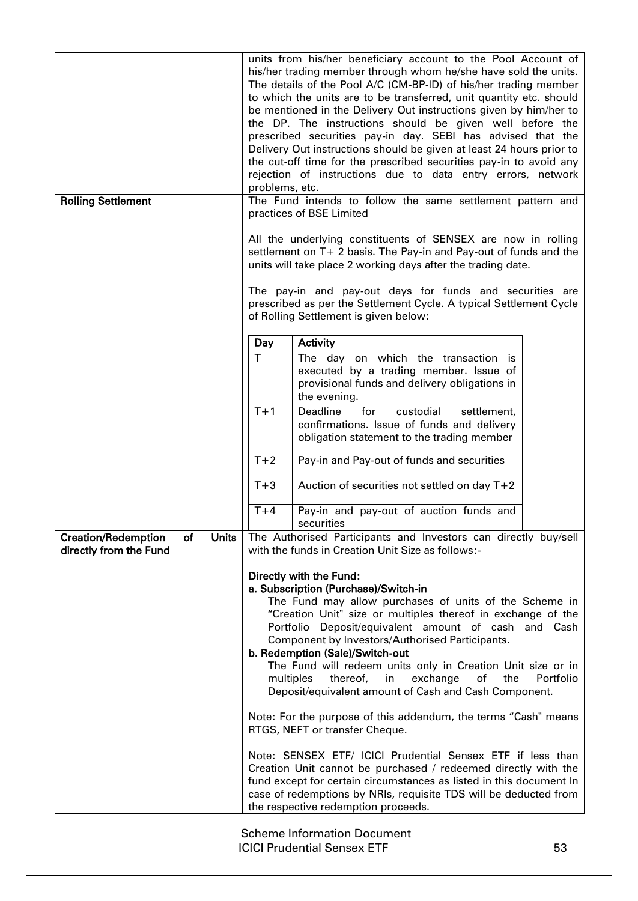| <b>Rolling Settlement</b>                                                  | problems, etc.     | units from his/her beneficiary account to the Pool Account of<br>his/her trading member through whom he/she have sold the units.<br>The details of the Pool A/C (CM-BP-ID) of his/her trading member<br>to which the units are to be transferred, unit quantity etc. should<br>be mentioned in the Delivery Out instructions given by him/her to<br>the DP. The instructions should be given well before the<br>prescribed securities pay-in day. SEBI has advised that the<br>Delivery Out instructions should be given at least 24 hours prior to<br>the cut-off time for the prescribed securities pay-in to avoid any<br>rejection of instructions due to data entry errors, network<br>The Fund intends to follow the same settlement pattern and<br>practices of BSE Limited<br>All the underlying constituents of SENSEX are now in rolling<br>settlement on T+ 2 basis. The Pay-in and Pay-out of funds and the<br>units will take place 2 working days after the trading date.<br>The pay-in and pay-out days for funds and securities are<br>prescribed as per the Settlement Cycle. A typical Settlement Cycle<br>of Rolling Settlement is given below: |
|----------------------------------------------------------------------------|--------------------|--------------------------------------------------------------------------------------------------------------------------------------------------------------------------------------------------------------------------------------------------------------------------------------------------------------------------------------------------------------------------------------------------------------------------------------------------------------------------------------------------------------------------------------------------------------------------------------------------------------------------------------------------------------------------------------------------------------------------------------------------------------------------------------------------------------------------------------------------------------------------------------------------------------------------------------------------------------------------------------------------------------------------------------------------------------------------------------------------------------------------------------------------------------------|
|                                                                            | Day<br>$\mathsf T$ | Activity                                                                                                                                                                                                                                                                                                                                                                                                                                                                                                                                                                                                                                                                                                                                                                                                                                                                                                                                                                                                                                                                                                                                                           |
|                                                                            |                    | The day on which the transaction is<br>executed by a trading member. Issue of<br>provisional funds and delivery obligations in<br>the evening.                                                                                                                                                                                                                                                                                                                                                                                                                                                                                                                                                                                                                                                                                                                                                                                                                                                                                                                                                                                                                     |
|                                                                            | $T+1$              | custodial<br>Deadline<br>for<br>settlement,<br>confirmations. Issue of funds and delivery<br>obligation statement to the trading member                                                                                                                                                                                                                                                                                                                                                                                                                                                                                                                                                                                                                                                                                                                                                                                                                                                                                                                                                                                                                            |
|                                                                            | $T+2$              | Pay-in and Pay-out of funds and securities                                                                                                                                                                                                                                                                                                                                                                                                                                                                                                                                                                                                                                                                                                                                                                                                                                                                                                                                                                                                                                                                                                                         |
|                                                                            | $T+3$              | Auction of securities not settled on day T+2                                                                                                                                                                                                                                                                                                                                                                                                                                                                                                                                                                                                                                                                                                                                                                                                                                                                                                                                                                                                                                                                                                                       |
|                                                                            | $T+4$              | Pay-in and pay-out of auction funds and<br>securities                                                                                                                                                                                                                                                                                                                                                                                                                                                                                                                                                                                                                                                                                                                                                                                                                                                                                                                                                                                                                                                                                                              |
| <b>Units</b><br><b>Creation/Redemption</b><br>of<br>directly from the Fund |                    | The Authorised Participants and Investors can directly buy/sell<br>with the funds in Creation Unit Size as follows:-                                                                                                                                                                                                                                                                                                                                                                                                                                                                                                                                                                                                                                                                                                                                                                                                                                                                                                                                                                                                                                               |
|                                                                            | multiples          | Directly with the Fund:<br>a. Subscription (Purchase)/Switch-in<br>The Fund may allow purchases of units of the Scheme in<br>"Creation Unit" size or multiples thereof in exchange of the<br>Portfolio Deposit/equivalent amount of cash and Cash<br>Component by Investors/Authorised Participants.<br>b. Redemption (Sale)/Switch-out<br>The Fund will redeem units only in Creation Unit size or in<br>exchange<br>thereof,<br>in<br>of<br>the<br>Portfolio<br>Deposit/equivalent amount of Cash and Cash Component.<br>Note: For the purpose of this addendum, the terms "Cash" means<br>RTGS, NEFT or transfer Cheque.<br>Note: SENSEX ETF/ ICICI Prudential Sensex ETF if less than<br>Creation Unit cannot be purchased / redeemed directly with the<br>fund except for certain circumstances as listed in this document In<br>case of redemptions by NRIs, requisite TDS will be deducted from<br>the respective redemption proceeds.                                                                                                                                                                                                                      |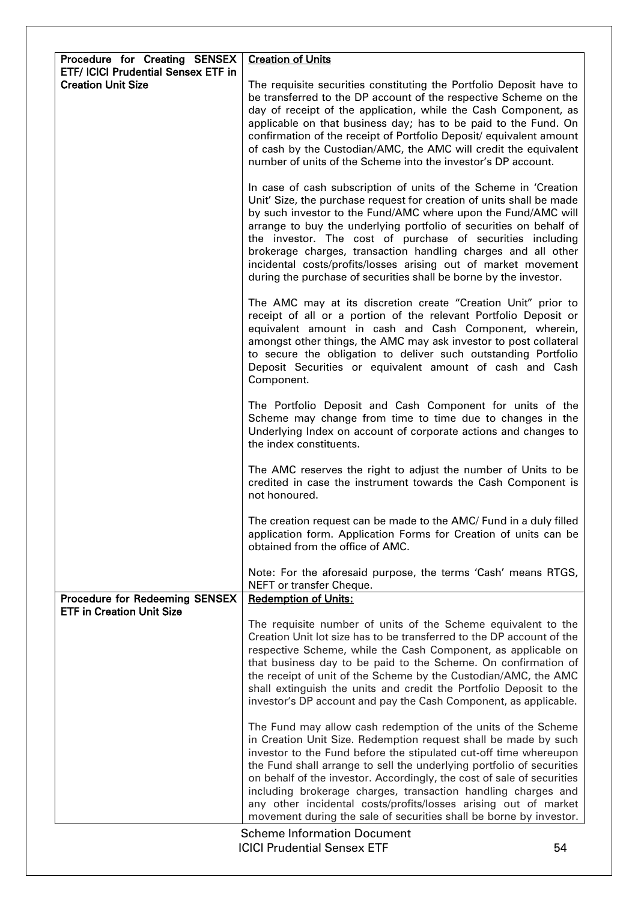| Procedure for Creating SENSEX                                             | <b>Creation of Units</b>                                                                                                                                                                                                                                                                                                                                                                                                                                                                                                                                           |    |
|---------------------------------------------------------------------------|--------------------------------------------------------------------------------------------------------------------------------------------------------------------------------------------------------------------------------------------------------------------------------------------------------------------------------------------------------------------------------------------------------------------------------------------------------------------------------------------------------------------------------------------------------------------|----|
| <b>ETF/ ICICI Prudential Sensex ETF in</b><br><b>Creation Unit Size</b>   | The requisite securities constituting the Portfolio Deposit have to<br>be transferred to the DP account of the respective Scheme on the<br>day of receipt of the application, while the Cash Component, as<br>applicable on that business day; has to be paid to the Fund. On<br>confirmation of the receipt of Portfolio Deposit/ equivalent amount<br>of cash by the Custodian/AMC, the AMC will credit the equivalent<br>number of units of the Scheme into the investor's DP account.                                                                          |    |
|                                                                           | In case of cash subscription of units of the Scheme in 'Creation<br>Unit' Size, the purchase request for creation of units shall be made<br>by such investor to the Fund/AMC where upon the Fund/AMC will<br>arrange to buy the underlying portfolio of securities on behalf of<br>the investor. The cost of purchase of securities including<br>brokerage charges, transaction handling charges and all other<br>incidental costs/profits/losses arising out of market movement<br>during the purchase of securities shall be borne by the investor.              |    |
|                                                                           | The AMC may at its discretion create "Creation Unit" prior to<br>receipt of all or a portion of the relevant Portfolio Deposit or<br>equivalent amount in cash and Cash Component, wherein,<br>amongst other things, the AMC may ask investor to post collateral<br>to secure the obligation to deliver such outstanding Portfolio<br>Deposit Securities or equivalent amount of cash and Cash<br>Component.                                                                                                                                                       |    |
|                                                                           | The Portfolio Deposit and Cash Component for units of the<br>Scheme may change from time to time due to changes in the<br>Underlying Index on account of corporate actions and changes to<br>the index constituents.                                                                                                                                                                                                                                                                                                                                               |    |
|                                                                           | The AMC reserves the right to adjust the number of Units to be<br>credited in case the instrument towards the Cash Component is<br>not honoured.                                                                                                                                                                                                                                                                                                                                                                                                                   |    |
|                                                                           | The creation request can be made to the AMC/ Fund in a duly filled<br>application form. Application Forms for Creation of units can be<br>obtained from the office of AMC.                                                                                                                                                                                                                                                                                                                                                                                         |    |
|                                                                           | Note: For the aforesaid purpose, the terms 'Cash' means RTGS,<br>NEFT or transfer Cheque.                                                                                                                                                                                                                                                                                                                                                                                                                                                                          |    |
| <b>Procedure for Redeeming SENSEX</b><br><b>ETF in Creation Unit Size</b> | <b>Redemption of Units:</b>                                                                                                                                                                                                                                                                                                                                                                                                                                                                                                                                        |    |
|                                                                           | The requisite number of units of the Scheme equivalent to the<br>Creation Unit lot size has to be transferred to the DP account of the<br>respective Scheme, while the Cash Component, as applicable on<br>that business day to be paid to the Scheme. On confirmation of<br>the receipt of unit of the Scheme by the Custodian/AMC, the AMC<br>shall extinguish the units and credit the Portfolio Deposit to the<br>investor's DP account and pay the Cash Component, as applicable.                                                                             |    |
|                                                                           | The Fund may allow cash redemption of the units of the Scheme<br>in Creation Unit Size. Redemption request shall be made by such<br>investor to the Fund before the stipulated cut-off time whereupon<br>the Fund shall arrange to sell the underlying portfolio of securities<br>on behalf of the investor. Accordingly, the cost of sale of securities<br>including brokerage charges, transaction handling charges and<br>any other incidental costs/profits/losses arising out of market<br>movement during the sale of securities shall be borne by investor. |    |
|                                                                           | <b>Scheme Information Document</b><br><b>ICICI Prudential Sensex ETF</b>                                                                                                                                                                                                                                                                                                                                                                                                                                                                                           | 54 |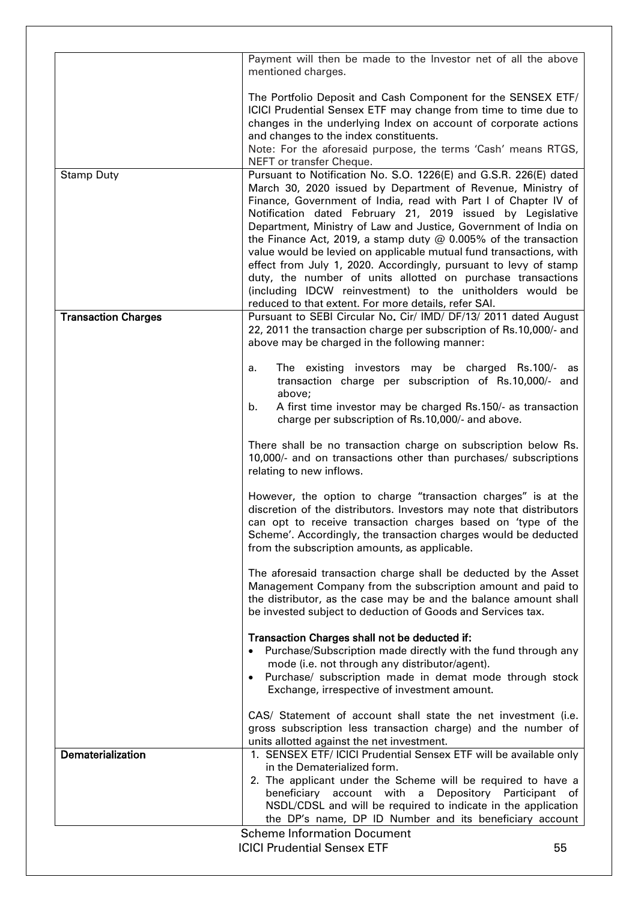|                            | Payment will then be made to the Investor net of all the above<br>mentioned charges.                                                                                                                                                                                                                                                                                                                                                                                                                                                                                                                                                                               |
|----------------------------|--------------------------------------------------------------------------------------------------------------------------------------------------------------------------------------------------------------------------------------------------------------------------------------------------------------------------------------------------------------------------------------------------------------------------------------------------------------------------------------------------------------------------------------------------------------------------------------------------------------------------------------------------------------------|
|                            | The Portfolio Deposit and Cash Component for the SENSEX ETF/<br>ICICI Prudential Sensex ETF may change from time to time due to<br>changes in the underlying Index on account of corporate actions<br>and changes to the index constituents.<br>Note: For the aforesaid purpose, the terms 'Cash' means RTGS,<br>NEFT or transfer Cheque.                                                                                                                                                                                                                                                                                                                          |
| <b>Stamp Duty</b>          | Pursuant to Notification No. S.O. 1226(E) and G.S.R. 226(E) dated                                                                                                                                                                                                                                                                                                                                                                                                                                                                                                                                                                                                  |
|                            | March 30, 2020 issued by Department of Revenue, Ministry of<br>Finance, Government of India, read with Part I of Chapter IV of<br>Notification dated February 21, 2019 issued by Legislative<br>Department, Ministry of Law and Justice, Government of India on<br>the Finance Act, 2019, a stamp duty $@$ 0.005% of the transaction<br>value would be levied on applicable mutual fund transactions, with<br>effect from July 1, 2020. Accordingly, pursuant to levy of stamp<br>duty, the number of units allotted on purchase transactions<br>(including IDCW reinvestment) to the unitholders would be<br>reduced to that extent. For more details, refer SAI. |
| <b>Transaction Charges</b> | Pursuant to SEBI Circular No. Cir/ IMD/ DF/13/ 2011 dated August<br>22, 2011 the transaction charge per subscription of Rs.10,000/- and<br>above may be charged in the following manner:                                                                                                                                                                                                                                                                                                                                                                                                                                                                           |
|                            | The existing investors may be charged Rs.100/- as<br>а.<br>transaction charge per subscription of Rs.10,000/- and<br>above;                                                                                                                                                                                                                                                                                                                                                                                                                                                                                                                                        |
|                            | A first time investor may be charged Rs.150/- as transaction<br>b.<br>charge per subscription of Rs.10,000/- and above.                                                                                                                                                                                                                                                                                                                                                                                                                                                                                                                                            |
|                            | There shall be no transaction charge on subscription below Rs.<br>10,000/- and on transactions other than purchases/ subscriptions<br>relating to new inflows.                                                                                                                                                                                                                                                                                                                                                                                                                                                                                                     |
|                            | However, the option to charge "transaction charges" is at the<br>discretion of the distributors. Investors may note that distributors<br>can opt to receive transaction charges based on 'type of the<br>Scheme'. Accordingly, the transaction charges would be deducted<br>from the subscription amounts, as applicable.                                                                                                                                                                                                                                                                                                                                          |
|                            | The aforesaid transaction charge shall be deducted by the Asset<br>Management Company from the subscription amount and paid to<br>the distributor, as the case may be and the balance amount shall<br>be invested subject to deduction of Goods and Services tax.                                                                                                                                                                                                                                                                                                                                                                                                  |
|                            | Transaction Charges shall not be deducted if:<br>• Purchase/Subscription made directly with the fund through any<br>mode (i.e. not through any distributor/agent).<br>Purchase/ subscription made in demat mode through stock<br>Exchange, irrespective of investment amount.                                                                                                                                                                                                                                                                                                                                                                                      |
|                            | CAS/ Statement of account shall state the net investment (i.e.<br>gross subscription less transaction charge) and the number of<br>units allotted against the net investment.                                                                                                                                                                                                                                                                                                                                                                                                                                                                                      |
| Dematerialization          | 1. SENSEX ETF/ ICICI Prudential Sensex ETF will be available only                                                                                                                                                                                                                                                                                                                                                                                                                                                                                                                                                                                                  |
|                            | in the Dematerialized form.<br>2. The applicant under the Scheme will be required to have a<br>beneficiary account with a<br>Depository Participant of<br>NSDL/CDSL and will be required to indicate in the application<br>the DP's name, DP ID Number and its beneficiary account                                                                                                                                                                                                                                                                                                                                                                                 |
|                            | <b>Scheme Information Document</b>                                                                                                                                                                                                                                                                                                                                                                                                                                                                                                                                                                                                                                 |
|                            | <b>ICICI Prudential Sensex ETF</b><br>55                                                                                                                                                                                                                                                                                                                                                                                                                                                                                                                                                                                                                           |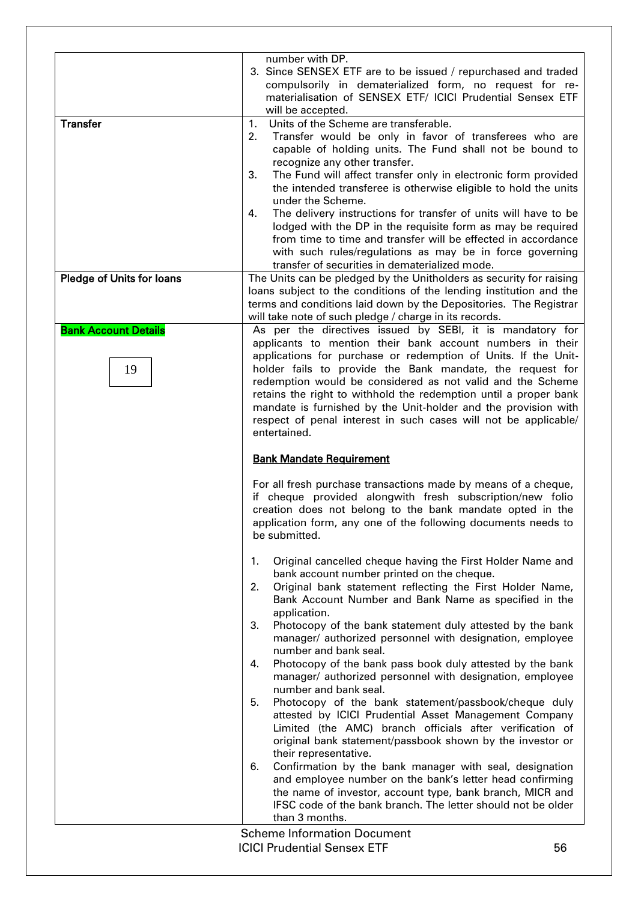|                                   | number with DP.<br>3. Since SENSEX ETF are to be issued / repurchased and traded<br>compulsorily in dematerialized form, no request for re-<br>materialisation of SENSEX ETF/ ICICI Prudential Sensex ETF<br>will be accepted.                                                                                                                                                                                                                                                                                                                                                                                                                                                                    |    |
|-----------------------------------|---------------------------------------------------------------------------------------------------------------------------------------------------------------------------------------------------------------------------------------------------------------------------------------------------------------------------------------------------------------------------------------------------------------------------------------------------------------------------------------------------------------------------------------------------------------------------------------------------------------------------------------------------------------------------------------------------|----|
| <b>Transfer</b>                   | Units of the Scheme are transferable.<br>1.<br>2.<br>Transfer would be only in favor of transferees who are<br>capable of holding units. The Fund shall not be bound to<br>recognize any other transfer.<br>The Fund will affect transfer only in electronic form provided<br>3.<br>the intended transferee is otherwise eligible to hold the units<br>under the Scheme.<br>The delivery instructions for transfer of units will have to be<br>4.<br>lodged with the DP in the requisite form as may be required<br>from time to time and transfer will be effected in accordance<br>with such rules/regulations as may be in force governing<br>transfer of securities in dematerialized mode.   |    |
| Pledge of Units for loans         | The Units can be pledged by the Unitholders as security for raising<br>loans subject to the conditions of the lending institution and the<br>terms and conditions laid down by the Depositories. The Registrar<br>will take note of such pledge / charge in its records.                                                                                                                                                                                                                                                                                                                                                                                                                          |    |
| <b>Bank Account Details</b><br>19 | As per the directives issued by SEBI, it is mandatory for<br>applicants to mention their bank account numbers in their<br>applications for purchase or redemption of Units. If the Unit-<br>holder fails to provide the Bank mandate, the request for<br>redemption would be considered as not valid and the Scheme<br>retains the right to withhold the redemption until a proper bank<br>mandate is furnished by the Unit-holder and the provision with<br>respect of penal interest in such cases will not be applicable/<br>entertained.                                                                                                                                                      |    |
|                                   | <b>Bank Mandate Requirement</b>                                                                                                                                                                                                                                                                                                                                                                                                                                                                                                                                                                                                                                                                   |    |
|                                   | For all fresh purchase transactions made by means of a cheque,<br>if cheque provided alongwith fresh subscription/new folio<br>creation does not belong to the bank mandate opted in the<br>application form, any one of the following documents needs to<br>be submitted.                                                                                                                                                                                                                                                                                                                                                                                                                        |    |
|                                   | Original cancelled cheque having the First Holder Name and<br>1.<br>bank account number printed on the cheque.<br>Original bank statement reflecting the First Holder Name,<br>2.<br>Bank Account Number and Bank Name as specified in the<br>application.<br>3.<br>Photocopy of the bank statement duly attested by the bank<br>manager/ authorized personnel with designation, employee<br>number and bank seal.<br>Photocopy of the bank pass book duly attested by the bank<br>4.<br>manager/ authorized personnel with designation, employee<br>number and bank seal.<br>5.<br>Photocopy of the bank statement/passbook/cheque duly<br>attested by ICICI Prudential Asset Management Company |    |
|                                   | Limited (the AMC) branch officials after verification of<br>original bank statement/passbook shown by the investor or<br>their representative.<br>Confirmation by the bank manager with seal, designation<br>6.<br>and employee number on the bank's letter head confirming<br>the name of investor, account type, bank branch, MICR and<br>IFSC code of the bank branch. The letter should not be older<br>than 3 months.                                                                                                                                                                                                                                                                        |    |
|                                   | <b>Scheme Information Document</b><br><b>ICICI Prudential Sensex ETF</b>                                                                                                                                                                                                                                                                                                                                                                                                                                                                                                                                                                                                                          | 56 |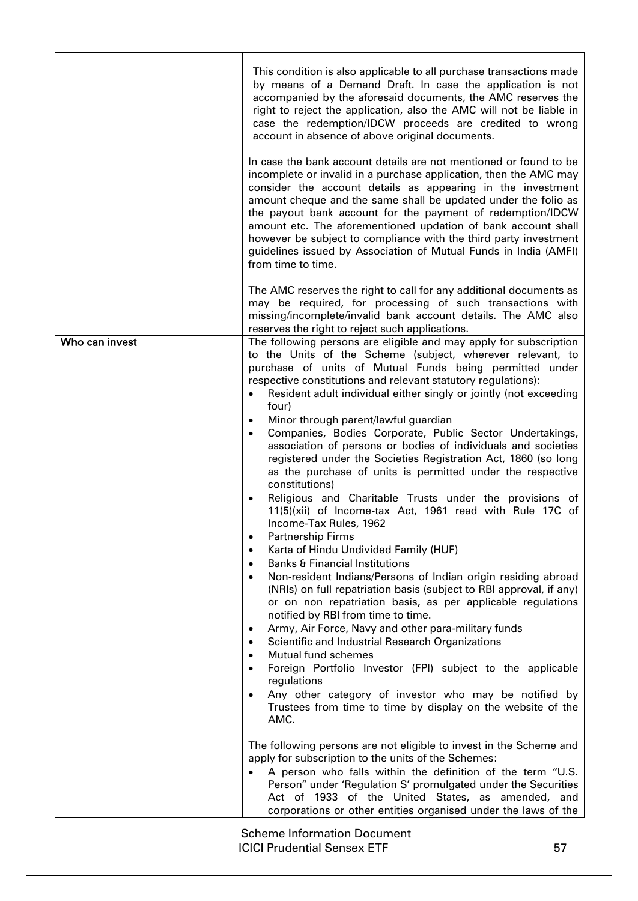|                | This condition is also applicable to all purchase transactions made<br>by means of a Demand Draft. In case the application is not<br>accompanied by the aforesaid documents, the AMC reserves the<br>right to reject the application, also the AMC will not be liable in<br>case the redemption/IDCW proceeds are credited to wrong<br>account in absence of above original documents.<br>In case the bank account details are not mentioned or found to be<br>incomplete or invalid in a purchase application, then the AMC may<br>consider the account details as appearing in the investment<br>amount cheque and the same shall be updated under the folio as<br>the payout bank account for the payment of redemption/IDCW<br>amount etc. The aforementioned updation of bank account shall<br>however be subject to compliance with the third party investment<br>guidelines issued by Association of Mutual Funds in India (AMFI)<br>from time to time.                                                                                                                                                                                                                                                                                                                                                                                                                                                                                                                                                                                                                                                                                                                                                                                                                                                                                                                                                                                                                                                                          |
|----------------|-----------------------------------------------------------------------------------------------------------------------------------------------------------------------------------------------------------------------------------------------------------------------------------------------------------------------------------------------------------------------------------------------------------------------------------------------------------------------------------------------------------------------------------------------------------------------------------------------------------------------------------------------------------------------------------------------------------------------------------------------------------------------------------------------------------------------------------------------------------------------------------------------------------------------------------------------------------------------------------------------------------------------------------------------------------------------------------------------------------------------------------------------------------------------------------------------------------------------------------------------------------------------------------------------------------------------------------------------------------------------------------------------------------------------------------------------------------------------------------------------------------------------------------------------------------------------------------------------------------------------------------------------------------------------------------------------------------------------------------------------------------------------------------------------------------------------------------------------------------------------------------------------------------------------------------------------------------------------------------------------------------------------------------------|
|                | The AMC reserves the right to call for any additional documents as<br>may be required, for processing of such transactions with<br>missing/incomplete/invalid bank account details. The AMC also<br>reserves the right to reject such applications.                                                                                                                                                                                                                                                                                                                                                                                                                                                                                                                                                                                                                                                                                                                                                                                                                                                                                                                                                                                                                                                                                                                                                                                                                                                                                                                                                                                                                                                                                                                                                                                                                                                                                                                                                                                     |
| Who can invest | The following persons are eligible and may apply for subscription<br>to the Units of the Scheme (subject, wherever relevant, to<br>purchase of units of Mutual Funds being permitted under<br>respective constitutions and relevant statutory regulations):<br>Resident adult individual either singly or jointly (not exceeding<br>four)<br>Minor through parent/lawful guardian<br>$\bullet$<br>Companies, Bodies Corporate, Public Sector Undertakings,<br>association of persons or bodies of individuals and societies<br>registered under the Societies Registration Act, 1860 (so long<br>as the purchase of units is permitted under the respective<br>constitutions)<br>Religious and Charitable Trusts under the provisions of<br>11(5)(xii) of Income-tax Act, 1961 read with Rule 17C of<br>Income-Tax Rules, 1962<br><b>Partnership Firms</b><br>$\bullet$<br>Karta of Hindu Undivided Family (HUF)<br>$\bullet$<br><b>Banks &amp; Financial Institutions</b><br>$\bullet$<br>Non-resident Indians/Persons of Indian origin residing abroad<br>$\bullet$<br>(NRIs) on full repatriation basis (subject to RBI approval, if any)<br>or on non repatriation basis, as per applicable regulations<br>notified by RBI from time to time.<br>Army, Air Force, Navy and other para-military funds<br>$\bullet$<br>Scientific and Industrial Research Organizations<br>$\bullet$<br>Mutual fund schemes<br>$\bullet$<br>Foreign Portfolio Investor (FPI) subject to the applicable<br>regulations<br>Any other category of investor who may be notified by<br>$\bullet$<br>Trustees from time to time by display on the website of the<br>AMC.<br>The following persons are not eligible to invest in the Scheme and<br>apply for subscription to the units of the Schemes:<br>A person who falls within the definition of the term "U.S.<br>Person" under 'Regulation S' promulgated under the Securities<br>Act of 1933 of the United States, as amended, and<br>corporations or other entities organised under the laws of the |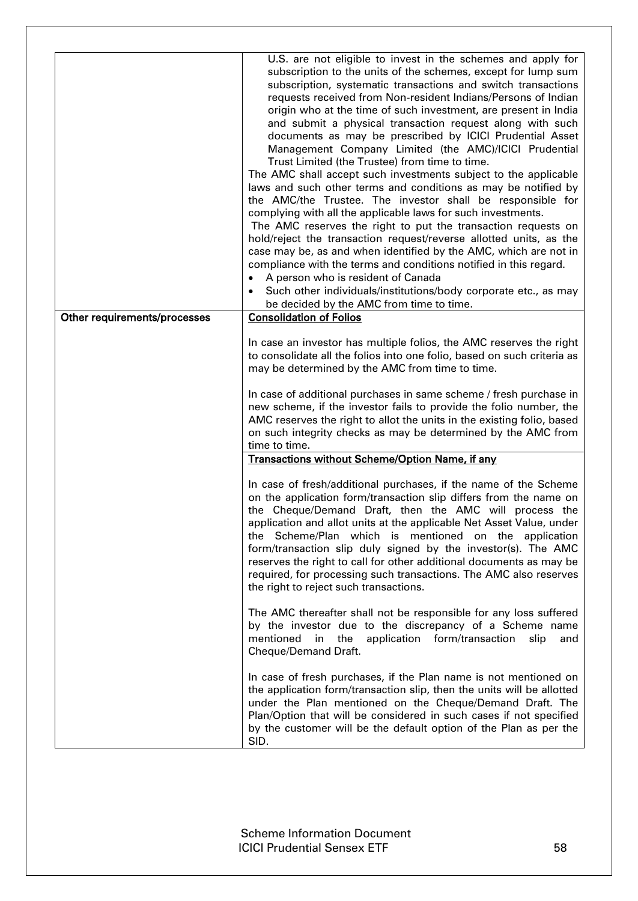|                              | U.S. are not eligible to invest in the schemes and apply for<br>subscription to the units of the schemes, except for lump sum<br>subscription, systematic transactions and switch transactions<br>requests received from Non-resident Indians/Persons of Indian<br>origin who at the time of such investment, are present in India<br>and submit a physical transaction request along with such<br>documents as may be prescribed by ICICI Prudential Asset<br>Management Company Limited (the AMC)/ICICI Prudential<br>Trust Limited (the Trustee) from time to time.<br>The AMC shall accept such investments subject to the applicable<br>laws and such other terms and conditions as may be notified by<br>the AMC/the Trustee. The investor shall be responsible for<br>complying with all the applicable laws for such investments.<br>The AMC reserves the right to put the transaction requests on<br>hold/reject the transaction request/reverse allotted units, as the<br>case may be, as and when identified by the AMC, which are not in<br>compliance with the terms and conditions notified in this regard.<br>A person who is resident of Canada<br>Such other individuals/institutions/body corporate etc., as may<br>be decided by the AMC from time to time. |
|------------------------------|--------------------------------------------------------------------------------------------------------------------------------------------------------------------------------------------------------------------------------------------------------------------------------------------------------------------------------------------------------------------------------------------------------------------------------------------------------------------------------------------------------------------------------------------------------------------------------------------------------------------------------------------------------------------------------------------------------------------------------------------------------------------------------------------------------------------------------------------------------------------------------------------------------------------------------------------------------------------------------------------------------------------------------------------------------------------------------------------------------------------------------------------------------------------------------------------------------------------------------------------------------------------------------|
| Other requirements/processes | <b>Consolidation of Folios</b>                                                                                                                                                                                                                                                                                                                                                                                                                                                                                                                                                                                                                                                                                                                                                                                                                                                                                                                                                                                                                                                                                                                                                                                                                                                 |
|                              | In case an investor has multiple folios, the AMC reserves the right<br>to consolidate all the folios into one folio, based on such criteria as<br>may be determined by the AMC from time to time.<br>In case of additional purchases in same scheme / fresh purchase in<br>new scheme, if the investor fails to provide the folio number, the<br>AMC reserves the right to allot the units in the existing folio, based<br>on such integrity checks as may be determined by the AMC from<br>time to time.<br>Transactions without Scheme/Option Name, if any                                                                                                                                                                                                                                                                                                                                                                                                                                                                                                                                                                                                                                                                                                                   |
|                              | In case of fresh/additional purchases, if the name of the Scheme<br>on the application form/transaction slip differs from the name on<br>the Cheque/Demand Draft, then the AMC will process the<br>application and allot units at the applicable Net Asset Value, under<br>the Scheme/Plan which is mentioned on the application<br>form/transaction slip duly signed by the investor(s). The AMC<br>reserves the right to call for other additional documents as may be<br>required, for processing such transactions. The AMC also reserves<br>the right to reject such transactions.                                                                                                                                                                                                                                                                                                                                                                                                                                                                                                                                                                                                                                                                                        |
|                              | The AMC thereafter shall not be responsible for any loss suffered<br>by the investor due to the discrepancy of a Scheme name<br>the application form/transaction<br>mentioned<br>in<br>slip<br>and<br>Cheque/Demand Draft.                                                                                                                                                                                                                                                                                                                                                                                                                                                                                                                                                                                                                                                                                                                                                                                                                                                                                                                                                                                                                                                     |
|                              | In case of fresh purchases, if the Plan name is not mentioned on<br>the application form/transaction slip, then the units will be allotted<br>under the Plan mentioned on the Cheque/Demand Draft. The<br>Plan/Option that will be considered in such cases if not specified<br>by the customer will be the default option of the Plan as per the<br>SID.                                                                                                                                                                                                                                                                                                                                                                                                                                                                                                                                                                                                                                                                                                                                                                                                                                                                                                                      |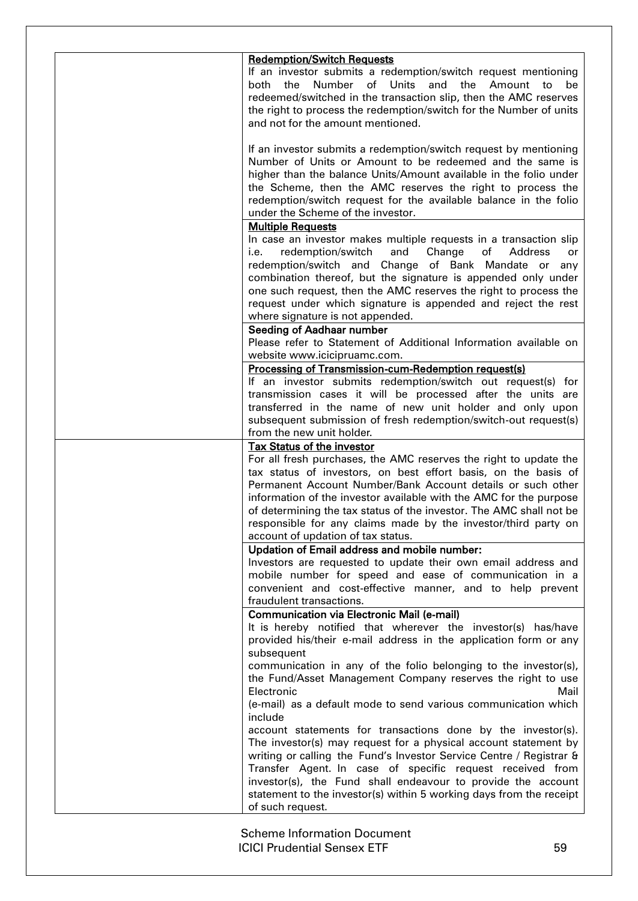| <b>Redemption/Switch Requests</b>                                                  |
|------------------------------------------------------------------------------------|
| If an investor submits a redemption/switch request mentioning                      |
| the Number of Units and the Amount to<br>both<br>be                                |
| redeemed/switched in the transaction slip, then the AMC reserves                   |
| the right to process the redemption/switch for the Number of units                 |
| and not for the amount mentioned.                                                  |
|                                                                                    |
| If an investor submits a redemption/switch request by mentioning                   |
| Number of Units or Amount to be redeemed and the same is                           |
| higher than the balance Units/Amount available in the folio under                  |
| the Scheme, then the AMC reserves the right to process the                         |
| redemption/switch request for the available balance in the folio                   |
| under the Scheme of the investor.<br><b>Multiple Requests</b>                      |
| In case an investor makes multiple requests in a transaction slip                  |
| redemption/switch<br>and<br>i.e.<br>Change<br>of Address<br>or                     |
| redemption/switch and Change of Bank Mandate or any                                |
| combination thereof, but the signature is appended only under                      |
| one such request, then the AMC reserves the right to process the                   |
| request under which signature is appended and reject the rest                      |
| where signature is not appended.                                                   |
| Seeding of Aadhaar number                                                          |
| Please refer to Statement of Additional Information available on                   |
| website www.icicipruamc.com.                                                       |
| Processing of Transmission-cum-Redemption request(s)                               |
| If an investor submits redemption/switch out request(s) for                        |
| transmission cases it will be processed after the units are                        |
| transferred in the name of new unit holder and only upon                           |
| subsequent submission of fresh redemption/switch-out request(s)                    |
| from the new unit holder.                                                          |
| Tax Status of the investor                                                         |
| For all fresh purchases, the AMC reserves the right to update the                  |
| tax status of investors, on best effort basis, on the basis of                     |
| Permanent Account Number/Bank Account details or such other                        |
| information of the investor available with the AMC for the purpose                 |
| of determining the tax status of the investor. The AMC shall not be                |
| responsible for any claims made by the investor/third party on                     |
| account of updation of tax status.<br>Updation of Email address and mobile number: |
| Investors are requested to update their own email address and                      |
| mobile number for speed and ease of communication in a                             |
| convenient and cost-effective manner, and to help prevent                          |
| fraudulent transactions.                                                           |
| <b>Communication via Electronic Mail (e-mail)</b>                                  |
| It is hereby notified that wherever the investor(s) has/have                       |
| provided his/their e-mail address in the application form or any                   |
| subsequent                                                                         |
| communication in any of the folio belonging to the investor(s),                    |
| the Fund/Asset Management Company reserves the right to use                        |
| Electronic<br>Mail                                                                 |
| (e-mail) as a default mode to send various communication which                     |
| include                                                                            |
| account statements for transactions done by the investor(s).                       |
| The investor(s) may request for a physical account statement by                    |
| writing or calling the Fund's Investor Service Centre / Registrar &                |
| Transfer Agent. In case of specific request received from                          |
| investor(s), the Fund shall endeavour to provide the account                       |
| statement to the investor(s) within 5 working days from the receipt                |
| of such request.                                                                   |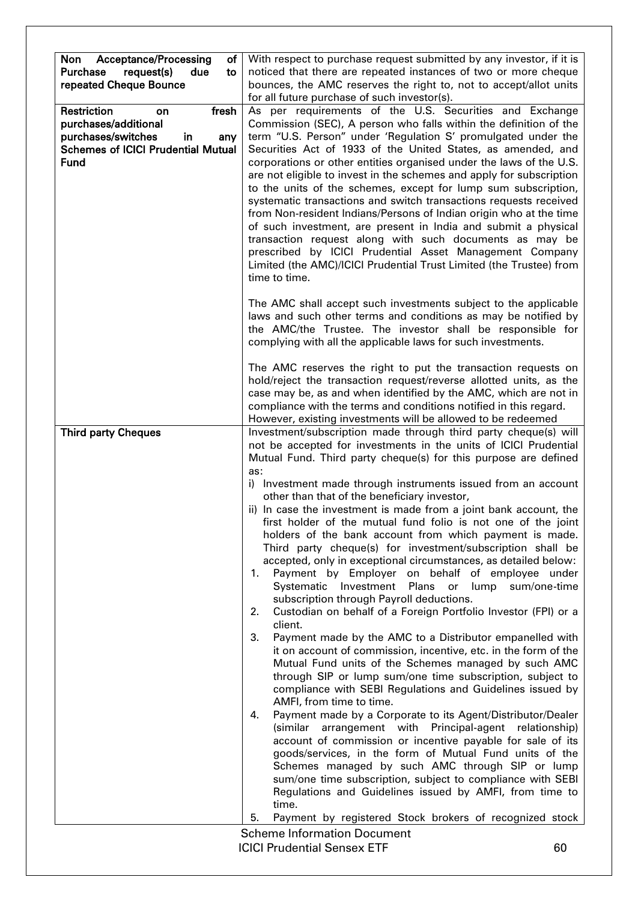| <b>Acceptance/Processing</b><br>Non<br>оf<br><b>Purchase</b><br>request(s)<br>due<br>to<br>repeated Cheque Bounce                          | With respect to purchase request submitted by any investor, if it is<br>noticed that there are repeated instances of two or more cheque<br>bounces, the AMC reserves the right to, not to accept/allot units<br>for all future purchase of such investor(s).                                                                                                                                                                                                                                                                                                                                                                                                                                                                                                                                                                                                                                                                                                                                                                                                                                                                                                                                                                                                                                                                                                                                                                                                                                                                                                                                                                                                                                                                                            |    |
|--------------------------------------------------------------------------------------------------------------------------------------------|---------------------------------------------------------------------------------------------------------------------------------------------------------------------------------------------------------------------------------------------------------------------------------------------------------------------------------------------------------------------------------------------------------------------------------------------------------------------------------------------------------------------------------------------------------------------------------------------------------------------------------------------------------------------------------------------------------------------------------------------------------------------------------------------------------------------------------------------------------------------------------------------------------------------------------------------------------------------------------------------------------------------------------------------------------------------------------------------------------------------------------------------------------------------------------------------------------------------------------------------------------------------------------------------------------------------------------------------------------------------------------------------------------------------------------------------------------------------------------------------------------------------------------------------------------------------------------------------------------------------------------------------------------------------------------------------------------------------------------------------------------|----|
| Restriction<br>fresh<br>on<br>purchases/additional<br>purchases/switches<br>in<br>any<br><b>Schemes of ICICI Prudential Mutual</b><br>Fund | As per requirements of the U.S. Securities and Exchange<br>Commission (SEC), A person who falls within the definition of the<br>term "U.S. Person" under 'Regulation S' promulgated under the<br>Securities Act of 1933 of the United States, as amended, and<br>corporations or other entities organised under the laws of the U.S.<br>are not eligible to invest in the schemes and apply for subscription<br>to the units of the schemes, except for lump sum subscription,<br>systematic transactions and switch transactions requests received<br>from Non-resident Indians/Persons of Indian origin who at the time<br>of such investment, are present in India and submit a physical<br>transaction request along with such documents as may be<br>prescribed by ICICI Prudential Asset Management Company<br>Limited (the AMC)/ICICI Prudential Trust Limited (the Trustee) from<br>time to time.                                                                                                                                                                                                                                                                                                                                                                                                                                                                                                                                                                                                                                                                                                                                                                                                                                               |    |
|                                                                                                                                            | The AMC shall accept such investments subject to the applicable<br>laws and such other terms and conditions as may be notified by<br>the AMC/the Trustee. The investor shall be responsible for<br>complying with all the applicable laws for such investments.                                                                                                                                                                                                                                                                                                                                                                                                                                                                                                                                                                                                                                                                                                                                                                                                                                                                                                                                                                                                                                                                                                                                                                                                                                                                                                                                                                                                                                                                                         |    |
| <b>Third party Cheques</b>                                                                                                                 | The AMC reserves the right to put the transaction requests on<br>hold/reject the transaction request/reverse allotted units, as the<br>case may be, as and when identified by the AMC, which are not in<br>compliance with the terms and conditions notified in this regard.<br>However, existing investments will be allowed to be redeemed<br>Investment/subscription made through third party cheque(s) will                                                                                                                                                                                                                                                                                                                                                                                                                                                                                                                                                                                                                                                                                                                                                                                                                                                                                                                                                                                                                                                                                                                                                                                                                                                                                                                                         |    |
|                                                                                                                                            | not be accepted for investments in the units of ICICI Prudential<br>Mutual Fund. Third party cheque(s) for this purpose are defined<br>as:<br>i) Investment made through instruments issued from an account<br>other than that of the beneficiary investor,<br>ii) In case the investment is made from a joint bank account, the<br>first holder of the mutual fund folio is not one of the joint<br>holders of the bank account from which payment is made.<br>Third party cheque(s) for investment/subscription shall be<br>accepted, only in exceptional circumstances, as detailed below:<br>Payment by Employer on behalf of employee under<br>1.<br>Systematic Investment<br>Plans or<br>lump sum/one-time<br>subscription through Payroll deductions.<br>Custodian on behalf of a Foreign Portfolio Investor (FPI) or a<br>2.<br>client.<br>3.<br>Payment made by the AMC to a Distributor empanelled with<br>it on account of commission, incentive, etc. in the form of the<br>Mutual Fund units of the Schemes managed by such AMC<br>through SIP or lump sum/one time subscription, subject to<br>compliance with SEBI Regulations and Guidelines issued by<br>AMFI, from time to time.<br>Payment made by a Corporate to its Agent/Distributor/Dealer<br>4.<br>(similar arrangement with Principal-agent relationship)<br>account of commission or incentive payable for sale of its<br>goods/services, in the form of Mutual Fund units of the<br>Schemes managed by such AMC through SIP or lump<br>sum/one time subscription, subject to compliance with SEBI<br>Regulations and Guidelines issued by AMFI, from time to<br>time.<br>5.<br>Payment by registered Stock brokers of recognized stock<br><b>Scheme Information Document</b> |    |
|                                                                                                                                            | <b>ICICI Prudential Sensex ETF</b>                                                                                                                                                                                                                                                                                                                                                                                                                                                                                                                                                                                                                                                                                                                                                                                                                                                                                                                                                                                                                                                                                                                                                                                                                                                                                                                                                                                                                                                                                                                                                                                                                                                                                                                      | 60 |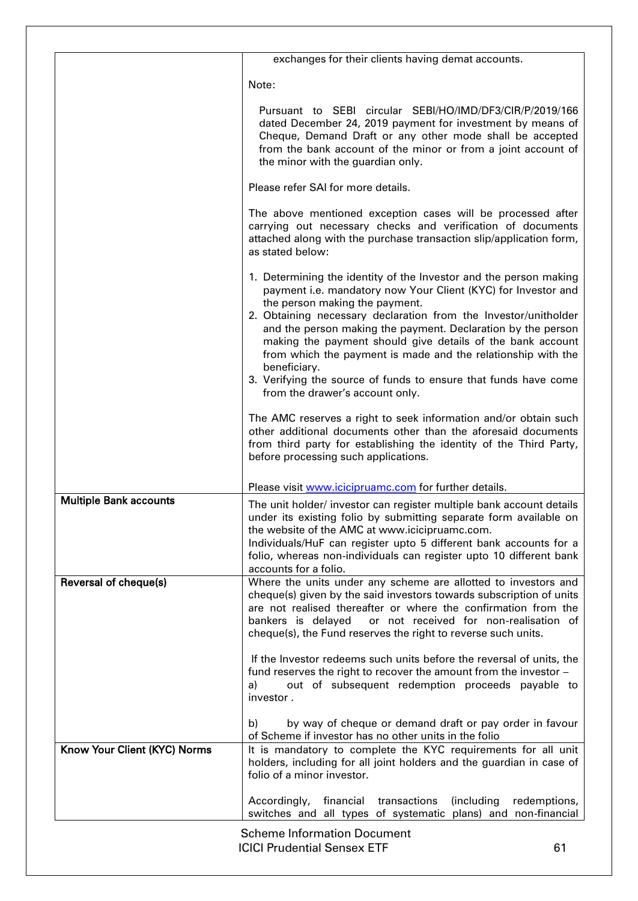|                               | exchanges for their clients having demat accounts.                                                                                                                                                                                                                                                                                                                                                                                                                                                                                                          |
|-------------------------------|-------------------------------------------------------------------------------------------------------------------------------------------------------------------------------------------------------------------------------------------------------------------------------------------------------------------------------------------------------------------------------------------------------------------------------------------------------------------------------------------------------------------------------------------------------------|
|                               | Note:                                                                                                                                                                                                                                                                                                                                                                                                                                                                                                                                                       |
|                               | Pursuant to SEBI circular SEBI/HO/IMD/DF3/CIR/P/2019/166<br>dated December 24, 2019 payment for investment by means of<br>Cheque, Demand Draft or any other mode shall be accepted<br>from the bank account of the minor or from a joint account of<br>the minor with the guardian only.                                                                                                                                                                                                                                                                    |
|                               | Please refer SAI for more details.                                                                                                                                                                                                                                                                                                                                                                                                                                                                                                                          |
|                               | The above mentioned exception cases will be processed after<br>carrying out necessary checks and verification of documents<br>attached along with the purchase transaction slip/application form,<br>as stated below:                                                                                                                                                                                                                                                                                                                                       |
|                               | 1. Determining the identity of the Investor and the person making<br>payment i.e. mandatory now Your Client (KYC) for Investor and<br>the person making the payment.<br>2. Obtaining necessary declaration from the Investor/unitholder<br>and the person making the payment. Declaration by the person<br>making the payment should give details of the bank account<br>from which the payment is made and the relationship with the<br>beneficiary.<br>3. Verifying the source of funds to ensure that funds have come<br>from the drawer's account only. |
|                               | The AMC reserves a right to seek information and/or obtain such<br>other additional documents other than the aforesaid documents<br>from third party for establishing the identity of the Third Party,<br>before processing such applications.                                                                                                                                                                                                                                                                                                              |
|                               | Please visit www.icicipruamc.com for further details.                                                                                                                                                                                                                                                                                                                                                                                                                                                                                                       |
| <b>Multiple Bank accounts</b> | The unit holder/ investor can register multiple bank account details<br>under its existing folio by submitting separate form available on<br>the website of the AMC at www.icicipruamc.com.<br>Individuals/HuF can register upto 5 different bank accounts for a<br>folio, whereas non-individuals can register upto 10 different bank<br>accounts for a folio.                                                                                                                                                                                             |
| Reversal of cheque(s)         | Where the units under any scheme are allotted to investors and<br>cheque(s) given by the said investors towards subscription of units<br>are not realised thereafter or where the confirmation from the<br>bankers is delayed<br>or not received for non-realisation of<br>cheque(s), the Fund reserves the right to reverse such units.                                                                                                                                                                                                                    |
|                               | If the Investor redeems such units before the reversal of units, the<br>fund reserves the right to recover the amount from the investor -<br>out of subsequent redemption proceeds payable to<br>a)<br>investor.                                                                                                                                                                                                                                                                                                                                            |
|                               | by way of cheque or demand draft or pay order in favour<br>b)<br>of Scheme if investor has no other units in the folio                                                                                                                                                                                                                                                                                                                                                                                                                                      |
| Know Your Client (KYC) Norms  | It is mandatory to complete the KYC requirements for all unit<br>holders, including for all joint holders and the guardian in case of<br>folio of a minor investor.                                                                                                                                                                                                                                                                                                                                                                                         |
|                               | Accordingly,<br>financial transactions<br>(including<br>redemptions,<br>switches and all types of systematic plans) and non-financial                                                                                                                                                                                                                                                                                                                                                                                                                       |
|                               | <b>Scheme Information Document</b>                                                                                                                                                                                                                                                                                                                                                                                                                                                                                                                          |
|                               | <b>ICICI Prudential Sensex ETF</b><br>61                                                                                                                                                                                                                                                                                                                                                                                                                                                                                                                    |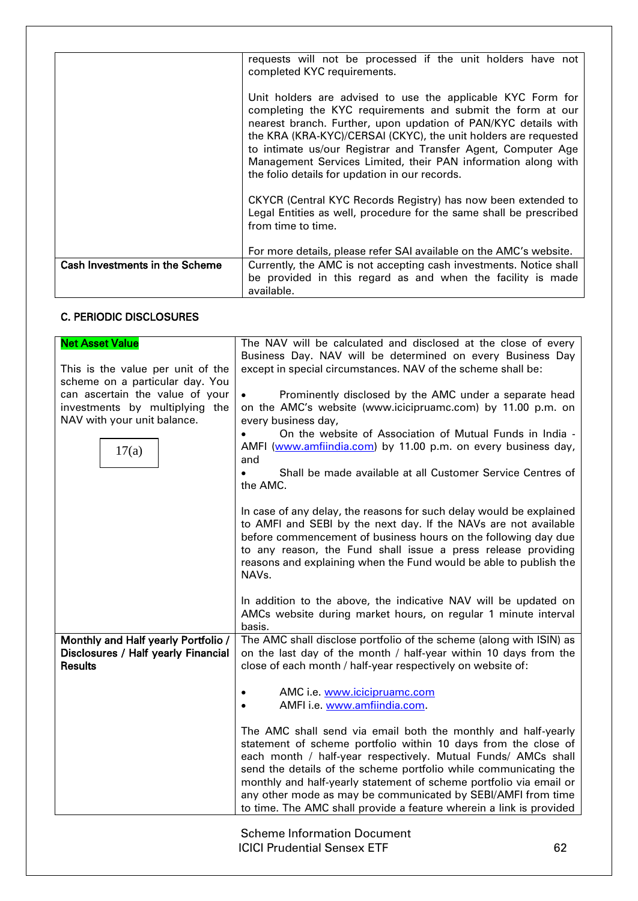|                                       | requests will not be processed if the unit holders have not<br>completed KYC requirements.                                                                                                                                                                                                                                                                                                                                                         |
|---------------------------------------|----------------------------------------------------------------------------------------------------------------------------------------------------------------------------------------------------------------------------------------------------------------------------------------------------------------------------------------------------------------------------------------------------------------------------------------------------|
|                                       | Unit holders are advised to use the applicable KYC Form for<br>completing the KYC requirements and submit the form at our<br>nearest branch. Further, upon updation of PAN/KYC details with<br>the KRA (KRA-KYC)/CERSAI (CKYC), the unit holders are requested<br>to intimate us/our Registrar and Transfer Agent, Computer Age<br>Management Services Limited, their PAN information along with<br>the folio details for updation in our records. |
|                                       | CKYCR (Central KYC Records Registry) has now been extended to<br>Legal Entities as well, procedure for the same shall be prescribed<br>from time to time.                                                                                                                                                                                                                                                                                          |
|                                       | For more details, please refer SAI available on the AMC's website.                                                                                                                                                                                                                                                                                                                                                                                 |
| <b>Cash Investments in the Scheme</b> | Currently, the AMC is not accepting cash investments. Notice shall                                                                                                                                                                                                                                                                                                                                                                                 |
|                                       | be provided in this regard as and when the facility is made<br>available.                                                                                                                                                                                                                                                                                                                                                                          |

# C. PERIODIC DISCLOSURES

| <b>Net Asset Value</b><br>This is the value per unit of the<br>scheme on a particular day. You<br>can ascertain the value of your<br>investments by multiplying the<br>NAV with your unit balance.<br>17(a) | The NAV will be calculated and disclosed at the close of every<br>Business Day. NAV will be determined on every Business Day<br>except in special circumstances. NAV of the scheme shall be:<br>Prominently disclosed by the AMC under a separate head<br>on the AMC's website (www.icicipruamc.com) by 11.00 p.m. on<br>every business day,<br>On the website of Association of Mutual Funds in India -<br>AMFI (www.amfiindia.com) by 11.00 p.m. on every business day,<br>and<br>Shall be made available at all Customer Service Centres of<br>the AMC.                                                                                                                                                                                                               |
|-------------------------------------------------------------------------------------------------------------------------------------------------------------------------------------------------------------|--------------------------------------------------------------------------------------------------------------------------------------------------------------------------------------------------------------------------------------------------------------------------------------------------------------------------------------------------------------------------------------------------------------------------------------------------------------------------------------------------------------------------------------------------------------------------------------------------------------------------------------------------------------------------------------------------------------------------------------------------------------------------|
|                                                                                                                                                                                                             | In case of any delay, the reasons for such delay would be explained<br>to AMFI and SEBI by the next day. If the NAVs are not available<br>before commencement of business hours on the following day due<br>to any reason, the Fund shall issue a press release providing<br>reasons and explaining when the Fund would be able to publish the<br>NAVs.<br>In addition to the above, the indicative NAV will be updated on<br>AMCs website during market hours, on regular 1 minute interval<br>basis.                                                                                                                                                                                                                                                                   |
| Monthly and Half yearly Portfolio /<br>Disclosures / Half yearly Financial<br><b>Results</b>                                                                                                                | The AMC shall disclose portfolio of the scheme (along with ISIN) as<br>on the last day of the month / half-year within 10 days from the<br>close of each month / half-year respectively on website of:<br>AMC i.e. www.icicipruamc.com<br>AMFI i.e. www.amfiindia.com.<br>$\bullet$<br>The AMC shall send via email both the monthly and half-yearly<br>statement of scheme portfolio within 10 days from the close of<br>each month / half-year respectively. Mutual Funds/ AMCs shall<br>send the details of the scheme portfolio while communicating the<br>monthly and half-yearly statement of scheme portfolio via email or<br>any other mode as may be communicated by SEBI/AMFI from time<br>to time. The AMC shall provide a feature wherein a link is provided |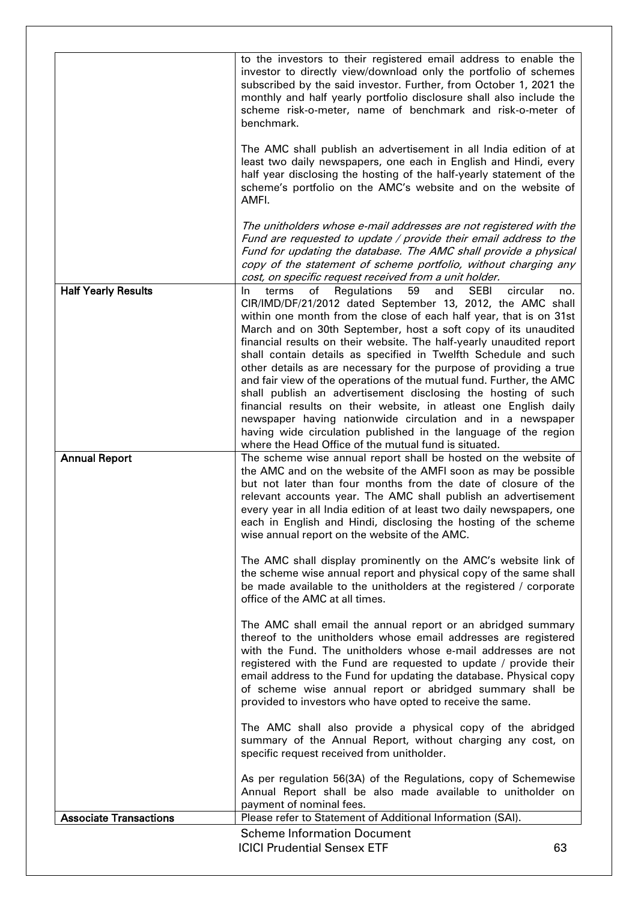|                               | to the investors to their registered email address to enable the<br>investor to directly view/download only the portfolio of schemes<br>subscribed by the said investor. Further, from October 1, 2021 the<br>monthly and half yearly portfolio disclosure shall also include the<br>scheme risk-o-meter, name of benchmark and risk-o-meter of<br>benchmark.<br>The AMC shall publish an advertisement in all India edition of at<br>least two daily newspapers, one each in English and Hindi, every<br>half year disclosing the hosting of the half-yearly statement of the<br>scheme's portfolio on the AMC's website and on the website of<br>AMFI.                                                                                                                                                                                                                                                |     |
|-------------------------------|---------------------------------------------------------------------------------------------------------------------------------------------------------------------------------------------------------------------------------------------------------------------------------------------------------------------------------------------------------------------------------------------------------------------------------------------------------------------------------------------------------------------------------------------------------------------------------------------------------------------------------------------------------------------------------------------------------------------------------------------------------------------------------------------------------------------------------------------------------------------------------------------------------|-----|
|                               | The unitholders whose e-mail addresses are not registered with the<br>Fund are requested to update / provide their email address to the<br>Fund for updating the database. The AMC shall provide a physical<br>copy of the statement of scheme portfolio, without charging any<br>cost, on specific request received from a unit holder.                                                                                                                                                                                                                                                                                                                                                                                                                                                                                                                                                                |     |
| <b>Half Yearly Results</b>    | Regulations<br>59<br><b>SEBI</b><br>circular<br>terms<br>οf<br>and<br>In.<br>CIR/IMD/DF/21/2012 dated September 13, 2012, the AMC shall<br>within one month from the close of each half year, that is on 31st<br>March and on 30th September, host a soft copy of its unaudited<br>financial results on their website. The half-yearly unaudited report<br>shall contain details as specified in Twelfth Schedule and such<br>other details as are necessary for the purpose of providing a true<br>and fair view of the operations of the mutual fund. Further, the AMC<br>shall publish an advertisement disclosing the hosting of such<br>financial results on their website, in atleast one English daily<br>newspaper having nationwide circulation and in a newspaper<br>having wide circulation published in the language of the region<br>where the Head Office of the mutual fund is situated. | no. |
| <b>Annual Report</b>          | The scheme wise annual report shall be hosted on the website of<br>the AMC and on the website of the AMFI soon as may be possible<br>but not later than four months from the date of closure of the<br>relevant accounts year. The AMC shall publish an advertisement<br>every year in all India edition of at least two daily newspapers, one<br>each in English and Hindi, disclosing the hosting of the scheme<br>wise annual report on the website of the AMC.                                                                                                                                                                                                                                                                                                                                                                                                                                      |     |
|                               | The AMC shall display prominently on the AMC's website link of<br>the scheme wise annual report and physical copy of the same shall<br>be made available to the unitholders at the registered / corporate<br>office of the AMC at all times.                                                                                                                                                                                                                                                                                                                                                                                                                                                                                                                                                                                                                                                            |     |
|                               | The AMC shall email the annual report or an abridged summary<br>thereof to the unitholders whose email addresses are registered<br>with the Fund. The unitholders whose e-mail addresses are not<br>registered with the Fund are requested to update / provide their<br>email address to the Fund for updating the database. Physical copy<br>of scheme wise annual report or abridged summary shall be<br>provided to investors who have opted to receive the same.                                                                                                                                                                                                                                                                                                                                                                                                                                    |     |
|                               | The AMC shall also provide a physical copy of the abridged<br>summary of the Annual Report, without charging any cost, on<br>specific request received from unitholder.                                                                                                                                                                                                                                                                                                                                                                                                                                                                                                                                                                                                                                                                                                                                 |     |
|                               | As per regulation 56(3A) of the Regulations, copy of Schemewise<br>Annual Report shall be also made available to unitholder on<br>payment of nominal fees.                                                                                                                                                                                                                                                                                                                                                                                                                                                                                                                                                                                                                                                                                                                                              |     |
| <b>Associate Transactions</b> | Please refer to Statement of Additional Information (SAI).                                                                                                                                                                                                                                                                                                                                                                                                                                                                                                                                                                                                                                                                                                                                                                                                                                              |     |
|                               | <b>Scheme Information Document</b><br><b>ICICI Prudential Sensex ETF</b><br>63                                                                                                                                                                                                                                                                                                                                                                                                                                                                                                                                                                                                                                                                                                                                                                                                                          |     |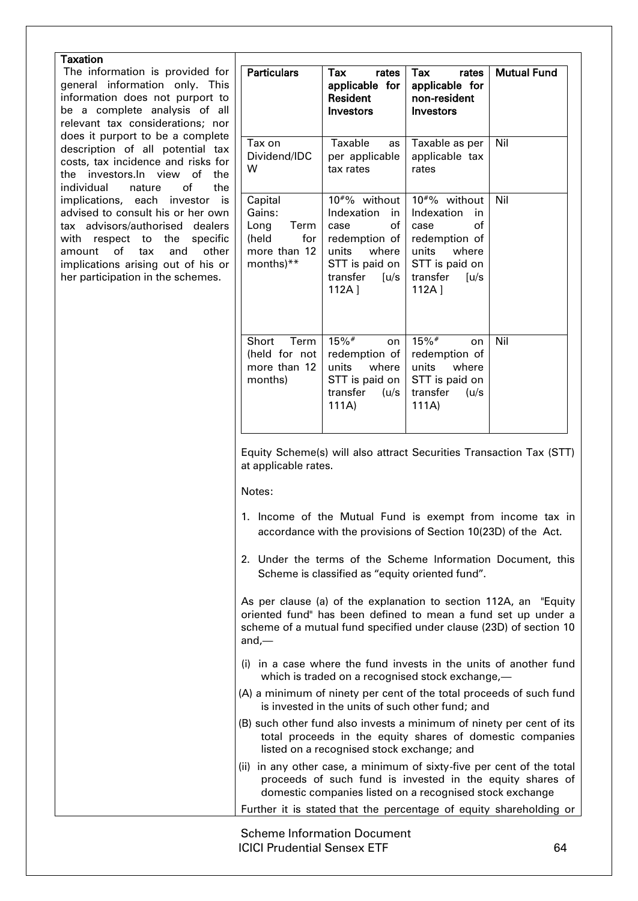| <b>Taxation</b>                                                                                                                                                                                                                                                |                                                                                |                                                                                                                                                |                                                                                                                                                |                                                                                                                                                                                                         |
|----------------------------------------------------------------------------------------------------------------------------------------------------------------------------------------------------------------------------------------------------------------|--------------------------------------------------------------------------------|------------------------------------------------------------------------------------------------------------------------------------------------|------------------------------------------------------------------------------------------------------------------------------------------------|---------------------------------------------------------------------------------------------------------------------------------------------------------------------------------------------------------|
| The information is provided for<br>general information only. This<br>information does not purport to<br>be a complete analysis of all<br>relevant tax considerations; nor                                                                                      | <b>Particulars</b>                                                             | Tax<br>rates<br>applicable for<br>Resident<br>Investors                                                                                        | Tax<br>rates<br>applicable for<br>non-resident<br><b>Investors</b>                                                                             | <b>Mutual Fund</b>                                                                                                                                                                                      |
| does it purport to be a complete<br>description of all potential tax<br>costs, tax incidence and risks for<br>the investors.In view of<br>the<br>of<br>individual<br>the<br>nature                                                                             | Tax on<br>Dividend/IDC<br>W                                                    | Taxable<br>as<br>per applicable<br>tax rates                                                                                                   | Taxable as per<br>applicable tax<br>rates                                                                                                      | Nil                                                                                                                                                                                                     |
| implications, each investor<br>is<br>advised to consult his or her own<br>tax advisors/authorised dealers<br>with respect to the<br>specific<br>of<br>tax<br>and<br>other<br>amount<br>implications arising out of his or<br>her participation in the schemes. | Capital<br>Gains:<br>Term<br>Long<br>for<br>(held<br>more than 12<br>months)** | 10 <sup>#%</sup> without<br>Indexation<br>in<br>of<br>case<br>redemption of<br>where<br>units<br>STT is paid on<br>transfer<br>[u/s]<br>112A ] | 10 <sup>#%</sup> without<br>Indexation<br>in<br>of<br>case<br>redemption of<br>units<br>where<br>STT is paid on<br>transfer<br>[u/s]<br>112A ] | Nil                                                                                                                                                                                                     |
|                                                                                                                                                                                                                                                                | Short<br>Term<br>(held for not<br>more than 12<br>months)                      | $15\%$ #<br>on<br>redemption of<br>units<br>where<br>STT is paid on<br>transfer<br>(u/s)<br>111A)                                              | $15\%$ #<br>on<br>redemption of<br>units<br>where<br>STT is paid on<br>transfer<br>(u/s)<br>111A)                                              | Nil                                                                                                                                                                                                     |
|                                                                                                                                                                                                                                                                | at applicable rates.                                                           |                                                                                                                                                |                                                                                                                                                | Equity Scheme(s) will also attract Securities Transaction Tax (STT)                                                                                                                                     |
|                                                                                                                                                                                                                                                                | Notes:                                                                         | accordance with the provisions of Section 10(23D) of the Act.                                                                                  |                                                                                                                                                | 1. Income of the Mutual Fund is exempt from income tax in                                                                                                                                               |
|                                                                                                                                                                                                                                                                |                                                                                | Scheme is classified as "equity oriented fund".                                                                                                |                                                                                                                                                | 2. Under the terms of the Scheme Information Document, this                                                                                                                                             |
|                                                                                                                                                                                                                                                                | and,—                                                                          |                                                                                                                                                |                                                                                                                                                | As per clause (a) of the explanation to section 112A, an "Equity<br>oriented fund" has been defined to mean a fund set up under a<br>scheme of a mutual fund specified under clause (23D) of section 10 |
|                                                                                                                                                                                                                                                                |                                                                                | which is traded on a recognised stock exchange,-                                                                                               |                                                                                                                                                | (i) in a case where the fund invests in the units of another fund                                                                                                                                       |
|                                                                                                                                                                                                                                                                |                                                                                | is invested in the units of such other fund; and                                                                                               |                                                                                                                                                | (A) a minimum of ninety per cent of the total proceeds of such fund                                                                                                                                     |
|                                                                                                                                                                                                                                                                |                                                                                | listed on a recognised stock exchange; and                                                                                                     |                                                                                                                                                | (B) such other fund also invests a minimum of ninety per cent of its<br>total proceeds in the equity shares of domestic companies                                                                       |
|                                                                                                                                                                                                                                                                |                                                                                | domestic companies listed on a recognised stock exchange                                                                                       |                                                                                                                                                | (ii) in any other case, a minimum of sixty-five per cent of the total<br>proceeds of such fund is invested in the equity shares of                                                                      |
|                                                                                                                                                                                                                                                                |                                                                                |                                                                                                                                                |                                                                                                                                                | Further it is stated that the percentage of equity shareholding or                                                                                                                                      |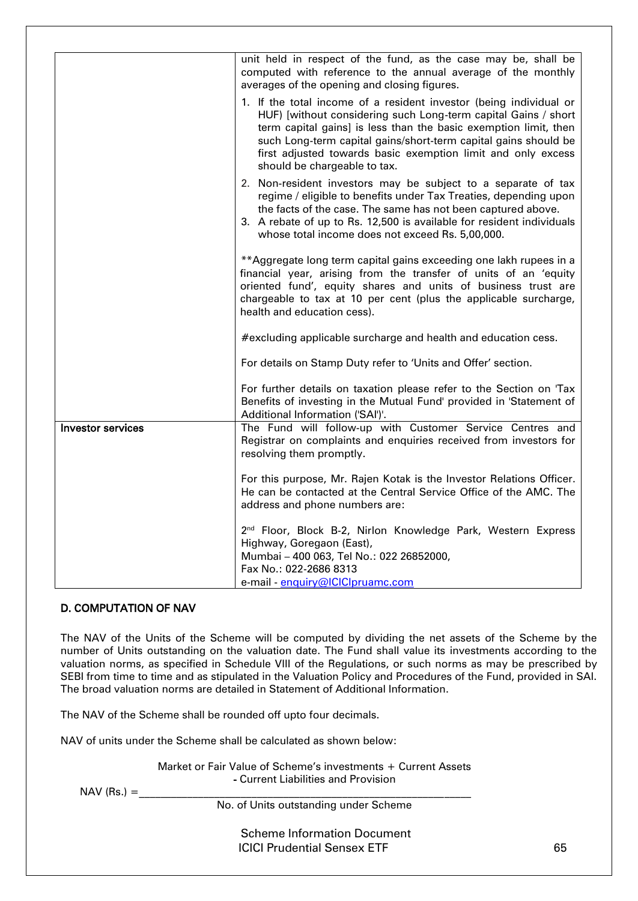|                          | unit held in respect of the fund, as the case may be, shall be<br>computed with reference to the annual average of the monthly<br>averages of the opening and closing figures.                                                                                                                                                                                              |
|--------------------------|-----------------------------------------------------------------------------------------------------------------------------------------------------------------------------------------------------------------------------------------------------------------------------------------------------------------------------------------------------------------------------|
|                          | 1. If the total income of a resident investor (being individual or<br>HUF) [without considering such Long-term capital Gains / short<br>term capital gains] is less than the basic exemption limit, then<br>such Long-term capital gains/short-term capital gains should be<br>first adjusted towards basic exemption limit and only excess<br>should be chargeable to tax. |
|                          | 2. Non-resident investors may be subject to a separate of tax<br>regime / eligible to benefits under Tax Treaties, depending upon<br>the facts of the case. The same has not been captured above.<br>3. A rebate of up to Rs. 12,500 is available for resident individuals<br>whose total income does not exceed Rs. 5,00,000.                                              |
|                          | **Aggregate long term capital gains exceeding one lakh rupees in a<br>financial year, arising from the transfer of units of an 'equity<br>oriented fund', equity shares and units of business trust are<br>chargeable to tax at 10 per cent (plus the applicable surcharge,<br>health and education cess).                                                                  |
|                          | #excluding applicable surcharge and health and education cess.                                                                                                                                                                                                                                                                                                              |
|                          | For details on Stamp Duty refer to 'Units and Offer' section.                                                                                                                                                                                                                                                                                                               |
|                          | For further details on taxation please refer to the Section on 'Tax<br>Benefits of investing in the Mutual Fund' provided in 'Statement of<br>Additional Information ('SAI')'.                                                                                                                                                                                              |
| <b>Investor services</b> | The Fund will follow-up with Customer Service Centres and<br>Registrar on complaints and enquiries received from investors for<br>resolving them promptly.                                                                                                                                                                                                                  |
|                          | For this purpose, Mr. Rajen Kotak is the Investor Relations Officer.<br>He can be contacted at the Central Service Office of the AMC. The<br>address and phone numbers are:                                                                                                                                                                                                 |
|                          | 2 <sup>nd</sup> Floor, Block B-2, Nirlon Knowledge Park, Western Express<br>Highway, Goregaon (East),<br>Mumbai - 400 063, Tel No.: 022 26852000,<br>Fax No.: 022-2686 8313<br>e-mail - enquiry@ICICIpruamc.com                                                                                                                                                             |

# D. COMPUTATION OF NAV

The NAV of the Units of the Scheme will be computed by dividing the net assets of the Scheme by the number of Units outstanding on the valuation date. The Fund shall value its investments according to the valuation norms, as specified in Schedule VIII of the Regulations, or such norms as may be prescribed by SEBI from time to time and as stipulated in the Valuation Policy and Procedures of the Fund, provided in SAI. The broad valuation norms are detailed in Statement of Additional Information.

The NAV of the Scheme shall be rounded off upto four decimals.

NAV of units under the Scheme shall be calculated as shown below:

Market or Fair Value of Scheme's investments + Current Assets - Current Liabilities and Provision

 $NAV (Rs.) =$ 

No. of Units outstanding under Scheme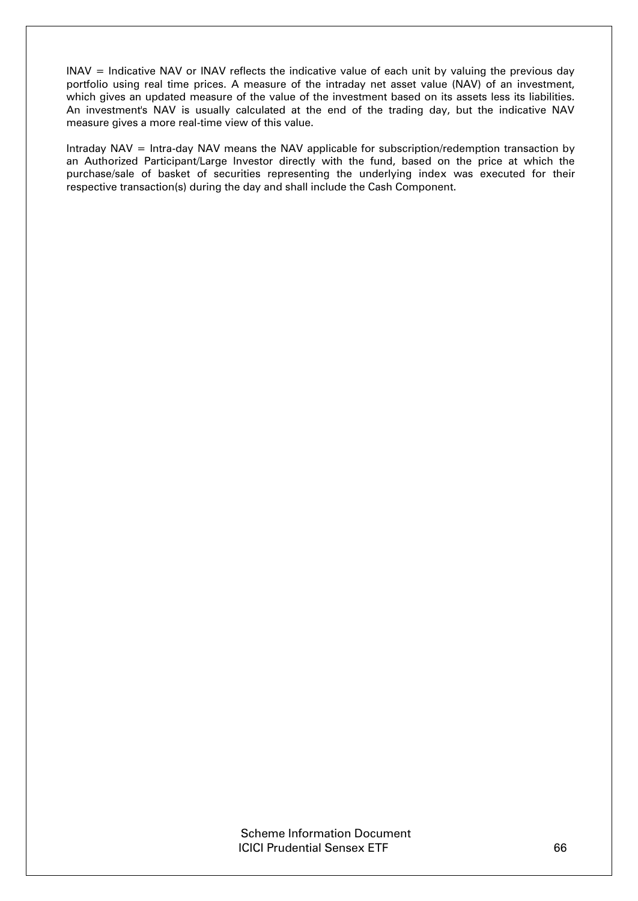INAV = Indicative NAV or INAV reflects the indicative value of each unit by valuing the previous day portfolio using real time prices. A measure of the intraday net asset value (NAV) of an investment, which gives an updated measure of the value of the investment based on its assets less its liabilities. An investment's NAV is usually calculated at the end of the trading day, but the indicative NAV measure gives a more real-time view of this value.

Intraday NAV = Intra-day NAV means the NAV applicable for subscription/redemption transaction by an Authorized Participant/Large Investor directly with the fund, based on the price at which the purchase/sale of basket of securities representing the underlying index was executed for their respective transaction(s) during the day and shall include the Cash Component.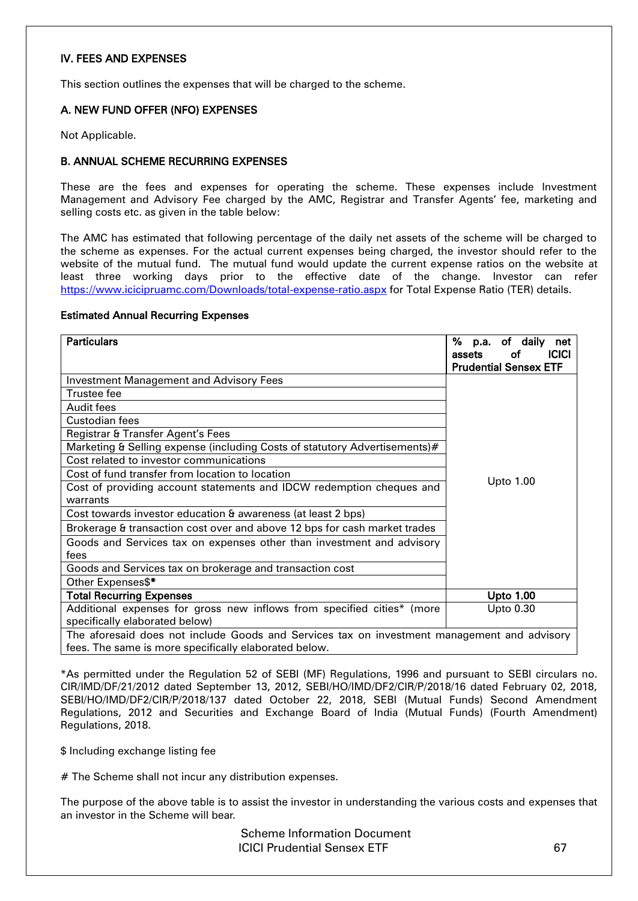### IV. FEES AND EXPENSES

This section outlines the expenses that will be charged to the scheme.

#### A. NEW FUND OFFER (NFO) EXPENSES

Not Applicable.

#### B. ANNUAL SCHEME RECURRING EXPENSES

These are the fees and expenses for operating the scheme. These expenses include Investment Management and Advisory Fee charged by the AMC, Registrar and Transfer Agents' fee, marketing and selling costs etc. as given in the table below:

The AMC has estimated that following percentage of the daily net assets of the scheme will be charged to the scheme as expenses. For the actual current expenses being charged, the investor should refer to the website of the mutual fund. The mutual fund would update the current expense ratios on the website at least three working days prior to the effective date of the change. Investor can refer <https://www.icicipruamc.com/Downloads/total-expense-ratio.aspx> for Total Expense Ratio (TER) details.

#### Estimated Annual Recurring Expenses

| <b>Particulars</b>                                                                                                                                   | % p.a. of daily<br>net<br><b>ICICI</b><br>assets<br>οt<br><b>Prudential Sensex ETF</b> |
|------------------------------------------------------------------------------------------------------------------------------------------------------|----------------------------------------------------------------------------------------|
| <b>Investment Management and Advisory Fees</b>                                                                                                       |                                                                                        |
| Trustee fee                                                                                                                                          |                                                                                        |
| Audit fees                                                                                                                                           |                                                                                        |
| Custodian fees                                                                                                                                       |                                                                                        |
| Registrar & Transfer Agent's Fees                                                                                                                    |                                                                                        |
| Marketing & Selling expense (including Costs of statutory Advertisements)#                                                                           |                                                                                        |
| Cost related to investor communications                                                                                                              |                                                                                        |
| Cost of fund transfer from location to location                                                                                                      |                                                                                        |
| Cost of providing account statements and IDCW redemption cheques and                                                                                 | <b>Upto 1.00</b>                                                                       |
| warrants                                                                                                                                             |                                                                                        |
| Cost towards investor education & awareness (at least 2 bps)                                                                                         |                                                                                        |
| Brokerage & transaction cost over and above 12 bps for cash market trades                                                                            |                                                                                        |
| Goods and Services tax on expenses other than investment and advisory                                                                                |                                                                                        |
| fees                                                                                                                                                 |                                                                                        |
| Goods and Services tax on brokerage and transaction cost                                                                                             |                                                                                        |
| Other Expenses\$*                                                                                                                                    |                                                                                        |
| <b>Total Recurring Expenses</b>                                                                                                                      | <b>Upto 1.00</b>                                                                       |
| Additional expenses for gross new inflows from specified cities* (more                                                                               | <b>Upto 0.30</b>                                                                       |
| specifically elaborated below)                                                                                                                       |                                                                                        |
| The aforesaid does not include Goods and Services tax on investment management and advisory<br>fees. The same is more specifically elaborated below. |                                                                                        |

\*As permitted under the Regulation 52 of SEBI (MF) Regulations, 1996 and pursuant to SEBI circulars no. CIR/IMD/DF/21/2012 dated September 13, 2012, SEBI/HO/IMD/DF2/CIR/P/2018/16 dated February 02, 2018, SEBI/HO/IMD/DF2/CIR/P/2018/137 dated October 22, 2018, SEBI (Mutual Funds) Second Amendment Regulations, 2012 and Securities and Exchange Board of India (Mutual Funds) (Fourth Amendment) Regulations, 2018.

\$ Including exchange listing fee

# The Scheme shall not incur any distribution expenses.

The purpose of the above table is to assist the investor in understanding the various costs and expenses that an investor in the Scheme will bear.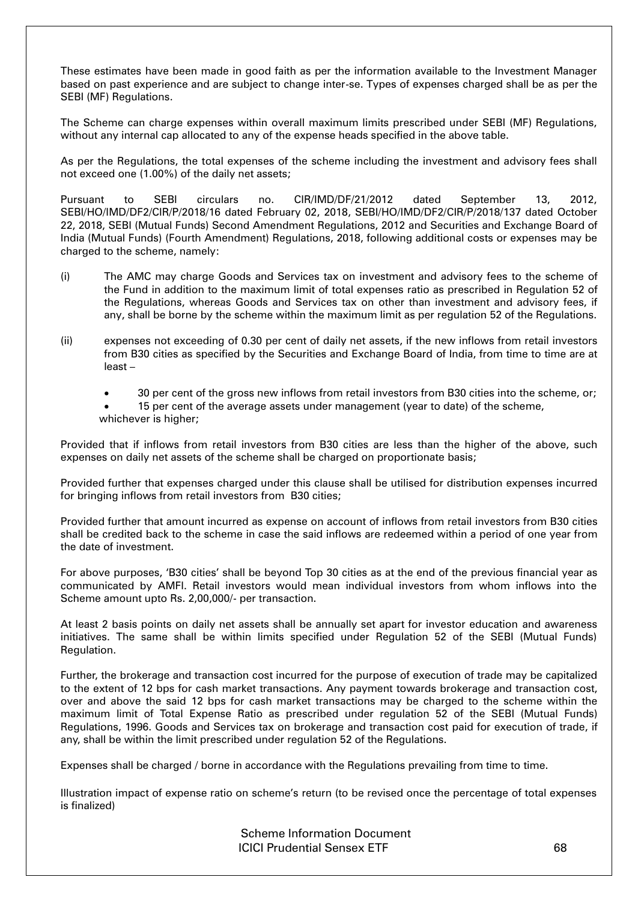These estimates have been made in good faith as per the information available to the Investment Manager based on past experience and are subject to change inter-se. Types of expenses charged shall be as per the SEBI (MF) Regulations.

The Scheme can charge expenses within overall maximum limits prescribed under SEBI (MF) Regulations, without any internal cap allocated to any of the expense heads specified in the above table.

As per the Regulations, the total expenses of the scheme including the investment and advisory fees shall not exceed one (1.00%) of the daily net assets;

Pursuant to SEBI circulars no. CIR/IMD/DF/21/2012 dated September 13, 2012, SEBI/HO/IMD/DF2/CIR/P/2018/16 dated February 02, 2018, SEBI/HO/IMD/DF2/CIR/P/2018/137 dated October 22, 2018, SEBI (Mutual Funds) Second Amendment Regulations, 2012 and Securities and Exchange Board of India (Mutual Funds) (Fourth Amendment) Regulations, 2018, following additional costs or expenses may be charged to the scheme, namely:

- (i) The AMC may charge Goods and Services tax on investment and advisory fees to the scheme of the Fund in addition to the maximum limit of total expenses ratio as prescribed in Regulation 52 of the Regulations, whereas Goods and Services tax on other than investment and advisory fees, if any, shall be borne by the scheme within the maximum limit as per regulation 52 of the Regulations.
- (ii) expenses not exceeding of 0.30 per cent of daily net assets, if the new inflows from retail investors from B30 cities as specified by the Securities and Exchange Board of India, from time to time are at least –
	- 30 per cent of the gross new inflows from retail investors from B30 cities into the scheme, or;
	- 15 per cent of the average assets under management (year to date) of the scheme, whichever is higher;

Provided that if inflows from retail investors from B30 cities are less than the higher of the above, such expenses on daily net assets of the scheme shall be charged on proportionate basis;

Provided further that expenses charged under this clause shall be utilised for distribution expenses incurred for bringing inflows from retail investors from B30 cities;

Provided further that amount incurred as expense on account of inflows from retail investors from B30 cities shall be credited back to the scheme in case the said inflows are redeemed within a period of one year from the date of investment.

For above purposes, 'B30 cities' shall be beyond Top 30 cities as at the end of the previous financial year as communicated by AMFI. Retail investors would mean individual investors from whom inflows into the Scheme amount upto Rs. 2,00,000/- per transaction.

At least 2 basis points on daily net assets shall be annually set apart for investor education and awareness initiatives. The same shall be within limits specified under Regulation 52 of the SEBI (Mutual Funds) Regulation.

Further, the brokerage and transaction cost incurred for the purpose of execution of trade may be capitalized to the extent of 12 bps for cash market transactions. Any payment towards brokerage and transaction cost, over and above the said 12 bps for cash market transactions may be charged to the scheme within the maximum limit of Total Expense Ratio as prescribed under regulation 52 of the SEBI (Mutual Funds) Regulations, 1996. Goods and Services tax on brokerage and transaction cost paid for execution of trade, if any, shall be within the limit prescribed under regulation 52 of the Regulations.

Expenses shall be charged / borne in accordance with the Regulations prevailing from time to time.

Illustration impact of expense ratio on scheme's return (to be revised once the percentage of total expenses is finalized)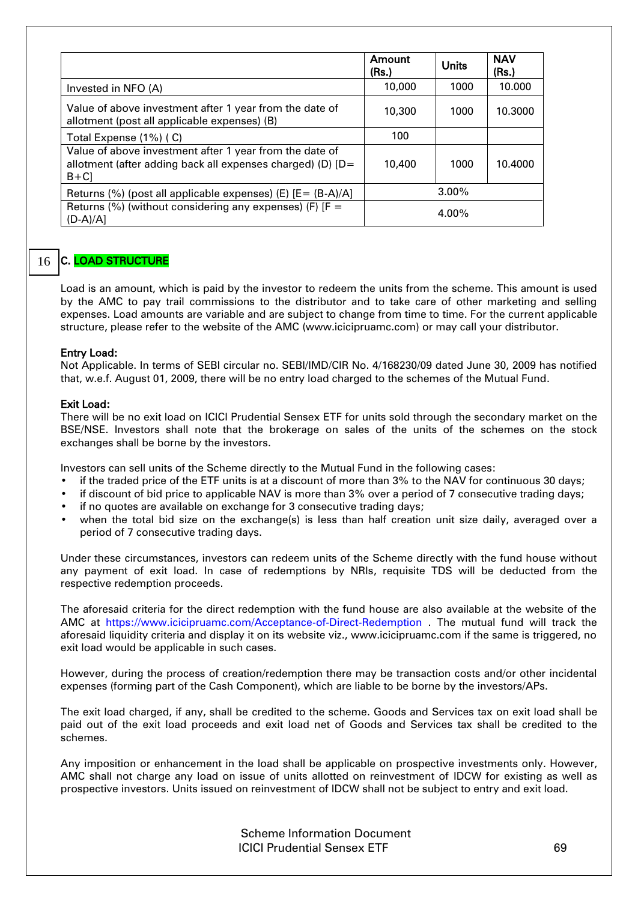|                                                                                                                                  | Amount<br>(Rs.) | <b>Units</b> | <b>NAV</b><br>(Rs.) |
|----------------------------------------------------------------------------------------------------------------------------------|-----------------|--------------|---------------------|
| Invested in NFO (A)                                                                                                              | 10,000          | 1000         | 10.000              |
| Value of above investment after 1 year from the date of<br>allotment (post all applicable expenses) (B)                          | 10,300          | 1000         | 10.3000             |
| Total Expense (1%) (C)                                                                                                           | 100             |              |                     |
| Value of above investment after 1 year from the date of<br>allotment (after adding back all expenses charged) (D) [D=<br>$B + C$ | 10,400          | 1000         | 10.4000             |
| Returns (%) (post all applicable expenses) (E) $[E = (B-A)/A]$                                                                   |                 | $3.00\%$     |                     |
| Returns (%) (without considering any expenses) (F) $[F =$<br>(D-A)/A]                                                            |                 | $4.00\%$     |                     |

#### C. LOAD STRUCTURE 16

Load is an amount, which is paid by the investor to redeem the units from the scheme. This amount is used by the AMC to pay trail commissions to the distributor and to take care of other marketing and selling expenses. Load amounts are variable and are subject to change from time to time. For the current applicable structure, please refer to the website of the AMC (www.icicipruamc.com) or may call your distributor.

#### Entry Load:

Not Applicable. In terms of SEBI circular no. SEBI/IMD/CIR No. 4/168230/09 dated June 30, 2009 has notified that, w.e.f. August 01, 2009, there will be no entry load charged to the schemes of the Mutual Fund.

#### Exit Load:

There will be no exit load on ICICI Prudential Sensex ETF for units sold through the secondary market on the BSE/NSE. Investors shall note that the brokerage on sales of the units of the schemes on the stock exchanges shall be borne by the investors.

Investors can sell units of the Scheme directly to the Mutual Fund in the following cases:

- if the traded price of the ETF units is at a discount of more than 3% to the NAV for continuous 30 days;
- if discount of bid price to applicable NAV is more than 3% over a period of 7 consecutive trading days;
- if no quotes are available on exchange for 3 consecutive trading days;
- when the total bid size on the exchange(s) is less than half creation unit size daily, averaged over a period of 7 consecutive trading days.

Under these circumstances, investors can redeem units of the Scheme directly with the fund house without any payment of exit load. In case of redemptions by NRIs, requisite TDS will be deducted from the respective redemption proceeds.

The aforesaid criteria for the direct redemption with the fund house are also available at the website of the AMC at <https://www.icicipruamc.com/Acceptance-of-Direct-Redemption> . The mutual fund will track the aforesaid liquidity criteria and display it on its website viz., www.icicipruamc.com if the same is triggered, no exit load would be applicable in such cases.

However, during the process of creation/redemption there may be transaction costs and/or other incidental expenses (forming part of the Cash Component), which are liable to be borne by the investors/APs.

The exit load charged, if any, shall be credited to the scheme. Goods and Services tax on exit load shall be paid out of the exit load proceeds and exit load net of Goods and Services tax shall be credited to the schemes.

Any imposition or enhancement in the load shall be applicable on prospective investments only. However, AMC shall not charge any load on issue of units allotted on reinvestment of IDCW for existing as well as prospective investors. Units issued on reinvestment of IDCW shall not be subject to entry and exit load.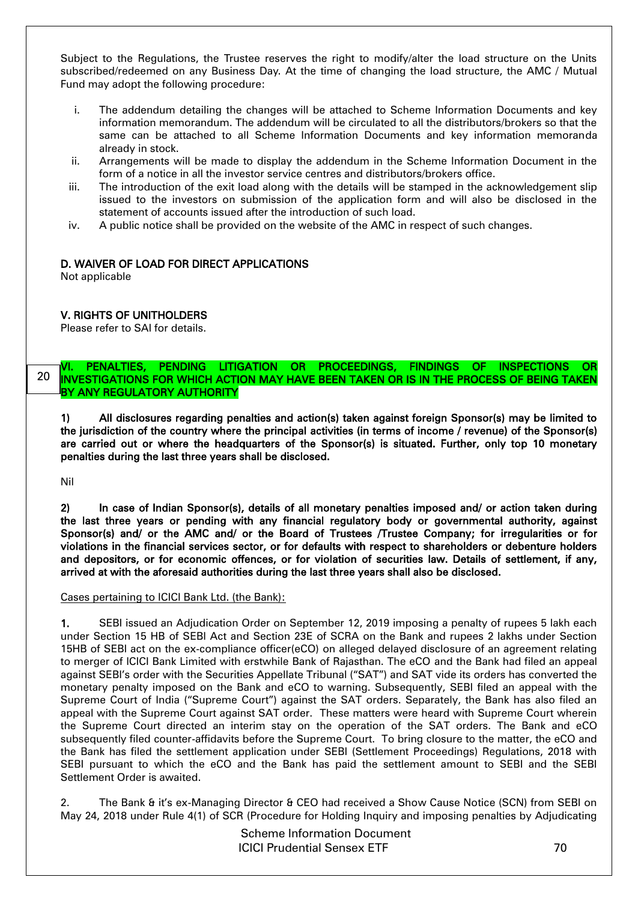Subject to the Regulations, the Trustee reserves the right to modify/alter the load structure on the Units subscribed/redeemed on any Business Day. At the time of changing the load structure, the AMC / Mutual Fund may adopt the following procedure:

- i. The addendum detailing the changes will be attached to Scheme Information Documents and key information memorandum. The addendum will be circulated to all the distributors/brokers so that the same can be attached to all Scheme Information Documents and key information memoranda already in stock.
- ii. Arrangements will be made to display the addendum in the Scheme Information Document in the form of a notice in all the investor service centres and distributors/brokers office.
- iii. The introduction of the exit load along with the details will be stamped in the acknowledgement slip issued to the investors on submission of the application form and will also be disclosed in the statement of accounts issued after the introduction of such load.
- iv. A public notice shall be provided on the website of the AMC in respect of such changes.

# D. WAIVER OF LOAD FOR DIRECT APPLICATIONS

Not applicable

# V. RIGHTS OF UNITHOLDERS

Please refer to SAI for details.

#### VI. PENALTIES, PENDING LITIGATION OR PROCEEDINGS, FINDINGS OF INSPECTIONS OR INVESTIGATIONS FOR WHICH ACTION MAY HAVE BEEN TAKEN OR IS IN THE PROCESS OF BEING TAKEN BY ANY REGULATORY AUTHORITY 20

1) All disclosures regarding penalties and action(s) taken against foreign Sponsor(s) may be limited to the jurisdiction of the country where the principal activities (in terms of income / revenue) of the Sponsor(s) are carried out or where the headquarters of the Sponsor(s) is situated. Further, only top 10 monetary penalties during the last three years shall be disclosed.

Nil

2) In case of Indian Sponsor(s), details of all monetary penalties imposed and/ or action taken during the last three years or pending with any financial regulatory body or governmental authority, against Sponsor(s) and/ or the AMC and/ or the Board of Trustees /Trustee Company; for irregularities or for violations in the financial services sector, or for defaults with respect to shareholders or debenture holders and depositors, or for economic offences, or for violation of securities law. Details of settlement, if any, arrived at with the aforesaid authorities during the last three years shall also be disclosed.

#### Cases pertaining to ICICI Bank Ltd. (the Bank):

1. SEBI issued an Adjudication Order on September 12, 2019 imposing a penalty of rupees 5 lakh each under Section 15 HB of SEBI Act and Section 23E of SCRA on the Bank and rupees 2 lakhs under Section 15HB of SEBI act on the ex-compliance officer(eCO) on alleged delayed disclosure of an agreement relating to merger of ICICI Bank Limited with erstwhile Bank of Rajasthan. The eCO and the Bank had filed an appeal against SEBI's order with the Securities Appellate Tribunal ("SAT") and SAT vide its orders has converted the monetary penalty imposed on the Bank and eCO to warning. Subsequently, SEBI filed an appeal with the Supreme Court of India ("Supreme Court") against the SAT orders. Separately, the Bank has also filed an appeal with the Supreme Court against SAT order. These matters were heard with Supreme Court wherein the Supreme Court directed an interim stay on the operation of the SAT orders. The Bank and eCO subsequently filed counter-affidavits before the Supreme Court. To bring closure to the matter, the eCO and the Bank has filed the settlement application under SEBI (Settlement Proceedings) Regulations, 2018 with SEBI pursuant to which the eCO and the Bank has paid the settlement amount to SEBI and the SEBI Settlement Order is awaited.

2. The Bank & it's ex-Managing Director & CEO had received a Show Cause Notice (SCN) from SEBI on May 24, 2018 under Rule 4(1) of SCR (Procedure for Holding Inquiry and imposing penalties by Adjudicating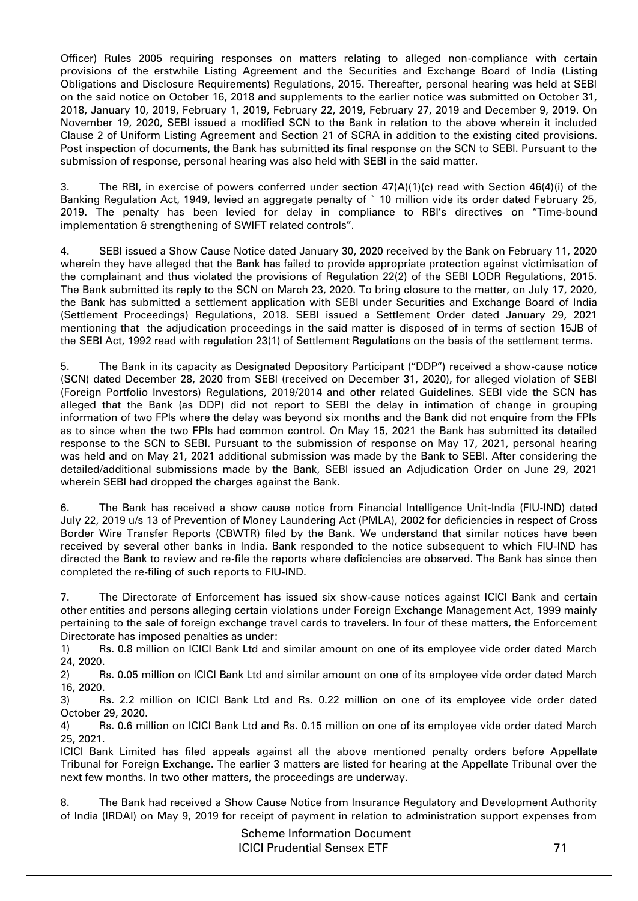Officer) Rules 2005 requiring responses on matters relating to alleged non-compliance with certain provisions of the erstwhile Listing Agreement and the Securities and Exchange Board of India (Listing Obligations and Disclosure Requirements) Regulations, 2015. Thereafter, personal hearing was held at SEBI on the said notice on October 16, 2018 and supplements to the earlier notice was submitted on October 31, 2018, January 10, 2019, February 1, 2019, February 22, 2019, February 27, 2019 and December 9, 2019. On November 19, 2020, SEBI issued a modified SCN to the Bank in relation to the above wherein it included Clause 2 of Uniform Listing Agreement and Section 21 of SCRA in addition to the existing cited provisions. Post inspection of documents, the Bank has submitted its final response on the SCN to SEBI. Pursuant to the submission of response, personal hearing was also held with SEBI in the said matter.

3. The RBI, in exercise of powers conferred under section 47(A)(1)(c) read with Section 46(4)(i) of the Banking Regulation Act, 1949, levied an aggregate penalty of ` 10 million vide its order dated February 25, 2019. The penalty has been levied for delay in compliance to RBI's directives on "Time-bound implementation & strengthening of SWIFT related controls".

4. SEBI issued a Show Cause Notice dated January 30, 2020 received by the Bank on February 11, 2020 wherein they have alleged that the Bank has failed to provide appropriate protection against victimisation of the complainant and thus violated the provisions of Regulation 22(2) of the SEBI LODR Regulations, 2015. The Bank submitted its reply to the SCN on March 23, 2020. To bring closure to the matter, on July 17, 2020, the Bank has submitted a settlement application with SEBI under Securities and Exchange Board of India (Settlement Proceedings) Regulations, 2018. SEBI issued a Settlement Order dated January 29, 2021 mentioning that the adjudication proceedings in the said matter is disposed of in terms of section 15JB of the SEBI Act, 1992 read with regulation 23(1) of Settlement Regulations on the basis of the settlement terms.

5. The Bank in its capacity as Designated Depository Participant ("DDP") received a show-cause notice (SCN) dated December 28, 2020 from SEBI (received on December 31, 2020), for alleged violation of SEBI (Foreign Portfolio Investors) Regulations, 2019/2014 and other related Guidelines. SEBI vide the SCN has alleged that the Bank (as DDP) did not report to SEBI the delay in intimation of change in grouping information of two FPIs where the delay was beyond six months and the Bank did not enquire from the FPIs as to since when the two FPIs had common control. On May 15, 2021 the Bank has submitted its detailed response to the SCN to SEBI. Pursuant to the submission of response on May 17, 2021, personal hearing was held and on May 21, 2021 additional submission was made by the Bank to SEBI. After considering the detailed/additional submissions made by the Bank, SEBI issued an Adjudication Order on June 29, 2021 wherein SEBI had dropped the charges against the Bank.

6. The Bank has received a show cause notice from Financial Intelligence Unit-India (FIU-IND) dated July 22, 2019 u/s 13 of Prevention of Money Laundering Act (PMLA), 2002 for deficiencies in respect of Cross Border Wire Transfer Reports (CBWTR) filed by the Bank. We understand that similar notices have been received by several other banks in India. Bank responded to the notice subsequent to which FIU-IND has directed the Bank to review and re-file the reports where deficiencies are observed. The Bank has since then completed the re-filing of such reports to FIU-IND.

7. The Directorate of Enforcement has issued six show-cause notices against ICICI Bank and certain other entities and persons alleging certain violations under Foreign Exchange Management Act, 1999 mainly pertaining to the sale of foreign exchange travel cards to travelers. In four of these matters, the Enforcement Directorate has imposed penalties as under:

1) Rs. 0.8 million on ICICI Bank Ltd and similar amount on one of its employee vide order dated March 24, 2020.

2) Rs. 0.05 million on ICICI Bank Ltd and similar amount on one of its employee vide order dated March 16, 2020.

3) Rs. 2.2 million on ICICI Bank Ltd and Rs. 0.22 million on one of its employee vide order dated October 29, 2020.

4) Rs. 0.6 million on ICICI Bank Ltd and Rs. 0.15 million on one of its employee vide order dated March 25, 2021.

ICICI Bank Limited has filed appeals against all the above mentioned penalty orders before Appellate Tribunal for Foreign Exchange. The earlier 3 matters are listed for hearing at the Appellate Tribunal over the next few months. In two other matters, the proceedings are underway.

8. The Bank had received a Show Cause Notice from Insurance Regulatory and Development Authority of India (IRDAI) on May 9, 2019 for receipt of payment in relation to administration support expenses from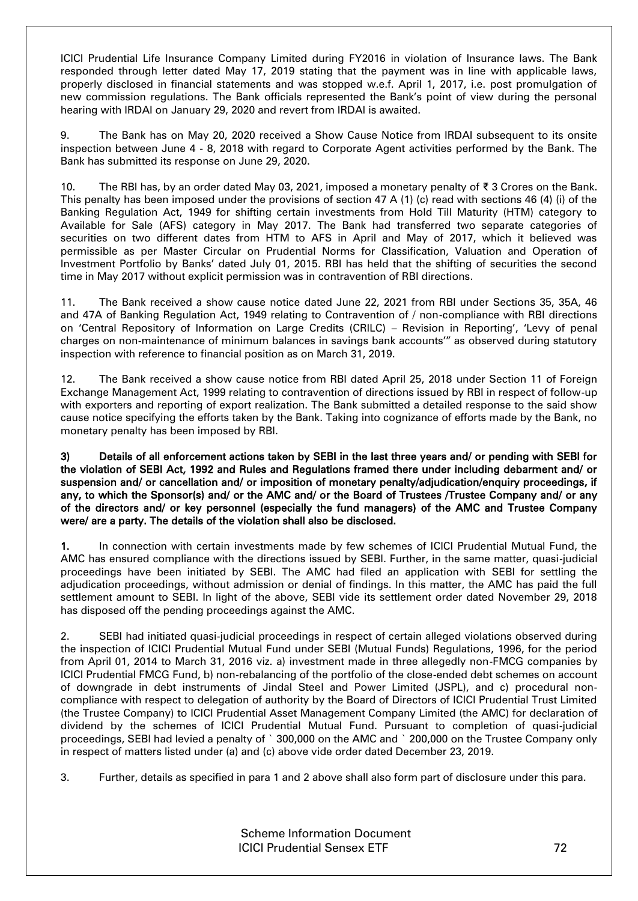ICICI Prudential Life Insurance Company Limited during FY2016 in violation of Insurance laws. The Bank responded through letter dated May 17, 2019 stating that the payment was in line with applicable laws, properly disclosed in financial statements and was stopped w.e.f. April 1, 2017, i.e. post promulgation of new commission regulations. The Bank officials represented the Bank's point of view during the personal hearing with IRDAI on January 29, 2020 and revert from IRDAI is awaited.

9. The Bank has on May 20, 2020 received a Show Cause Notice from IRDAI subsequent to its onsite inspection between June 4 - 8, 2018 with regard to Corporate Agent activities performed by the Bank. The Bank has submitted its response on June 29, 2020.

10. The RBI has, by an order dated May 03, 2021, imposed a monetary penalty of ₹ 3 Crores on the Bank. This penalty has been imposed under the provisions of section 47 A (1) (c) read with sections 46 (4) (i) of the Banking Regulation Act, 1949 for shifting certain investments from Hold Till Maturity (HTM) category to Available for Sale (AFS) category in May 2017. The Bank had transferred two separate categories of securities on two different dates from HTM to AFS in April and May of 2017, which it believed was permissible as per Master Circular on Prudential Norms for Classification, Valuation and Operation of Investment Portfolio by Banks' dated July 01, 2015. RBI has held that the shifting of securities the second time in May 2017 without explicit permission was in contravention of RBI directions.

11. The Bank received a show cause notice dated June 22, 2021 from RBI under Sections 35, 35A, 46 and 47A of Banking Regulation Act, 1949 relating to Contravention of / non-compliance with RBI directions on 'Central Repository of Information on Large Credits (CRILC) – Revision in Reporting', 'Levy of penal charges on non-maintenance of minimum balances in savings bank accounts'" as observed during statutory inspection with reference to financial position as on March 31, 2019.

12. The Bank received a show cause notice from RBI dated April 25, 2018 under Section 11 of Foreign Exchange Management Act, 1999 relating to contravention of directions issued by RBI in respect of follow-up with exporters and reporting of export realization. The Bank submitted a detailed response to the said show cause notice specifying the efforts taken by the Bank. Taking into cognizance of efforts made by the Bank, no monetary penalty has been imposed by RBI.

3) Details of all enforcement actions taken by SEBI in the last three years and/ or pending with SEBI for the violation of SEBI Act, 1992 and Rules and Regulations framed there under including debarment and/ or suspension and/ or cancellation and/ or imposition of monetary penalty/adjudication/enquiry proceedings, if any, to which the Sponsor(s) and/ or the AMC and/ or the Board of Trustees /Trustee Company and/ or any of the directors and/ or key personnel (especially the fund managers) of the AMC and Trustee Company were/ are a party. The details of the violation shall also be disclosed.

1. In connection with certain investments made by few schemes of ICICI Prudential Mutual Fund, the AMC has ensured compliance with the directions issued by SEBI. Further, in the same matter, quasi-judicial proceedings have been initiated by SEBI. The AMC had filed an application with SEBI for settling the adjudication proceedings, without admission or denial of findings. In this matter, the AMC has paid the full settlement amount to SEBI. In light of the above, SEBI vide its settlement order dated November 29, 2018 has disposed off the pending proceedings against the AMC.

2. SEBI had initiated quasi-judicial proceedings in respect of certain alleged violations observed during the inspection of ICICI Prudential Mutual Fund under SEBI (Mutual Funds) Regulations, 1996, for the period from April 01, 2014 to March 31, 2016 viz. a) investment made in three allegedly non-FMCG companies by ICICI Prudential FMCG Fund, b) non-rebalancing of the portfolio of the close-ended debt schemes on account of downgrade in debt instruments of Jindal Steel and Power Limited (JSPL), and c) procedural noncompliance with respect to delegation of authority by the Board of Directors of ICICI Prudential Trust Limited (the Trustee Company) to ICICI Prudential Asset Management Company Limited (the AMC) for declaration of dividend by the schemes of ICICI Prudential Mutual Fund. Pursuant to completion of quasi-judicial proceedings, SEBI had levied a penalty of ` 300,000 on the AMC and ` 200,000 on the Trustee Company only in respect of matters listed under (a) and (c) above vide order dated December 23, 2019.

3. Further, details as specified in para 1 and 2 above shall also form part of disclosure under this para.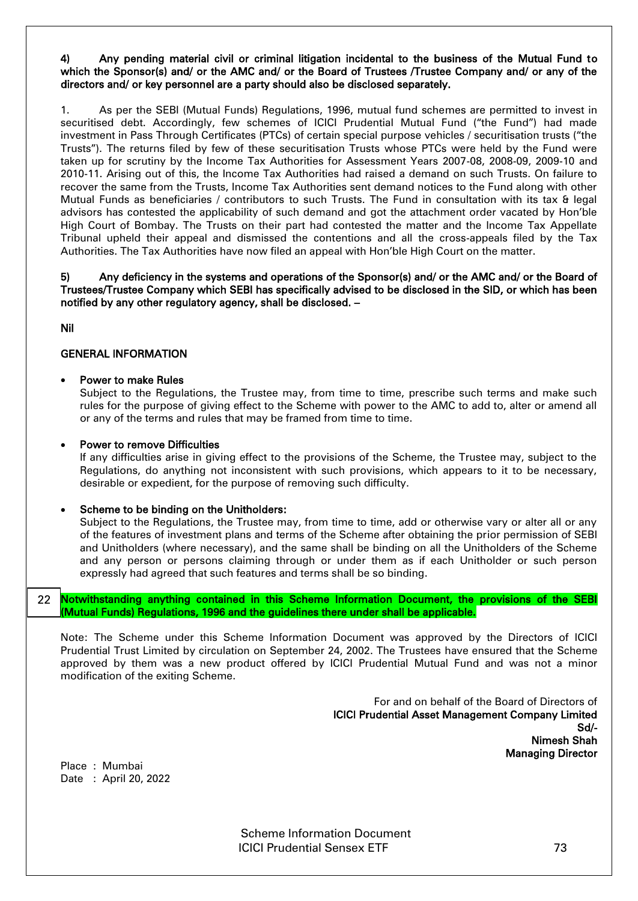#### 4) Any pending material civil or criminal litigation incidental to the business of the Mutual Fund to which the Sponsor(s) and/ or the AMC and/ or the Board of Trustees /Trustee Company and/ or any of the directors and/ or key personnel are a party should also be disclosed separately.

1. As per the SEBI (Mutual Funds) Regulations, 1996, mutual fund schemes are permitted to invest in securitised debt. Accordingly, few schemes of ICICI Prudential Mutual Fund ("the Fund") had made investment in Pass Through Certificates (PTCs) of certain special purpose vehicles / securitisation trusts ("the Trusts"). The returns filed by few of these securitisation Trusts whose PTCs were held by the Fund were taken up for scrutiny by the Income Tax Authorities for Assessment Years 2007-08, 2008-09, 2009-10 and 2010-11. Arising out of this, the Income Tax Authorities had raised a demand on such Trusts. On failure to recover the same from the Trusts, Income Tax Authorities sent demand notices to the Fund along with other Mutual Funds as beneficiaries / contributors to such Trusts. The Fund in consultation with its tax & legal advisors has contested the applicability of such demand and got the attachment order vacated by Hon'ble High Court of Bombay. The Trusts on their part had contested the matter and the Income Tax Appellate Tribunal upheld their appeal and dismissed the contentions and all the cross-appeals filed by the Tax Authorities. The Tax Authorities have now filed an appeal with Hon'ble High Court on the matter.

#### 5) Any deficiency in the systems and operations of the Sponsor(s) and/ or the AMC and/ or the Board of Trustees/Trustee Company which SEBI has specifically advised to be disclosed in the SID, or which has been notified by any other regulatory agency, shall be disclosed. –

Nil

i.

#### GENERAL INFORMATION

#### Power to make Rules

Subject to the Regulations, the Trustee may, from time to time, prescribe such terms and make such rules for the purpose of giving effect to the Scheme with power to the AMC to add to, alter or amend all or any of the terms and rules that may be framed from time to time.

#### Power to remove Difficulties

If any difficulties arise in giving effect to the provisions of the Scheme, the Trustee may, subject to the Regulations, do anything not inconsistent with such provisions, which appears to it to be necessary, desirable or expedient, for the purpose of removing such difficulty.

#### Scheme to be binding on the Unitholders:

Subject to the Regulations, the Trustee may, from time to time, add or otherwise vary or alter all or any of the features of investment plans and terms of the Scheme after obtaining the prior permission of SEBI and Unitholders (where necessary), and the same shall be binding on all the Unitholders of the Scheme and any person or persons claiming through or under them as if each Unitholder or such person expressly had agreed that such features and terms shall be so binding.

Notwithstanding anything contained in this Scheme Information Document, the provisions of the SEBI (Mutual Funds) Regulations, 1996 and the guidelines there under shall be applicable. 22

Note: The Scheme under this Scheme Information Document was approved by the Directors of ICICI Prudential Trust Limited by circulation on September 24, 2002. The Trustees have ensured that the Scheme approved by them was a new product offered by ICICI Prudential Mutual Fund and was not a minor modification of the exiting Scheme.

> For and on behalf of the Board of Directors of ICICI Prudential Asset Management Company Limited Sd/- Nimesh Shah Managing Director

Place : Mumbai Date : April 20, 2022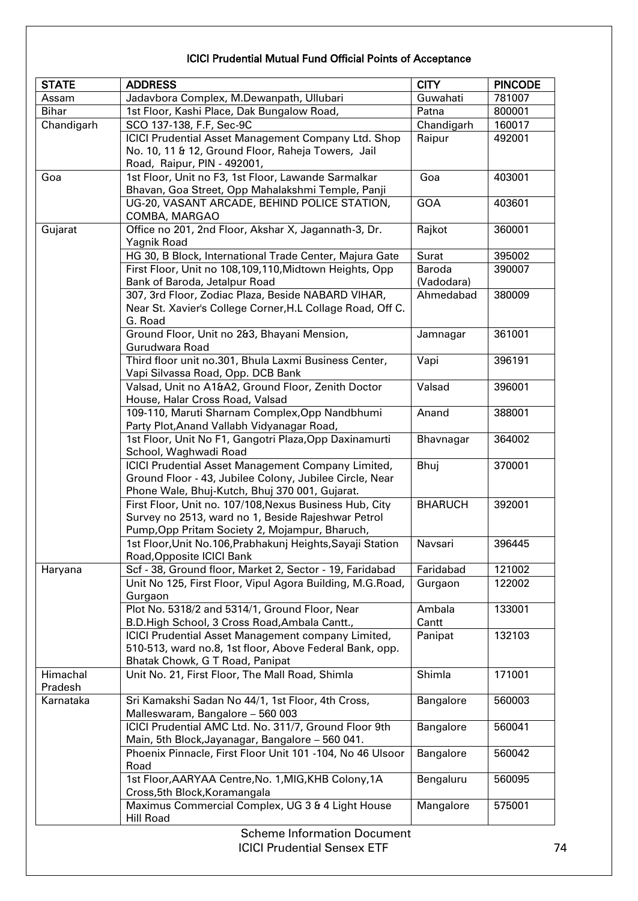# ICICI Prudential Mutual Fund Official Points of Acceptance

| <b>STATE</b> | <b>ADDRESS</b>                                             | <b>CITY</b>    | <b>PINCODE</b> |
|--------------|------------------------------------------------------------|----------------|----------------|
| Assam        | Jadavbora Complex, M.Dewanpath, Ullubari                   | Guwahati       | 781007         |
| <b>Bihar</b> | 1st Floor, Kashi Place, Dak Bungalow Road,                 | Patna          | 800001         |
| Chandigarh   | SCO 137-138, F.F, Sec-9C                                   | Chandigarh     | 160017         |
|              | ICICI Prudential Asset Management Company Ltd. Shop        | Raipur         | 492001         |
|              | No. 10, 11 & 12, Ground Floor, Raheja Towers, Jail         |                |                |
|              | Road, Raipur, PIN - 492001,                                |                |                |
| Goa          | 1st Floor, Unit no F3, 1st Floor, Lawande Sarmalkar        | Goa            | 403001         |
|              | Bhavan, Goa Street, Opp Mahalakshmi Temple, Panji          |                |                |
|              | UG-20, VASANT ARCADE, BEHIND POLICE STATION,               | <b>GOA</b>     | 403601         |
|              | COMBA, MARGAO                                              |                |                |
| Gujarat      | Office no 201, 2nd Floor, Akshar X, Jagannath-3, Dr.       | Rajkot         | 360001         |
|              | Yagnik Road                                                |                |                |
|              | HG 30, B Block, International Trade Center, Majura Gate    | Surat          | 395002         |
|              | First Floor, Unit no 108,109,110, Midtown Heights, Opp     | Baroda         | 390007         |
|              | Bank of Baroda, Jetalpur Road                              | (Vadodara)     |                |
|              | 307, 3rd Floor, Zodiac Plaza, Beside NABARD VIHAR,         | Ahmedabad      | 380009         |
|              | Near St. Xavier's College Corner, H.L Collage Road, Off C. |                |                |
|              | G. Road                                                    |                |                |
|              | Ground Floor, Unit no 2&3, Bhayani Mension,                | Jamnagar       | 361001         |
|              | Gurudwara Road                                             |                |                |
|              | Third floor unit no.301, Bhula Laxmi Business Center,      | Vapi           | 396191         |
|              | Vapi Silvassa Road, Opp. DCB Bank                          |                |                |
|              | Valsad, Unit no A1&A2, Ground Floor, Zenith Doctor         | Valsad         | 396001         |
|              | House, Halar Cross Road, Valsad                            |                |                |
|              | 109-110, Maruti Sharnam Complex, Opp Nandbhumi             | Anand          | 388001         |
|              | Party Plot, Anand Vallabh Vidyanagar Road,                 |                |                |
|              |                                                            |                | 364002         |
|              | 1st Floor, Unit No F1, Gangotri Plaza, Opp Daxinamurti     | Bhavnagar      |                |
|              | School, Waghwadi Road                                      |                |                |
|              | ICICI Prudential Asset Management Company Limited,         | Bhuj           | 370001         |
|              | Ground Floor - 43, Jubilee Colony, Jubilee Circle, Near    |                |                |
|              | Phone Wale, Bhuj-Kutch, Bhuj 370 001, Gujarat.             |                |                |
|              | First Floor, Unit no. 107/108, Nexus Business Hub, City    | <b>BHARUCH</b> | 392001         |
|              | Survey no 2513, ward no 1, Beside Rajeshwar Petrol         |                |                |
|              | Pump, Opp Pritam Society 2, Mojampur, Bharuch,             |                |                |
|              | 1st Floor, Unit No.106, Prabhakunj Heights, Sayaji Station | Navsari        | 396445         |
|              | Road, Opposite ICICI Bank                                  |                |                |
| Haryana      | Scf - 38, Ground floor, Market 2, Sector - 19, Faridabad   | Faridabad      | 121002         |
|              | Unit No 125, First Floor, Vipul Agora Building, M.G.Road,  | Gurgaon        | 122002         |
|              | Gurgaon                                                    |                |                |
|              | Plot No. 5318/2 and 5314/1, Ground Floor, Near             | Ambala         | 133001         |
|              | B.D.High School, 3 Cross Road, Ambala Cantt.,              | Cantt          |                |
|              | ICICI Prudential Asset Management company Limited,         | Panipat        | 132103         |
|              | 510-513, ward no.8, 1st floor, Above Federal Bank, opp.    |                |                |
|              | Bhatak Chowk, G T Road, Panipat                            |                |                |
| Himachal     | Unit No. 21, First Floor, The Mall Road, Shimla            | Shimla         | 171001         |
| Pradesh      |                                                            |                |                |
| Karnataka    | Sri Kamakshi Sadan No 44/1, 1st Floor, 4th Cross,          | Bangalore      | 560003         |
|              | Malleswaram, Bangalore - 560 003                           |                |                |
|              | ICICI Prudential AMC Ltd. No. 311/7, Ground Floor 9th      | Bangalore      | 560041         |
|              | Main, 5th Block, Jayanagar, Bangalore - 560 041.           |                |                |
|              | Phoenix Pinnacle, First Floor Unit 101 -104, No 46 Ulsoor  | Bangalore      | 560042         |
|              | Road                                                       |                |                |
|              |                                                            |                |                |
|              | 1st Floor, AARYAA Centre, No. 1, MIG, KHB Colony, 1A       | Bengaluru      | 560095         |
|              | Cross, 5th Block, Koramangala                              |                |                |
|              | Maximus Commercial Complex, UG 3 & 4 Light House           | Mangalore      | 575001         |
|              | <b>Hill Road</b>                                           |                |                |
|              | <b>Scheme Information Document</b>                         |                |                |
|              | <b>ICICI Prudential Sensex ETF</b>                         |                |                |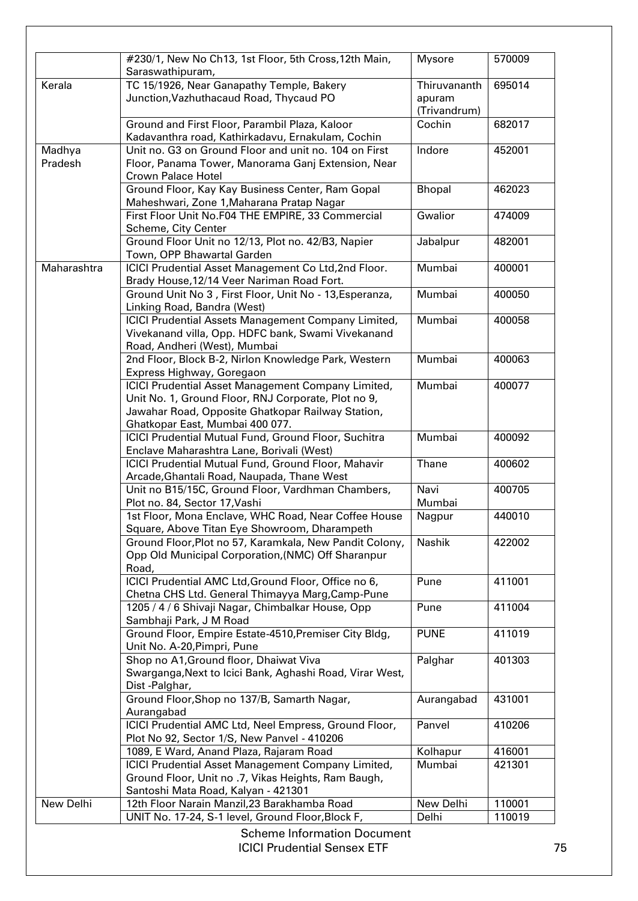|                   | #230/1, New No Ch13, 1st Floor, 5th Cross, 12th Main,                                                       | <b>Mysore</b>          | 570009           |
|-------------------|-------------------------------------------------------------------------------------------------------------|------------------------|------------------|
|                   | Saraswathipuram,                                                                                            |                        |                  |
| Kerala            | TC 15/1926, Near Ganapathy Temple, Bakery<br>Junction, Vazhuthacaud Road, Thycaud PO                        | Thiruvananth<br>apuram | 695014           |
|                   |                                                                                                             | (Trivandrum)           |                  |
|                   | Ground and First Floor, Parambil Plaza, Kaloor                                                              | Cochin                 | 682017           |
|                   | Kadavanthra road, Kathirkadavu, Ernakulam, Cochin                                                           |                        |                  |
| Madhya<br>Pradesh | Unit no. G3 on Ground Floor and unit no. 104 on First<br>Floor, Panama Tower, Manorama Ganj Extension, Near | Indore                 | 452001           |
|                   | <b>Crown Palace Hotel</b>                                                                                   |                        |                  |
|                   | Ground Floor, Kay Kay Business Center, Ram Gopal                                                            | Bhopal                 | 462023           |
|                   | Maheshwari, Zone 1, Maharana Pratap Nagar                                                                   |                        |                  |
|                   | First Floor Unit No.F04 THE EMPIRE, 33 Commercial                                                           | Gwalior                | 474009           |
|                   | Scheme, City Center                                                                                         |                        |                  |
|                   | Ground Floor Unit no 12/13, Plot no. 42/B3, Napier                                                          | Jabalpur               | 482001           |
|                   | Town, OPP Bhawartal Garden                                                                                  |                        |                  |
| Maharashtra       | ICICI Prudential Asset Management Co Ltd, 2nd Floor.<br>Brady House, 12/14 Veer Nariman Road Fort.          | Mumbai                 | 400001           |
|                   | Ground Unit No 3, First Floor, Unit No - 13, Esperanza,                                                     | Mumbai                 | 400050           |
|                   | Linking Road, Bandra (West)                                                                                 |                        |                  |
|                   | ICICI Prudential Assets Management Company Limited,                                                         | Mumbai                 | 400058           |
|                   | Vivekanand villa, Opp. HDFC bank, Swami Vivekanand                                                          |                        |                  |
|                   | Road, Andheri (West), Mumbai                                                                                |                        |                  |
|                   | 2nd Floor, Block B-2, Nirlon Knowledge Park, Western                                                        | Mumbai                 | 400063           |
|                   | Express Highway, Goregaon                                                                                   |                        |                  |
|                   | ICICI Prudential Asset Management Company Limited,                                                          | Mumbai                 | 400077           |
|                   | Unit No. 1, Ground Floor, RNJ Corporate, Plot no 9,                                                         |                        |                  |
|                   | Jawahar Road, Opposite Ghatkopar Railway Station,                                                           |                        |                  |
|                   | Ghatkopar East, Mumbai 400 077.                                                                             |                        |                  |
|                   | ICICI Prudential Mutual Fund, Ground Floor, Suchitra                                                        | Mumbai                 | 400092           |
|                   | Enclave Maharashtra Lane, Borivali (West)                                                                   |                        |                  |
|                   | ICICI Prudential Mutual Fund, Ground Floor, Mahavir                                                         | Thane                  | 400602           |
|                   | Arcade, Ghantali Road, Naupada, Thane West                                                                  |                        |                  |
|                   | Unit no B15/15C, Ground Floor, Vardhman Chambers,                                                           | Navi                   | 400705           |
|                   | Plot no. 84, Sector 17, Vashi                                                                               | Mumbai                 |                  |
|                   |                                                                                                             |                        |                  |
|                   | 1st Floor, Mona Enclave, WHC Road, Near Coffee House                                                        | Nagpur                 | 440010           |
|                   | Square, Above Titan Eye Showroom, Dharampeth                                                                |                        |                  |
|                   | Ground Floor, Plot no 57, Karamkala, New Pandit Colony,                                                     | Nashik                 | 422002           |
|                   | Opp Old Municipal Corporation, (NMC) Off Sharanpur                                                          |                        |                  |
|                   | Road,                                                                                                       |                        |                  |
|                   | ICICI Prudential AMC Ltd, Ground Floor, Office no 6,                                                        | Pune                   | 411001           |
|                   | Chetna CHS Ltd. General Thimayya Marg, Camp-Pune                                                            |                        |                  |
|                   | 1205 / 4 / 6 Shivaji Nagar, Chimbalkar House, Opp                                                           | Pune                   | 411004           |
|                   | Sambhaji Park, J M Road                                                                                     |                        |                  |
|                   | Ground Floor, Empire Estate-4510, Premiser City Bldg,                                                       | <b>PUNE</b>            | 411019           |
|                   | Unit No. A-20, Pimpri, Pune                                                                                 |                        |                  |
|                   | Shop no A1, Ground floor, Dhaiwat Viva                                                                      | Palghar                | 401303           |
|                   | Swarganga, Next to Icici Bank, Aghashi Road, Virar West,                                                    |                        |                  |
|                   | Dist-Palghar,                                                                                               |                        |                  |
|                   | Ground Floor, Shop no 137/B, Samarth Nagar,                                                                 | Aurangabad             | 431001           |
|                   | Aurangabad                                                                                                  |                        |                  |
|                   | ICICI Prudential AMC Ltd, Neel Empress, Ground Floor,                                                       | Panvel                 | 410206           |
|                   | Plot No 92, Sector 1/S, New Panvel - 410206                                                                 |                        |                  |
|                   | 1089, E Ward, Anand Plaza, Rajaram Road                                                                     | Kolhapur               | 416001           |
|                   |                                                                                                             | Mumbai                 | 421301           |
|                   | ICICI Prudential Asset Management Company Limited,                                                          |                        |                  |
|                   | Ground Floor, Unit no .7, Vikas Heights, Ram Baugh,                                                         |                        |                  |
|                   | Santoshi Mata Road, Kalyan - 421301                                                                         |                        |                  |
|                   |                                                                                                             |                        |                  |
| New Delhi         | 12th Floor Narain Manzil, 23 Barakhamba Road<br>UNIT No. 17-24, S-1 level, Ground Floor, Block F,           | New Delhi<br>Delhi     | 110001<br>110019 |

**ICICI Prudential Sensex ETF** 75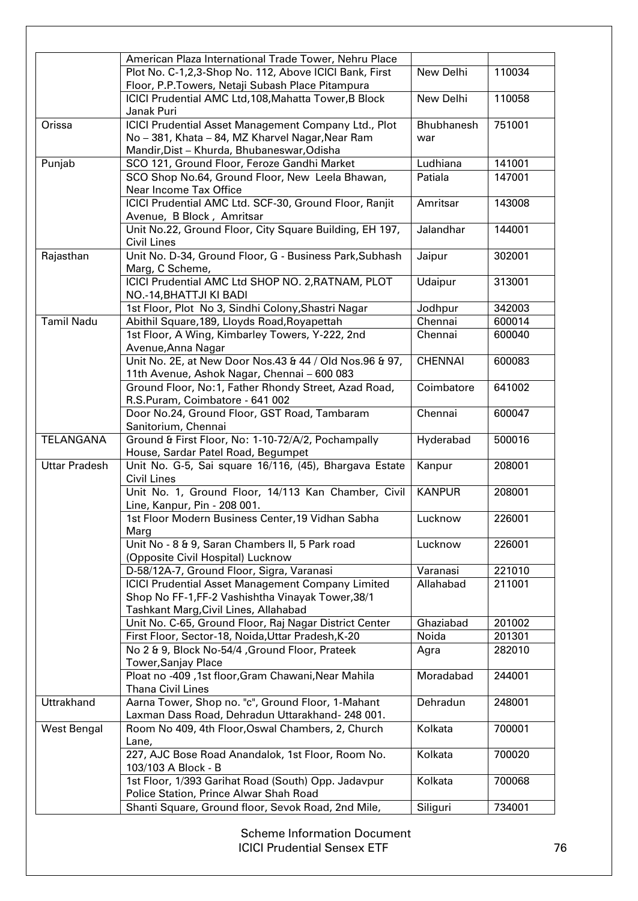|                      | American Plaza International Trade Tower, Nehru Place                                                                                                  |                          |        |
|----------------------|--------------------------------------------------------------------------------------------------------------------------------------------------------|--------------------------|--------|
|                      | Plot No. C-1,2,3-Shop No. 112, Above ICICI Bank, First                                                                                                 | New Delhi                | 110034 |
|                      | Floor, P.P.Towers, Netaji Subash Place Pitampura                                                                                                       |                          |        |
|                      | ICICI Prudential AMC Ltd, 108, Mahatta Tower, B Block<br>Janak Puri                                                                                    | New Delhi                | 110058 |
| Orissa               | ICICI Prudential Asset Management Company Ltd., Plot<br>No - 381, Khata - 84, MZ Kharvel Nagar, Near Ram                                               | <b>Bhubhanesh</b><br>war | 751001 |
|                      | Mandir, Dist - Khurda, Bhubaneswar, Odisha                                                                                                             |                          |        |
| Punjab               | SCO 121, Ground Floor, Feroze Gandhi Market                                                                                                            | Ludhiana                 | 141001 |
|                      | SCO Shop No.64, Ground Floor, New Leela Bhawan,<br>Near Income Tax Office                                                                              | Patiala                  | 147001 |
|                      | ICICI Prudential AMC Ltd. SCF-30, Ground Floor, Ranjit<br>Avenue, B Block, Amritsar                                                                    | Amritsar                 | 143008 |
|                      | Unit No.22, Ground Floor, City Square Building, EH 197,<br><b>Civil Lines</b>                                                                          | Jalandhar                | 144001 |
| Rajasthan            | Unit No. D-34, Ground Floor, G - Business Park, Subhash<br>Marg, C Scheme,                                                                             | Jaipur                   | 302001 |
|                      | ICICI Prudential AMC Ltd SHOP NO. 2, RATNAM, PLOT<br>NO.-14, BHATTJI KI BADI                                                                           | Udaipur                  | 313001 |
|                      | 1st Floor, Plot No 3, Sindhi Colony, Shastri Nagar                                                                                                     | Jodhpur                  | 342003 |
| <b>Tamil Nadu</b>    | Abithil Square, 189, Lloyds Road, Royapettah                                                                                                           | Chennai                  | 600014 |
|                      | 1st Floor, A Wing, Kimbarley Towers, Y-222, 2nd<br>Avenue, Anna Nagar                                                                                  | Chennai                  | 600040 |
|                      | Unit No. 2E, at New Door Nos.43 & 44 / Old Nos.96 & 97,<br>11th Avenue, Ashok Nagar, Chennai - 600 083                                                 | <b>CHENNAI</b>           | 600083 |
|                      | Ground Floor, No:1, Father Rhondy Street, Azad Road,<br>R.S.Puram, Coimbatore - 641 002                                                                | Coimbatore               | 641002 |
|                      | Door No.24, Ground Floor, GST Road, Tambaram<br>Sanitorium, Chennai                                                                                    | Chennai                  | 600047 |
| TELANGANA            | Ground & First Floor, No: 1-10-72/A/2, Pochampally<br>House, Sardar Patel Road, Begumpet                                                               | Hyderabad                | 500016 |
| <b>Uttar Pradesh</b> | Unit No. G-5, Sai square 16/116, (45), Bhargava Estate<br><b>Civil Lines</b>                                                                           | Kanpur                   | 208001 |
|                      | Unit No. 1, Ground Floor, 14/113 Kan Chamber, Civil<br>Line, Kanpur, Pin - 208 001.                                                                    | <b>KANPUR</b>            | 208001 |
|                      | 1st Floor Modern Business Center, 19 Vidhan Sabha<br>Marg                                                                                              | Lucknow                  | 226001 |
|                      | Unit No - 8 & 9, Saran Chambers II, 5 Park road<br>(Opposite Civil Hospital) Lucknow                                                                   | Lucknow                  | 226001 |
|                      | D-58/12A-7, Ground Floor, Sigra, Varanasi                                                                                                              | Varanasi                 | 221010 |
|                      | <b>ICICI Prudential Asset Management Company Limited</b><br>Shop No FF-1, FF-2 Vashishtha Vinayak Tower, 38/1<br>Tashkant Marg, Civil Lines, Allahabad | Allahabad                | 211001 |
|                      | Unit No. C-65, Ground Floor, Raj Nagar District Center                                                                                                 | Ghaziabad                | 201002 |
|                      | First Floor, Sector-18, Noida, Uttar Pradesh, K-20                                                                                                     | Noida                    | 201301 |
|                      | No 2 & 9, Block No-54/4, Ground Floor, Prateek<br><b>Tower, Sanjay Place</b>                                                                           | Agra                     | 282010 |
|                      | Ploat no -409, 1st floor, Gram Chawani, Near Mahila<br><b>Thana Civil Lines</b>                                                                        | Moradabad                | 244001 |
| Uttrakhand           | Aarna Tower, Shop no. "c", Ground Floor, 1-Mahant<br>Laxman Dass Road, Dehradun Uttarakhand- 248 001.                                                  | Dehradun                 | 248001 |
| West Bengal          | Room No 409, 4th Floor, Oswal Chambers, 2, Church<br>Lane,                                                                                             | Kolkata                  | 700001 |
|                      | 227, AJC Bose Road Anandalok, 1st Floor, Room No.<br>103/103 A Block - B                                                                               | Kolkata                  | 700020 |
|                      | 1st Floor, 1/393 Garihat Road (South) Opp. Jadavpur<br>Police Station, Prince Alwar Shah Road                                                          | Kolkata                  | 700068 |
|                      | Shanti Square, Ground floor, Sevok Road, 2nd Mile,                                                                                                     | Siliguri                 | 734001 |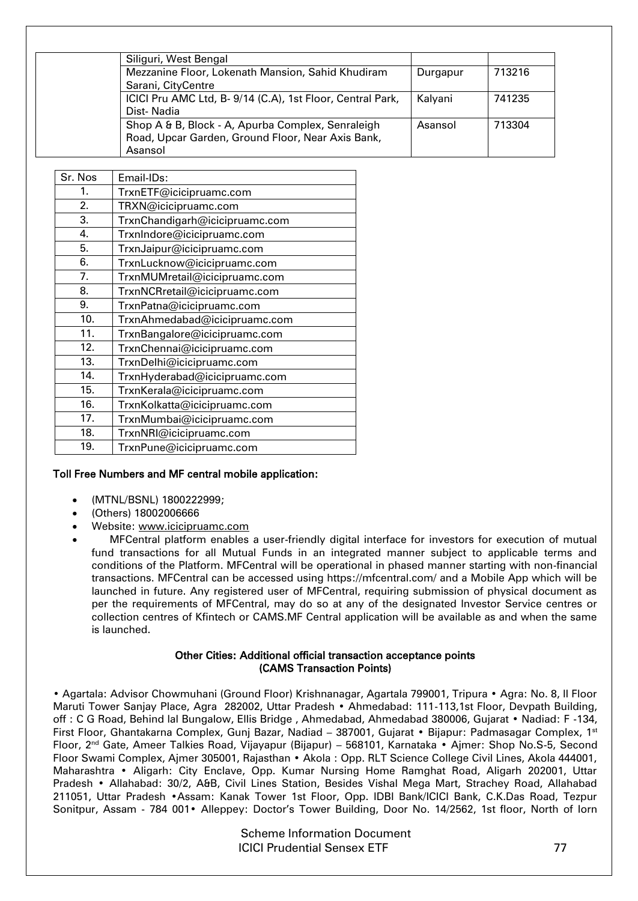| Siliguri, West Bengal                                      |          |        |
|------------------------------------------------------------|----------|--------|
| Mezzanine Floor, Lokenath Mansion, Sahid Khudiram          | Durgapur | 713216 |
| Sarani, CityCentre                                         |          |        |
| ICICI Pru AMC Ltd, B- 9/14 (C.A), 1st Floor, Central Park, | Kalvani  | 741235 |
| Dist-Nadia                                                 |          |        |
| Shop A & B, Block - A, Apurba Complex, Senraleigh          | Asansol  | 713304 |
| Road, Upcar Garden, Ground Floor, Near Axis Bank,          |          |        |
| Asansol                                                    |          |        |

| Sr. Nos | Email-IDs:                     |
|---------|--------------------------------|
| 1.      | TrxnETF@icicipruamc.com        |
| 2.      | TRXN@icicipruamc.com           |
| 3.      | TrxnChandigarh@icicipruamc.com |
| 4.      | TrxnIndore@icicipruamc.com     |
| 5.      | TrxnJaipur@icicipruamc.com     |
| 6.      | TrxnLucknow@icicipruamc.com    |
| 7.      | TrxnMUMretail@icicipruamc.com  |
| 8.      | TrxnNCRretail@icicipruamc.com  |
| 9.      | TrxnPatna@icicipruamc.com      |
| 10.     | TrxnAhmedabad@icicipruamc.com  |
| 11.     | TrxnBangalore@icicipruamc.com  |
| 12.     | TrxnChennai@icicipruamc.com    |
| 13.     | TrxnDelhi@icicipruamc.com      |
| 14.     | TrxnHyderabad@icicipruamc.com  |
| 15.     | TrxnKerala@icicipruamc.com     |
| 16.     | TrxnKolkatta@icicipruamc.com   |
| 17.     | TrxnMumbai@icicipruamc.com     |
| 18.     | TrxnNRI@icicipruamc.com        |
| 19.     | TrxnPune@icicipruamc.com       |
|         |                                |

## Toll Free Numbers and MF central mobile application:

- (MTNL/BSNL) 1800222999;
- (Others) 18002006666
- Website: [www.icicipruamc.com](http://www.icicipruamc.com/)
- MFCentral platform enables a user-friendly digital interface for investors for execution of mutual fund transactions for all Mutual Funds in an integrated manner subject to applicable terms and conditions of the Platform. MFCentral will be operational in phased manner starting with non-financial transactions. MFCentral can be accessed using https://mfcentral.com/ and a Mobile App which will be launched in future. Any registered user of MFCentral, requiring submission of physical document as per the requirements of MFCentral, may do so at any of the designated Investor Service centres or collection centres of Kfintech or CAMS.MF Central application will be available as and when the same is launched.

## Other Cities: Additional official transaction acceptance points (CAMS Transaction Points)

• Agartala: Advisor Chowmuhani (Ground Floor) Krishnanagar, Agartala 799001, Tripura • Agra: No. 8, II Floor Maruti Tower Sanjay Place, Agra 282002, Uttar Pradesh • Ahmedabad: 111-113,1st Floor, Devpath Building, off : C G Road, Behind lal Bungalow, Ellis Bridge , Ahmedabad, Ahmedabad 380006, Gujarat • Nadiad: F -134, First Floor, Ghantakarna Complex, Gunj Bazar, Nadiad – 387001, Gujarat • Bijapur: Padmasagar Complex, 1st Floor, 2nd Gate, Ameer Talkies Road, Vijayapur (Bijapur) – 568101, Karnataka • Ajmer: Shop No.S-5, Second Floor Swami Complex, Ajmer 305001, Rajasthan • Akola : Opp. RLT Science College Civil Lines, Akola 444001, Maharashtra • Aligarh: City Enclave, Opp. Kumar Nursing Home Ramghat Road, Aligarh 202001, Uttar Pradesh • Allahabad: 30/2, A&B, Civil Lines Station, Besides Vishal Mega Mart, Strachey Road, Allahabad 211051, Uttar Pradesh •Assam: Kanak Tower 1st Floor, Opp. IDBI Bank/ICICI Bank, C.K.Das Road, Tezpur Sonitpur, Assam - 784 001• Alleppey: Doctor's Tower Building, Door No. 14/2562, 1st floor, North of Iorn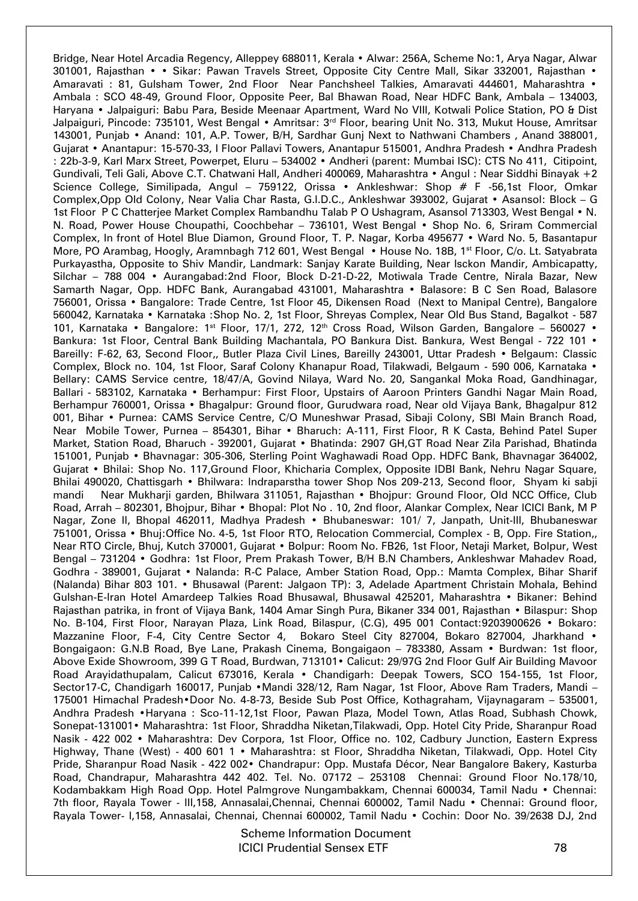Bridge, Near Hotel Arcadia Regency, Alleppey 688011, Kerala • Alwar: 256A, Scheme No:1, Arya Nagar, Alwar 301001, Rajasthan • • Sikar: Pawan Travels Street, Opposite City Centre Mall, Sikar 332001, Rajasthan • Amaravati : 81, Gulsham Tower, 2nd Floor Near Panchsheel Talkies, Amaravati 444601, Maharashtra • Ambala : SCO 48-49, Ground Floor, Opposite Peer, Bal Bhawan Road, Near HDFC Bank, Ambala – 134003, Haryana • Jalpaiguri: Babu Para, Beside Meenaar Apartment, Ward No VIII, Kotwali Police Station, PO & Dist Jalpaiguri, Pincode: 735101, West Bengal • Amritsar: 3<sup>rd</sup> Floor, bearing Unit No. 313, Mukut House, Amritsar 143001, Punjab • Anand: 101, A.P. Tower, B/H, Sardhar Gunj Next to Nathwani Chambers , Anand 388001, Gujarat • Anantapur: 15-570-33, I Floor Pallavi Towers, Anantapur 515001, Andhra Pradesh • Andhra Pradesh : 22b-3-9, Karl Marx Street, Powerpet, Eluru – 534002 • Andheri (parent: Mumbai ISC): CTS No 411, Citipoint, Gundivali, Teli Gali, Above C.T. Chatwani Hall, Andheri 400069, Maharashtra • Angul : Near Siddhi Binayak +2 Science College, Similipada, Angul - 759122, Orissa · Ankleshwar: Shop # F -56,1st Floor, Omkar Complex,Opp Old Colony, Near Valia Char Rasta, G.I.D.C., Ankleshwar 393002, Gujarat • Asansol: Block – G 1st Floor P C Chatterjee Market Complex Rambandhu Talab P O Ushagram, Asansol 713303, West Bengal • N. N. Road, Power House Choupathi, Coochbehar – 736101, West Bengal • Shop No. 6, Sriram Commercial Complex, In front of Hotel Blue Diamon, Ground Floor, T. P. Nagar, Korba 495677 • Ward No. 5, Basantapur More, PO Arambag, Hoogly, Aramnbagh 712 601, West Bengal • House No. 18B, 1<sup>st</sup> Floor, C/o. Lt. Satyabrata Purkayastha, Opposite to Shiv Mandir, Landmark: Sanjay Karate Building, Near Isckon Mandir, Ambicapatty, Silchar – 788 004 • Aurangabad:2nd Floor, Block D-21-D-22, Motiwala Trade Centre, Nirala Bazar, New Samarth Nagar, Opp. HDFC Bank, Aurangabad 431001, Maharashtra • Balasore: B C Sen Road, Balasore 756001, Orissa • Bangalore: Trade Centre, 1st Floor 45, Dikensen Road (Next to Manipal Centre), Bangalore 560042, Karnataka • Karnataka :Shop No. 2, 1st Floor, Shreyas Complex, Near Old Bus Stand, Bagalkot - 587 101, Karnataka • Bangalore: 1<sup>st</sup> Floor, 17/1, 272, 12<sup>th</sup> Cross Road, Wilson Garden, Bangalore – 560027 • Bankura: 1st Floor, Central Bank Building Machantala, PO Bankura Dist. Bankura, West Bengal - 722 101 • Bareilly: F-62, 63, Second Floor,, Butler Plaza Civil Lines, Bareilly 243001, Uttar Pradesh • Belgaum: Classic Complex, Block no. 104, 1st Floor, Saraf Colony Khanapur Road, Tilakwadi, Belgaum - 590 006, Karnataka • Bellary: CAMS Service centre, 18/47/A, Govind Nilaya, Ward No. 20, Sangankal Moka Road, Gandhinagar, Ballari - 583102, Karnataka • Berhampur: First Floor, Upstairs of Aaroon Printers Gandhi Nagar Main Road, Berhampur 760001, Orissa • Bhagalpur: Ground floor, Gurudwara road, Near old Vijaya Bank, Bhagalpur 812 001, Bihar • Purnea: CAMS Service Centre, C/O Muneshwar Prasad, Sibaji Colony, SBI Main Branch Road, Near Mobile Tower, Purnea – 854301, Bihar • Bharuch: A-111, First Floor, R K Casta, Behind Patel Super Market, Station Road, Bharuch - 392001, Gujarat • Bhatinda: 2907 GH,GT Road Near Zila Parishad, Bhatinda 151001, Punjab • Bhavnagar: 305-306, Sterling Point Waghawadi Road Opp. HDFC Bank, Bhavnagar 364002, Gujarat • Bhilai: Shop No. 117,Ground Floor, Khicharia Complex, Opposite IDBI Bank, Nehru Nagar Square, Bhilai 490020, Chattisgarh • Bhilwara: Indraparstha tower Shop Nos 209-213, Second floor, Shyam ki sabji mandi Near Mukharji garden, Bhilwara 311051, Rajasthan • Bhojpur: Ground Floor, Old NCC Office, Club Road, Arrah – 802301, Bhojpur, Bihar • Bhopal: Plot No . 10, 2nd floor, Alankar Complex, Near ICICI Bank, M P Nagar, Zone II, Bhopal 462011, Madhya Pradesh • Bhubaneswar: 101/ 7, Janpath, Unit-III, Bhubaneswar 751001, Orissa • Bhuj:Office No. 4-5, 1st Floor RTO, Relocation Commercial, Complex - B, Opp. Fire Station,, Near RTO Circle, Bhuj, Kutch 370001, Gujarat • Bolpur: Room No. FB26, 1st Floor, Netaji Market, Bolpur, West Bengal – 731204 • Godhra: 1st Floor, Prem Prakash Tower, B/H B.N Chambers, Ankleshwar Mahadev Road, Godhra - 389001, Gujarat • Nalanda: R-C Palace, Amber Station Road, Opp.: Mamta Complex, Bihar Sharif (Nalanda) Bihar 803 101. • Bhusawal (Parent: Jalgaon TP): 3, Adelade Apartment Christain Mohala, Behind Gulshan-E-Iran Hotel Amardeep Talkies Road Bhusawal, Bhusawal 425201, Maharashtra • Bikaner: Behind Rajasthan patrika, in front of Vijaya Bank, 1404 Amar Singh Pura, Bikaner 334 001, Rajasthan • Bilaspur: Shop No. B-104, First Floor, Narayan Plaza, Link Road, Bilaspur, (C.G), 495 001 Contact:9203900626 • Bokaro: Mazzanine Floor, F-4, City Centre Sector 4, Bokaro Steel City 827004, Bokaro 827004, Jharkhand · Bongaigaon: G.N.B Road, Bye Lane, Prakash Cinema, Bongaigaon – 783380, Assam • Burdwan: 1st floor, Above Exide Showroom, 399 G T Road, Burdwan, 713101• Calicut: 29/97G 2nd Floor Gulf Air Building Mavoor Road Arayidathupalam, Calicut 673016, Kerala • Chandigarh: Deepak Towers, SCO 154-155, 1st Floor, Sector17-C, Chandigarh 160017, Punjab •Mandi 328/12, Ram Nagar, 1st Floor, Above Ram Traders, Mandi – 175001 Himachal Pradesh•Door No. 4-8-73, Beside Sub Post Office, Kothagraham, Vijaynagaram – 535001, Andhra Pradesh •Haryana : Sco-11-12,1st Floor, Pawan Plaza, Model Town, Atlas Road, Subhash Chowk, Sonepat-131001• Maharashtra: 1st Floor, Shraddha Niketan,Tilakwadi, Opp. Hotel City Pride, Sharanpur Road Nasik - 422 002 • Maharashtra: Dev Corpora, 1st Floor, Office no. 102, Cadbury Junction, Eastern Express Highway, Thane (West) - 400 601 1 • Maharashtra: st Floor, Shraddha Niketan, Tilakwadi, Opp. Hotel City Pride, Sharanpur Road Nasik - 422 002• Chandrapur: Opp. Mustafa Décor, Near Bangalore Bakery, Kasturba Road, Chandrapur, Maharashtra 442 402. Tel. No. 07172 – 253108 Chennai: Ground Floor No.178/10, Kodambakkam High Road Opp. Hotel Palmgrove Nungambakkam, Chennai 600034, Tamil Nadu • Chennai: 7th floor, Rayala Tower - III,158, Annasalai,Chennai, Chennai 600002, Tamil Nadu • Chennai: Ground floor, Rayala Tower- I,158, Annasalai, Chennai, Chennai 600002, Tamil Nadu • Cochin: Door No. 39/2638 DJ, 2nd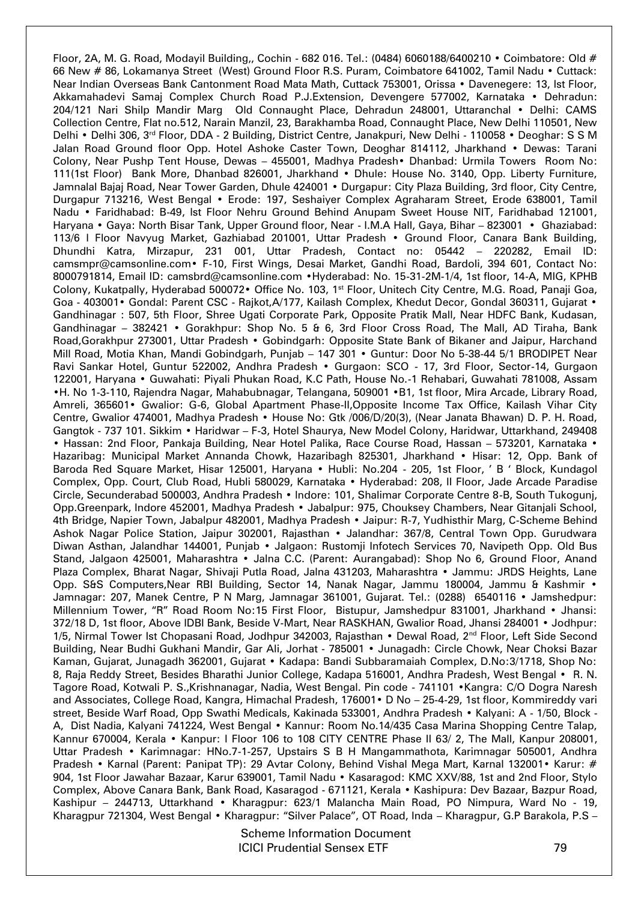Floor, 2A, M. G. Road, Modayil Building,, Cochin - 682 016. Tel.: (0484) 6060188/6400210 • Coimbatore: Old # 66 New # 86, Lokamanya Street (West) Ground Floor R.S. Puram, Coimbatore 641002, Tamil Nadu • Cuttack: Near Indian Overseas Bank Cantonment Road Mata Math, Cuttack 753001, Orissa • Davenegere: 13, Ist Floor, Akkamahadevi Samaj Complex Church Road P.J.Extension, Devengere 577002, Karnataka • Dehradun: 204/121 Nari Shilp Mandir Marg Old Connaught Place, Dehradun 248001, Uttaranchal • Delhi: CAMS Collection Centre, Flat no.512, Narain Manzil, 23, Barakhamba Road, Connaught Place, New Delhi 110501, New Delhi • Delhi 306, 3<sup>rd</sup> Floor, DDA - 2 Building, District Centre, Janakpuri, New Delhi - 110058 • Deoghar: S S M Jalan Road Ground floor Opp. Hotel Ashoke Caster Town, Deoghar 814112, Jharkhand • Dewas: Tarani Colony, Near Pushp Tent House, Dewas – 455001, Madhya Pradesh• Dhanbad: Urmila Towers Room No: 111(1st Floor) Bank More, Dhanbad 826001, Jharkhand • Dhule: House No. 3140, Opp. Liberty Furniture, Jamnalal Bajaj Road, Near Tower Garden, Dhule 424001 • Durgapur: City Plaza Building, 3rd floor, City Centre, Durgapur 713216, West Bengal • Erode: 197, Seshaiyer Complex Agraharam Street, Erode 638001, Tamil Nadu • Faridhabad: B-49, Ist Floor Nehru Ground Behind Anupam Sweet House NIT, Faridhabad 121001, Haryana • Gaya: North Bisar Tank, Upper Ground floor, Near - I.M.A Hall, Gaya, Bihar – 823001 • Ghaziabad: 113/6 I Floor Navyug Market, Gazhiabad 201001, Uttar Pradesh • Ground Floor, Canara Bank Building, Dhundhi Katra, Mirzapur, 231 001, Uttar Pradesh, Contact no: 05442 – 220282, Email ID: camsmpr@camsonline.com• F-10, First Wings, Desai Market, Gandhi Road, Bardoli, 394 601, Contact No: 8000791814, Email ID: camsbrd@camsonline.com •Hyderabad: No. 15-31-2M-1/4, 1st floor, 14-A, MIG, KPHB Colony, Kukatpally, Hyderabad 500072• Office No. 103, 1st Floor, Unitech City Centre, M.G. Road, Panaji Goa, Goa - 403001 • Gondal: Parent CSC - Rajkot, A/177, Kailash Complex, Khedut Decor, Gondal 360311, Gujarat • Gandhinagar : 507, 5th Floor, Shree Ugati Corporate Park, Opposite Pratik Mall, Near HDFC Bank, Kudasan, Gandhinagar – 382421 • Gorakhpur: Shop No. 5 & 6, 3rd Floor Cross Road, The Mall, AD Tiraha, Bank Road,Gorakhpur 273001, Uttar Pradesh • Gobindgarh: Opposite State Bank of Bikaner and Jaipur, Harchand Mill Road, Motia Khan, Mandi Gobindgarh, Punjab – 147 301 • Guntur: Door No 5-38-44 5/1 BRODIPET Near Ravi Sankar Hotel, Guntur 522002, Andhra Pradesh • Gurgaon: SCO - 17, 3rd Floor, Sector-14, Gurgaon 122001, Haryana • Guwahati: Piyali Phukan Road, K.C Path, House No.-1 Rehabari, Guwahati 781008, Assam •H. No 1-3-110, Rajendra Nagar, Mahabubnagar, Telangana, 509001 •B1, 1st floor, Mira Arcade, Library Road, Amreli, 365601• Gwalior: G-6, Global Apartment Phase-II,Opposite Income Tax Office, Kailash Vihar City Centre, Gwalior 474001, Madhya Pradesh • House No: Gtk /006/D/20(3), (Near Janata Bhawan) D. P. H. Road, Gangtok - 737 101. Sikkim • Haridwar – F-3, Hotel Shaurya, New Model Colony, Haridwar, Uttarkhand, 249408 • Hassan: 2nd Floor, Pankaja Building, Near Hotel Palika, Race Course Road, Hassan – 573201, Karnataka • Hazaribag: Municipal Market Annanda Chowk, Hazaribagh 825301, Jharkhand • Hisar: 12, Opp. Bank of Baroda Red Square Market, Hisar 125001, Haryana • Hubli: No.204 - 205, 1st Floor, ' B ' Block, Kundagol Complex, Opp. Court, Club Road, Hubli 580029, Karnataka • Hyderabad: 208, II Floor, Jade Arcade Paradise Circle, Secunderabad 500003, Andhra Pradesh • Indore: 101, Shalimar Corporate Centre 8-B, South Tukogunj, Opp.Greenpark, Indore 452001, Madhya Pradesh • Jabalpur: 975, Chouksey Chambers, Near Gitanjali School, 4th Bridge, Napier Town, Jabalpur 482001, Madhya Pradesh • Jaipur: R-7, Yudhisthir Marg, C-Scheme Behind Ashok Nagar Police Station, Jaipur 302001, Rajasthan • Jalandhar: 367/8, Central Town Opp. Gurudwara Diwan Asthan, Jalandhar 144001, Punjab • Jalgaon: Rustomji Infotech Services 70, Navipeth Opp. Old Bus Stand, Jalgaon 425001, Maharashtra • Jalna C.C. (Parent: Aurangabad): Shop No 6, Ground Floor, Anand Plaza Complex, Bharat Nagar, Shivaji Putla Road, Jalna 431203, Maharashtra • Jammu: JRDS Heights, Lane Opp. S&S Computers, Near RBI Building, Sector 14, Nanak Nagar, Jammu 180004, Jammu & Kashmir • Jamnagar: 207, Manek Centre, P N Marg, Jamnagar 361001, Gujarat. Tel.: (0288) 6540116 • Jamshedpur: Millennium Tower, "R" Road Room No:15 First Floor, Bistupur, Jamshedpur 831001, Jharkhand • Jhansi: 372/18 D, 1st floor, Above IDBI Bank, Beside V-Mart, Near RASKHAN, Gwalior Road, Jhansi 284001 • Jodhpur: 1/5, Nirmal Tower Ist Chopasani Road, Jodhpur 342003, Rajasthan • Dewal Road, 2<sup>nd</sup> Floor, Left Side Second Building, Near Budhi Gukhani Mandir, Gar Ali, Jorhat - 785001 • Junagadh: Circle Chowk, Near Choksi Bazar Kaman, Gujarat, Junagadh 362001, Gujarat • Kadapa: Bandi Subbaramaiah Complex, D.No:3/1718, Shop No: 8, Raja Reddy Street, Besides Bharathi Junior College, Kadapa 516001, Andhra Pradesh, West Bengal • R. N. Tagore Road, Kotwali P. S.,Krishnanagar, Nadia, West Bengal. Pin code - 741101 •Kangra: C/O Dogra Naresh and Associates, College Road, Kangra, Himachal Pradesh, 176001• D No – 25-4-29, 1st floor, Kommireddy vari street, Beside Warf Road, Opp Swathi Medicals, Kakinada 533001, Andhra Pradesh • Kalyani: A - 1/50, Block - A, Dist Nadia, Kalyani 741224, West Bengal • Kannur: Room No.14/435 Casa Marina Shopping Centre Talap, Kannur 670004, Kerala • Kanpur: I Floor 106 to 108 CITY CENTRE Phase II 63/ 2, The Mall, Kanpur 208001, Uttar Pradesh • Karimnagar: HNo.7-1-257, Upstairs S B H Mangammathota, Karimnagar 505001, Andhra Pradesh • Karnal (Parent: Panipat TP): 29 Avtar Colony, Behind Vishal Mega Mart, Karnal 132001• Karur: # 904, 1st Floor Jawahar Bazaar, Karur 639001, Tamil Nadu • Kasaragod: KMC XXV/88, 1st and 2nd Floor, Stylo Complex, Above Canara Bank, Bank Road, Kasaragod - 671121, Kerala • Kashipura: Dev Bazaar, Bazpur Road, Kashipur – 244713, Uttarkhand • Kharagpur: 623/1 Malancha Main Road, PO Nimpura, Ward No - 19, Kharagpur 721304, West Bengal • Kharagpur: "Silver Palace", OT Road, Inda - Kharagpur, G.P Barakola, P.S -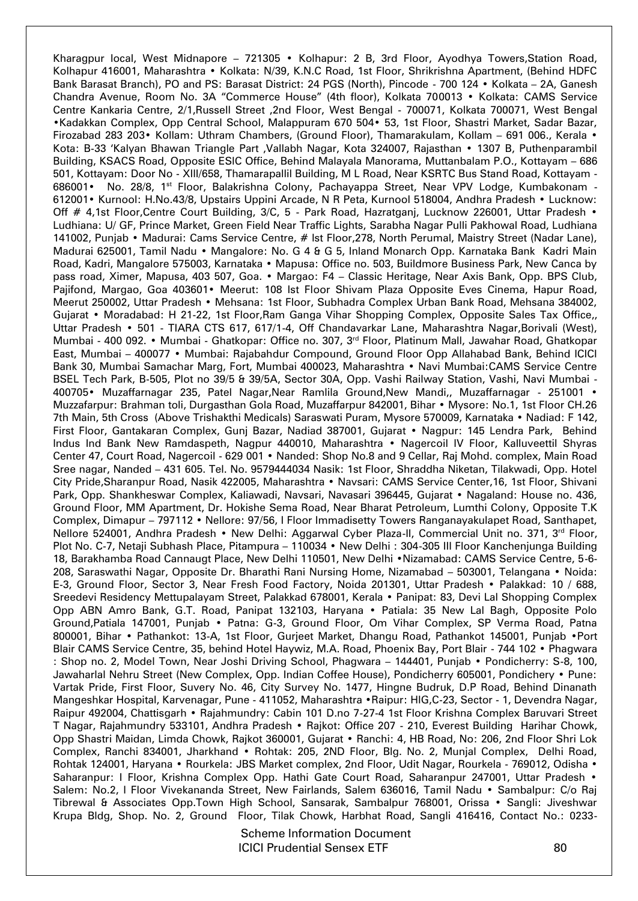Kharagpur local, West Midnapore – 721305 • Kolhapur: 2 B, 3rd Floor, Ayodhya Towers,Station Road, Kolhapur 416001, Maharashtra • Kolkata: N/39, K.N.C Road, 1st Floor, Shrikrishna Apartment, (Behind HDFC Bank Barasat Branch), PO and PS: Barasat District: 24 PGS (North), Pincode - 700 124 • Kolkata - 2A, Ganesh Chandra Avenue, Room No. 3A "Commerce House" (4th floor), Kolkata 700013 • Kolkata: CAMS Service Centre Kankaria Centre, 2/1,Russell Street ,2nd Floor, West Bengal - 700071, Kolkata 700071, West Bengal •Kadakkan Complex, Opp Central School, Malappuram 670 504• 53, 1st Floor, Shastri Market, Sadar Bazar, Firozabad 283 203• Kollam: Uthram Chambers, (Ground Floor), Thamarakulam, Kollam – 691 006., Kerala • Kota: B-33 'Kalyan Bhawan Triangle Part ,Vallabh Nagar, Kota 324007, Rajasthan • 1307 B, Puthenparambil Building, KSACS Road, Opposite ESIC Office, Behind Malayala Manorama, Muttanbalam P.O., Kottayam – 686 501, Kottayam: Door No - XIII/658, Thamarapallil Building, M L Road, Near KSRTC Bus Stand Road, Kottayam - 686001• No. 28/8, 1<sup>st</sup> Floor, Balakrishna Colony, Pachayappa Street, Near VPV Lodge, Kumbakonam -612001• Kurnool: H.No.43/8, Upstairs Uppini Arcade, N R Peta, Kurnool 518004, Andhra Pradesh • Lucknow: Off # 4,1st Floor, Centre Court Building, 3/C, 5 - Park Road, Hazratganj, Lucknow 226001, Uttar Pradesh • Ludhiana: U/ GF, Prince Market, Green Field Near Traffic Lights, Sarabha Nagar Pulli Pakhowal Road, Ludhiana 141002, Punjab • Madurai: Cams Service Centre, # Ist Floor, 278, North Perumal, Maistry Street (Nadar Lane), Madurai 625001, Tamil Nadu • Mangalore: No. G 4 & G 5, Inland Monarch Opp. Karnataka Bank Kadri Main Road, Kadri, Mangalore 575003, Karnataka • Mapusa: Office no. 503, Buildmore Business Park, New Canca by pass road, Ximer, Mapusa, 403 507, Goa. • Margao: F4 – Classic Heritage, Near Axis Bank, Opp. BPS Club, Pajifond, Margao, Goa 403601• Meerut: 108 Ist Floor Shivam Plaza Opposite Eves Cinema, Hapur Road, Meerut 250002, Uttar Pradesh • Mehsana: 1st Floor, Subhadra Complex Urban Bank Road, Mehsana 384002, Gujarat • Moradabad: H 21-22, 1st Floor,Ram Ganga Vihar Shopping Complex, Opposite Sales Tax Office,, Uttar Pradesh • 501 - TIARA CTS 617, 617/1-4, Off Chandavarkar Lane, Maharashtra Nagar,Borivali (West), Mumbai - 400 092. • Mumbai - Ghatkopar: Office no. 307, 3rd Floor, Platinum Mall, Jawahar Road, Ghatkopar East, Mumbai – 400077 • Mumbai: Rajabahdur Compound, Ground Floor Opp Allahabad Bank, Behind ICICI Bank 30, Mumbai Samachar Marg, Fort, Mumbai 400023, Maharashtra • Navi Mumbai:CAMS Service Centre BSEL Tech Park, B-505, Plot no 39/5 & 39/5A, Sector 30A, Opp. Vashi Railway Station, Vashi, Navi Mumbai - 400705• Muzaffarnagar 235, Patel Nagar,Near Ramlila Ground,New Mandi,, Muzaffarnagar - 251001 • Muzzafarpur: Brahman toli, Durgasthan Gola Road, Muzaffarpur 842001, Bihar • Mysore: No.1, 1st Floor CH.26 7th Main, 5th Cross (Above Trishakthi Medicals) Saraswati Puram, Mysore 570009, Karnataka • Nadiad: F 142, First Floor, Gantakaran Complex, Gunj Bazar, Nadiad 387001, Gujarat • Nagpur: 145 Lendra Park, Behind Indus Ind Bank New Ramdaspeth, Nagpur 440010, Maharashtra • Nagercoil IV Floor, Kalluveettil Shyras Center 47, Court Road, Nagercoil - 629 001 • Nanded: Shop No.8 and 9 Cellar, Raj Mohd. complex, Main Road Sree nagar, Nanded – 431 605. Tel. No. 9579444034 Nasik: 1st Floor, Shraddha Niketan, Tilakwadi, Opp. Hotel City Pride,Sharanpur Road, Nasik 422005, Maharashtra • Navsari: CAMS Service Center,16, 1st Floor, Shivani Park, Opp. Shankheswar Complex, Kaliawadi, Navsari, Navasari 396445, Gujarat • Nagaland: House no. 436, Ground Floor, MM Apartment, Dr. Hokishe Sema Road, Near Bharat Petroleum, Lumthi Colony, Opposite T.K Complex, Dimapur – 797112 • Nellore: 97/56, I Floor Immadisetty Towers Ranganayakulapet Road, Santhapet, Nellore 524001, Andhra Pradesh • New Delhi: Aggarwal Cyber Plaza-II, Commercial Unit no. 371, 3<sup>rd</sup> Floor, Plot No. C-7, Netaji Subhash Place, Pitampura – 110034 • New Delhi : 304-305 III Floor Kanchenjunga Building 18, Barakhamba Road Cannaugt Place, New Delhi 110501, New Delhi •Nizamabad: CAMS Service Centre, 5-6- 208, Saraswathi Nagar, Opposite Dr. Bharathi Rani Nursing Home, Nizamabad – 503001, Telangana • Noida: E-3, Ground Floor, Sector 3, Near Fresh Food Factory, Noida 201301, Uttar Pradesh • Palakkad: 10 / 688, Sreedevi Residency Mettupalayam Street, Palakkad 678001, Kerala • Panipat: 83, Devi Lal Shopping Complex Opp ABN Amro Bank, G.T. Road, Panipat 132103, Haryana • Patiala: 35 New Lal Bagh, Opposite Polo Ground,Patiala 147001, Punjab • Patna: G-3, Ground Floor, Om Vihar Complex, SP Verma Road, Patna 800001, Bihar • Pathankot: 13-A, 1st Floor, Gurjeet Market, Dhangu Road, Pathankot 145001, Punjab •Port Blair CAMS Service Centre, 35, behind Hotel Haywiz, M.A. Road, Phoenix Bay, Port Blair - 744 102 • Phagwara : Shop no. 2, Model Town, Near Joshi Driving School, Phagwara – 144401, Punjab • Pondicherry: S-8, 100, Jawaharlal Nehru Street (New Complex, Opp. Indian Coffee House), Pondicherry 605001, Pondichery • Pune: Vartak Pride, First Floor, Suvery No. 46, City Survey No. 1477, Hingne Budruk, D.P Road, Behind Dinanath Mangeshkar Hospital, Karvenagar, Pune - 411052, Maharashtra •Raipur: HIG,C-23, Sector - 1, Devendra Nagar, Raipur 492004, Chattisgarh • Rajahmundry: Cabin 101 D.no 7-27-4 1st Floor Krishna Complex Baruvari Street T Nagar, Rajahmundry 533101, Andhra Pradesh • Rajkot: Office 207 - 210, Everest Building Harihar Chowk, Opp Shastri Maidan, Limda Chowk, Rajkot 360001, Gujarat • Ranchi: 4, HB Road, No: 206, 2nd Floor Shri Lok Complex, Ranchi 834001, Jharkhand • Rohtak: 205, 2ND Floor, Blg. No. 2, Munjal Complex, Delhi Road, Rohtak 124001, Haryana • Rourkela: JBS Market complex, 2nd Floor, Udit Nagar, Rourkela - 769012, Odisha • Saharanpur: I Floor, Krishna Complex Opp. Hathi Gate Court Road, Saharanpur 247001, Uttar Pradesh • Salem: No.2, I Floor Vivekananda Street, New Fairlands, Salem 636016, Tamil Nadu • Sambalpur: C/o Raj Tibrewal & Associates Opp.Town High School, Sansarak, Sambalpur 768001, Orissa • Sangli: Jiveshwar Krupa Bldg, Shop. No. 2, Ground Floor, Tilak Chowk, Harbhat Road, Sangli 416416, Contact No.: 0233-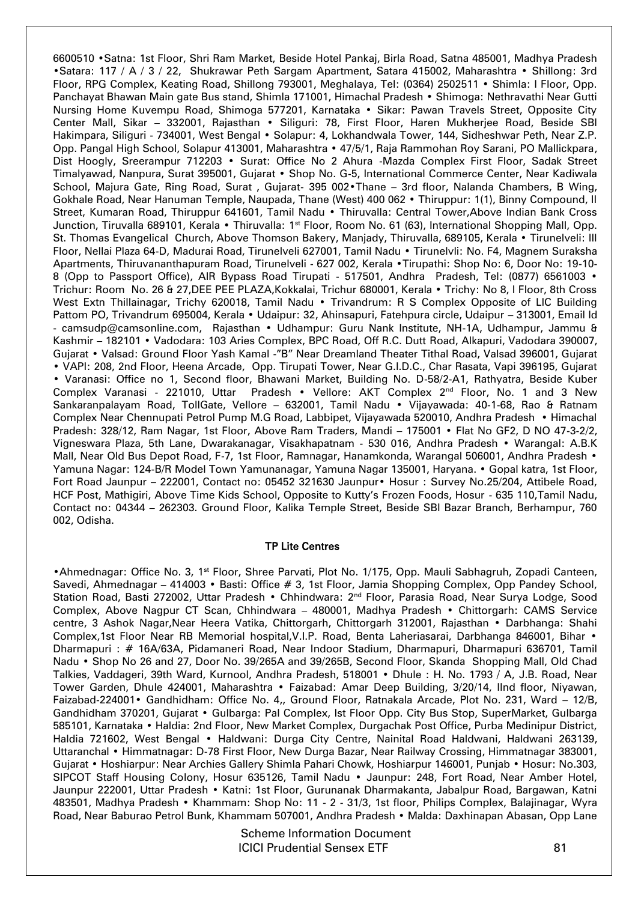6600510 •Satna: 1st Floor, Shri Ram Market, Beside Hotel Pankaj, Birla Road, Satna 485001, Madhya Pradesh •Satara: 117 / A / 3 / 22, Shukrawar Peth Sargam Apartment, Satara 415002, Maharashtra • Shillong: 3rd Floor, RPG Complex, Keating Road, Shillong 793001, Meghalaya, Tel: (0364) 2502511 • Shimla: I Floor, Opp. Panchayat Bhawan Main gate Bus stand, Shimla 171001, Himachal Pradesh • Shimoga: Nethravathi Near Gutti Nursing Home Kuvempu Road, Shimoga 577201, Karnataka • Sikar: Pawan Travels Street, Opposite City Center Mall, Sikar – 332001, Rajasthan • Siliguri: 78, First Floor, Haren Mukherjee Road, Beside SBI Hakimpara, Siliguri - 734001, West Bengal • Solapur: 4, Lokhandwala Tower, 144, Sidheshwar Peth, Near Z.P. Opp. Pangal High School, Solapur 413001, Maharashtra • 47/5/1, Raja Rammohan Roy Sarani, PO Mallickpara, Dist Hoogly, Sreerampur 712203 • Surat: Office No 2 Ahura -Mazda Complex First Floor, Sadak Street Timalyawad, Nanpura, Surat 395001, Gujarat • Shop No. G-5, International Commerce Center, Near Kadiwala School, Majura Gate, Ring Road, Surat , Gujarat- 395 002•Thane – 3rd floor, Nalanda Chambers, B Wing, Gokhale Road, Near Hanuman Temple, Naupada, Thane (West) 400 062 • Thiruppur: 1(1), Binny Compound, II Street, Kumaran Road, Thiruppur 641601, Tamil Nadu • Thiruvalla: Central Tower,Above Indian Bank Cross Junction, Tiruvalla 689101, Kerala • Thiruvalla: 1st Floor, Room No. 61 (63), International Shopping Mall, Opp. St. Thomas Evangelical Church, Above Thomson Bakery, Manjady, Thiruvalla, 689105, Kerala • Tirunelveli: III Floor, Nellai Plaza 64-D, Madurai Road, Tirunelveli 627001, Tamil Nadu • Tirunelvli: No. F4, Magnem Suraksha Apartments, Thiruvananthapuram Road, Tirunelveli - 627 002, Kerala •Tirupathi: Shop No: 6, Door No: 19-10- 8 (Opp to Passport Office), AIR Bypass Road Tirupati - 517501, Andhra Pradesh, Tel: (0877) 6561003 • Trichur: Room No. 26 & 27,DEE PEE PLAZA,Kokkalai, Trichur 680001, Kerala • Trichy: No 8, I Floor, 8th Cross West Extn Thillainagar, Trichy 620018, Tamil Nadu • Trivandrum: R S Complex Opposite of LIC Building Pattom PO, Trivandrum 695004, Kerala • Udaipur: 32, Ahinsapuri, Fatehpura circle, Udaipur – 313001, Email Id - camsudp@camsonline.com, Rajasthan • Udhampur: Guru Nank Institute, NH-1A, Udhampur, Jammu & Kashmir – 182101 • Vadodara: 103 Aries Complex, BPC Road, Off R.C. Dutt Road, Alkapuri, Vadodara 390007, Gujarat • Valsad: Ground Floor Yash Kamal -"B" Near Dreamland Theater Tithal Road, Valsad 396001, Gujarat • VAPI: 208, 2nd Floor, Heena Arcade, Opp. Tirupati Tower, Near G.I.D.C., Char Rasata, Vapi 396195, Gujarat • Varanasi: Office no 1, Second floor, Bhawani Market, Building No. D-58/2-A1, Rathyatra, Beside Kuber Complex Varanasi - 221010, Uttar Pradesh . Vellore: AKT Complex 2<sup>nd</sup> Floor, No. 1 and 3 New Sankaranpalayam Road, TollGate, Vellore – 632001, Tamil Nadu • Vijayawada: 40-1-68, Rao & Ratnam Complex Near Chennupati Petrol Pump M.G Road, Labbipet, Vijayawada 520010, Andhra Pradesh • Himachal Pradesh: 328/12, Ram Nagar, 1st Floor, Above Ram Traders, Mandi – 175001 • Flat No GF2, D NO 47-3-2/2, Vigneswara Plaza, 5th Lane, Dwarakanagar, Visakhapatnam - 530 016, Andhra Pradesh • Warangal: A.B.K Mall, Near Old Bus Depot Road, F-7, 1st Floor, Ramnagar, Hanamkonda, Warangal 506001, Andhra Pradesh • Yamuna Nagar: 124-B/R Model Town Yamunanagar, Yamuna Nagar 135001, Haryana. • Gopal katra, 1st Floor, Fort Road Jaunpur – 222001, Contact no: 05452 321630 Jaunpur• Hosur : Survey No.25/204, Attibele Road, HCF Post, Mathigiri, Above Time Kids School, Opposite to Kutty's Frozen Foods, Hosur - 635 110,Tamil Nadu, Contact no: 04344 – 262303. Ground Floor, Kalika Temple Street, Beside SBI Bazar Branch, Berhampur, 760 002, Odisha.

## TP Lite Centres

•Ahmednagar: Office No. 3, 1st Floor, Shree Parvati, Plot No. 1/175, Opp. Mauli Sabhagruh, Zopadi Canteen, Savedi, Ahmednagar – 414003 • Basti: Office # 3, 1st Floor, Jamia Shopping Complex, Opp Pandey School, Station Road, Basti 272002, Uttar Pradesh • Chhindwara: 2<sup>nd</sup> Floor, Parasia Road, Near Surya Lodge, Sood Complex, Above Nagpur CT Scan, Chhindwara – 480001, Madhya Pradesh • Chittorgarh: CAMS Service centre, 3 Ashok Nagar,Near Heera Vatika, Chittorgarh, Chittorgarh 312001, Rajasthan • Darbhanga: Shahi Complex,1st Floor Near RB Memorial hospital,V.I.P. Road, Benta Laheriasarai, Darbhanga 846001, Bihar • Dharmapuri : # 16A/63A, Pidamaneri Road, Near Indoor Stadium, Dharmapuri, Dharmapuri 636701, Tamil Nadu • Shop No 26 and 27, Door No. 39/265A and 39/265B, Second Floor, Skanda Shopping Mall, Old Chad Talkies, Vaddageri, 39th Ward, Kurnool, Andhra Pradesh, 518001 • Dhule : H. No. 1793 / A, J.B. Road, Near Tower Garden, Dhule 424001, Maharashtra • Faizabad: Amar Deep Building, 3/20/14, IInd floor, Niyawan, Faizabad-224001• Gandhidham: Office No. 4,, Ground Floor, Ratnakala Arcade, Plot No. 231, Ward – 12/B, Gandhidham 370201, Gujarat • Gulbarga: Pal Complex, Ist Floor Opp. City Bus Stop, SuperMarket, Gulbarga 585101, Karnataka • Haldia: 2nd Floor, New Market Complex, Durgachak Post Office, Purba Medinipur District, Haldia 721602, West Bengal • Haldwani: Durga City Centre, Nainital Road Haldwani, Haldwani 263139, Uttaranchal • Himmatnagar: D-78 First Floor, New Durga Bazar, Near Railway Crossing, Himmatnagar 383001, Gujarat • Hoshiarpur: Near Archies Gallery Shimla Pahari Chowk, Hoshiarpur 146001, Punjab • Hosur: No.303, SIPCOT Staff Housing Colony, Hosur 635126, Tamil Nadu • Jaunpur: 248, Fort Road, Near Amber Hotel, Jaunpur 222001, Uttar Pradesh • Katni: 1st Floor, Gurunanak Dharmakanta, Jabalpur Road, Bargawan, Katni 483501, Madhya Pradesh • Khammam: Shop No: 11 - 2 - 31/3, 1st floor, Philips Complex, Balajinagar, Wyra Road, Near Baburao Petrol Bunk, Khammam 507001, Andhra Pradesh • Malda: Daxhinapan Abasan, Opp Lane